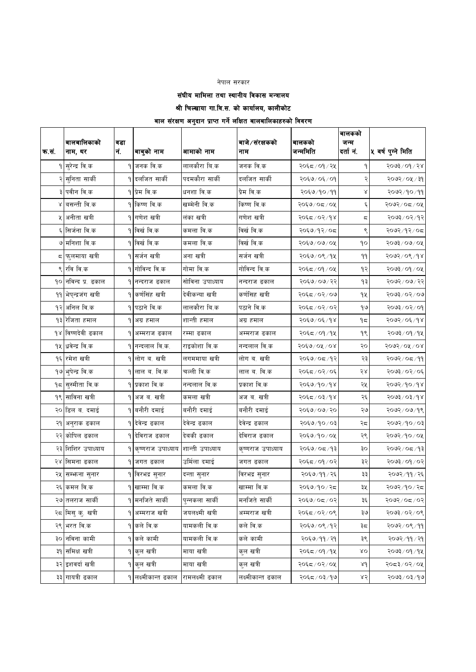#### नेपाल सरकार

संघीय मामिला तथा स्थानीय विकास मन्त्रालय

श्री चिल्खाया गा.वि.स. को कार्यालय, कालीकोट

## बाल संरक्षण अनुदान प्राप्त गर्ने लक्षित बालबालिकाहरुको विवरण

| क.सं. | बालबालिकाको<br>नाम, थर     | वडा<br>नं. | बाबुको नाम               | आमाको नाम       | बाजे∕संरक्षकको<br>नाम | बालकको<br>जन्ममिति | बालकको<br>जन्म<br>दर्तानं. | ५ वर्ष पुग्ने मिति        |
|-------|----------------------------|------------|--------------------------|-----------------|-----------------------|--------------------|----------------------------|---------------------------|
|       | <b>१ सुरेन्द्र वि.क</b>    |            | १ जनक वि.क               | लालकौरा बि.क    | जनक वि.क              | २०६८/०१/२५         |                            | २०७३ / ०१ / २४            |
|       | २ सुनिता सार्की            |            | <b>१ दलजित सार्की</b>    | पदमकौरा सार्की  | दलजित सार्की          | २०६७/०६/०१         |                            | २०७२ / ०५ / ३१            |
|       | ३ पवीन वि.क                |            | १ प्रेम वि.क             | धनशा वि.क       | प्रेम वि.क            | २०६७/१०/११         | Χ                          | २०७२/१०/११                |
|       | ४ बसन्ती वि.क              |            | १ किष्ण वि.क             | खम्मेनी वि.क    | किष्ण वि.क            | २०६७/०८/०५         | ६                          | २०७२/०८/०५                |
|       | अनीता खत्री                |            | १ गणेश खत्री             | लंका खत्री      | गणेश खत्री            | २०६८/०२/१४         | ς                          | २०७३/०२/१२                |
|       | ६ सिर्जना वि.क             |            | १ विर्ख वि.क             | कमला वि.क       | विर्ख वि.क            | २०६७/१२/०८         |                            | २०७२/१२/०८                |
|       | ७ मनिशा वि.क               |            | १ विर्ख वि.क             | कमला वि.क       | विर्ख वि.क            | २०६७/०७/०५         | ٩o                         | २०७३/०७/०५                |
| ς     | फुलमाया खत्री              |            | १ सर्जन खत्री            | अना खत्री       | सर्जन खत्री           | २०६७/०९/१५         | ۹۹                         | २०७२/०९/१४                |
|       | ९ रवि वि.क                 |            | <b>१ गोविन्द वि.क</b>    | गोमा वि.क       | गोविन्द वि.क          | २०६८/०१/०५         | १२                         | २०७३/०१/०५                |
|       | १० नविन्द प्र. ढकाल        |            | १ नन्दराज ढकाल           | सोविना उपाध्याय | नन्दराज ढकाल          | २०६७/०७/२२         | १३                         | २०७२/०७/२२                |
|       | ११ भेप्न्द्रजंग खत्री      |            | १ कर्णसिंह खत्री         | देवीकन्या खत्री | कर्णसिह खत्री         | २०६८/०२/०७         | 92                         | २०७३/०२/०७                |
|       | १२ अनिल वि.क               |            | पठाने वि.क               | लालकौरा बि.क    | पठाने वि.क            | २०६८/०२/०२         | १७                         | $90 \times 50 \times 500$ |
|       | १३ रेजिता हमाल             |            | १ अग्र हमाल              | शान्ती हमाल     | अग्र हमाल             | २०६७/०६/१४         | ۹≂                         | २०७२/०६/१४                |
| 98    | विष्णदेवी ढकाल             |            | १ अम्मराज ढकाल           | रम्मा ढकाल      | अम्मराज ढकाल          | २०६८/०१/१५         | ۹९                         | २०७३ ⁄ ०१ ⁄ १५            |
|       | १५ धिवेन्द्र वि.क          |            | <u> १ </u> नन्दलाल वि.क. | राइकोशा वि.क    | नन्दलाल वि.क          | २०६७/०५/०४         | २०                         | २०७२/०५/०४                |
|       | १६ रमेश खत्री              |            | <b>१ लोग ब. खत्री</b>    | लगममाया खत्री   | लोग ब. खत्री          | २०६७/०८/१२         | २३                         | २०७२/०८/११                |
|       | <u> १७ भु</u> पेन्द्र वि.क |            | ९ लाल ब. वि.क            | चल्ली वि.क      | लाल ब. वि.क           | २०६८/०२/०६         | २४                         | २०७३ / ०२ / ०६            |
|       | १८ सुस्मीता वि.क           |            | १ प्रकाश वि.क            | नन्दलाल वि.क    | प्रकाश वि.क           | २०६७/१०/१४         | २५                         | २०७२/१०/१४                |
|       | १९ साविना खत्री            |            | १ अजब.खत्री              | कमला खत्री      | अज ब. खत्री           | २०६८/०३/१४         | २६                         | २०७३/०३/१४                |
|       | २० डिल व. दमाई             |            | बनौरी दमाई               | बनौरी दमाई      | बनौरी दमाई            | २०६७/०७/२०         | २७                         | २०७२/०७/१९                |
| २१    | अनुराक ढकाल                |            | १ देवेन्द्र ढकाल         | देवेन्द्र ढकाल  | देवेन्द्र ढकाल        | २०६७/१०/०३         | २८                         | ३०७२/१०/०३                |
|       | २२ कोपिल ढकाल              |            | १ देविराज ढकाल           | देवकी ढकाल      | देविराज ढकाल          | २०६७/१०/०५         | २९                         | २०७२/१०/०५                |
|       | २३ शिशिर उपाध्याय          |            | १ कृष्णराज उपाध्याय      | शान्ती उपाध्याय | कृष्णराज उपाध्याय     | २०६७/०८/१३         | ३०                         | २०७२/०८/१३                |
|       | २४ सिमना ढकाल              |            | १∣जगत ढकाल               | उर्मिला दमाई    | जगत ढकाल              | २०६८/०१/०२         | ३२                         | २०७३ ⁄ ०१ ⁄ ०२            |
| २५    | सम्भना सुनार               |            | <b>१ </b> विरभद्र सुनार  | दन्ता सुनार     | विरभद्र सुनार         | २०६७/११/२६         | ३३                         | २०७२/११/२६                |
|       | २६ कमल वि.क                |            | १ खाम्मा वि.क            | कमला वि.क       | खाम्मा वि.क           | २०६७/१०/२८         | ३५                         | २०७२/१०/२८                |
|       | २७ तलराज सार्की            |            | १ मनजिते सार्की          | पुन्नकला सार्की | मनजिते सार्की         | २०६७/०८/०२         | ३६                         | २०७२/०८/०२                |
|       | २८ मिसु कु. खत्री          |            | १ अम्मराज खत्री          | जयलक्ष्मी खत्री | अम्मराज खत्री         | २०६८/०२/०९         | ३७                         | २०७३/०२/०९                |
|       | २९ भरत वि.क                |            | ९ कले वि.क               | यामकली वि.क     | कले वि.क              | २०६७/०९/१२         | ३८                         | २०७२/०९/११                |
|       | ३० नविना कामी              |            | <b>१ कले</b> कामी        | यामकली वि.क     | कले कामी              | २०६७/११/२१         | ३९                         | २०७२/११/२१                |
|       | ३१ समिक्ष खत्री            |            | <b>੧∣कुल खत्री</b>       | माया खत्री      | कुल खत्री             | २०६८/०१/१५         | XQ                         | २०७३/०१/१५                |
|       | ३२ इशवर्दा खत्री           |            | <b>੧∣कुल खत्री</b>       | माया खत्री      | कुल खत्री             | २०६८/०२/०५         | 8d                         | २०८३/०२/०५                |
|       | ३३ गायत्री ढकाल            |            | १ लक्ष्मीकान्त ढकाल      | रामलक्ष्मी ढकाल | लक्ष्मीकान्त ढकाल     | २०६८/०३/१७         | ४२                         | २०७३ / ०३ / १७            |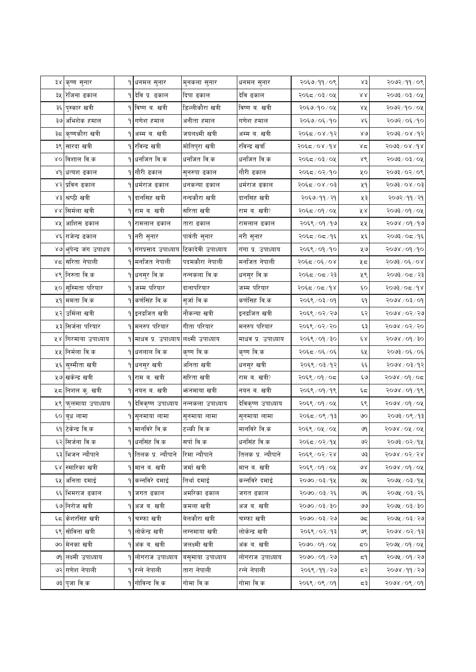| ३४ कृष्ण सुनार         |    | <mark>१</mark> धनमल सुनार    | मुनकला सुनार      | धनमल सुनार         | २०६७/११/०९     | ४३           | २०७२/११/०९                |
|------------------------|----|------------------------------|-------------------|--------------------|----------------|--------------|---------------------------|
| ३५ रिजिना ढकाल         |    | १ देवि प्र. ढकाल             | दिपा ढकाल         | देवि ढकाल          | २०६८/०३/०५     | RΧ           | २०७३ ⁄ ०३ ⁄ ०५            |
| ३६ पुस्कार खत्री       |    | १ विष्ण ब∴खत्री              | डिल्लीकौरा खत्री  | विष्ण ब. खत्री     | २०६७/१०/०५     | ४५           | २०७२/१०/०५                |
| ३७ अभिशेक हमाल         |    | १ गणेश हमाल                  | अनीता हमाल        | गणेश हमाल          | २०६७/०६/१०     | Χέ           | २०७२/०६/१०                |
| ३८ कृष्णकौरा खत्री     | ۹۱ | अम्म ब. खत्री                | जयलक्ष्मी खत्री   | अम्म ब. खत्री      | २०६८/०४/१२     | $80^{\circ}$ | २०७३/०४/१२                |
| ३९ सारदा खत्री         |    | ९ रविन्द्र खत्री             | मोतिपुरा खत्री    | रविन्द्र खर्त्रा   | २०६८/०४/१४     | ४द           | $5003$ / 08/68            |
| ४० विशाल वि.क          |    | १ धनजित वि.क                 | धर्नाजत वि.क      | धर्नाजत वि.क       | २०६८/०३/०५     | ४९           | $X_0/\xi_0/\xi_0$ ok      |
| ४१ धत्यश ढकाल          |    | <b>੧∣गौरी ढका</b> ल          | सुनरुपा ढकाल      | गौरी ढकाल          | २०६८/०२/१०     | ५०           | २०७३/०२/०९                |
| ४२ प्रविन ढकाल         |    | धर्मराज ढकाल                 | धनकन्या ढकाल      | धर्मराज ढकाल       | २०६८/०४/०३     | ५१           | $50/80/\sqrt{5605}$       |
| ४३ श्रष्ठी खत्री       |    | १ दानसिह खत्री               | नन्दकौरा खत्री    | दानसिंह खत्री      | २०६७/११/२१     | ५३           | २०७२/११/२१                |
| ४४ सिर्मला खत्री       |    | <mark>१</mark> राम ब. खत्री  | सरिता खत्री       | राम ब. खत्री?      | २०६८/०१/०५     | ४४           | २०७३/०१/०५                |
| ४५ आशिस ढकाल           |    | १ रामलाल ढकाल                | तारा ढकाल         | रामलाल ढकाल        | २०६९ / ०१ / १७ | ५५           | २०७४ / ०१ / १७            |
| ४६ गजेन्द्र ढकाल       |    | <b>੧∣नरी सुनार</b>           | पार्वती सुनार     | नरी सुनार          | २०६८/०८/१६     | ५६           | २०७३/०८/१६                |
| ४७ भुपेन्द्र जंग उपाधय |    | १ गंगप्रसाद उपाध्याय         | टिकादेवी उपाध्याय | गंगा प्र. उपाध्याय | २०६९ / ०१ / १० | ५७           | २०७४ / ०१ / १०            |
| ४८ सरिता नेपाली        |    | ९∣मनजित नेपाली               | पदमकौरा नेपाली    | मनजित नेपाली       | २०६८/०६/०४     | ५८           | २०७३/०६/०४                |
| ४९ निरुता वि.क         |    | १ धनसुर वि.क                 | नन्नकला वि.क      | धनसुर वि.क         | २०६८/०८/२३     | ५९           | २०७३/०८/२३                |
| ५० सुस्मिता परियार     |    | १ जम्म परियार                | दानापरियार        | जम्म परियार        | २०६८/०८/१४     | ć٥           | ४१∖ ≂०∖ ६७०६              |
| ५१ ममता वि.क           |    | १ कर्णसिंह वि.क              | सुजो वि.क         | कर्णसिह वि.क       | २०६९ / ०३/ ०१  | ξ٩           | $90 \times 50 \times 800$ |
| ५२ उर्मिला खत्री       |    | १ इनद्रजित खत्री             | नौकन्या खत्री     | इनद्रजित खत्री     | २०६९ / ०२ / २७ | ६२           | २०७४ / ०२ / २७            |
| ५३ सिर्जना परियार      |    | १∣मनरुप परियार               | गीता परियार       | मनरुप परियार       | २०६९ / ०२ / २० | ६३           | २०७४ / ०२ / २०            |
| ५४ गिरमाया उपाध्याय    |    | १ माधव प्र. उपाध्याय         | लक्ष्मी उपाध्याय  | माधव प्र. उपाध्याय | २०६९ / ०१ / ३० | έχ           | २०७४ / ०१ / ३०            |
| ५५ निर्मला वि.क        |    | १ धनलाल वि.क                 | कृष्ण वि.क        | कृष्ण वि.क         | २०६८/०६/०६     | ६५           | २०७३/०६/०६                |
| ५६ सुस्मीता खत्री      |    | १ धनसुर खत्री                | अनिता खत्री       | धनसुर खत्री        | २०६९ / ०३/१२   | وخو          | २०७४ / ०३ / १२            |
| ५७ खकेन्द्र खत्री      |    | <b>१ राम ब. खत्री</b>        | सरिता खत्री       | राम ब. खत्री?      | २०६९/०१/०८     | وره          | २०७४ / ०१ / ०८            |
| ५८ निशल कु. खत्री      |    | १ नयन ब. खत्री               | भननमाया खत्री     | नयन ब. खत्री       | २०६९ / ०१ / १९ | ६८           | २०७४ / ०१ / १९            |
| ५९ फुलमाया उपाध्याय    |    | १ देविकृष्ण उपाध्याय         | नन्नकला उपाध्याय  | देविकृष्ण उपाध्याय | २०६९ / ०१ / ०५ | ६९           | २०७४ / ०१ / ०५            |
| ६० वुध लामा            |    | १ <mark> सुनमाया लामा</mark> | सुनमाया लामा      | सुनमाया लामा       | २०६८ / ०९ / १३ | ७०           | ३०७३/०९/१३                |
| ६१ टिकेन्द्र वि.क      |    | ९ मानविरे वि.क               | टल्की वि.क        | मानविरे वि.क       | २०६९ / ०५ / ०५ | ७१           | २०७४ ⁄ ०५ ⁄ ०५            |
| ६२ सिर्जना वि.क        |    | १ धनसिंह वि.क                | सर्पा वि.क        | धर्नासंह वि.क      | २०६८/०२/१५     | ७२           | २०७३/०२/१५                |
| ६३ भिजन न्यौपाने       |    | <u> १ तिलक प्र. न्यौपाने</u> | रिमा न्यौपाने     | तिलक प्र. न्यौपाने | २०६९/०२/२४     | ও३           | २०७४ / ०२ / २४            |
| ६४ स्मारिका खत्री      |    | १ मान ब. खत्री               | जर्मा खत्री       | मान ब. खत्री       | २०६९ / ०१ / ०५ | ७४           | २०७४ / ०१ / ०५            |
| ६५ अनिता दमाई          |    | १ कन्नविरे दमाई              | तिर्था दमाई       | कन्नविरे दमाई      | २०७० / ०३ / १५ | ও⊻           | २०७५ / ०३/१५              |
| ६६ भिमराज ढकाल         | ۹  | जगत ढकाल                     | अमरिका ढकाल       | जगत ढकाल           | २०७०/०३/२६     | ও६           | २०७५ / ०३ / २६            |
| ६७ निरोज खत्री         |    | १ अजब. खत्री                 | कमला खत्री        | अजब.खत्री          | २०७० / ०३ / ३० | 99           | २०७५ / ०३/३०              |
| ६८ केशरसिंह खत्री      |    | <b>੧│चम्फा खत्री</b>         | बेलकौरा खत्री     | चम्फा खत्री        | २०७० / ०३ / २७ | ಅದ           | २०७५ / ०३/२७              |
| ६९ सोविना खत्री        |    | १ लोकेन्द्र खत्री            | लग्नमाया खत्री    | लोकेन्द्र खत्री    | २०६९ / ०२/१३   | ७९           | $89 \times 90$            |
| ७० मेनका खत्री         |    | अंक ब. खत्री                 | जलक्ष्मी खत्री    | अंक ब. खत्री       | २०७०/०१/०५     | ಧ೦           | २०७५ / ०१ / ०५            |
| ७१ लक्ष्मी उपाध्याय    |    | १ लोगराज उपाध्याय            | बसुमाया उपाध्याय  | लोगराज उपाध्याय    | २०७० / ०१ / २७ | ξ۹           | २०७५ / ०१ / २७            |
| ७२ गणेश नेपाली         |    | १ रन्ने नेपाली               | तारा नेपाली       | रन्ने नेपाली       | २०६९/११/२७     | द२           | २०७४ /११ / २७             |
| ७३ पुजा वि.क           |    | १ गोविन्द वि.क               | गोमा वि.क         | गोमा वि.क          | २०६९/०९/०१     | ८३           | $90 \times 20 \times 800$ |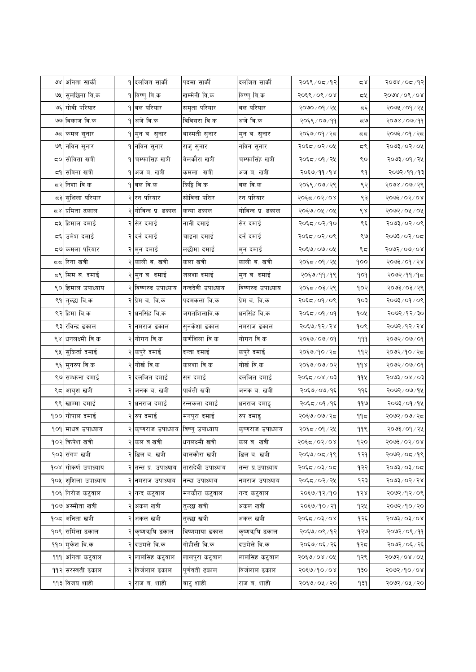| ७४ अनिता सार्की<br>१ दलजित सार्की<br>पदमा सार्की<br>दलजित सार्की<br>२०६९ / ०८ / १२<br><b>१ विष्णु वि.क</b><br>खम्मेनी वि.क<br>सुलछिना वि.क<br>विष्णु वि.क<br>२०६९ / ०९ / ०४<br>७५<br>७६ गोवी परियार<br>समृता परियार<br><b>१ बल परियार</b><br>बल परियार<br>२०७० ⁄ ०१ ⁄ २५<br>७७ विकाज वि.क<br>१ अजे वि.क<br>विविसरा वि.क<br>अजे वि.क<br>२०६९ / ०७/११<br>बास्मती सुनार<br>२०६७/०१/२८<br>७८ कमल सुनार<br>१∣मुन ब. सुनार<br>मुन ब. सुनार<br>७९ नविन सुनार<br>१ नविन सुनार<br>नविन सुनार<br>२०६८/०२/०५<br>राजु सुनार<br>बेलकौरा खत्री<br>८० सोविता खत्री<br>चम्फासिह खत्री<br>चम्फासिंह खत्री<br>२०६८ / ०१ / २५<br>۹۱<br>८१ सविना खत्री<br>कमला खत्री<br>अजब.खत्री<br>अजब.खत्री<br>२०६७/११/१४<br>۹Ι<br>दर निशा वि.क<br>बल वि.क<br>किट्टि वि.क<br>बल वि.क<br>२०६९ / ०७ / २९<br>सोविना परिार<br>द३ <mark>∣सुशिला परियार</mark><br>२ <mark> रन परियार</mark><br>रन परियार<br>२०६८/०२/०४<br>गोविन्द प्र. ढकाल<br>२०६७/०५/०५<br>८४ प्रमिता ढकाल<br>गोविन्द प्र. ढकाल<br>कन्या ढकाल<br>८५ हिमाल दमाई<br>सेर दमाई<br>नानी दमाई<br>सेर दमाई<br>२०६८/०२/१०<br>दर्न दमाई<br>द६ उमेश दमाई<br>२ दर्न दमाई<br>चाइना दमाई<br>२०६८/०२/०९<br>८७ कमला परियार<br>लछीमा दमाई<br>२ मुन दमाई<br>मुन दमाई<br>२०६७/०७/०५<br>दद रिना खत्री<br>काली ब. खत्री<br>कला खत्री<br>काली ब. खत्री<br>२०६८ / ०१ / २५<br>८९ मिम ब. दमाई<br>जलशा दमाई<br>२ मुन ब. दमाई<br>मुन ब. दमाई<br>२०६७/११/१९<br>नन्ददेवी उपाध्याय<br>९० हिमाल उपाध्याय<br>२ विष्णरुद्र उपाध्याय<br>विष्णरुद्र उपाध्याय<br>२०६८/०३/२९<br>प्रेम ब. वि.क<br>पदमकला वि.क<br>प्रेम ब. वि.क<br>९१  तुल्छा वि.क<br>२०६८/०१/०९<br>९२ हिमा वि.क<br>धनसिंह वि.क<br>जगतशिलावि.क<br>धनसिंह वि.क<br>२०६८/०१/०१<br>९३ रविन्द्र ढकाल<br>सुनकेशा ढकाल<br>२०६७/१२/२४<br>२ नमराज ढकाल<br>नमराज ढकाल<br>९४ धनलक्ष्मी वि.क<br>२ गोगन वि.क<br>कर्णशिला वि.क<br>गोगन वि.क<br>२०६७/०७/०१<br>९५ सुकिर्ता दमाई<br>कपुरे दमाई<br>दन्ता दमाई<br>कपुरे दमाई<br>२०६७/१०/२८<br>गोर्ख वि.क<br>गोर्ख वि.क<br>९६ मुनरुप वि.क<br>कलशा वि.क<br>२०६७/०७/०२<br>दलजित दमाई<br>९७ सम्भन्ना दमाई<br>दलजित दमाई<br>सरु दमाई<br>२०६८/०४/०३ | २०७४/०८/१२<br>کے ج<br>$5008\sqrt{06}\sqrt{08}$<br>≂খ<br>२०७५ / ०१ / २५<br>ی ڈ<br>२०७४ / ०७/११<br>ಧ७<br>२०७३/०१/२८<br>ದ ದ<br>२०७३/०२/०५<br>ದ९<br>२०७३ ⁄ ०१ ⁄ २५<br>९०<br>२०७२/११/१३<br>९१<br>९२<br>२०७४ / ०७ / २९<br>$500$ $200$<br>९३<br>९४<br>२०७२ / ०५ / ०५<br>20/20/200<br>९६<br>९७<br>२०७३/०२/०८<br>९८<br>२०७२/०७/०४<br>$89 \times 100$<br>900<br>२०७२ ⁄ ११ ⁄ १८<br>gog<br>२०७३ / ०३ / २९<br>१०२ |
|---------------------------------------------------------------------------------------------------------------------------------------------------------------------------------------------------------------------------------------------------------------------------------------------------------------------------------------------------------------------------------------------------------------------------------------------------------------------------------------------------------------------------------------------------------------------------------------------------------------------------------------------------------------------------------------------------------------------------------------------------------------------------------------------------------------------------------------------------------------------------------------------------------------------------------------------------------------------------------------------------------------------------------------------------------------------------------------------------------------------------------------------------------------------------------------------------------------------------------------------------------------------------------------------------------------------------------------------------------------------------------------------------------------------------------------------------------------------------------------------------------------------------------------------------------------------------------------------------------------------------------------------------------------------------------------------------------------------------------------------------------------------------------------------------------------------------------------------------------------------------------------------------------------------------------------------------------------------------------------------------------------------------------|------------------------------------------------------------------------------------------------------------------------------------------------------------------------------------------------------------------------------------------------------------------------------------------------------------------------------------------------------------------------------------------------------|
|                                                                                                                                                                                                                                                                                                                                                                                                                                                                                                                                                                                                                                                                                                                                                                                                                                                                                                                                                                                                                                                                                                                                                                                                                                                                                                                                                                                                                                                                                                                                                                                                                                                                                                                                                                                                                                                                                                                                                                                                                                 |                                                                                                                                                                                                                                                                                                                                                                                                      |
|                                                                                                                                                                                                                                                                                                                                                                                                                                                                                                                                                                                                                                                                                                                                                                                                                                                                                                                                                                                                                                                                                                                                                                                                                                                                                                                                                                                                                                                                                                                                                                                                                                                                                                                                                                                                                                                                                                                                                                                                                                 |                                                                                                                                                                                                                                                                                                                                                                                                      |
|                                                                                                                                                                                                                                                                                                                                                                                                                                                                                                                                                                                                                                                                                                                                                                                                                                                                                                                                                                                                                                                                                                                                                                                                                                                                                                                                                                                                                                                                                                                                                                                                                                                                                                                                                                                                                                                                                                                                                                                                                                 |                                                                                                                                                                                                                                                                                                                                                                                                      |
|                                                                                                                                                                                                                                                                                                                                                                                                                                                                                                                                                                                                                                                                                                                                                                                                                                                                                                                                                                                                                                                                                                                                                                                                                                                                                                                                                                                                                                                                                                                                                                                                                                                                                                                                                                                                                                                                                                                                                                                                                                 |                                                                                                                                                                                                                                                                                                                                                                                                      |
|                                                                                                                                                                                                                                                                                                                                                                                                                                                                                                                                                                                                                                                                                                                                                                                                                                                                                                                                                                                                                                                                                                                                                                                                                                                                                                                                                                                                                                                                                                                                                                                                                                                                                                                                                                                                                                                                                                                                                                                                                                 |                                                                                                                                                                                                                                                                                                                                                                                                      |
|                                                                                                                                                                                                                                                                                                                                                                                                                                                                                                                                                                                                                                                                                                                                                                                                                                                                                                                                                                                                                                                                                                                                                                                                                                                                                                                                                                                                                                                                                                                                                                                                                                                                                                                                                                                                                                                                                                                                                                                                                                 |                                                                                                                                                                                                                                                                                                                                                                                                      |
|                                                                                                                                                                                                                                                                                                                                                                                                                                                                                                                                                                                                                                                                                                                                                                                                                                                                                                                                                                                                                                                                                                                                                                                                                                                                                                                                                                                                                                                                                                                                                                                                                                                                                                                                                                                                                                                                                                                                                                                                                                 |                                                                                                                                                                                                                                                                                                                                                                                                      |
|                                                                                                                                                                                                                                                                                                                                                                                                                                                                                                                                                                                                                                                                                                                                                                                                                                                                                                                                                                                                                                                                                                                                                                                                                                                                                                                                                                                                                                                                                                                                                                                                                                                                                                                                                                                                                                                                                                                                                                                                                                 |                                                                                                                                                                                                                                                                                                                                                                                                      |
|                                                                                                                                                                                                                                                                                                                                                                                                                                                                                                                                                                                                                                                                                                                                                                                                                                                                                                                                                                                                                                                                                                                                                                                                                                                                                                                                                                                                                                                                                                                                                                                                                                                                                                                                                                                                                                                                                                                                                                                                                                 |                                                                                                                                                                                                                                                                                                                                                                                                      |
|                                                                                                                                                                                                                                                                                                                                                                                                                                                                                                                                                                                                                                                                                                                                                                                                                                                                                                                                                                                                                                                                                                                                                                                                                                                                                                                                                                                                                                                                                                                                                                                                                                                                                                                                                                                                                                                                                                                                                                                                                                 |                                                                                                                                                                                                                                                                                                                                                                                                      |
|                                                                                                                                                                                                                                                                                                                                                                                                                                                                                                                                                                                                                                                                                                                                                                                                                                                                                                                                                                                                                                                                                                                                                                                                                                                                                                                                                                                                                                                                                                                                                                                                                                                                                                                                                                                                                                                                                                                                                                                                                                 |                                                                                                                                                                                                                                                                                                                                                                                                      |
|                                                                                                                                                                                                                                                                                                                                                                                                                                                                                                                                                                                                                                                                                                                                                                                                                                                                                                                                                                                                                                                                                                                                                                                                                                                                                                                                                                                                                                                                                                                                                                                                                                                                                                                                                                                                                                                                                                                                                                                                                                 |                                                                                                                                                                                                                                                                                                                                                                                                      |
|                                                                                                                                                                                                                                                                                                                                                                                                                                                                                                                                                                                                                                                                                                                                                                                                                                                                                                                                                                                                                                                                                                                                                                                                                                                                                                                                                                                                                                                                                                                                                                                                                                                                                                                                                                                                                                                                                                                                                                                                                                 |                                                                                                                                                                                                                                                                                                                                                                                                      |
|                                                                                                                                                                                                                                                                                                                                                                                                                                                                                                                                                                                                                                                                                                                                                                                                                                                                                                                                                                                                                                                                                                                                                                                                                                                                                                                                                                                                                                                                                                                                                                                                                                                                                                                                                                                                                                                                                                                                                                                                                                 |                                                                                                                                                                                                                                                                                                                                                                                                      |
|                                                                                                                                                                                                                                                                                                                                                                                                                                                                                                                                                                                                                                                                                                                                                                                                                                                                                                                                                                                                                                                                                                                                                                                                                                                                                                                                                                                                                                                                                                                                                                                                                                                                                                                                                                                                                                                                                                                                                                                                                                 |                                                                                                                                                                                                                                                                                                                                                                                                      |
|                                                                                                                                                                                                                                                                                                                                                                                                                                                                                                                                                                                                                                                                                                                                                                                                                                                                                                                                                                                                                                                                                                                                                                                                                                                                                                                                                                                                                                                                                                                                                                                                                                                                                                                                                                                                                                                                                                                                                                                                                                 |                                                                                                                                                                                                                                                                                                                                                                                                      |
|                                                                                                                                                                                                                                                                                                                                                                                                                                                                                                                                                                                                                                                                                                                                                                                                                                                                                                                                                                                                                                                                                                                                                                                                                                                                                                                                                                                                                                                                                                                                                                                                                                                                                                                                                                                                                                                                                                                                                                                                                                 |                                                                                                                                                                                                                                                                                                                                                                                                      |
|                                                                                                                                                                                                                                                                                                                                                                                                                                                                                                                                                                                                                                                                                                                                                                                                                                                                                                                                                                                                                                                                                                                                                                                                                                                                                                                                                                                                                                                                                                                                                                                                                                                                                                                                                                                                                                                                                                                                                                                                                                 | $20 \times 10^{10}$ रिए<br>१०३                                                                                                                                                                                                                                                                                                                                                                       |
|                                                                                                                                                                                                                                                                                                                                                                                                                                                                                                                                                                                                                                                                                                                                                                                                                                                                                                                                                                                                                                                                                                                                                                                                                                                                                                                                                                                                                                                                                                                                                                                                                                                                                                                                                                                                                                                                                                                                                                                                                                 | २०७२ / १२ / ३०<br>goy                                                                                                                                                                                                                                                                                                                                                                                |
|                                                                                                                                                                                                                                                                                                                                                                                                                                                                                                                                                                                                                                                                                                                                                                                                                                                                                                                                                                                                                                                                                                                                                                                                                                                                                                                                                                                                                                                                                                                                                                                                                                                                                                                                                                                                                                                                                                                                                                                                                                 | २०७२/१२/२४<br>१०९                                                                                                                                                                                                                                                                                                                                                                                    |
|                                                                                                                                                                                                                                                                                                                                                                                                                                                                                                                                                                                                                                                                                                                                                                                                                                                                                                                                                                                                                                                                                                                                                                                                                                                                                                                                                                                                                                                                                                                                                                                                                                                                                                                                                                                                                                                                                                                                                                                                                                 | २०७२/०७/०१<br>999                                                                                                                                                                                                                                                                                                                                                                                    |
|                                                                                                                                                                                                                                                                                                                                                                                                                                                                                                                                                                                                                                                                                                                                                                                                                                                                                                                                                                                                                                                                                                                                                                                                                                                                                                                                                                                                                                                                                                                                                                                                                                                                                                                                                                                                                                                                                                                                                                                                                                 | ११२<br>२०७२/१०/२८                                                                                                                                                                                                                                                                                                                                                                                    |
|                                                                                                                                                                                                                                                                                                                                                                                                                                                                                                                                                                                                                                                                                                                                                                                                                                                                                                                                                                                                                                                                                                                                                                                                                                                                                                                                                                                                                                                                                                                                                                                                                                                                                                                                                                                                                                                                                                                                                                                                                                 | $d d \lambda$<br>२०७२/०७/०१                                                                                                                                                                                                                                                                                                                                                                          |
|                                                                                                                                                                                                                                                                                                                                                                                                                                                                                                                                                                                                                                                                                                                                                                                                                                                                                                                                                                                                                                                                                                                                                                                                                                                                                                                                                                                                                                                                                                                                                                                                                                                                                                                                                                                                                                                                                                                                                                                                                                 | 994<br>२०७३/०४/०३                                                                                                                                                                                                                                                                                                                                                                                    |
| पार्वती खत्री<br>९८ आयुश खत्री<br>जनक ब. खत्री<br>जनक ब. खत्री<br>२०६७/०७/१६                                                                                                                                                                                                                                                                                                                                                                                                                                                                                                                                                                                                                                                                                                                                                                                                                                                                                                                                                                                                                                                                                                                                                                                                                                                                                                                                                                                                                                                                                                                                                                                                                                                                                                                                                                                                                                                                                                                                                    | ११६<br>२०७२/०७/१५                                                                                                                                                                                                                                                                                                                                                                                    |
| ९९ खाम्मा दमाई<br>धनराज दमाई<br>रन्नकला दमाई<br>२०६८/०१/१६<br>धनराज दमाइ                                                                                                                                                                                                                                                                                                                                                                                                                                                                                                                                                                                                                                                                                                                                                                                                                                                                                                                                                                                                                                                                                                                                                                                                                                                                                                                                                                                                                                                                                                                                                                                                                                                                                                                                                                                                                                                                                                                                                        | ११७<br>२०७३ ⁄ ०१ ⁄ १५                                                                                                                                                                                                                                                                                                                                                                                |
| <u> १०० गोपाल दमाई</u><br>रुप दमाई<br>मनपुरा दमाई<br>२०६७/०७/२८<br>रुप दमाडृ                                                                                                                                                                                                                                                                                                                                                                                                                                                                                                                                                                                                                                                                                                                                                                                                                                                                                                                                                                                                                                                                                                                                                                                                                                                                                                                                                                                                                                                                                                                                                                                                                                                                                                                                                                                                                                                                                                                                                    | २०७२/०७/२८<br>۹۹ҕ                                                                                                                                                                                                                                                                                                                                                                                    |
| २ कृष्णराज उपाध्याय  विष्णु उपाध्याय<br>१०१ माधव उपाध्याय<br>२०६८ / ०१ / २५<br>कृष्णराज उपाध्याय                                                                                                                                                                                                                                                                                                                                                                                                                                                                                                                                                                                                                                                                                                                                                                                                                                                                                                                                                                                                                                                                                                                                                                                                                                                                                                                                                                                                                                                                                                                                                                                                                                                                                                                                                                                                                                                                                                                                | 99९<br>२०७३ ⁄ ०१ ⁄ २५                                                                                                                                                                                                                                                                                                                                                                                |
| <b>१</b> ०२ क्रिपेश खत्री<br>धनलक्ष्मी खत्री<br>कल ब. खत्री<br>कल ब.खत्री<br>२०६८/०२/०४                                                                                                                                                                                                                                                                                                                                                                                                                                                                                                                                                                                                                                                                                                                                                                                                                                                                                                                                                                                                                                                                                                                                                                                                                                                                                                                                                                                                                                                                                                                                                                                                                                                                                                                                                                                                                                                                                                                                         | १२०<br>२०७३/०२/०४                                                                                                                                                                                                                                                                                                                                                                                    |
| बालकौरा खत्री<br>१०३ संगम खत्री<br>२ <mark> </mark> डिल ब. खत्री<br>डिल ब. खत्री<br>२०६७/०८/१९                                                                                                                                                                                                                                                                                                                                                                                                                                                                                                                                                                                                                                                                                                                                                                                                                                                                                                                                                                                                                                                                                                                                                                                                                                                                                                                                                                                                                                                                                                                                                                                                                                                                                                                                                                                                                                                                                                                                  | १२१<br>२०७२/०८/१९                                                                                                                                                                                                                                                                                                                                                                                    |
| १०४ गोकर्ण उपाध्याय<br>तारादेवी उपाध्याय<br>तन्त प्र. उपाध्याय<br>तन्त प्र.उपाध्याय<br>२०६द ⁄ ०३/ ०द                                                                                                                                                                                                                                                                                                                                                                                                                                                                                                                                                                                                                                                                                                                                                                                                                                                                                                                                                                                                                                                                                                                                                                                                                                                                                                                                                                                                                                                                                                                                                                                                                                                                                                                                                                                                                                                                                                                            | १२२<br>२०७३/०३/०८                                                                                                                                                                                                                                                                                                                                                                                    |
| १०५ शुशिला उपाध्याय<br>नमराज उपाध्याय<br>२०६८/०२/२५<br>नन्दा उपाध्याय<br>नमराज उपाध्याय                                                                                                                                                                                                                                                                                                                                                                                                                                                                                                                                                                                                                                                                                                                                                                                                                                                                                                                                                                                                                                                                                                                                                                                                                                                                                                                                                                                                                                                                                                                                                                                                                                                                                                                                                                                                                                                                                                                                         | २०७३/०२/२४<br>१२३                                                                                                                                                                                                                                                                                                                                                                                    |
| मनकौरा कटुवाल<br>२०६७/१२/१०<br>१०६ निरोज कटुवाल<br>नन्द कटुवाल<br>नन्द कटुवाल                                                                                                                                                                                                                                                                                                                                                                                                                                                                                                                                                                                                                                                                                                                                                                                                                                                                                                                                                                                                                                                                                                                                                                                                                                                                                                                                                                                                                                                                                                                                                                                                                                                                                                                                                                                                                                                                                                                                                   | २०७२/१२/०९<br>१२४                                                                                                                                                                                                                                                                                                                                                                                    |
| १०७ अस्मीता खत्री<br>अकल खत्री<br>तुल्छा खत्री<br>अकल खत्री<br>२०६७/१०/२१                                                                                                                                                                                                                                                                                                                                                                                                                                                                                                                                                                                                                                                                                                                                                                                                                                                                                                                                                                                                                                                                                                                                                                                                                                                                                                                                                                                                                                                                                                                                                                                                                                                                                                                                                                                                                                                                                                                                                       | २०७२/१०/२०<br>१२५                                                                                                                                                                                                                                                                                                                                                                                    |
| <b>१</b> ०८ अनिता खत्री<br>अकल खत्री<br>तुल्छा खत्री<br>अकल खत्री<br>२०६८/०३/०४                                                                                                                                                                                                                                                                                                                                                                                                                                                                                                                                                                                                                                                                                                                                                                                                                                                                                                                                                                                                                                                                                                                                                                                                                                                                                                                                                                                                                                                                                                                                                                                                                                                                                                                                                                                                                                                                                                                                                 | $80/80/\sqrt{200}$<br>१२६                                                                                                                                                                                                                                                                                                                                                                            |
| २ कृष्णऋषि ढकाल<br>कृष्णऋषि ढकाल<br>२०६७/०९/१२<br>१०९ समिला ढकाल<br>विष्णमाया ढकाल                                                                                                                                                                                                                                                                                                                                                                                                                                                                                                                                                                                                                                                                                                                                                                                                                                                                                                                                                                                                                                                                                                                                                                                                                                                                                                                                                                                                                                                                                                                                                                                                                                                                                                                                                                                                                                                                                                                                              | २०७२/०९/११<br>१२७                                                                                                                                                                                                                                                                                                                                                                                    |
| गोहीली वि.क<br><u>१</u> १० मुकेश वि.क<br>दउमले वि.क<br>दउमेले वि.क<br>२०६७/०६/२६                                                                                                                                                                                                                                                                                                                                                                                                                                                                                                                                                                                                                                                                                                                                                                                                                                                                                                                                                                                                                                                                                                                                                                                                                                                                                                                                                                                                                                                                                                                                                                                                                                                                                                                                                                                                                                                                                                                                                | २०७२ / ०६ / २६<br>१२८                                                                                                                                                                                                                                                                                                                                                                                |
| लालसिह कटुवाल<br>लालसिह कटुवाल<br>२०६७/०४/०५<br><u> १११ अनिता कटु</u> वाल<br>लालपुरा कटुवाल                                                                                                                                                                                                                                                                                                                                                                                                                                                                                                                                                                                                                                                                                                                                                                                                                                                                                                                                                                                                                                                                                                                                                                                                                                                                                                                                                                                                                                                                                                                                                                                                                                                                                                                                                                                                                                                                                                                                     |                                                                                                                                                                                                                                                                                                                                                                                                      |
| <u>११२ सरस्वती ढकाल</u><br>२ विर्जलाल ढकाल<br>पुर्णवती ढकाल<br>विर्जलाल ढकाल<br>२०६७/१०/०४                                                                                                                                                                                                                                                                                                                                                                                                                                                                                                                                                                                                                                                                                                                                                                                                                                                                                                                                                                                                                                                                                                                                                                                                                                                                                                                                                                                                                                                                                                                                                                                                                                                                                                                                                                                                                                                                                                                                      | २०७२ / ०४ / ०५<br>१२९                                                                                                                                                                                                                                                                                                                                                                                |
| ११३ विजय शाही<br>राज ब. शाही<br>२ <mark> राज ब. शाही</mark><br>बाटु शाही<br>२०६७/०५/२०<br>१३१                                                                                                                                                                                                                                                                                                                                                                                                                                                                                                                                                                                                                                                                                                                                                                                                                                                                                                                                                                                                                                                                                                                                                                                                                                                                                                                                                                                                                                                                                                                                                                                                                                                                                                                                                                                                                                                                                                                                   | ogp<br>२०७२/१०/०४                                                                                                                                                                                                                                                                                                                                                                                    |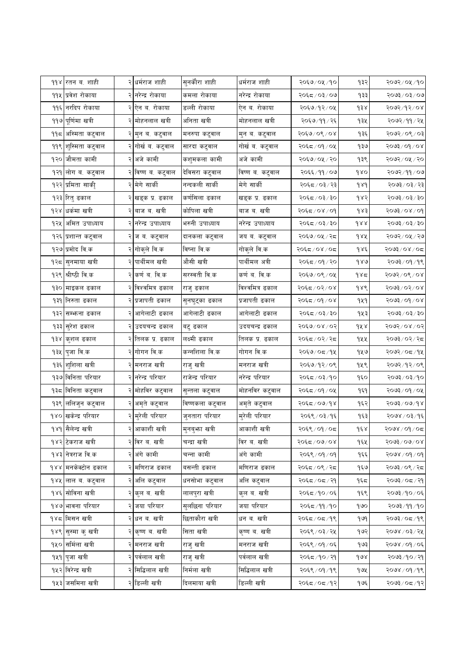|      | ११४ रतन ब. शाही             |   | २ धर्मराज शाही                   | सुनकौरा शाही     | धर्मराज शाही      | २०६७/०५/१०     | १३२             | २०७२/०५/१०                                                                              |
|------|-----------------------------|---|----------------------------------|------------------|-------------------|----------------|-----------------|-----------------------------------------------------------------------------------------|
|      | ११५ प्रवेश रोकाया           |   | २ नरेन्द्र रोकाया                | कमला रोकाया      | नरेन्द्र रोकाया   | २०६८/०३/०७     | १३३             | २०७३/०३/०७                                                                              |
|      | ११६ नरदिप रोकाया            |   | २ ऐन ब. रोकाया                   | डल्ली रोकाया     | ऐन ब. रोकाया      | २०६७/१२/०५     | ds <sub>x</sub> | २०७२/१२/०४                                                                              |
|      | ११७ पूर्णिमा खत्री          |   | २ <mark> </mark> मोहनलाल खत्री   | अनिता खत्री      | मोहनलाल खत्री     | २०६७/११/२६     | १३५             | २०७२ ⁄ ११ ⁄ २५                                                                          |
| ۹۹ҕ  | अस्मिता कटुवाल              |   | २ मुन ब. कटुवाल                  | मनरुपा कटुवाल    | मुन ब. कटुवाल     | २०६७/०९/०४     | १३६             | २०७२/०९/०३                                                                              |
| ११९। | शुस्मिता कटुवाल             |   | गोर्ख ब. कटुवाल                  | सारदा कटुवाल     | गोर्ख ब. कटुवाल   | २०६८/०१/०५     | १३७             | २०७३/०१/०४                                                                              |
| १२०  | जौमता कामी                  |   | २ अजे कामी                       | कशुमकला कामी     | अजे कामी          | २०६७/०५/२०     | १३९             | २०७२/०५/२०                                                                              |
| १२१  | लोग ब. कटुवाल               |   | २ विष्ण ब. कटुवाल                | देविसरा कटुवाल   | विष्ण ब. कटुवाल   | २०६६ ⁄ ११ ⁄ ०७ | 980             | २०७२ / ११ / ०७                                                                          |
|      | १२२ प्रमिता साकीृ           |   | २ मेगे साकी                      | नन्दकली सार्की   | मेगे सार्की       | २०६८/०३/२३     | 989             | २०७३ / ०३ / २३                                                                          |
|      | १२३ रितु ढकाल               |   | २ <mark>) ख</mark> ड्क प्र. ढकाल | कर्णसिला ढकाल    | खड्क प्र. ढकाल    | २०६८/०३/३०     | १४२             | २०७३ / ०३ / ३०                                                                          |
|      | १२४ धर्कमा खत्री            |   | २ बाज ब. खत्री                   | कोपिला खत्री     | बाज ब. खत्री      | २०६८/०४/०१     | $\delta$ s s    | $60/80/\xi$ 605                                                                         |
| १२५  | अमित उपाध्याय               |   | नरेन्द्र उपाध्याय                | भरुनी उपाध्याय   | नरेन्द्र उपाध्याय | २०६८/०३/३०     | dAA             | $\texttt{Q} \xi \setminus \xi \texttt{O} \setminus \xi \texttt{O} \texttt{O} \varsigma$ |
| १२६  | प्रशान्त कटुवाल             |   | २ <mark> ज ब. कटुवाल</mark>      | दानकला कटुवाल    | जय ब. कटुवाल      | २०६७/०५/२८     | dAA             | २०७२/०५/२७                                                                              |
|      | १२७ प्रमोद वि.क             |   | २ गोकुले वि.क                    | विष्ना वि.क      | गोकुले वि.क       | २०६द ⁄ ०४ ⁄ ०द | १४६             | २०७३/०४/०८                                                                              |
|      | १२८ सुनमाया खत्री           | २ | पार्थीमल खत्री                   | औसी खत्री        | पार्थीमल अत्री    | २०६८/०१/२०     | 980             | २०७३/०१/१९                                                                              |
|      | १२९ श्रीष्ठी वि.क           |   | २ कर्ण ब. वि.क                   | सरस्वती वि.क     | कर्णब. वि.क       | २०६७/०९/०५     | 985             | २०७२/०९/०४                                                                              |
|      | १३० माइकल ढकाल              |   | २ विश्वमित्र ढकाल                | राजु ढकाल        | विश्वमित्र ढकाल   | २०६८/०२/०४     | १४९             | 80/80/8605                                                                              |
| १३१  | निरुता ढकाल                 |   | प्रजापती ढकाल                    | सुनघुट्का ढकाल   | प्रजापती ढकाल     | २०६८/०१/०४     | 929             | २०७३/०१/०४                                                                              |
|      | १३२ सम्भन्ना ढकाल           |   | आगेलाटी ढकाल                     | आगेलाटी ढकाल     | आगेलाटी ढकाल      | २०६८/०३/३०     | १५३             | २०७३ / ०३ / ३०                                                                          |
|      | १३३ <mark>सुरेश ढकाल</mark> |   | २ उदयचन्द्र ढकाल                 | बटु ढकाल         | उदयचन्द्र ढकाल    | २०६७/०४/०२     | १५४             | २०७२/०४/०२                                                                              |
| 938  | कुशल ढकाल                   | २ | तिलक प्र. ढकाल                   | लक्ष्मी ढकाल     | तिलक प्र. ढकाल    | २०६द ⁄ ०२⁄ २द  | १५५             | २०७३/०२/२८                                                                              |
|      | १३५ ∣पुजा वि.क              |   | २ गोगन वि.क                      | कन्नशिला वि.क    | गोगन वि.क         | २०६७/०८/१५     | १५७             | २०७२ ⁄ ०८ ⁄ १४                                                                          |
| १३६  | शुशिला खत्री                |   | २ मनराज खत्री                    | राजु खत्री       | मनराज खत्री       | २०६७/१२/०९     | १५९             | २०७२/१२/०९                                                                              |
|      | १३७ विनिता परियार           |   | २ नरेन्द्र परियार                | राजेन्द्र परियार | नरेन्द्र परियार   | २०६८/०३/१०     | १६०             | २०७३ ⁄ ०३ ⁄ १०                                                                          |
| १३८  | विनिता कटुवाल               |   | मोहविर कटुवाल                    | सुन्तला कटुवाल   | मोहनविर कटुवाल    | २०६८/०१/०५     | १६१             | २०७३/०१/०५                                                                              |
| १३९। | ललिजुन कटुवाल               | २ | अमृते कटुवाल                     | विष्णकला कटुवाल  | अमृते कटुवाल      | २०६८/०७/१४     | १६२             | $500$ $\frac{1}{2}$ $\sqrt{90}$                                                         |
| 980  | खकेन्द्र परियार             |   | २ मुरेली परियार                  | जुनतारा परियार   | मुरेली परियार     | २०६९ / ०३ / १६ | १६३             | २०७४ / ०३/१६                                                                            |
|      | १४१ सैलेन्द्र खत्री         |   | २ आकाशी खत्री                    | मुनबुभ्ता खत्री  | आकाशी खत्री       | २०६९/०१/०८     | १६४             | २०७४ / ०१ / ०८                                                                          |
|      | १४२ टेकराज खत्री            |   | २ विर ब. खत्री                   | चन्द्रा खत्री    | विर ब. खत्री      | २०६८/०७/०४     | १६५             | $80/60 \times 500$                                                                      |
|      | १४३ नेत्रराज वि.क           |   | २ अंगे कामी                      | चन्ना कामी       | अंगे कामी         | २०६९ / ०१ / ०१ | १६६             | $90 \times 90 \times 800$                                                               |
|      | १४४ मनकेक्टोन ढकाल          |   | मणिराज ढकाल                      | बसन्ती ढकाल      | मणिराज ढकाल       | २०६द ⁄ ०९ ⁄ २द | १६७             | २०७३/०९/२८                                                                              |
|      | १४५ लाल ब. कटुवाल           |   | २ अलि कटुवाल                     | धनसोभा कटुवाल    | अलि कटुवाल        | २०६८/०८/२१     | १६८             | २०७३ ⁄ ०८ ⁄ २१                                                                          |
|      | १४६ सोविना खत्री            |   | २ <mark>कुल ब. खत्री</mark>      | लालपुरा खत्री    | कुल ब. खत्री      | २०६८/१०/०६     | १६९             | २०७३/१०/०६                                                                              |
|      | १४७ भावना परियार            |   | २ जया परियार                     | सुलछिना परियार   | जया परियार        | २०६८/११/१०     | १७०             | २०७३ ⁄ ११ ⁄ १०                                                                          |
|      | १४८ मिसन खत्री              |   | २ धन ब. खत्री                    | छिताकौरा खत्री   | धन ब. खत्री       | २०६८/०८/१९     | gug             | २०७३/०८/१९                                                                              |
|      | १४९ सुस्मा कु खत्री         |   | २ <mark>कृष्ण व. खत्री</mark>    | सिता खत्री       | कृष्ण ब. खत्री    | २०६९ / ०३ / २५ | १७२             | २०७४ / ०३ / २५                                                                          |
|      | १५० समिला खत्री             |   | २ मनराज खत्री                    | राजुखत्री        | मनराज खत्री       | २०६९ / ०१ / ०६ | १७३             | २०७४ / ०१ / ०६                                                                          |
|      | <u> १५१ पु</u> जा खत्री     |   | २ पर्वलाल खत्री                  | राजु खत्री       | पर्वलाल खत्री     | २०६८/१०/२१     | 908             | १०७३/१०/२१                                                                              |
|      | <u>१</u> ४२ विरेन्द्र खत्री |   | २ सिद्धिलाल खत्री                | निर्मला खत्री    | सिद्धिलाल खत्री   | २०६९ / ०१ / १९ | १७५             | २०७४ / ०१ / १९                                                                          |
|      | १५३ जसमिना खत्री            |   | २ डिल्ली खत्री                   | दिलमाया खत्री    | डिल्ली खत्री      | २०६८/०८/१२     | १७६             | २०७३/०८/१२                                                                              |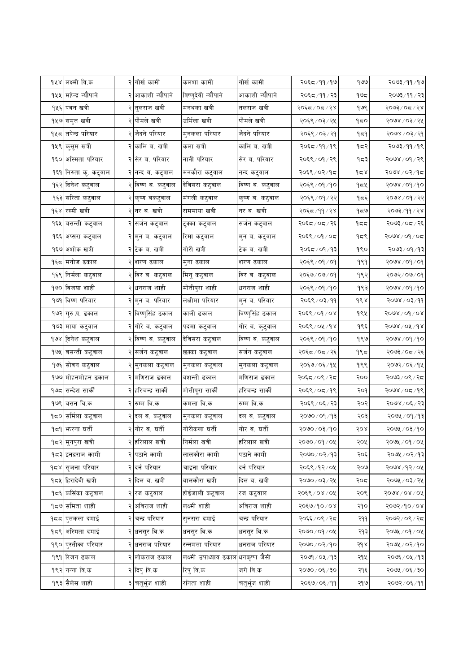|      | १५४ लक्ष्मी वि.क          |   | २ गोर्ख कामी                   | कलशा कामी                                        | गोर्ख कामी       | २०६८/११/१७     | १७७          | २०७३/११/१७                       |
|------|---------------------------|---|--------------------------------|--------------------------------------------------|------------------|----------------|--------------|----------------------------------|
|      | १५५ महेन्द्र न्यौपाने     |   | आकाशी न्यौपाने                 | विष्णुदेवी न्यौपाने                              | आकाशी न्यौपाने   | २०६८/११/२३     | ۹७८          | २०७३ ⁄ ११ ⁄ २३                   |
|      | १५६ पवन खत्री             |   | २ तुलराज खत्री                 | मनथका खत्री                                      | तलराज खत्री      | २०६८/०८/२४     | १७९          | २०७३/०८/२४                       |
|      | १५७ समृत खत्री            |   | २ पौमले खत्री                  | उर्मिला खत्री                                    | पौमले खत्री      | २०६९ / ०३ / २५ | १८०          | २०७४ / ०३ / २५                   |
|      | १५८ तपेन्द्र परियार       | २ | जैदने परियार                   | मुनकला परियार                                    | जैदने परियार     | २०६९ / ०३ / २१ | ۹≂۹          | २०७४ / ०३ / २१                   |
|      | १५९ कुसुम खत्री           |   | कालि ब. खत्री                  | कला खत्री                                        | कालि ब. खत्री    | २०६८/११/१९     | १८२          | २०७३/११/१९                       |
|      | १६० अस्मिता परियार        |   | २ <mark> </mark> सेर ब. परियार | नानी परियार                                      | सेर ब. परियार    | २०६९ / ०१ / २९ | १८३          | २०७४ / ०१ / २९                   |
|      | १६१ निरुता कु. कटुवाल     |   | २ नन्द ब. कटुवाल               | मनकौरा कटुवाल                                    | नन्द कटुवाल      | २०६९ / ०२ / १८ | 42x          | २०७४ / ०२ / १८                   |
|      | १६२ दिनेश कटुवाल          |   | २ विष्ण ब. कटुवाल              | देविसरा कटुवाल                                   | विष्ण ब. कटुवाल  | २०६९ / ०१ / १० | १८५          | २०७४ / ०१ / १०                   |
|      | १६३ सरिता कटुवाल          |   | २ कृष्ण बकटुवाल                | मंगली कटुवाल                                     | कृष्ण ब. कटुवाल  | २०६९ / ०१ / २२ | १८६          | २०७४ / ०१ / २२                   |
|      | १६४ रस्मी खत्री           |   | २ नर ब. खत्री                  | राममाया खत्री                                    | नर ब. खत्री      | २०६८ /११ / २४  | १८७          | २०७३ ⁄ ११ ⁄ २४                   |
|      | १६५ वसन्ती कटुवाल         |   | सर्जन कटुवाल                   | टुक्का कटुवाल                                    | सर्जन कटुवाल     | २०६८/०८/२६     | १८८          | २०७३/०८/२६                       |
| १६६। | अप्सरा कटुवाल             |   | २ मुन ब. कटुवाल                | रिमा कटुवाल                                      | मुन ब. कटुवाल    | २०६९ / ०१ / ०८ | १८९          | २०७४ / ०१ / ०८                   |
|      | १६७ अशोक खत्री            |   | २ टेक ब. खत्री                 | गोरी खत्री                                       | टेक ब. खत्री     | २०६८/०१/१३     | १९०          | २०७३ ⁄ ०१ ⁄ १३                   |
|      | १६८ मनोज ढकाल             |   | २ शरण ढकाल                     | मुना ढकाल                                        | शरण ढकाल         | २०६९ / ०१ / ०१ | १९१          | २०७४ / ०१ / ०१                   |
|      | १६९ निर्मला कटुवाल        |   | २ विर ब. कटुवाल                | मिनु कटुवाल                                      | विर ब. कटुवाल    | २०६७/०७/०१     | १९२          | $90 \times 90 \times 90$         |
|      | १७० विजया शाही            |   | २ धनराज शाही                   | मोतीपुरा शाही                                    | धनराज शाही       | २०६९ / ०१ / १० | १९३          | २०७४ ⁄ ०१ ⁄ १०                   |
|      | १७१ विष्ण परियार          |   | २ मुन ब. परियार                | लक्षीमा परियार                                   | मुन ब. परियार    | २०६९ / ०३ / ११ | १९४          | २०७४ / ०३/११                     |
|      | १७२ गुरु प्र. ढकाल        |   | २ विष्णुसिंह ढकाल              | काली ढकाल                                        | विष्णुसिंह ढकाल  | २०६९ / ०१ / ०४ | १९५          | $5008 \setminus 6d \setminus 68$ |
|      | १७३ माया कटुवाल           |   | २ गोरे ब. कटुवाल               | पदमा कटुवाल                                      | गोर ब. कुटुवाल   | २०६९ / ०५ / १४ | १९६          | २०७४ / ०५ / १४                   |
| १७४। | दिनेश कटुवाल              | २ | विष्ण ब. कटुवाल                | देविसरा कटुवाल                                   | विष्ण ब. कटुवाल  | २०६९ / ०१ / १० | १९७          | २०७४ / ०१ / १०                   |
|      | १७५ वसन्ती कटुवाल         |   | २ <mark>]सर्जन कटुवाल</mark>   | छक्का कटुवाल                                     | सर्जन कटुवाल     | २०६८/०८/२६     | १९८          | २०७३/०८/२६                       |
| १७६। | सोवन कटुवाल               |   | २ मुनकला कटुवाल                | मुनकला कटुवाल                                    | मुनकला कटुवाल    | २०६७/०६/१५     | १९९          | २०७२/०६/१५                       |
| १७७  | मोहनमोहन ढकाल             |   | मणिराज ढकाल                    | बशन्ती ढकाल                                      | र्माणराज ढकाल    | २०६द / ०९ / २द | २००          | २०७३/०९/२८                       |
|      | १७८ सन्देश साकी           |   | २ हरिचन्द्र सार्की             | मोतीपूरा सार्की                                  | हरिचन्द्र सार्की | २०६९ / ०८ / १९ | २०१          | २०७४ / ०८ /१९                    |
|      | <u>१७९ विसन वि.क</u>      | २ | रुम्म वि.क                     | कमला वि.क                                        | रुम्म वि.क       | २०६९ / ०६ / २३ | २०२          | २०७४ / ०६ / २३                   |
| १८०  | सर्मिला कटुवाल            |   | दल ब. कटुवाल                   | मुनकला कटुवाल                                    | दल ब. कटुवाल     | २०७० / ०१ / १३ | २०३          | २०७५ / ०१ / १३                   |
|      | <b>१</b> ८१∣फरना घर्ती    |   | २ गोर ब. घर्ती                 | गोरीकला घर्ती                                    | गोर ब. घर्ती     | २०७० ⁄ ०३ ⁄ १० | २०४          | २०७५ / ०३/१०                     |
|      | <b>१८२ मुनपुरा</b> खत्री  |   | २ हरिलाल खत्री                 | निर्मला खत्री                                    | हरिलाल खत्री     | २०७०/०१/०५     | २०५          | २०७५ / ०१ / ०५                   |
|      | १८३ इनद्रराज कामी         |   | २ पठाने कामी                   | लालकौरा कामी                                     | पठाने कामी       | २०७०/०२/१३     | २०६          | ३०७५ / ०२/१३                     |
|      | <b>१</b> ८४ सृजना परियार  |   | २ दर्न परियार                  | चाइना परियार                                     | दर्न परियार      | २०६९ ⁄ १२ ⁄ ०५ | २०७          | २०७४ ⁄ १२ ⁄ ०५                   |
|      | <b>१८५ हिरादेवी खत्री</b> |   | २क्ति व. खत्री                 | बालकौरा खत्री                                    | दिल ब. खत्री     | २०७० / ०३ / २५ | २०८          | २०७५ / ०३/ २५                    |
| १८६  | कसिंका कटुवाल             | २ | रज कटुवाल                      | होईजाली कटुवाल                                   | रज कटुवाल        | २०६९ / ०४ / ०५ | २०९          | २०७४ / ०४ / ०५                   |
|      | <b>१</b> ८७ समिता शाही    |   | अविराज शाही                    | लक्ष्मी शाही                                     | अविराज शाही      | २०६७/१०/०४     | २१०          | २०७२/१०/०४                       |
| १८८  | पुतकला दमाई               | २ | चन्द्र परियार                  | सुनसरा दमाई                                      | चन्द्र परियार    | २०६६/०९/२८     | २११          | २०७२/०९/२८                       |
|      | १८९ अस्मिता दमाई          |   | २ धनसुर वि.क                   | धनसुर वि.क                                       | धनसुर वि.क       | २०७०/०१/०५     | २१३          | २०७५ / ०१ / ०५                   |
|      | १९० पुस्तीका परियार       |   | धनराज परियार                   | रन्नमता परियार                                   | धनराज परियार     | २०७०/०२/१०     | $5d \lambda$ | २०७५ / ०२/१०                     |
|      | <u> १९१ रिजन ढकाल</u>     |   | २ लोकराज ढकाल                  | लक्ष्मी उपाध्याय ढकाल <mark> धनकृष्ण जैसी</mark> |                  | २०७१ / ०५ / १३ | २१५          | २०७६ ⁄ ०५ ⁄ १३                   |
|      | १९२ नन्ना वि.क            |   | २ दिपु वि.क                    | रिपु वि.क                                        | जगे वि.क         | २०७० / ०६ / ३० | २१६          | २०७५ / ०६ / ३०                   |
|      | १९३ सैलेस शाही            |   | चतुर्भुज शाही                  | रनिता शाही                                       | चतुर्भुज शाही    | २०६७/०६/११     | २१७          | २०७२ ⁄ ०६ ⁄ ११                   |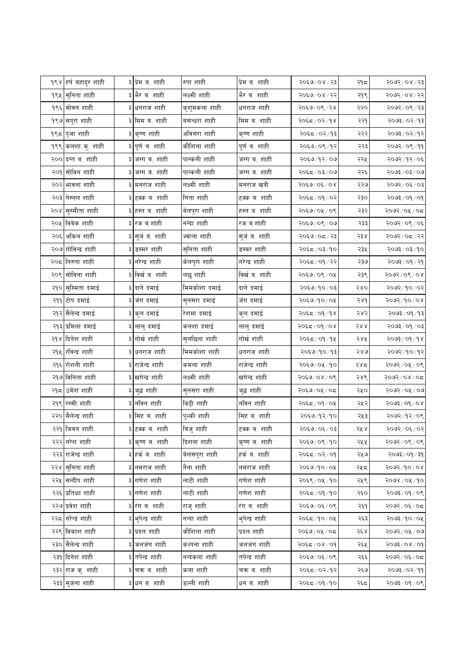|      | <b>१९४ हर्ष बहादुर शाही</b> |   | ३ प्रेम ब. शाही  | रुपा शाही     | प्रेम ब. शाही  | २०६७/०४/२३     | २१८  | २०७२/०४/२३                                                                      |
|------|-----------------------------|---|------------------|---------------|----------------|----------------|------|---------------------------------------------------------------------------------|
|      | १९५ सुनिता शाही             | ३ | भैर ब. शाही      | लक्ष्मी शाही  | भैर ब. शाही    | २०६७/०४/२२     | २१९  | २०७२/०४/२२                                                                      |
|      | १९६ सोवन शाही               |   | ३ धनराज शाही     | कुशुमकला शाही | धनराज शाही     | २०६७/०९/२४     | २२०  | २०७२/०९/२३                                                                      |
|      | १९७ सपुरा शाही              |   | ३ मिम ब. शाही    | बसन्धरा शाही  | मिम ब. शाही    | २०६८/०२/१४     | २२१  | ३०७३/०२/१३                                                                      |
|      | १९८ पुजा शाही               |   | ३ कृष्ण शाही     | अविसरा शाही   | कृष्ण शाही     | २०६८/०२/१३     | २२२  | २०७३/०२/१२                                                                      |
|      | १९९ कलशा कु. शाही           |   | ३ पूर्णव.शाही    | कौशिला शाही   | पूर्ण ब. शाही  | २०६७/०९/१२     | २२३  | २०७२/०९/११                                                                      |
|      | २०० दन्त ब. शाही            |   | ३ जग्ग ब. शाही   | पान्कली शाही  | जग्ग ब. शाही   | २०६७/१२/०७     | २२५  | २०७२ ⁄ १२ ⁄ ०६                                                                  |
|      | २०१ सोविन शाही              |   | ३ जग्ग ब. शाही   | पान्कली शाही  | जग्ग ब. शाही   | २०६८/०३/०७     | २२६  | २०७३ / ०३ / ०७                                                                  |
|      | २०२ भावना शाही              |   | ३ मनराज शाही     | लक्ष्मी शाही  | मनराज खत्री    | २०६७/०६/०४     | २२७  | १०७२/०६/०३                                                                      |
|      | २०३ नेस्नल शाही             |   | ३ टक्क ब. शाही   | गिता शाही     | टक्क ब. शाही   | २०६८/०१/०२     | २३०  | २०७३ / ०१ / ०१                                                                  |
| २०४। | सुस्मीता शाही               |   | ३ हस्त व. शाही   | बेलपुरा शाही  | हस्त ब. शाही   | २०६७/०५/०९     | २३२  | २०७२/०५/०८                                                                      |
|      | २०५ विवेक शाही              |   | ३ रज ब.शाही      | नन्दा शाही    | रज ब.शाही      | २०६७/०९/०७     | २३३  | २०७२/०९/०६                                                                      |
| २०६। | अकिल शाही                   |   | ३ सुर्जव. शाही   | ज्वाला शाही   | सुर्ज ब. शाही  | २०६७/०८/२३     | २३४  | २०७२/०८/२२                                                                      |
|      | २०७ गोविन्द्रं शाही         |   | ३ डम्मर शाही     | सुनिता शाही   | डम्बर शाही     | २०६८/०३/१०     | २३५  | २०७३/०३/१०                                                                      |
|      | २०८ निरुता शाही             |   | ३ नरेन्द्र शाही  | केलपुरा शाही  | नरेन्द्र शाही  | २०६८ / ०१ / २२ | २३७  | २०७३ / ०१ / २१                                                                  |
|      | २०९ सोविना शाही             |   | ३ विर्खव. शाही   | लछु शाही      | विर्खव. शाही   | २०६७/०९/०५     | २३९  | २०७२/०९/०४                                                                      |
|      | २१० सुस्मिता दमाई           |   | ३ दाने दमाई      | मिमकोशा दमाई  | दाने दमाई      | २०६७/१०/०३     | २४०  | २०७२/१०/०२                                                                      |
|      | २११ टोप दमाई                |   | ३ जंग दमाई       | सुनसरा दमाई   | र्जंग दमाई     | २०६७/१०/०५     | २४१  | २०७२ / १० / ०४                                                                  |
|      | २१२ सैलेन्द्र दमाई          |   | ३ कुल दमाई       | रेशमा दमाई    | कुल दमाई       | २०६८/०१/१४     | २४२  | ३०७३/०१/१३                                                                      |
|      | २१३ प्रमिला दमाई            |   | ३ लालु दमाई      | कलशा दमाई     | लालु दमाई      | २०६८/०१/०४     | 588  | $50/\sqrt{6}$                                                                   |
|      | २१४ दिनेश शाही              |   | ३ गोर्ख शाही     | सुलछिना शाही  | गोर्ख शाही     | २०६८/०१/१५     | २४५  | २०७३/०१/१४                                                                      |
|      | २१५ रविन्द्र शाही           |   | ३ धनराज शाही     | मिमकोशा शाही  | धनराज शाही     | २०६७/१०/१३     | २४७  | २०७२ / १० / १२                                                                  |
|      | २१६ रोशनी शाही              |   | ३ राजेन्द्र शाही | कमला शाही     | राजेन्द्र शाही | २०६७/०५/१०     | २४८  | २०७२ / ०५ / ०९                                                                  |
|      | २१७ विनिता शाही             | ३ | खगेन्द्र शाही    | लक्ष्मी शाही  | खगेन्द्र शाही  | २०६७/०४/०९     | २४९  | २०७२/०४/०८                                                                      |
|      | २१८ उमेश शाही               |   | ३ जुद्ध शाही     | सुनसरा शाही   | जुद्ध शाही     | २०६७/०५/०८     | २५०  | २०७२ / ०५ / ०७                                                                  |
|      | २१९ रस्मी शाही              |   | ३ नविन शाही      | किट्टी शाही   | नविन शाही      | २०६८/०१/०५     | २५२  | १०७३/०१/०४                                                                      |
| २२०  | सैलेन्द्र शाही              |   | ३ सिंह ब. शाही   | पुल्की शाही   | सिंह ब. शाही   | २०६७/१२/१०     | २५३  | २०७२/१२/०९                                                                      |
|      | २२१ जिवन शाही               |   | ३ टक्क ब. शाही   | बिजु शाही     | टक्क ब. शाही   | २०६७/०६/०३     | २५ ४ | २०७२/०६/०२                                                                      |
|      | २२२ नरेश शाही               |   | ३ कृष्ण ब. शाही  | दिशना शाही    | कृष्ण ब. शाही  | २०६७/०९/१०     | २५५  | २०७२/०९/०९                                                                      |
|      | २२३ राजेन्द्र शाही          |   | ३ हर्क ब. शाही   | बेलसपुरा शाही | हर्क ब. शाही   | २०६८/०२/०१     | २५७  | $\beta \xi \setminus \beta O \setminus \xi \mathcal{O} \mathcal{O} \mathcal{F}$ |
|      | २२४ सुनिता शाही             | ३ | नमराज शाही       | नैना शाही     | नमराज शाही     | २०६७/१०/०५     | २५८  | २०७२/१०/०४                                                                      |
|      | २२५ सन्दीप शाही             |   | ३ गणेश शाही      | लाटी शाही     | गणेश शाही      | २०६९/०५/१०     | २५९  | २०७४ / ०५ /१०                                                                   |
|      | २२६ प्रतिक्षा शाही          |   | ३ गणेश शाही      | लाटी शाही     | गणेश शाही      | २०६८/०१/१०     | २६०  | $20 \times 10^{-200}$                                                           |
|      | २२७ प्रवेश शाही             |   | ३ रंग व. शाही    | राजु शाही     | रंग ब. शाही    | २०६७/०६/०९     | २६१  | २०७२/०६/०८                                                                      |
|      | २२८ नरेन्द्र शाही           |   | ३ भूपेन्द्र शाही | नन्दा शाही    | भुपेन्द्र शाही | २०६८/१०/०५     | २६३  | २०७३/१०/०५                                                                      |
|      | २२९ विकाश शाही              |   | ३ प्रदल शाही     | कौशिला शाही   | प्रदल शाही     | २०६७/०५/०८     | २६४  | २०७२/०५/०७                                                                      |
|      | २३० सैलेन्द्र शाही          |   | जलजंग शाही       | कल्पना शाही   | जलजंग शाही     | २०६८/०४/०१     | २६५  | २०७३ ⁄ ०४ ⁄ ०१                                                                  |
|      | २३१ दिनेश शाही              |   | ३ तपेन्द्र शाही  | नन्दकला शाही  | तपेन्द्र शाही  | २०६७/०६/०९     | २६६  | २०७२/०६/०८                                                                      |
|      | २३२ राज कु. शाही            |   | ३ चक्र ब. शाही   | कला शाही      | चक्र ब. शाही   | २०६८/०२/१२     | २६७  | २०७३ ⁄ ०२ ⁄ ११                                                                  |
|      | २३३ सुजना शाही              |   | ३ धन ब. शाही     | डल्ली शाही    | धन ब. शाही     | २०६८ / ०१ / १० | २६८  | २०७३/०९/०९                                                                      |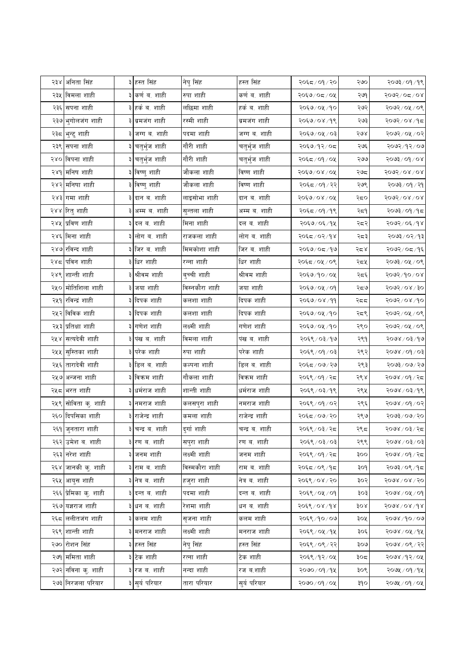|      | २३४ अनिता सिंह                  |   | ३ हस्त सिंह                    | नेपु सिंह      | हस्त सिंह      | २०६८/०१/२०     | २७० | २०७३/०१/१९                 |
|------|---------------------------------|---|--------------------------------|----------------|----------------|----------------|-----|----------------------------|
|      | २३५  विमला शाही                 | ३ | कर्ण ब. शाही                   | रुपा शाही      | कर्ण व. शाही   | २०६७/०८/०५     | २७९ | २०७२/०८/०४                 |
|      | २३६ सपना शाही                   |   | ३ हर्क ब. शाही                 | लछिमा शाही     | हर्क ब. शाही   | २०६७/०५/१०     | २७२ | २०७२/०५/०९                 |
|      | २३७ भुगोलजंग शाही               |   | ३ ब्रमजंग शाही                 | रस्मी शाही     | ब्रमजंग शाही   | २०६७/०४/१९     | २७३ | २०७२ ⁄ ०४ ⁄ १८             |
|      | २३८ <mark> </mark> भुन्टु शाही  | ३ | जग्ग ब. शाही                   | पदमा शाही      | जग्ग ब. शाही   | २०६७/०५/०३     | २७४ | २०७२/०५/०२                 |
|      | २३९ सपना शाही                   |   | चतुर्भुज शाही                  | गौरी शाही      | चतुर्भुज शाही  | २०६७/१२/०८     | २७६ | २०७२/१२/०७                 |
|      | २४० विपना शाही                  |   | ३ <mark> </mark> चतुर्भुज शाही | गौरी शाही      | चतुर्भुज शाही  | २०६८/०१/०५     | २७७ | $80/60/\xi$ ६०२            |
|      | २४१ मनिष शाही                   |   | ३ विष्णु शाही                  | जौकला शाही     | विष्ण शाही     | २०६७/०४/०५     | २७द | $5005$ / 08/08             |
|      | २४२ मनिषा शाही                  |   | ३ विष्णु शाही                  | जौकला शाही     | विष्ण शाही     | २०६८/०१/२२     | २७९ | २०७३ / ०१ / २१             |
|      | २४३ गमा शाही                    |   | ३ दान ब. शाही                  | लाइसोभा शाही   | दान ब. शाही    | २०६७/०४/०५     | २द० | $5005$ / 08/08             |
|      | २४४ रितु शाही                   |   | ३ अम्म ब. शाही                 | सुन्तला शाही   | अम्म ब. शाही   | २०६८/०१/१९     | २द१ | २०७३ / ०१ / १८             |
|      | २४५ प्रविण शाही                 |   | ३ दल व. शाही                   | मिना शाही      | दल ब. शाही     | २०६७/०६/१५     | २८२ | २०७२/०६/१४                 |
|      | २४६ मिना शाही                   |   | ३ लोग ब. शाही                  | राजकला शाही    | लोग ब. शाही    | २०६८/०२/१४     | २८३ | ३०७३/०२/१३                 |
|      | २४७ रविन्द शाही                 |   | ३ जिर ब. शाही                  | मिमकोशा शाही   | जिर ब. शाही    | २०६७/०८/१७     | २८४ | २०७२/०८/१६                 |
|      | २४८ पविन शाही                   |   | धिर शाही                       | रन्ना शाही     | धिर शाही       | २०६८/०५/०९     | २८५ | २०७३/०५/०९                 |
| २४९। | शान्ती शाही                     |   | ३ श्रीवम शाही                  | बुच्ची शाही    | श्रीवम शाही    | २०६७/१०/०५     | २८६ | $80/10 \times 10$          |
|      | २५० मोतिशिला शाही               |   | ३ जया शाही                     | विस्नकौरा शाही | जया शाही       | २०६७/०५/०१     | २८७ | २०७२ / ०४ / ३०             |
|      | २५१ रविन्द्रं शाही              |   | ३ दिपक शाही                    | कलशा शाही      | दिपक शाही      | २०६७/०४/११     | २दद | 500500806                  |
|      | २५२ विविक शाही                  |   | ३ दिपक शाही                    | कलशा शाही      | दिपक शाही      | २०६७/०५/१०     | २८९ | २०७२/०५/०९                 |
|      | २५३ प्रतिक्षा शाही              |   | ३ गणेश शाही                    | लक्ष्मी शाही   | गणेश शाही      | २०६७/०५/१०     | २९० | २०७२ / ०५ / ०९             |
| २५४  | सत्यदेवी शाही                   | ३ | पंख ब. शाही                    | विमला शाही     | पंख ब. शाही    | २०६९ / ०३/१७   | २९१ | २०७४ / ०३ / १७             |
|      | २५५ सुस्तिका शाही               |   | परेक शाही                      | रुपा शाही      | परेक शाही      | २०६९ / ०१ / ०३ | २९२ | १०७४ / ०१ / ०३             |
|      | २५६ तारादेवी शाही               |   | ३ डिल व. शाही                  | कल्पना शाही    | डिल ब. शाही    | २०६८/०७/२७     | २९३ | २०७३/०७/२७                 |
|      | २५७ अन्जना शाही                 |   | ३ विक्रम शाही                  | गौकला शाही     | विकम शाही      | २०६९ / ०१ / २८ | २९४ | २०७४ / ०१ / २८             |
|      | २५८ भरत शाही                    |   | ३ धर्मराज शाही                 | शान्ती शाही    | धर्मराज शाही   | २०६९ / ०३/१९   | २९५ | २०७४ / ०३ / १९             |
| २५९  | सोविता कु. शाही                 |   | ३ नमराज शाही                   | कलसपुरा शाही   | नमराज शाही     | २०६९ / ०१ / ०२ | २९६ | २०७४ / ०१ / ०२             |
|      | २६० दिपसिका शाही                |   | राजेन्द्र शाही                 | कमला शाही      | राजेन्द्र शाही | २०६८/०७/२०     | २९७ | २०७३/०७/२०                 |
|      | २६१ जुनतारा शाही                |   | ३ चन्द्र ब. शाही               | दुर्गा शाही    | चन्द्र ब. शाही | २०६९ / ०३ / २८ | २९८ | २०७४ / ०३/ २८              |
|      | २६२ उमेश ब. शाही                |   | ३ रण ब. शाही                   | सपुरा शाही     | रण ब. शाही     | २०६९ / ०३/ ०३  | २९९ | $50/50/\lambda$ 605        |
|      | २६३ नरेश शाही                   |   | ३ जनम शाही                     | लक्ष्मी शाही   | जनम शाही       | २०६९ / ०१ / २८ | ३०० | २०७४ / ०१ / २८             |
|      | २६४ जानकी कु. शाही              |   | ३ राम ब. शाही                  | विस्मकौरा शाही | राम ब. शाही    | २०६द ⁄ ०९ ⁄ १द | ३०१ | २०७३/०९/१८                 |
|      | २६५ आयुस शाही                   |   | ३ नेत्र ब. शाही                | हजुरा शाही     | नेत्र ब. शाही  | २०६९ / ०४ / २० | ३०२ | $5008\sqrt{0}$ $\sqrt{50}$ |
|      | २६६ प्रेमिका कु. शाही           |   | ३ दन्त व. शाही                 | पदमा शाही      | दन्त ब. शाही   | २०६९ / ०५ / ०१ | ३०३ | $90/\sqrt{9} \times 90$    |
|      | २६७ यज्ञराज शाही                |   | धन ब. शाही                     | रेशमा शाही     | धन ब. शाही     | २०६९ / ०४ / १४ | ३०४ | $5008\sqrt{0}$ /dg/        |
|      | २६८ ललीतजंग शाही                |   | ३ कलम शाही                     | सृजना शाही     | कलम शाही       | २०६९/१०/०७     | ३०५ | २०७४ /१० / ०७              |
|      | २६९ शान्ती शाही                 |   | ३ मनराज शाही                   | लक्ष्मी शाही   | मनराज शाही     | २०६९ / ०५ / १५ | ३०६ | २०७४ / ०५ / १५             |
|      | २७० रोशन सिंह                   | ३ | हस्त सिंह                      | नेपु सिंह      | हस्त सिंह      | २०६९ / ०९ / २२ | ३०७ | २०७४ / ०९ / २२             |
|      | २७१ ममिता शाही                  |   | ३ टेक शाही                     | रत्ना शाही     | टेक शाही       | २०६९/१२/०५     | ३०द | २०७४ /१२ / ०५              |
|      | २७२ <mark>नविना कु. शाही</mark> |   | ३ रज ब. शाही                   | नन्दा शाही     | रज ब.शाही      | २०७० / ०१ / १५ | ३०९ | २०७५ / ०१ / १५             |
|      | २७३ निरजला परियार               |   | ३ सुर्य परियार                 | तारा परियार    | सुर्य परियार   | २०७०/०१/०५     | ३१० | २०७५ / ०१ / ०५             |
|      |                                 |   |                                |                |                |                |     |                            |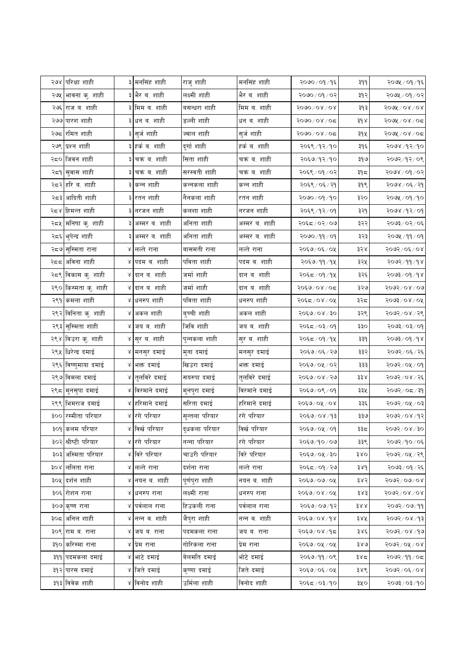|     | २७४ परिक्षा शाही                |           | ३ मनसिंह शाही              | राजु शाही      | मनसिंह शाही   | २०७०/०१/१६                       | 999          | २०७५ / ०१ / १६            |
|-----|---------------------------------|-----------|----------------------------|----------------|---------------|----------------------------------|--------------|---------------------------|
|     | २७५ <mark>भावना कु. शाही</mark> |           | ३ भैर ब. शाही              | लक्ष्मी शाही   | भैर ब. शाही   | २०७० / ०१ / ०२                   | ३१२          | २०७५ / ०१ / ०२            |
|     | २७६ राज ब. शाही                 |           | ३ मिम ब. शाही              | बसन्धरा शाही   | मिम ब. शाही   | $5000 \setminus 08 \setminus 08$ | ३१३          | <u> २०७४ / ०४ / ०४</u>    |
|     | २७७ पारश शाही                   |           | ३ धन ब. शाही               | डल्ली शाही     | धन ब. शाही    | २०७०/०४/०८                       | $3d \lambda$ | २०७५ / ०४ / ०८            |
|     | २७८ रमित शाही                   |           | ३ सुर्ज शाही               | ज्वाल शाही     | सुर्ज शाही    | २०७०/०४/०८                       | ३१५          | २०७५ / ०४ / ०८            |
|     | २७९ प्रश्न शाही                 |           | ३ हर्क ब. शाही             | दुर्गा शाही    | हर्क ब. शाही  | २०६९ ⁄ १२ ⁄ १०                   | ३१६          | २०७४ ⁄ १२⁄ १०             |
|     | २८० जिवन शाही                   |           | ३ चक्र ब. शाही             | सिता शाही      | चक्र ब. शाही  | २०६७/१२/१०                       | ३१७          | २०७२/१२/०९                |
|     | २द9 <mark>सुवास शाही</mark>     |           | ३ चक्र ब. शाही             | सरस्वती शाही   | चक्र ब. शाही  | २०६९ / ०१ / ०२                   | ३१८          | २०७४ / ०१ / ०२            |
|     | २८२ हरि व. शाही                 |           | ३ कन्न शाही                | कन्नकला शाही   | कन्न शाही     | २०६९ / ०६ / २१                   | ३१९          | २०७४ / ०६ / २१            |
|     | २८३ आदिती शाही                  |           | ३ रतन शाही                 | नैनकला शाही    | रतन शाही      | २०७०/०१/१०                       | ३२०          | २०७५ / ०१ / १०            |
|     | २८४ हिमन्त शाही                 |           | ३ नरजन शाही                | कलशा शाही      | नरजन शाही     | २०६९/१२/०१                       | ३२१          | $90 \times 95$            |
|     | २८५ मनिषा कु. शाही              |           | अम्मर ब. शाही              | अनिता शाही     | अम्मर ब. शाही | २०६८/०२/०७                       | ३२२          | २०७३/०२/०६                |
|     | २८६ <mark>भुपेन्द्र शाही</mark> |           | ३ अम्मर ब. शाही            | अनिता शाही     | अम्मर व. शाही | २०७०/११/०१                       | ३२३          | २०७५ /११ / ०१             |
|     | २८७ <mark>सुस्मिता राना</mark>  |           | ४ लल्ते राना               | बासमती राना    | लल्ते राना    | २०६७/०६/०५                       | ३२४          | २०७२/०६/०४                |
|     | २८८  अविना शाही                 |           | ४ पदम ब. शाही              | पविता शाही     | पदम ब. शाही   | २०६७/११/१५                       | ३२५          | २०७२/११/१४                |
|     | २८९ विकास कु. शाही              |           | ४ दान ब. शाही              | जर्मा शाही     | दान ब. शाही   | २०६८/०१/१५                       | ३२६          | $800$ / $600$             |
|     | २९० किस्मता कृ. शाही            |           | ४ दान ब. शाही              | जर्मा शाही     | दान ब. शाही   | २०६७/०४/०८                       | ३२७          | २०७२/०४/०७                |
| २९१ | कमला शाही                       |           | ४ धनरुप शाही               | पविता शाही     | धनरुप शाही    | २०६८/०४/०५                       | ३२८          | $5003$ \ 0.8 \ 0.6        |
|     | २९२ विनिता कु. शाही             | Q.        | अकल शाही                   | बुच्ची शाही    | अकल शाही      | २०६७/०४/३०                       | ३२९          | २०७२/०४/२९                |
|     | २९३ <mark>सुस्मिता शाही</mark>  |           | ४ जय व. शाही               | जिवि शाही      | जय ब. शाही    | २०६८/०३/०१                       | ३३०          | $90 \times 50 \times 500$ |
| २९४ | विउरा कु. शाही                  | $\propto$ | सुर ब. शाही                | पुन्नकला शाही  | सुर ब. शाही   | २०६८/०१/१५                       | ३३१          | २०७३/०१/१४                |
|     | २९५ धिरेन्द्र दमाई              |           | ४ <mark> मनसुर दमाई</mark> | मुना दमाई      | मनसुर दमाई    | २०६७/०६/२७                       | ३३२          | २०७२/०६/२६                |
|     | २९६ विष्णुमाया दमाई             |           | ४ भक्त दमाई                | खिउरा दमाई     | भक्त दमाई     | २०६७/०५/०२                       | ३३३          | २०७२/०५/०१                |
|     | २९७ विमला दमाई                  |           | ४ तुलविरे दमाई             | सयरुपा दमाई    | तुलविरे दमाई  | २०६७/०४/२७                       | ३३४          | २०७२/०४/२६                |
|     | २९८  मुनसुपा दमाई               |           | ४ विरमाने दमाई             | मुनपुरा दमाई   | विरमाने दमाई  | २०६७/०९/०१                       | ३३५          | १०७२/०८/३१                |
|     | २९९ भिमराज दमाई                 |           | ४ हरिमाने दमाई             | सरिता दमाई     | हरिमाने दमाई  | २०६७/०५/०४                       | ३३६          | २०७२/०५/०३                |
| ३०० | रस्मीता परियार                  |           | ४ रंगे परियार              | सुन्तला परियार | रंगे परियार   | २०६७/०४/१३                       | ३३७          | २०७२/०४/१२                |
|     | ३०१ कलम परियार                  |           | ४ विर्ख परियार             | दुधकला परियार  | विर्ख परियार  | २०६७/०५/०१                       | ३३८          | २०७२ ⁄ ०४ ⁄ ३०            |
|     | ३०२ श्रीष्टी परियार             |           | ४ रंगे परियार              | नन्ना परियार   | रंगे परियार   | २०६७/१०/०७                       | ३३९          | २०७२/१०/०६                |
|     | ३०३ अस्मिता परियार              |           | ४ विरे परियार              | चाउरी परियार   | विरे परियार   | २०६७/०५/३०                       | ३४०          | २०७२/०५/२९                |
|     | ३०४ ललिता राना                  | Χ         | लल्ते राना                 | दर्शना राना    | लल्ते राना    | २०६८/०१/२७                       | ३४१          | २०७३ ⁄ ०१ ⁄ २६            |
|     | ३०५ दर्शन शाही                  |           | ४ नयन ब. शाही              | पूर्णपुरा शाही | नयन ब. शाही   | २०६७/०७/०५                       | ३४२          | १०७२/०७/०४                |
|     | ३०६ रोशन राना                   | Χ         | धनरुप राना                 | लक्ष्मी राना   | धनरुप राना    | २०६७/०४/०५                       | ३४३          | $800500$ x 0 $\lambda$    |
|     | ३०७ कृष्ण राना                  |           | ४ पर्वलाल राना             | हिउकली राना    | पर्वलाल राना  | २०६७/०७/१२                       | まええ          | २०७२ / ०७ / ११            |
|     | ३०८ अनिल शाही                   | Q.        | नन्न ब. शाही               | जैपुरा शाही    | नन्न ब. शाही  | २०६७/०४/१४                       | ३४५          | २०७२/०४/१३                |
|     | ३०९ राम ब. राना                 | Χ         | जय ब. राना                 | पदमकला राना    | जय ब. राना    | २०६७/०४/१८                       | ३४६          | २०७२/०४/१७                |
|     | ३१० करिस्मा राना                | Q.        | प्रेम राना                 | गोरिकला राना   | प्रेम राना    | २०६७/०५/०५                       | ३४७          | २०७२ / ०४ / ०४            |
|     | ३११ पदमकला दमाई                 |           | ४ भाटे दमाई                | बेलमति दमाई    | भोटे दमाई     | २०६७/११/०९                       | ३४८          | २०७२/११/०८                |
|     | ३१२ पारस दमाई                   |           | ४ जिते दमाई                | कृष्णा दमाई    | जिते दमाई     | २०६७/०६/०५                       | ३४९          | २०७२/०६/०४                |
|     | ३१३ विवेक शाही                  |           | ४ विनोद शाही               | उर्मिला शाही   | विनोद शाही    | २०६८/०३/१०                       | ३५०          | २०७३ ⁄ ०३ ⁄ १०            |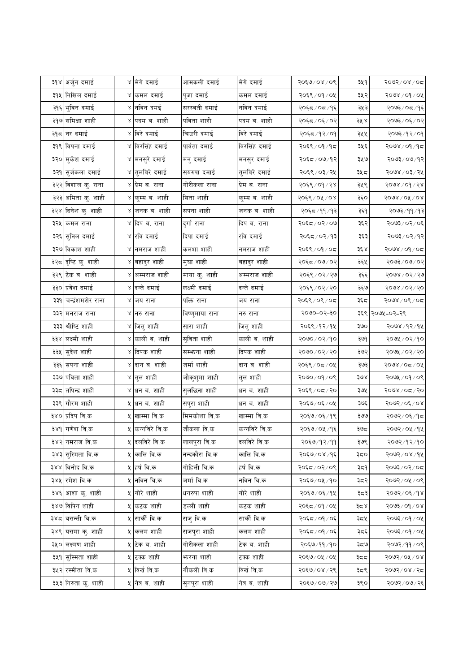| ३१४  अर्जुन दमाई            | ४ मेगे दमाई                | आमकली दमाई      | मेगे दमाई     | २०६७/०४/०९     | ३५१   | २०७२/०४/०८           |
|-----------------------------|----------------------------|-----------------|---------------|----------------|-------|----------------------|
| ३१५ निखिल दमाई              | ४ कमल दमाई                 | पुजा दमाई       | कमल दमाई      | २०६९ / ०१ / ०५ | ३५२   | $30/60/\sqrt{90}$    |
| ३१६ भुविन दमाई              | ४ नविन दमई                 | सरस्वती दमाई    | नविन दमाई     | २०६८/०८/१६     | ३५३   | २०७३/०८/१६           |
| ३१७ समिक्षा शाही            | ४ पदम ब. शाही              | पविता शाही      | पदम ब. शाही   | २०६८/०६/०२     | ३५ ४  | २०७३/०६/०२           |
| ३१८ नर दमाई                 | ४ विरे दमाई                | चिउरी दमाई      | विरे दमाई     | २०६८/१२/०१     | ३५५   | २०७३/१२/०१           |
| ३१९ विपना दमाई              | ४ विरसिंह दमाई             | पार्वता दमाई    | विरसिंह दमाई  | २०६९ / ०१ / १८ | ३५६   | २०७४ ⁄ ०१ ⁄ १८       |
| ३२० मुकेश दमाई              | ४ <mark>मनसुरे दमाई</mark> | मनु दमाई        | मनसुर दमाई    | २०६८/०७/१२     | ३५७   | २०७३/०७/१२           |
| ३२१ सुर्जकला दमाई           | ४ तुलविरे दमाई             | सयरुपा दमाई     | तुलविरे दमाई  | २०६९ / ०३ / २५ | ३५८   | २०७४ / ०३ / २५       |
| ३२२ विशाल कु. राना          | ४ प्रेम ब. राना            | गोरीकला राना    | प्रेम ब. राना | २०६९ / ०१ / २४ | ३५९   | २०७४ / ०१ / २४       |
| ३२३ अमिता कु. शाही          | ४ कुम्म ब. शाही            | सिता शाही       | कुम्म ब. शाही | २०६९ / ०५ / ०४ | ३६०   | $5008\sqrt{0}$ / 0.8 |
| ३२४ दिनेश कु. शाही          | ४ जनक ब. शाही              | सपना शाही       | जनक ब. शाही   | २०६८ / ११ / १३ | ३६१   | २०७३ ⁄ ११ ⁄ १३       |
| ३२५ किमल राना               | ४ दिप ब. राना              | दुर्गा राना     | दिप ब. राना   | २०६८/०२/०७     | ३६२   | २०७३/०२/०६           |
| ३२६ <mark>सुनिल दमाई</mark> | ४ रवि दमाई                 | दिपा दमाई       | रवि दमाई      | २०६८/०२/१३     | ३६३   | २०७३/०२/१२           |
| ३२७ विकाश शाही              | ४ नमराज शाही               | कलशा शाही       | नमराज शाही    | २०६९/०१/०८     | ३६४   | २०७४ / ०१ / ०८       |
| ३२८ दृष्टि कु. शाही         | ४ बहादुर शाही              | मुघा शाही       | बहादुर शाही   | २०६८/०७/०२     | ३६५   | २०७३/०७/०२           |
| ३२९ टेक ब. शाही             | ४ अम्मराज शाही             | माया कु. शाही   | अम्मराज शाही  | २०६९ / ०२ / २७ | ३६६   | २०७४ / ०२ / २७       |
| ३३० प्रवेश दमाई             | ४ दन्ते दमाई               | लक्ष्मी दमाई    | दन्ते दमाई    | २०६९ / ०२ / २० | ३६७   | $200$ ४/०२/२०        |
| ३३१ चन्द्रंशमशेर राना       | ४ जय राना                  | पक्ति राना      | जय राना       | २०६९ / ०९ / ०८ | ३६८   | २०७४ / ०९ / ०८       |
| ३३२ मनराज राना              | ४ नरु राना                 | विष्णुमाया राना | नरु राना      | 5000-05-30     |       | ३६९ २०७५-०२-२९       |
| ३३३ श्रीष्टि शाही           | ४ जितु शाही                | सारा शाही       | जितु शाही     | २०६९/१२/१५     | ३७०   | २०७४ /१२/१५          |
| ३३४ लक्ष्मी शाही            | ४ काली व. शाही             | सुविता शाही     | काली ब. शाही  | २०७०/०२/१०     | ३७९   | २०७५ / ०२/१०         |
| ३३५ सुदेश शाही              | ४ दिपक शाही                | सम्भ्रना शाही   | दिपक शाही     | २०७०/०२/२०     | ३७२   | २०७५ / ०२ / २०       |
| ३३६ सपना शाही               | ४ दान ब. शाही              | जर्मा शाही      | दान ब. शाही   | २०६९ ⁄ ०८ ⁄ ०५ | ३७३   | २०७४ / ०८ / ०५       |
| ३३७ पविता शाही              | ४ तुल शाही                 | जौकुशुमा शाही   | तुल शाही      | २०७०/०१/०९     | ३७४   | २०७५ / ०१ / ०९       |
| ३३८ तपिन्द्र शाही           | ४ धन ब. शाही               | सुलछिना शाही    | धन ब. शाही    | २०६९/०८/२०     | ३७५   | २०७४ / ०८ / २०       |
| ३३९ गौरम शाही               | ५ धन व. शाही               | सपुरा शाही      | धन ब. शाही    | २०६७/०६/०५     | ३७६   | २०७२/०६/०४           |
| ३४० प्रदिप वि.क             | ५ खाम्मा वि.क              | मिमकोशा वि.क    | खाम्मा वि.क   | २०६७/०६/१९     | ३७७   | २०७२/०६/१८           |
| ३४१ गणेश वि.क               | ५  कन्नविरे वि.क           | जौकला वि.क      | कन्नविरे वि.क | २०६७/०५/१६     | ३७८   | २०७२/०५/१५           |
| ३४२ नमराज वि.क              | ५ दलविरे वि.क              | लालपुरा वि.क    | दलविरे वि.क   | २०६७/१२/११     | ३७९   | २०७२/१२/१०           |
| ३४३ सुस्मिता वि.क           | ५ कालि वि.क                | नन्दकौरा वि.क   | कालि वि.क     | २०६७/०४/१६     | ३८०   | २०७२/०४/१५           |
| ३४४ विनोद वि.क              | ५ हर्ष वि.क                | गोहिली वि.क     | हर्ष वि.क     | २०६८/०२/०९     | ३८१   | २०७३/०२/०८           |
| ३४५ रमेश वि.क               | <b>५ नविन</b> वि.क         | जर्मा वि.क      | नविन वि.क     | २०६७/०५/१०     | ३८२   | २०७२/०५/०९           |
| ३४६ आशा कु. शाही            | ५ गोरे शाही                | धनरुपा शाही     | गोरे शाही     | २०६७/०६/१५     | ३८३   | २०७२/०६/१४           |
| ३४७ विपिन शाही              | ५ कटक शाही                 | डल्ली शाही      | कटक शाही      | २०६८/०१/०५     | ಕಿದ ೩ | २०७३/०१/०४           |
| ३४८ बसन्ती वि.क             | ५ सार्की वि.क              | राजु वि.क       | सार्की वि.क   | २०६८/०१/०६     | ३८५   | २०७३/०१/०५           |
| ३४९ यसमा कु. शाही           | ५ कलम शाही                 | राजपुरा शाही    | कलम शाही      | २०६८/०१/०६     | ३८६   | २०७३/०१/०५           |
| ३५० लक्ष्मण शाही            | ५ टिक ब. शाही              | गोरीकला शाही    | टेक ब. शाही   | २०६७/११/१०     | ತಿದ9  | $20 \times 19$       |
| ३५१ सुस्मिता शाही           | ५ टक्क शाही                | भारना शाही      | टक्क शाही     | २०६७/०५/०५     | ३८८   | 5005/07              |
| ३५२ रस्मीता वि.क            | ५ विर्ख वि.क               | गौकली वि.क      | विर्ख वि.क    | २०६७/०४/२९     | ३८९   | २०७२/०४/२८           |
|                             |                            |                 |               |                |       |                      |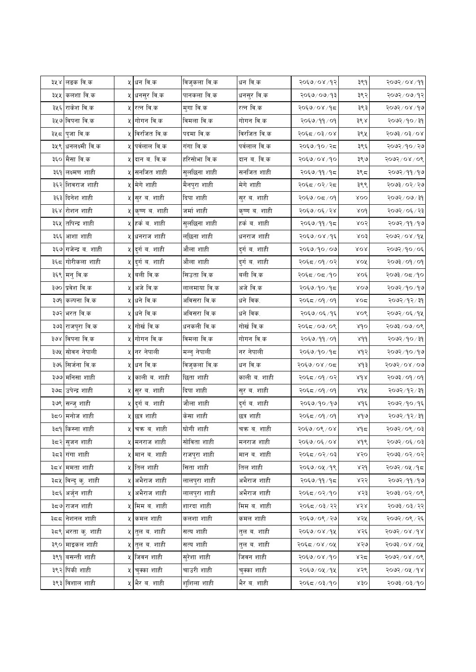|     | ३५४ लङक वि.क         |    | ५ धन वि.क                  | विजुकला वि.क | धन वि.क       | २०६७/०४/१२    | ३९१                       | $99 \times 80 \times 900$ |
|-----|----------------------|----|----------------------------|--------------|---------------|---------------|---------------------------|---------------------------|
| ३५५ | कलशा वि.क            |    | ५ <mark>धनसुर वि.क</mark>  | पानकला वि.क  | धनसुर वि.क    | २०६७/०७/१३    | ३९२                       | २०७२/०७/१२                |
|     | ३५६ राकेश वि.क       |    | ५ रत्न वि.क                | मुगा वि.क    | रत्न वि.क     | २०६७/०४/१८    | ३९३                       | २०७२/०४/१७                |
|     | ३५७ विपना वि.क       |    | ५ गोगन वि.क                | विमला वि.क   | गोगन वि.क     | २०६७/११/०१    | ३९४                       | २०७२ / १० / ३१            |
| ३५८ | पुजा वि.क            |    | ५ विरजित वि.क              | पदमा वि.क    | विरजित वि.क   | २०६८/०३/०४    | ३९५                       | $500$ $200$ $200$         |
|     | ३५९ धनलक्ष्मी वि.क   | X. | पर्वलाल वि.क               | गंगा वि.क    | पर्वलाल वि.क  | २०६७/१०/२८    | ३९६                       | २०७२/१०/२७                |
|     | ३६० मैसा वि.क        |    | ५ दान ब. वि.क              | हरिसोभा वि.क | दान ब. वि.क   | २०६७/०४/१०    | ३९७                       | २०७२/०४/०९                |
|     | ३६१ लक्ष्मण शाही     | χ  | सनजित शाही                 | सुलछिना शाही | सर्नाजत शाही  | २०६७/११/१८    | ३९८                       | २०७२ / ११ / १७            |
|     | ३६२ शिवराज शाही      |    | ५ मेगे शाही                | मैनपुरा शाही | मेगे शाही     | २०६द / ०२/ २द | ३९९                       | २०७३/०२/२७                |
|     | ३६३ दिनेश शाही       |    | ५ सुर ब. शाही              | दिपा शाही    | सुर ब. शाही   | २०६७/०८/०१    | <b>ROO</b>                | २०७२ / ०७ / ३१            |
|     | ३६४ रोशन शाही        |    | ५ कृष्ण व. शाही            | जर्मा शाही   | कृष्ण ब. शाही | २०६७/०६/२४    | XOd                       | २०७२ / ०६ / २३            |
|     | ३६५ तपिन्द्र शाही    |    | ५ हर्क ब. शाही             | सुलछिना शाही | हर्क ब. शाही  | २०६७/११/१८    | ४०२                       | २०७२/११/१७                |
| ३६६ | आशा शाही             |    | ५ धनराज शाही               | लख्जिना शाही | धनराज शाही    | २०६७/०४/१६    | XO <sup>2</sup>           | २०७२/०४/१५                |
|     | ३६७ गजेन्द्र व. शाही |    | ५ दुर्गव. शाही             | औला शाही     | दुर्ग ब. शाही | २०६७/१०/०७    | <b>ROR</b>                | २०७२/१०/०६                |
|     | ३६८ गोरीकला शाही     |    | ५ दुर्गव. शाही             | औला शाही     | दुर्ग ब. शाही | २०६८/०१/०२    | <b>ROX</b>                | $90 \times 90 \times 500$ |
|     | ३६९ मनु वि.क         |    | ५ बली वि.क                 | सिउता वि.क   | बली वि.क      | २०६८/०८/१०    | $X$ ०६                    | २०७३/०८/१०                |
|     | ३७० प्रवेश वि.क      | χ  | अजे वि.क                   | लालमाया वि.क | अजे वि.क      | २०६७/१०/१८    | 800                       | २०७२/१०/१७                |
|     | ३७१ कल्पना वि.क      |    | ५ धने वि.क                 | अविसरा वि.क  | धने विक.      | २०६८/०१/०१    | ४०द                       | २०७२/१२/३१                |
|     | ३७२ भरत वि.क         |    | ५ धने वि.क                 | अविसरा वि.क  | धने विक.      | २०६७/०६/१६    | XOS                       | २०७२/०६/१५                |
|     | ३७३ राजपुरा वि.क     |    | ५ गोर्ख वि.क               | धनकली वि.क   | गोर्ख वि.क    | २०६८/०७/०९    | sdo                       | २०७३/०७/०९                |
|     | ३७४ विपना वि.क       |    | ५ गोगन वि.क                | विमला वि.क   | गोगन वि.क     | २०६७/११/०१    | 8d <sub>d</sub>           | २०७२ / १० / ३१            |
|     | ३७५ सोवन नेपाली      |    | ५ नर नेपाली                | मन्नु नेपाली | नर नेपाली     | २०६७/१०/१८    | ४१२                       | २०७२/१०/१७                |
|     | ३७६ सिर्जना वि.क     |    | ५ धन वि.क                  | विजुकला वि.क | धन वि.क       | २०६७/०४/०८    | 8d                        | २०७२/०४/०७                |
|     | ३७७ मनिसा शाही       |    | ५ काली ब. शाही             | छिता शाही    | काली ब. शाही  | २०६८/०१/०२    | 8d                        | २०७३ / ०१ / ०१            |
|     | ३७८ उपेन्द्र शाही    |    | ५ सुर ब. शाही              | दिपा शाही    | सुर ब. शाही   | २०६८/०१/०१    | ४१५                       | २०७२/१२/३१                |
|     | ३७९ सन्जु शाही       |    | ५ दुर्ग ब. शाही            | जौला शाही    | दुर्गव. शाही  | २०६७/१०/१७    | $8d\acute{\epsilon}$      | २०७२/१०/१६                |
| ३८० | मनोज शाही            |    | ५ छत्र शाही                | केसा शाही    | छत्र शाही     | २०६८/०१/०१    | $\delta \delta$           | २०७२/१२/३१                |
|     | ३८१ किस्ना शाही      |    | ५ चक्र ब. शाही             | घोगी शाही    | चक्र ब. शाही  | २०६७/०९/०४    | لاه د                     | २०७२/०९/०३                |
|     | ३८२ सुजन शाही        |    | ५ मनराज शाही               | सोविता शाही  | मनराज शाही    | २०६७/०६/०४    | 846                       | १०७२/०६/०३                |
|     | ३८३ गंगा शाही        |    | ५ मान ब. शाही              | राजपुरा शाही | मान ब. शाही   | २०६८/०२/०३    | ४२०                       | २०७३/०२/०२                |
|     | ३८४ ममता शाही        |    | ५ तिल शाही                 | सिता शाही    | तिल शाही      | २०६७/०५/१९    | ४२१                       | २०७२/०५/१८                |
|     | ३८५ विन्दु कु. शाही  |    | ५ अभैराज शाही              | लालपुरा शाही | अभैराज शाही   | २०६७/११/१८    | ४२२                       | २०७२ / ११ / १७            |
|     | ३८६ अर्जुन शाही      | χ  | अभैराज शाही                | लालपुरा शाही | अभैराज शाही   | २०६८/०२/१०    | ४२३                       | २०७३ / ०२ / ०९            |
|     | ३८७ राजन शाही        |    | ५ मिम ब. शाही              | शारदा शाही   | मिम ब. शाही   | २०६८/०३/२२    | $\lambda\leqslant\lambda$ | २०७३ / ०३ / २२            |
|     | ३८८ नेशनल शाही       |    | ५ कमल शाही                 | कलशा शाही    | कमल शाही      | २०६७/०९/२७    | ४२५                       | २०७२/०९/२६                |
|     | ३८९ भरता कु. शाही    |    | ५ तुल ब. शाही              | सत्य शाही    | तुल ब. शाही   | २०६७/०४/१५    | ४२६                       | २०७२/०४/१४                |
|     | ३९० माइकल शाही       |    | ५ तुल ब. शाही              | सत्य शाही    | तुल ब. शाही   | २०६८/०४/०५    | ४२७                       | २०७३/०४/०५                |
|     | ३९१ बसन्ती शाही      |    | ५ जिवन शाही                | सुरेशा शाही  | जिवन शाही     | २०६७/०४/१०    | ४२८                       | $20/80/\sqrt{2005}$       |
|     | ३९२ पिंकी शाही       |    | ५ चुक्का शाही              | चाउरी शाही   | चुक्का शाही   | २०६७/०५/१५    | ४२९                       | २०७२/०५/१४                |
|     | ३९३ विशाल शाही       |    | ५ <mark>भैर व. शाही</mark> | शुशिला शाही  | भैर ब. शाही   | २०६८/०३/१०    | x30                       | २०७३ ⁄ ०३ ⁄ १०            |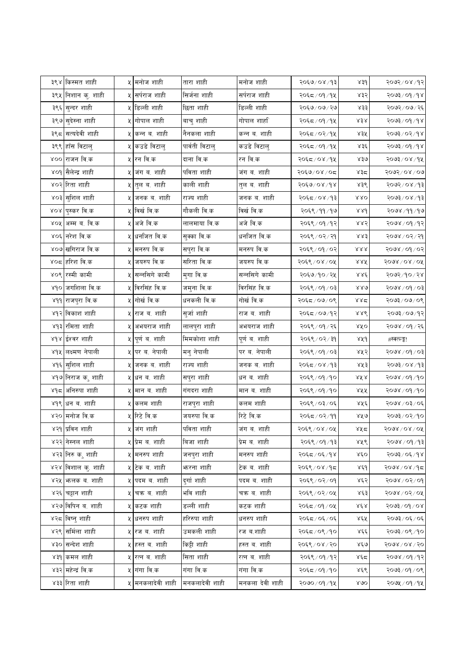|     | ३९४ किस्मत शाही    |    | ५ मनोज शाही              | तारा शाही         | मनोज शाही     | २०६७/०४/१३     | 83d                | २०७२/०४/१२                                                   |
|-----|--------------------|----|--------------------------|-------------------|---------------|----------------|--------------------|--------------------------------------------------------------|
|     | ३९५ निशान कु. शाही | ५। | सर्पराज शाही             | सिर्जना शाही      | सर्पराज शाही  | २०६८/०१/१५     | ४३२                | २०७३ / ०१ / १४                                               |
|     | ३९६ सुन्दर शाही    |    | ५ डिल्ली शाही            | छिता शाही         | डिल्ली शाही   | २०६७/०७/२७     | 833                | २०७२ / ०७ / २६                                               |
|     | ३९७ सुदेस्ना शाही  |    | ५ गोपाल शाही             | बाचु शाही         | गोपाल शार्हा  | २०६८ / ०१ / १५ | ४३४                | २०७३ / ०१ / १४                                               |
| ३९८ | सत्यदेवी शाही      | X  | कन्न ब. शाही             | नैनकला शाही       | कन्न ब. शाही  | २०६८/०२/१५     | ४३५                | २०७३/०२/१४                                                   |
| ३९९ | हाँस विटालु        |    | कउडे विटालु              | पार्वती विटालु    | कउडे विटालु   | २०६८/०१/१५     | ४३६                | २०७३/०१/१४                                                   |
|     | ४०० राजन वि.क      |    | ५ <mark>रन वि.क</mark>   | दाना वि.क         | रन वि.क       | २०६८/०४/१५     | 830                | २०७३/०४/१५                                                   |
|     | ४०१ सैलेन्द्र शाही | ५। | जंग ब. शाही              | पविता शाही        | जंग ब. शाही   | २०६७/०४/०८     | ४३८                | २०७२/०४/०७                                                   |
|     | ४०२ रिता शाही      |    | <b>५ तुल ब. शाही</b>     | काली शाही         | तुल ब. शाही   | २०६७/०४/१४     | ४३९                | २०७२/०४/१३                                                   |
|     | ४०३ सुशिल शाही     | ५। | जनक ब. शाही              | राज्य शाही        | जनक ब. शाही   | २०६८/०४/१३     | 880                | २०७३/०४/१३                                                   |
|     | ४०४ पुस्कर वि.क    |    | ५ विर्ख वि.क             | गौकली वि.क        | विर्ख वि.क    | २०६९/११/१७     | 88d                | २०७४ /११ /१७                                                 |
|     | ४०५ अम्म ब. वि.क   |    | अजे वि.क                 | लालमाया वि.क      | अजे वि.क      | २०६९ / ०१ / १२ | ४४२                | २०७४ / ०१ / १२                                               |
|     | ४०६ नरेश वि.क      |    | <b>५ धनजित वि.क</b>      | सुक्का वि.क       | धर्नाजत वि.क  | २०६९ / ०२ / २१ | 883                | २०७४ / ०२ / २१                                               |
|     | ४०७ खगिराज वि.क    |    | ५ मनरुप वि.क             | सपुरा वि.क        | मनरुप वि.क    | २०६९ / ०१ / ०२ | 888                | २०७४ / ०१ / ०२                                               |
|     | ४०८ हरिश वि.क      |    | ५ जयरुप वि.क             | सरिता वि.क        | जयरुप वि.क    | २०६९ / ०४ / ०५ | 8.XX               | $5008\$ 08 $\sqrt{0}$                                        |
|     | ४०९ रस्मी कामी     | ų١ | सन्नसिगे कामी            | मुगा वि.क         | सन्नसिगे कामी | २०६७/१०/२५     | ४४६                | २०७२/१०/२४                                                   |
|     | ४१० जगशिला वि.क    |    | ५ विरसिंह वि.क           | जमुना वि.क        | विरसिंह वि.क  | २०६९ / ०१ / ०३ | 880                | १०७४ / ०१ / ०३                                               |
|     | ४११ राजपुरा वि.क   | 잇  | गोर्ख वि.क               | धनकली वि.क        | गोर्ख वि.क    | २०६द ⁄ ०७/०९   | ४४द                | $20/60 \times 200$                                           |
|     | ४१२ विकाश शाही     | ५। | राज ब. शाही              | सुर्जा शाही       | राज ब. शाही   | २०६८/०७/१२     | 886                | २०७३/०७/१२                                                   |
|     |                    |    |                          |                   |               |                |                    |                                                              |
|     | ४१३ रमिता शाही     |    | ५  अभयराज शाही           | लालपुरा शाही      | अभयराज शाही   | २०६९ / ०१ / २६ | $AA$ 0             | २०७४ / ०१ / २६                                               |
|     | ४१४ ईश्वर शाही     |    | ५ पूर्णव. शाही           | मिमकोशा शाही      | पूर्ण ब. शाही | २०६९ / ०२ / ३१ | ४५१                | #स्क्त्ल्ङ्क!                                                |
|     | ४१५ लक्ष्मण नेपाली | X  | पर ब. नेपाली             | मनु नेपाली        | पर ब. नेपाली  | २०६९ / ०१ / ०३ | ४५२                |                                                              |
|     | ४१६ सुशिल शाही     | 잇  | जनक ब. शाही              | राज्य शाही        | जनक ब. शाही   | २०६८/०४/१३     | ४५३                |                                                              |
|     | ४१७ निराज क¸ शाही  |    | ५ धन ब. शाही             | सपुरा शाही        | धन ब. शाही    | २०६९ / ०१ / १० | ४४४                | २०७४ / ०१ / १०                                               |
|     | ४१८ अनिरुपा शाही   | ५। | मान ब. शाही              | गंगदरा शाही       | मान ब. शाही   | २०६९ / ०१ / १० | <b>RKK</b>         | २०७४ / ०१ / १०                                               |
|     | ४१९ धन व. शाही     | ५। | कलम शाही                 | राजपुरा शाही      | कलम शाही      | २०६९ / ०३/ ०६  | ४५६                | २०७४ / ०३ / ०६                                               |
|     | ४२० मनोज वि.क      |    | ५ रिटे वि.क              | जयरुपा वि.क       | रिटे वि.क     | २०६८/०२/११     | AA                 | २०७३/०२/१०                                                   |
|     | ४२१ प्रविन शाही    |    | ५ जंग शाही               | पविता शाही        | जंग ब. शाही   | २०६९ ⁄ ०४ ⁄ ०५ | ४५८                | २०७४ / ०४ / ०५                                               |
|     | ४२२ निस्नल शाही    |    | ५ प्रेम ब. शाही          | बिजा शाही         | प्रेम व. शाही | २०६९/०१/१३     | ४५९                |                                                              |
|     | ४२३ निरु कु शाही   |    | ५ मनरुप शाही             | जनपुरा शाही       | मनरुप शाही    | २०६८/०६/१४     | $X\xi$ O           | १०७४ / ०१ / ०३<br>१०७३/०४/१३<br>२०७४ / ०१ / १३<br>२०७३/०६/१४ |
|     | ४२४ विशाल कु. शाही |    | ५ टेक ब. शाही            | <b>भारना शाही</b> | टेक ब. शाही   | २०६९ ⁄ ०४ ⁄ १८ | ४६१                | २०७४ / ०४ /१८                                                |
|     | ४२५ कलक व. शाही    |    | ५ पदम ब. शाही            | दुर्गाशाही        | पदम ब. शाही   | २०६९ / ०२ / ०१ | ४६२                | $90 \times 90 \times 900$                                    |
|     | ४२६ चट्टान शाही    | X  | चक्र ब. शाही             | भवि शाही          | चक्र ब. शाही  | २०६९ / ०२ / ०५ | ४६३                | २०७४ / ०२ / ०५                                               |
|     | ४२७ विपिन ब. शाही  |    | ५ <mark>कटक शाही</mark>  | डल्ली शाही        | कटक शाही      | २०६८/०१/०५     | $X \not\in X$      | $500$ $/$ $00$ $/$ $00$                                      |
|     | ४२८ विष्नु शाही    |    | ५ धनरुप शाही             | हरिरुपा शाही      | धनरुप शाही    | २०६८/०६/०६     | ४६५                | २०७३/०६/०६                                                   |
|     | ४२९ समिला शाही     | ५। | रज ब. शाही               | उमकली शाही        | रज ब.शाही     | २०६८/०९/१०     | ४६६                | २०७३/०९/१०                                                   |
|     | ४३० सन्देश शाही    |    | ५ हस्त व. शाही           | किट्टी शाही       | हस्त ब. शाही  | २०६९ / ०४ / २० | $x \epsilon_0$     | $5008\sqrt{0}$ / $50$                                        |
|     | ४३१ कमल शाही       |    | ५ रत्न ब. शाही           | सिता शाही         | रत्न ब. शाही  | २०६९ / ०१ / १२ | $x \in \mathbb{Z}$ | २०७४/०१/१२                                                   |
|     | ४३२ महेन्द्रं वि.क |    | ५ <mark>गंगा वि.क</mark> | गंगा वि.क         | गंगा वि.क     | २०६८/०१/१०     | ४६९                | 20/60/660                                                    |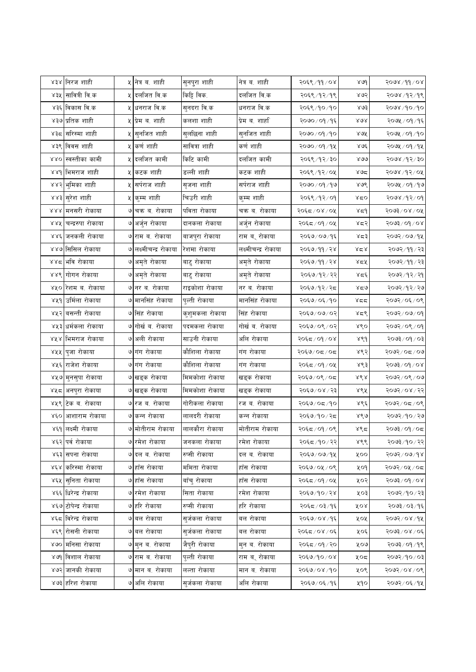|      | ४३४ निरज शाही          |    | ५ नित्र ब. शाही           | सुनपुरा शाही    | नेत्र ब. शाही        | २०६९/११/०४     | 800           | $80/66$ / $800$                |
|------|------------------------|----|---------------------------|-----------------|----------------------|----------------|---------------|--------------------------------|
| ४३५  | सावित्री वि.क          | ५। | दलजित वि.क                | किट्टि विक.     | दलजित वि.क           | २०६९/१२/१९     | ४७२           | २०७४ /१२/१९                    |
|      | ४३६ विकास वि.क         |    | ५ <mark>धनराज वि.क</mark> | सुनदरा वि.क     | धनराज वि.क           | २०६९ ⁄ १० ⁄ १० | 8.03          | २०७४ /१० /१०                   |
|      | ४३७ प्रतिक शाही        |    | ५ प्रेम ब. शाही           | कलशा शाही       | प्रेम ब. शार्हा      | २०७०/०१/१६     | $X \gtrsim A$ | २०७५ / ०१ / १६                 |
| ४३८  | सरिस्मा शाही           | খ  | सुनजित शाही               | सुलछिना शाही    | सुनजित शाही          | २०७०/०१/१०     | ४७४           | २०७५ / ०१ /१०                  |
|      | ४३९ विवस शाही          |    | ५ कर्ण शाही               | सावित्रा शाही   | कर्ण शाही            | २०७० / ०१ / १५ | ४७६           | २०७५ / ०१ / १५                 |
|      | ४४० स्वस्तीका कामी     |    | ५ दलजित कामी              | किटि कामी       | दलजित कामी           | २०६९/१२/३०     | 800           | २०७४ /१२/३०                    |
|      | ४४१ भिमराज शाही        | ५  | कटक शाही                  | डल्ली शाही      | कटक शाही             | २०६९/१२/०५     | ४७८           | २०७४ ⁄ १२ ⁄ ०५                 |
|      | ४४२ भुमिका शाही        | ५। | सर्पराज शाही              | सृजना शाही      | सर्पराज शाही         | २०७० ⁄ ०१ ⁄ १७ | ४७९           | २०७५ / ०१ / १७                 |
|      | ४४३ सुरेश शाही         |    | ५ कुम्म शाही              | चिउरी शाही      | कुम्म शाही           | २०६९/१२/०१     | ४द०           | २०७४ /१२/०१                    |
|      | ४४४ मनसरी रोकाया       |    | ७ चक्र ब. रोकाया          | पविता रोकाया    | चक्र ब. रोकाया       | २०६८/०४/०५     | لا⊄ه          | २०७३/०४/०५                     |
|      | ४४५  चन्द्ररुपा रोकाया |    | ७ अर्जुन रोकाया           | दानकला रोकाया   | अर्जुन रोकाया        | २०६८/०१/०५     | ४द२           | $80/60/\sqrt{2}$ ि             |
|      | ४४६ जनकली रोकाया       |    | ७ राम ब. रोकाया           | बाजपुरा रोकाया  | राम बर् रोकाया       | २०६७/०७/१६     | ४८३           | २०७२/०७/१५                     |
|      | ४४७ सिसिल रोकाया       |    | ७ लक्ष्मीचन्द्र रोकाया    | रेशमा रोकाया    | लक्ष्मीचन्द्र रोकाया | २०६७/११/२४     | ४८४           | २०७२ / ११ / २३                 |
|      | ४४८ भवि रोकाया         |    | ७ अमृते रोकाया            | बाटु रोकाया     | अमृते रोकाया         | २०६७/११/२४     | ४द्रप्        | २०७२/११/२३                     |
|      | ४४९ गोगन रोकाया        |    | ७ अमृते रोकाया            | बाटु रोकाया     | अमृते रोकाया         | २०६७/१२/२२     | بالمحلية      | २०७२/१२/२१                     |
|      | ४५० रिशम ब. रोकाया     |    | ७ नर ब. रोकाया            | राइकोशा रोकाया  | नर ब. रोकाया         | २०६७/१२/२८     | ४द७           | २०७२ / १२ / २७                 |
|      | ४५१ उर्मिला रोकाया     |    | ७ मानसिंह रोकाया          | पुल्ती रोकाया   | मानसिंह रोकाया       | २०६७/०६/१०     | ४दद           | २०७२/०६/०९                     |
|      | ४५२ बसन्ती रोकाया      |    | ७ सिंह रोकाया             | कुशुमकला रोकाया | सिंह रोकाया          | २०६७/०७/०२     | ४द९           | २०७२/०७/०९                     |
|      | ४५३ धर्मकला रोकाया     |    | ७ गोर्ख व. रोकाया         | पदमकला रोकाया   | गोर्ख ब. रोकाया      | २०६७/०९/०२     | ४९०           | २०७२/०९/०१                     |
| 8X R | भिमराज रोकाया          |    | ७ अली रोकाया              | साउनी रोकाया    | अलि रोकाया           | २०६८/०१/०४     | ४९१           | $50 \times 90 \times 500$      |
|      | ४५५ पुजा रोकाया        |    | ७ गंग रोकाया              | कौशिला रोकाया   | गंग रोकाया           | २०६७/०८/०८     | ४९२           | २०७२/०८/०७                     |
|      | ४५६ राजेश रोकाया       |    | ७ गंग रोकाया              | कौशिला रोकाया   | गंग रोकाया           | २०६८/०१/०५     | ४९३           | $500$ $\frac{1}{2}$ $\sqrt{0}$ |
|      | ४५७ मुनसुपा रोकाया     |    | ७ खड्क रोकाया             | मिमकोशा रोकाया  | खड्क रोकाया          | २०६७/०९/०८     | 868           | २०७२/०९/०७                     |
|      | ४५८ अनपुरा रोकाया      |    | ७ खड्क रोकाया             | मिमकोशा रोकाया  | खड्क रोकाया          | २०६७/०४/२३     | ४९५           | २०७२/०४/२२                     |
|      | ४५९ टिक ब. रोकाया      |    | ७ रज ब. रोकाया            | गोरीकला रोकाया  | रज ब. रोकाया         | २०६७/०८/१०     | ४९६           | २०७२/०८/०९                     |
|      | ४६० आशाराम रोकाया      |    | ७ कन्न रोकाया             | लालदरी रोकाया   | कन्न रोकाया          | २०६७/१०/२८     | 860           | २०७२ / १० / २७                 |
|      | ४६१ लक्ष्मी रोकाया     |    | ७ मोतीराम रोकाया          | लालकौरा रोकाया  | मोतीराम रोकाया       | २०६८/०१/०९     | ४९८           | २०७३/०९/०८                     |
|      | ४६२ पर्व रोकाया        |    | ७ रमेश रोकाया             | जनकला रोकाया    | रमेश रोकाया          | २०६८/१०/२२     | ४९९           | २०७३/१०/२२                     |
|      | ४६३ सपना रोकाया        |    | ७ दल ब. रोकाया            | रुप्सी रोकाया   | दल ब. रोकाया         | २०६७/०७/१५     | ५००           | 9092/09/98                     |
|      | ४६४ करिस्मा रोकाया     |    | ७ हाँस रोकाया             | ममिता रोकाया    | हाँस रोकाया          | २०६७/०५/०९     | ५०१           | २०७२/०५/०८                     |
|      | ४६५ सुनिता रोकाया      |    | ७ हाँस रोकाया             | बाँचु रोकाया    | हाँस रोकाया          | २०६८/०१/०५     | ५०२           | $500$ ई $\sim$ $600$           |
|      | ४६६ धिरेन्द्र रोकाया   |    | ७ रमेश रोकाया             | सिता रोकाया     | रमेश रोकाया          | २०६७/१०/२४     | ५०३           | २०७२/१०/२३                     |
|      | ४६७ टोपेन्द्र रोकाया   |    | ७ हरि रोकाया              | रुप्सी रोकाया   | हरि रोकाया           | २०६८/०३/१६     | ४०४           | २०७३ ⁄ ०३ ⁄ १६                 |
|      | ४६८ विरेन्द्र रोकाया   |    | ७ बल रोकाया               | सुर्जकला रोकाया | बल रोकाया            | २०६७/०४/१६     | ५०५           | २०७२/०४/१५                     |
|      | ४६९ रोसनी रोकाया       |    | ७ वल रोकाया               | सुर्जकला रोकाया | बल रोकाया            | २०६८/०४/०६     | ५०६           | २०७३/०४/०६                     |
| 800  | मनिसा रोकाया           |    | ७ मुन ब. रोकाया           | जैपुरी रोकाया   | मुन ब. रोकाया        | २०६८/०१/२०     | ५०७           | २०७३ / ०१ / १९                 |
|      | ४७१ विशाल रोकाया       |    | ७ राम ब. रोकाया           | पुल्ती रोकाया   | राम बर् रोकाया       | २०६७/१०/०४     | ५०८           | १०७२/१०/०३                     |
|      | ४७२ जानकी रोकाया       |    | ७ मान ब. रोकाया           | लल्ता रोकाया    | मान ब. रोकाया        | २०६७/०४/१०     | ५०९           | २०७२/०४/०९                     |
|      | ४७३ हरिश रोकाया        |    | ७ अलि रोकाया              | सुर्जकला रोकाया | अलि रोकाया           | २०६७/०६/१६     | ५१०           | २०७२/०६/१५                     |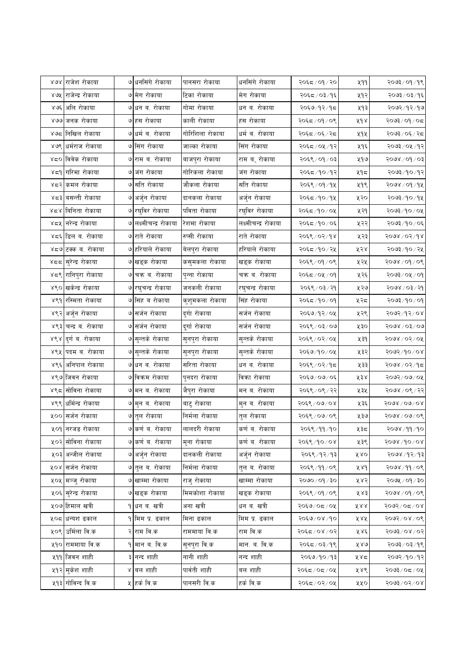| ४७४ राजेश रोकाया                  | ७ धनसिंगे रोकाया           | पानसरा रोकाया   | धनसिंगे रोकाया       | २०६८/०१/२०     | ५११          | १०७३/०१/१९                     |
|-----------------------------------|----------------------------|-----------------|----------------------|----------------|--------------|--------------------------------|
| ४७५  राजेन्द्र रोकाया             | ७ मेग रोकाया               | टिका रोकाया     | मेग रोकाया           | २०६८/०३/१६     | ५१२          | २०७३ ⁄ ०३ ⁄ १६                 |
| ४७६ अलि रोकाया                    | ७ धन ब. रोकाया             | गोमा रोकाया     | धन ब. रोकाया         | २०६७/१२/१८     | ५१३          | २०७२ ⁄ १२ ⁄ १७                 |
| ४७७ जनक रोकाया                    | ७ हंस रोकाया               | काली रोकाया     | हंस रोकाया           | २०६८/०१/०९     | ४१४          | २०७३/०१/०८                     |
| ४७८ निखिल रोकाया                  | ७ धर्म ब. रोकाया           | गोरिशिला रोकाया | धर्म ब. रोकाया       | २०६द / ०६ / २द | ५१५          | २०७३/०६/२८                     |
| ४७९ धर्मराज रोकाया                | ७ सिंग रोकाया              | जाल्का रोकाया   | सिंग रोकाया          | २०६८/०५/१२     | ५१६          | २०७३ ⁄ ०५ ⁄ १२                 |
| ४८० विवेक रोकाया                  | ७ राम ब. रोकाया            | बाजपुरा रोकाया  | राम बर् रोकाया       | २०६९ / ०१ / ०३ | ५१७          | १०७४ / ०१ / ०३                 |
| ४८१ गरिमा रोकाया                  | ७ जंग रोकाया               | गोरिकला रोकाया  | जंग रोकाया           | २०६८/१०/१२     | ५१८          | २०७३ ⁄ १० ⁄ १२                 |
| ४८२ कमल रोकाया                    | ७ सति रोकाया               | जौकला रोकाया    | सति रोकाया           | २०६९ / ०१ / १५ | ५१९          | २०७४ ⁄ ०१ ⁄ १४                 |
| ४८३ बसन्ती रोकाया                 | ७ अर्जुन रोकाया            | दानकला रोकाया   | अर्जुन रोकाया        | २०६८/१०/१५     | ५२०          | २०७३/१०/१५                     |
| ४८४ बिनिता रोकाया                 | ७ रघुविर रोकाया            | पविता रोकाया    | रघुविर रोकाया        | २०६८/१०/०५     | ५२१          | २०७३/१०/०५                     |
| ४८५ निरेन्द्र रोकाया              | ७ लक्ष्मीचन्द्र रोकाया     | रेशमा रोकाया    | लक्ष्मीचन्द्र रोकाया | २०६८/१०/०६     | ५२२          | २०७३/१०/०६                     |
| ४द६ डिल ब. रोकाया                 | ७ राते रोकाया              | रुप्सी रोकाया   | राते रोकाया          | २०६९/०२/१४     | ५२३          | $5008$ / 05/dg                 |
| ४८७ टक्क ब. रोकाया                | ७ हरियाले रोकाया           | बेलपुरा रोकाया  | हरियाले रोकाया       | २०६८/१०/२५     | ५२४          | २०७३ ⁄ १० / २५                 |
| ४८८ <mark>सुरेन्द्र रोकाया</mark> | ७ खड्क रोकाया              | कसुमकला रोकाया  | खड्क रोकाया          | २०६९ / ०१ / ०९ | ५२५          | २०७४ / ०१ / ०९                 |
| ४८९ रानिपुरा रोकाया               | ७ चक्र ब. रोकाया           | पुन्ना रोकाया   | चक्र ब. रोकाया       | २०६८/०५/०१     | ५२६          | $90 \times 10^{3}$ ाई          |
| ४९० खकेन्द्र रोकाया               | ७ रघुचन्द्र रोकाया         | जनकली रोकाया    | रघुचन्द्र रोकाया     | २०६९ / ०३ / २१ | ५२७          | २०७४ / ०३ / २१                 |
| ४९१ रस्मिता रोकाया                | ७ सिंह ब रोकाया            | कुशुमकला रोकाया | सिंह रोकाया          | २०६८/१०/०१     | ५२८          | २०७३ ⁄ १० ⁄ ०१                 |
| ४९२ अर्जुन रोकाया                 | ७ सर्जन रोकाया             | दुर्गा रोकाया   | सर्जन रोकाया         | २०६७/१२/०५     | ५२९          | २०७२/१२/०४                     |
| ४९३ चन्द्र ब. रोकाया              | ७ सर्जन रोकाया             | दुर्गा रोकाया   | सर्जन रोकाया         | २०६९ / ०३/ ०७  | ४३०          | २०७४ / ०३ / ०७                 |
| ४९४ दुर्ग ब. रोकाया               | ७ सुन्तके रोकाया           | सुनपुरा रोकाया  | सुन्तके रोकाया       | २०६९ / ०२ / ०५ | ५३१          | २०७४ / ०२ / ०५                 |
| ४९५ पदम ब. रोकाया                 | ७ सुन्तके रोकाया           | सुनपुरा रोकाया  | सुन्तके रोकाया       | २०६७/१०/०५     | ५३२          | $80/10 \times 10$              |
| ४९६ अनिपाल रोकाया                 | ७ धन ब. रोकाया             | सरिता रोकाया    | धन ब. रोकाया         | २०६९ / ०२/१८   | ५३३          | २०७४ ⁄ ०२ ⁄ १८                 |
| ४९७ जिवन रोकाया                   | ७ विक्रम रोकाया            | पुनदरा रोकाया   | विका रोकाया          | २०६७/०७/०६     | ५३४          | २०७२/०७/०५                     |
| ४९८ सोविना रोकाया                 | ७ मन ब. रोकाया             | जैपुरा रोकाया   | मन ब. रोकाया         | २०६९ / ०९ / २२ | ५३५          | २०७४ / ०९ / २२                 |
| ४९९ धर्मिन्द्र रोकाया             | ७ मुन ब. रोकाया            | बाटु रोकाया     | मुन ब. रोकाया        | २०६९ / ०७ / ०४ | ५३६          | $5008\backslash00\backslash08$ |
| ५०० सर्जन रोकाया                  | ७ तुल रोकाया               | निर्मला रोकाया  | तुल रोकाया           | २०६९ / ०७/ ०९  | ५३७          | २०७४ / ०७/ ०९                  |
| ५०१ <mark> </mark> नरजङ रोकाया    | ७ कर्ण ब. रोकाया           | लालदरी रोकाया   | कर्ण ब. रोकाया       | २०६९ / ११ / १० | ५३८          | २०७४ /११ /१०                   |
| ५०२ सोविना रोकाया                 | ७ कर्ण ब. रोकाया           | मुना रोकाया     | कर्ण ब. रोकाया       | २०६९/१०/०४     | ५३९          | $5008\backslash 10008$         |
| ५०३ अन्जील रोकाया                 | ७ अर्जुन रोकाया            | दानकली रोकाया   | अर्जुन रोकाया        | २०६९/१२/१३     | ४४०          | १०७४ /१२/१३                    |
| ५०४ सर्जन रोकाया                  | ७ तुल व. रोकाया            | निर्मला रोकाया  | तुल ब. रोकाया        | २०६९ ⁄ ११ ⁄ ०९ | ४४१          | २०७४ /११ / ०९                  |
| ५०५ मञ्जु रोकाया                  | ७ खाम्मा रोकाया            | राजु रोकाया     | खाम्मा रोकाया        | २०७० / ०१ / ३० | ४४२          | २०७५ / ०१ / ३०                 |
| ५०६ सुरेन्द्र रोकाया              | ७ खड्क रोकाया              | मिमकोशा रोकाया  | खड्क रोकाया          | २०६९/०१/०९     | ५४३          | २०७४ / ०१ / ०९                 |
| ५०७ हिमाल खत्री                   | १ धन ब. खत्री              | अना खत्री       | धन ब. खत्री          | २०६७/०८/०५     | $X \times X$ | $80/20/\sqrt{200}$             |
| ५०८ धन्यश ढकाल                    | <u> १ मिम प्र. ढकाल</u>    | मिना ढकाल       | मिम प्र. ढकाल        | २०६७/०४/१०     | ४४४          | २०७२/०४/०९                     |
| ५०९ उर्मिला वि.क                  | २ राम वि.क                 | राममाया वि.क    | राम वि.क             | २०६८/०४/०२     | ५४६          | $50/80/\sqrt{2}$               |
| ५१० राममाया वि.क                  | <mark>१</mark> मान ब. वि.क | सुनपुरा वि.क    | मान, ब, वि.क         | २०६८/०३/१९     | ४४७          | २०७३ ⁄ ०३ ⁄ १९                 |
| <b>५११ जिवन शाही</b>              | ३ नन्द शाही                | नानी शाही       | नन्द शाही            | २०६७/१०/१३     | ५४८          | २०७२/१०/१२                     |
| ५१२ मुकेश शाही                    | ४ वल शाही                  | पार्वती शाही    | बल शाही              | २०६८/०८/०५     | ५४९          | २०७३/०८/०५                     |
| ५१३ गोविन्द वि.क                  | ५ हर्क वि.क                | पानसरी वि.क     | हर्क वि.क            | २०६८/०२/०५     | ५५०          | $500$ $200$                    |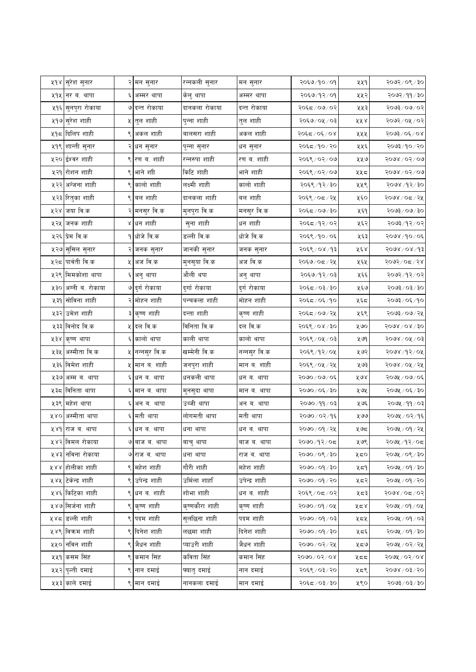| ५१४ <mark>सुरेश सुनार</mark><br>२०६७/१०/०१<br>रन्नकली सुनार<br>५५१<br>२ मन सुनार<br>मन सुनार<br>२०६७/१२/०१<br>५१५  <br>नर ब. थापा<br>६ अम्मर थापा<br>अम्मर थापा<br>५५२<br>केलु थापा<br>५१६ सुनपुरा रोकाया<br>७ दन्त रोकाया<br>दानकला रोकाया<br>दन्त रोकाया<br>२०६८/०७/०२<br>५५३<br>५१७ <mark>सुरेश शाही</mark><br>५ तुल शाही<br>पुन्ना शाही<br>तुल शाही<br>२०६७/०५/०३<br>५५४<br>५१८ दिलिप शाही<br> अकल शाही<br>बालसरा शाही<br>अकल शाही<br>९<br>२०६८/०६/०४<br>५५५<br>५१९ शान्ती सुनार<br>२०६८/१०/२० <br>५५६<br>२ धन सुनार<br>पुन्ना सुनार<br>धन सुनार<br>५२० ईश्वर शाही<br>९ रण ब. शाही<br>रण ब. शाही<br>रन्नरुपा शाही<br>२०६९ / ०२ / ०७<br>५५७<br>९ भाने शा<br>किटि शाही<br>भाने शाही<br>५२१ रोशन शाही<br>२०६९ / ०२ / ०७<br>५५८<br>५२२ अन्जना शाही<br>९ कालो शाही<br>लक्ष्मी शाही<br>कालो शाही<br>५५९<br>२०६९ /१२ / ३०<br>९ बल शाही<br>दानकला शाही<br>बल शाही<br>५२३ रितुका शाही<br>२०६९ / ०८ / २५<br>५६०<br>५२४ जया वि.क<br>२ मनसुर वि.क<br>मुनपुरा वि.क<br>मनसुर वि.क<br>२०६८/०७/३०<br>५६१<br>५२५ जनक शाही<br>४ धन शाही<br>सुना शाही<br>धन शाही<br>२०६८/१२/०२<br>५६२<br>५२६ प्रेम वि.क<br>डल्ली वि.क<br>धोजे वि.क<br><u>१</u> धोजे वि.क<br>२०६९ /१० / ०६<br>५६३<br>५२७ सुसिल सुनार<br>जानकी सुनार<br>२०६९ / ०४ / १३<br>४६४<br>२ जनक सुनार<br>जनक सुनार<br>५२८ पार्वती वि.क<br>५ अज वि.क<br>अज वि.क<br>मुनसुया वि.क<br>२०६७/०८/२५<br>५६५<br>५२९ मिमकोशा थापा<br>औली थपा<br>२०६७/१२/०३<br>६ अनु थापा<br>५६६<br>अनु थापा<br>५३० अग्नी ब. रोकाया<br>७ दुर्ग रोकाया<br>दुर्गा रोकाया<br>दुर्ग रोकाया<br>५६७<br>२०६८/०३/३०<br>५३१ सोविना शाही<br>२ मोहन शाही<br>पन्चकला शाही<br>मोहन शाही<br>२०६८/०६/१०<br>५६८<br>५३२ उमेश शाही<br>३ कृष्ण शाही<br>दन्ता शाही<br>कृष्ण शाही<br>२०६८/०७/२५<br>५६९<br>५३३ विनोद वि.क<br>५ दल वि.क<br>विनिता वि.क<br>दल वि.क<br>२०६९ / ०४ / ३०<br>५७०<br>६ कालो थापा<br>काली थापा<br>कालो थापा<br>५३४ कृष्ण थापा<br>२०६९ / ०५ / ०३<br>५ ७१<br>५३५ <mark> अस्मीता वि.क</mark><br>खम्मेनी वि.क<br>५ नन्नसुर वि.क<br>नन्नसुर वि.क<br>२०६९ /१२ / ०५<br>५७२<br>५३६ विमेश शाही<br>५ मान ब. शाही<br>जनपुरा शाही<br>मान ब. शाही<br>२०६९ / ०५ / २५<br>५७३<br>धनकली थापा<br>५३७ <br>अम्म ब. थापा<br>६ धन ब. थापा<br>२०७०/०७/०६<br>४७४<br>धन ब. थापा<br>५३८  विनिता थापा<br>२०७० / ०६ / ३०<br>६ मान ब. थापा<br>मान ब. थापा<br>५७५<br>मुनसुदा थापा<br>५३९ महेश थापा<br>उब्जी थापा<br>६ अन ब. थापा<br>अन ब. थापा<br>१०७०/११/०३<br>५७६<br>लोगमती थापा<br>अस्मीता थापा<br>६ मती थापा<br>मती थापा<br>२०७०/०२/१६<br>४४०<br>५७७<br>५४१ राज ब. थापा<br>६ धन ब. थापा<br>२०७० / ०१ / २५<br>धना थापा<br>धन ब. थापा<br>५७८<br>५४२ विमल रोकाया<br>२०७०/१२/०८<br>७ बाज ब. थापा<br>बाज ब. थापा<br>५७९<br>बाचु थापा<br>५४३ नविना रोकाया<br>२०७०/०९/३०<br>७ राज ब. थापा<br>धना थापा<br>राज ब. थापा<br>५८०<br>गौरी शाही<br>५४४ होलीका शाही<br>९ महेश शाही<br>महेश शाही<br>२०७० / ०१ / ३०<br>५८१<br>उर्मिला शार्हा<br>५४५ टिकेन्द्र शाही<br>९ उपेन्द्र शाही<br>उपेन्द्र शाही<br>२०७० / ०१ / २०<br>५८२<br>५४६ किटिका शाही<br>शोभा शाही<br>धन ब. शाही<br>९ धन ब. शाही<br>२०६९/०८/०२<br>५८३<br>कृष्णकौरा शाही<br>५४७ सिर्जना शाही<br>९ कृष्ण शाही<br>कृष्ण शाही<br>२०७० ⁄ ०१ ⁄ ०५<br>५८४<br>५४८ डिल्ली शाही<br>९ पदम शाही<br>सुलछिना शाही<br>पदम शाही<br>१०७०/०१/०३<br>५८५<br>९ दिनेश शाही<br>दिनेश शाही<br>५४९ विक्रम शाही<br>लछमा शाही<br>०६ \ २०७० / ०९०<br>५८६<br>९ जैधन शाही<br>जैधन शाही<br>५५० नविन शाही<br>प्याउरी शाही<br>२०७० ⁄ ०२ ⁄ २५<br>५८७<br>५५१ कसम सिंह<br>९ कमान सिंह<br>कविता सिंह<br>कमान सिंह<br>$80,60 \times 060$<br>५८८<br>५५२ पुल्ती दमाई<br>९ नान दमाई<br>फ्यातु दमाई<br>नान दमाई<br>२०६९ / ०३ / २०<br>५८९<br>५५३ काले दमाई<br>नानकला दमाई<br>९ मान दमाई<br>मान दमाई<br>२०६८/०३/३०<br>५९० |  |  |  |  |                                                                                                    |
|-------------------------------------------------------------------------------------------------------------------------------------------------------------------------------------------------------------------------------------------------------------------------------------------------------------------------------------------------------------------------------------------------------------------------------------------------------------------------------------------------------------------------------------------------------------------------------------------------------------------------------------------------------------------------------------------------------------------------------------------------------------------------------------------------------------------------------------------------------------------------------------------------------------------------------------------------------------------------------------------------------------------------------------------------------------------------------------------------------------------------------------------------------------------------------------------------------------------------------------------------------------------------------------------------------------------------------------------------------------------------------------------------------------------------------------------------------------------------------------------------------------------------------------------------------------------------------------------------------------------------------------------------------------------------------------------------------------------------------------------------------------------------------------------------------------------------------------------------------------------------------------------------------------------------------------------------------------------------------------------------------------------------------------------------------------------------------------------------------------------------------------------------------------------------------------------------------------------------------------------------------------------------------------------------------------------------------------------------------------------------------------------------------------------------------------------------------------------------------------------------------------------------------------------------------------------------------------------------------------------------------------------------------------------------------------------------------------------------------------------------------------------------------------------------------------------------------------------------------------------------------------------------------------------------------------------------------------------------------------------------------------------------------------------------------------------------------------------------------------------------------------------------------------------------------------------------------------------------------------------------------------------------------------------------------------------------------------------------------------------------------------------------------------------------------------------------------------------------------------------------------------------------------------------------------------------------------------------------------------|--|--|--|--|----------------------------------------------------------------------------------------------------|
|                                                                                                                                                                                                                                                                                                                                                                                                                                                                                                                                                                                                                                                                                                                                                                                                                                                                                                                                                                                                                                                                                                                                                                                                                                                                                                                                                                                                                                                                                                                                                                                                                                                                                                                                                                                                                                                                                                                                                                                                                                                                                                                                                                                                                                                                                                                                                                                                                                                                                                                                                                                                                                                                                                                                                                                                                                                                                                                                                                                                                                                                                                                                                                                                                                                                                                                                                                                                                                                                                                                                                                                                             |  |  |  |  | $\sqrt{20}$ २०९/३०                                                                                 |
|                                                                                                                                                                                                                                                                                                                                                                                                                                                                                                                                                                                                                                                                                                                                                                                                                                                                                                                                                                                                                                                                                                                                                                                                                                                                                                                                                                                                                                                                                                                                                                                                                                                                                                                                                                                                                                                                                                                                                                                                                                                                                                                                                                                                                                                                                                                                                                                                                                                                                                                                                                                                                                                                                                                                                                                                                                                                                                                                                                                                                                                                                                                                                                                                                                                                                                                                                                                                                                                                                                                                                                                                             |  |  |  |  | २०७२ / ११ / ३०                                                                                     |
|                                                                                                                                                                                                                                                                                                                                                                                                                                                                                                                                                                                                                                                                                                                                                                                                                                                                                                                                                                                                                                                                                                                                                                                                                                                                                                                                                                                                                                                                                                                                                                                                                                                                                                                                                                                                                                                                                                                                                                                                                                                                                                                                                                                                                                                                                                                                                                                                                                                                                                                                                                                                                                                                                                                                                                                                                                                                                                                                                                                                                                                                                                                                                                                                                                                                                                                                                                                                                                                                                                                                                                                                             |  |  |  |  | २०७३/०७/०२                                                                                         |
|                                                                                                                                                                                                                                                                                                                                                                                                                                                                                                                                                                                                                                                                                                                                                                                                                                                                                                                                                                                                                                                                                                                                                                                                                                                                                                                                                                                                                                                                                                                                                                                                                                                                                                                                                                                                                                                                                                                                                                                                                                                                                                                                                                                                                                                                                                                                                                                                                                                                                                                                                                                                                                                                                                                                                                                                                                                                                                                                                                                                                                                                                                                                                                                                                                                                                                                                                                                                                                                                                                                                                                                                             |  |  |  |  | २०७२/०५/०२                                                                                         |
|                                                                                                                                                                                                                                                                                                                                                                                                                                                                                                                                                                                                                                                                                                                                                                                                                                                                                                                                                                                                                                                                                                                                                                                                                                                                                                                                                                                                                                                                                                                                                                                                                                                                                                                                                                                                                                                                                                                                                                                                                                                                                                                                                                                                                                                                                                                                                                                                                                                                                                                                                                                                                                                                                                                                                                                                                                                                                                                                                                                                                                                                                                                                                                                                                                                                                                                                                                                                                                                                                                                                                                                                             |  |  |  |  | २०७३/०६/०४                                                                                         |
|                                                                                                                                                                                                                                                                                                                                                                                                                                                                                                                                                                                                                                                                                                                                                                                                                                                                                                                                                                                                                                                                                                                                                                                                                                                                                                                                                                                                                                                                                                                                                                                                                                                                                                                                                                                                                                                                                                                                                                                                                                                                                                                                                                                                                                                                                                                                                                                                                                                                                                                                                                                                                                                                                                                                                                                                                                                                                                                                                                                                                                                                                                                                                                                                                                                                                                                                                                                                                                                                                                                                                                                                             |  |  |  |  | $\mathsf{Q} \setminus \mathsf{Q} \mathsf{P} \setminus \mathsf{F} \mathsf{U} \mathsf{Q} \mathsf{S}$ |
|                                                                                                                                                                                                                                                                                                                                                                                                                                                                                                                                                                                                                                                                                                                                                                                                                                                                                                                                                                                                                                                                                                                                                                                                                                                                                                                                                                                                                                                                                                                                                                                                                                                                                                                                                                                                                                                                                                                                                                                                                                                                                                                                                                                                                                                                                                                                                                                                                                                                                                                                                                                                                                                                                                                                                                                                                                                                                                                                                                                                                                                                                                                                                                                                                                                                                                                                                                                                                                                                                                                                                                                                             |  |  |  |  | २०७४ / ०२ / ०७                                                                                     |
|                                                                                                                                                                                                                                                                                                                                                                                                                                                                                                                                                                                                                                                                                                                                                                                                                                                                                                                                                                                                                                                                                                                                                                                                                                                                                                                                                                                                                                                                                                                                                                                                                                                                                                                                                                                                                                                                                                                                                                                                                                                                                                                                                                                                                                                                                                                                                                                                                                                                                                                                                                                                                                                                                                                                                                                                                                                                                                                                                                                                                                                                                                                                                                                                                                                                                                                                                                                                                                                                                                                                                                                                             |  |  |  |  | 5008/05/00                                                                                         |
|                                                                                                                                                                                                                                                                                                                                                                                                                                                                                                                                                                                                                                                                                                                                                                                                                                                                                                                                                                                                                                                                                                                                                                                                                                                                                                                                                                                                                                                                                                                                                                                                                                                                                                                                                                                                                                                                                                                                                                                                                                                                                                                                                                                                                                                                                                                                                                                                                                                                                                                                                                                                                                                                                                                                                                                                                                                                                                                                                                                                                                                                                                                                                                                                                                                                                                                                                                                                                                                                                                                                                                                                             |  |  |  |  | २०७४ /१२/३०                                                                                        |
|                                                                                                                                                                                                                                                                                                                                                                                                                                                                                                                                                                                                                                                                                                                                                                                                                                                                                                                                                                                                                                                                                                                                                                                                                                                                                                                                                                                                                                                                                                                                                                                                                                                                                                                                                                                                                                                                                                                                                                                                                                                                                                                                                                                                                                                                                                                                                                                                                                                                                                                                                                                                                                                                                                                                                                                                                                                                                                                                                                                                                                                                                                                                                                                                                                                                                                                                                                                                                                                                                                                                                                                                             |  |  |  |  | २०७४ / ०८ / २५                                                                                     |
|                                                                                                                                                                                                                                                                                                                                                                                                                                                                                                                                                                                                                                                                                                                                                                                                                                                                                                                                                                                                                                                                                                                                                                                                                                                                                                                                                                                                                                                                                                                                                                                                                                                                                                                                                                                                                                                                                                                                                                                                                                                                                                                                                                                                                                                                                                                                                                                                                                                                                                                                                                                                                                                                                                                                                                                                                                                                                                                                                                                                                                                                                                                                                                                                                                                                                                                                                                                                                                                                                                                                                                                                             |  |  |  |  | २०७३ ⁄ ०७ ⁄ ३०                                                                                     |
|                                                                                                                                                                                                                                                                                                                                                                                                                                                                                                                                                                                                                                                                                                                                                                                                                                                                                                                                                                                                                                                                                                                                                                                                                                                                                                                                                                                                                                                                                                                                                                                                                                                                                                                                                                                                                                                                                                                                                                                                                                                                                                                                                                                                                                                                                                                                                                                                                                                                                                                                                                                                                                                                                                                                                                                                                                                                                                                                                                                                                                                                                                                                                                                                                                                                                                                                                                                                                                                                                                                                                                                                             |  |  |  |  | २०७३/१२/०२                                                                                         |
|                                                                                                                                                                                                                                                                                                                                                                                                                                                                                                                                                                                                                                                                                                                                                                                                                                                                                                                                                                                                                                                                                                                                                                                                                                                                                                                                                                                                                                                                                                                                                                                                                                                                                                                                                                                                                                                                                                                                                                                                                                                                                                                                                                                                                                                                                                                                                                                                                                                                                                                                                                                                                                                                                                                                                                                                                                                                                                                                                                                                                                                                                                                                                                                                                                                                                                                                                                                                                                                                                                                                                                                                             |  |  |  |  | २०७४ ⁄ ९० ⁄ ०६                                                                                     |
|                                                                                                                                                                                                                                                                                                                                                                                                                                                                                                                                                                                                                                                                                                                                                                                                                                                                                                                                                                                                                                                                                                                                                                                                                                                                                                                                                                                                                                                                                                                                                                                                                                                                                                                                                                                                                                                                                                                                                                                                                                                                                                                                                                                                                                                                                                                                                                                                                                                                                                                                                                                                                                                                                                                                                                                                                                                                                                                                                                                                                                                                                                                                                                                                                                                                                                                                                                                                                                                                                                                                                                                                             |  |  |  |  | २०७४ / ०४ / १३                                                                                     |
|                                                                                                                                                                                                                                                                                                                                                                                                                                                                                                                                                                                                                                                                                                                                                                                                                                                                                                                                                                                                                                                                                                                                                                                                                                                                                                                                                                                                                                                                                                                                                                                                                                                                                                                                                                                                                                                                                                                                                                                                                                                                                                                                                                                                                                                                                                                                                                                                                                                                                                                                                                                                                                                                                                                                                                                                                                                                                                                                                                                                                                                                                                                                                                                                                                                                                                                                                                                                                                                                                                                                                                                                             |  |  |  |  | २०७२/०८/२४                                                                                         |
|                                                                                                                                                                                                                                                                                                                                                                                                                                                                                                                                                                                                                                                                                                                                                                                                                                                                                                                                                                                                                                                                                                                                                                                                                                                                                                                                                                                                                                                                                                                                                                                                                                                                                                                                                                                                                                                                                                                                                                                                                                                                                                                                                                                                                                                                                                                                                                                                                                                                                                                                                                                                                                                                                                                                                                                                                                                                                                                                                                                                                                                                                                                                                                                                                                                                                                                                                                                                                                                                                                                                                                                                             |  |  |  |  | २०७२/१२/०२                                                                                         |
|                                                                                                                                                                                                                                                                                                                                                                                                                                                                                                                                                                                                                                                                                                                                                                                                                                                                                                                                                                                                                                                                                                                                                                                                                                                                                                                                                                                                                                                                                                                                                                                                                                                                                                                                                                                                                                                                                                                                                                                                                                                                                                                                                                                                                                                                                                                                                                                                                                                                                                                                                                                                                                                                                                                                                                                                                                                                                                                                                                                                                                                                                                                                                                                                                                                                                                                                                                                                                                                                                                                                                                                                             |  |  |  |  | २०७३ / ०३ / ३०                                                                                     |
|                                                                                                                                                                                                                                                                                                                                                                                                                                                                                                                                                                                                                                                                                                                                                                                                                                                                                                                                                                                                                                                                                                                                                                                                                                                                                                                                                                                                                                                                                                                                                                                                                                                                                                                                                                                                                                                                                                                                                                                                                                                                                                                                                                                                                                                                                                                                                                                                                                                                                                                                                                                                                                                                                                                                                                                                                                                                                                                                                                                                                                                                                                                                                                                                                                                                                                                                                                                                                                                                                                                                                                                                             |  |  |  |  | २०७३ ⁄ ०६ ⁄ १०                                                                                     |
|                                                                                                                                                                                                                                                                                                                                                                                                                                                                                                                                                                                                                                                                                                                                                                                                                                                                                                                                                                                                                                                                                                                                                                                                                                                                                                                                                                                                                                                                                                                                                                                                                                                                                                                                                                                                                                                                                                                                                                                                                                                                                                                                                                                                                                                                                                                                                                                                                                                                                                                                                                                                                                                                                                                                                                                                                                                                                                                                                                                                                                                                                                                                                                                                                                                                                                                                                                                                                                                                                                                                                                                                             |  |  |  |  | २०७३ / ०७ / २५                                                                                     |
|                                                                                                                                                                                                                                                                                                                                                                                                                                                                                                                                                                                                                                                                                                                                                                                                                                                                                                                                                                                                                                                                                                                                                                                                                                                                                                                                                                                                                                                                                                                                                                                                                                                                                                                                                                                                                                                                                                                                                                                                                                                                                                                                                                                                                                                                                                                                                                                                                                                                                                                                                                                                                                                                                                                                                                                                                                                                                                                                                                                                                                                                                                                                                                                                                                                                                                                                                                                                                                                                                                                                                                                                             |  |  |  |  | <u>२०७४ / ०४ / ३०</u>                                                                              |
|                                                                                                                                                                                                                                                                                                                                                                                                                                                                                                                                                                                                                                                                                                                                                                                                                                                                                                                                                                                                                                                                                                                                                                                                                                                                                                                                                                                                                                                                                                                                                                                                                                                                                                                                                                                                                                                                                                                                                                                                                                                                                                                                                                                                                                                                                                                                                                                                                                                                                                                                                                                                                                                                                                                                                                                                                                                                                                                                                                                                                                                                                                                                                                                                                                                                                                                                                                                                                                                                                                                                                                                                             |  |  |  |  | २०७४ / ०५ / ०३                                                                                     |
|                                                                                                                                                                                                                                                                                                                                                                                                                                                                                                                                                                                                                                                                                                                                                                                                                                                                                                                                                                                                                                                                                                                                                                                                                                                                                                                                                                                                                                                                                                                                                                                                                                                                                                                                                                                                                                                                                                                                                                                                                                                                                                                                                                                                                                                                                                                                                                                                                                                                                                                                                                                                                                                                                                                                                                                                                                                                                                                                                                                                                                                                                                                                                                                                                                                                                                                                                                                                                                                                                                                                                                                                             |  |  |  |  | २०७४ ⁄ १२ ⁄ ०५                                                                                     |
|                                                                                                                                                                                                                                                                                                                                                                                                                                                                                                                                                                                                                                                                                                                                                                                                                                                                                                                                                                                                                                                                                                                                                                                                                                                                                                                                                                                                                                                                                                                                                                                                                                                                                                                                                                                                                                                                                                                                                                                                                                                                                                                                                                                                                                                                                                                                                                                                                                                                                                                                                                                                                                                                                                                                                                                                                                                                                                                                                                                                                                                                                                                                                                                                                                                                                                                                                                                                                                                                                                                                                                                                             |  |  |  |  | २०७४ / ०५ / २५                                                                                     |
|                                                                                                                                                                                                                                                                                                                                                                                                                                                                                                                                                                                                                                                                                                                                                                                                                                                                                                                                                                                                                                                                                                                                                                                                                                                                                                                                                                                                                                                                                                                                                                                                                                                                                                                                                                                                                                                                                                                                                                                                                                                                                                                                                                                                                                                                                                                                                                                                                                                                                                                                                                                                                                                                                                                                                                                                                                                                                                                                                                                                                                                                                                                                                                                                                                                                                                                                                                                                                                                                                                                                                                                                             |  |  |  |  | २०७५ / ०७/ ०६                                                                                      |
|                                                                                                                                                                                                                                                                                                                                                                                                                                                                                                                                                                                                                                                                                                                                                                                                                                                                                                                                                                                                                                                                                                                                                                                                                                                                                                                                                                                                                                                                                                                                                                                                                                                                                                                                                                                                                                                                                                                                                                                                                                                                                                                                                                                                                                                                                                                                                                                                                                                                                                                                                                                                                                                                                                                                                                                                                                                                                                                                                                                                                                                                                                                                                                                                                                                                                                                                                                                                                                                                                                                                                                                                             |  |  |  |  | २०७५ / ०६ / ३०                                                                                     |
|                                                                                                                                                                                                                                                                                                                                                                                                                                                                                                                                                                                                                                                                                                                                                                                                                                                                                                                                                                                                                                                                                                                                                                                                                                                                                                                                                                                                                                                                                                                                                                                                                                                                                                                                                                                                                                                                                                                                                                                                                                                                                                                                                                                                                                                                                                                                                                                                                                                                                                                                                                                                                                                                                                                                                                                                                                                                                                                                                                                                                                                                                                                                                                                                                                                                                                                                                                                                                                                                                                                                                                                                             |  |  |  |  | २०७५ /११ / ०३                                                                                      |
|                                                                                                                                                                                                                                                                                                                                                                                                                                                                                                                                                                                                                                                                                                                                                                                                                                                                                                                                                                                                                                                                                                                                                                                                                                                                                                                                                                                                                                                                                                                                                                                                                                                                                                                                                                                                                                                                                                                                                                                                                                                                                                                                                                                                                                                                                                                                                                                                                                                                                                                                                                                                                                                                                                                                                                                                                                                                                                                                                                                                                                                                                                                                                                                                                                                                                                                                                                                                                                                                                                                                                                                                             |  |  |  |  | २०७५ / ०२/१६                                                                                       |
|                                                                                                                                                                                                                                                                                                                                                                                                                                                                                                                                                                                                                                                                                                                                                                                                                                                                                                                                                                                                                                                                                                                                                                                                                                                                                                                                                                                                                                                                                                                                                                                                                                                                                                                                                                                                                                                                                                                                                                                                                                                                                                                                                                                                                                                                                                                                                                                                                                                                                                                                                                                                                                                                                                                                                                                                                                                                                                                                                                                                                                                                                                                                                                                                                                                                                                                                                                                                                                                                                                                                                                                                             |  |  |  |  | २०७५ / ०१ / २५                                                                                     |
|                                                                                                                                                                                                                                                                                                                                                                                                                                                                                                                                                                                                                                                                                                                                                                                                                                                                                                                                                                                                                                                                                                                                                                                                                                                                                                                                                                                                                                                                                                                                                                                                                                                                                                                                                                                                                                                                                                                                                                                                                                                                                                                                                                                                                                                                                                                                                                                                                                                                                                                                                                                                                                                                                                                                                                                                                                                                                                                                                                                                                                                                                                                                                                                                                                                                                                                                                                                                                                                                                                                                                                                                             |  |  |  |  | २०७५ ⁄ १२ ⁄ ०८                                                                                     |
|                                                                                                                                                                                                                                                                                                                                                                                                                                                                                                                                                                                                                                                                                                                                                                                                                                                                                                                                                                                                                                                                                                                                                                                                                                                                                                                                                                                                                                                                                                                                                                                                                                                                                                                                                                                                                                                                                                                                                                                                                                                                                                                                                                                                                                                                                                                                                                                                                                                                                                                                                                                                                                                                                                                                                                                                                                                                                                                                                                                                                                                                                                                                                                                                                                                                                                                                                                                                                                                                                                                                                                                                             |  |  |  |  | २०७५ / ०९ / ३०                                                                                     |
|                                                                                                                                                                                                                                                                                                                                                                                                                                                                                                                                                                                                                                                                                                                                                                                                                                                                                                                                                                                                                                                                                                                                                                                                                                                                                                                                                                                                                                                                                                                                                                                                                                                                                                                                                                                                                                                                                                                                                                                                                                                                                                                                                                                                                                                                                                                                                                                                                                                                                                                                                                                                                                                                                                                                                                                                                                                                                                                                                                                                                                                                                                                                                                                                                                                                                                                                                                                                                                                                                                                                                                                                             |  |  |  |  | २०७५ / ०१ / ३०                                                                                     |
|                                                                                                                                                                                                                                                                                                                                                                                                                                                                                                                                                                                                                                                                                                                                                                                                                                                                                                                                                                                                                                                                                                                                                                                                                                                                                                                                                                                                                                                                                                                                                                                                                                                                                                                                                                                                                                                                                                                                                                                                                                                                                                                                                                                                                                                                                                                                                                                                                                                                                                                                                                                                                                                                                                                                                                                                                                                                                                                                                                                                                                                                                                                                                                                                                                                                                                                                                                                                                                                                                                                                                                                                             |  |  |  |  | २०७५ / ०१ / २०                                                                                     |
|                                                                                                                                                                                                                                                                                                                                                                                                                                                                                                                                                                                                                                                                                                                                                                                                                                                                                                                                                                                                                                                                                                                                                                                                                                                                                                                                                                                                                                                                                                                                                                                                                                                                                                                                                                                                                                                                                                                                                                                                                                                                                                                                                                                                                                                                                                                                                                                                                                                                                                                                                                                                                                                                                                                                                                                                                                                                                                                                                                                                                                                                                                                                                                                                                                                                                                                                                                                                                                                                                                                                                                                                             |  |  |  |  | २०७४ / ०८ / ०२                                                                                     |
|                                                                                                                                                                                                                                                                                                                                                                                                                                                                                                                                                                                                                                                                                                                                                                                                                                                                                                                                                                                                                                                                                                                                                                                                                                                                                                                                                                                                                                                                                                                                                                                                                                                                                                                                                                                                                                                                                                                                                                                                                                                                                                                                                                                                                                                                                                                                                                                                                                                                                                                                                                                                                                                                                                                                                                                                                                                                                                                                                                                                                                                                                                                                                                                                                                                                                                                                                                                                                                                                                                                                                                                                             |  |  |  |  | २०७५ ⁄ ०१ ⁄ ०५                                                                                     |
|                                                                                                                                                                                                                                                                                                                                                                                                                                                                                                                                                                                                                                                                                                                                                                                                                                                                                                                                                                                                                                                                                                                                                                                                                                                                                                                                                                                                                                                                                                                                                                                                                                                                                                                                                                                                                                                                                                                                                                                                                                                                                                                                                                                                                                                                                                                                                                                                                                                                                                                                                                                                                                                                                                                                                                                                                                                                                                                                                                                                                                                                                                                                                                                                                                                                                                                                                                                                                                                                                                                                                                                                             |  |  |  |  | २०७५ / ०१ / ०३                                                                                     |
|                                                                                                                                                                                                                                                                                                                                                                                                                                                                                                                                                                                                                                                                                                                                                                                                                                                                                                                                                                                                                                                                                                                                                                                                                                                                                                                                                                                                                                                                                                                                                                                                                                                                                                                                                                                                                                                                                                                                                                                                                                                                                                                                                                                                                                                                                                                                                                                                                                                                                                                                                                                                                                                                                                                                                                                                                                                                                                                                                                                                                                                                                                                                                                                                                                                                                                                                                                                                                                                                                                                                                                                                             |  |  |  |  | २०७५ / ०१ / ३०                                                                                     |
|                                                                                                                                                                                                                                                                                                                                                                                                                                                                                                                                                                                                                                                                                                                                                                                                                                                                                                                                                                                                                                                                                                                                                                                                                                                                                                                                                                                                                                                                                                                                                                                                                                                                                                                                                                                                                                                                                                                                                                                                                                                                                                                                                                                                                                                                                                                                                                                                                                                                                                                                                                                                                                                                                                                                                                                                                                                                                                                                                                                                                                                                                                                                                                                                                                                                                                                                                                                                                                                                                                                                                                                                             |  |  |  |  | २०७५ ⁄ ०२ ⁄ २५                                                                                     |
|                                                                                                                                                                                                                                                                                                                                                                                                                                                                                                                                                                                                                                                                                                                                                                                                                                                                                                                                                                                                                                                                                                                                                                                                                                                                                                                                                                                                                                                                                                                                                                                                                                                                                                                                                                                                                                                                                                                                                                                                                                                                                                                                                                                                                                                                                                                                                                                                                                                                                                                                                                                                                                                                                                                                                                                                                                                                                                                                                                                                                                                                                                                                                                                                                                                                                                                                                                                                                                                                                                                                                                                                             |  |  |  |  | <u> २०७५ / ०२ / ०४</u>                                                                             |
|                                                                                                                                                                                                                                                                                                                                                                                                                                                                                                                                                                                                                                                                                                                                                                                                                                                                                                                                                                                                                                                                                                                                                                                                                                                                                                                                                                                                                                                                                                                                                                                                                                                                                                                                                                                                                                                                                                                                                                                                                                                                                                                                                                                                                                                                                                                                                                                                                                                                                                                                                                                                                                                                                                                                                                                                                                                                                                                                                                                                                                                                                                                                                                                                                                                                                                                                                                                                                                                                                                                                                                                                             |  |  |  |  | २०७४ / ०३ / २०                                                                                     |
|                                                                                                                                                                                                                                                                                                                                                                                                                                                                                                                                                                                                                                                                                                                                                                                                                                                                                                                                                                                                                                                                                                                                                                                                                                                                                                                                                                                                                                                                                                                                                                                                                                                                                                                                                                                                                                                                                                                                                                                                                                                                                                                                                                                                                                                                                                                                                                                                                                                                                                                                                                                                                                                                                                                                                                                                                                                                                                                                                                                                                                                                                                                                                                                                                                                                                                                                                                                                                                                                                                                                                                                                             |  |  |  |  | २०७३ ⁄ ०३ ⁄ ३०                                                                                     |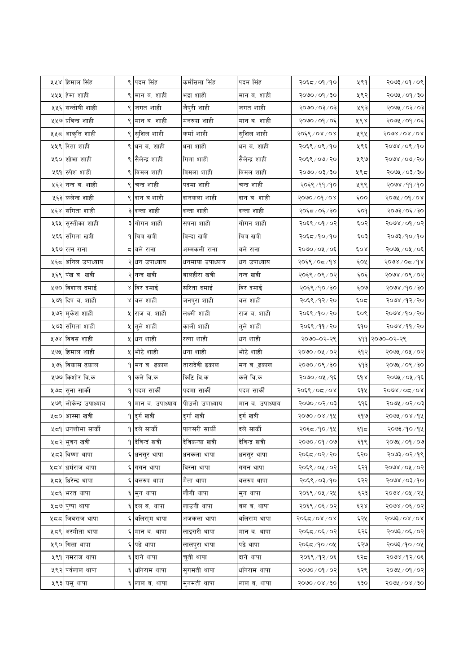| ५५४ हिमाल सिंह                 |   | ९ पदम सिंह                  | कर्मसिला सिंह   | पदम सिंह        | २०६८/०१/१०     | ५९१   | $20/60/\xi$ ९०९                                                                                                                                                                                            |
|--------------------------------|---|-----------------------------|-----------------|-----------------|----------------|-------|------------------------------------------------------------------------------------------------------------------------------------------------------------------------------------------------------------|
| ५५५  हेमा शाही                 | ९ | मान ब. शाही                 | भद्रा शाही      | मान ब. शाही     | २०७० / ०१ / ३० | ५९२   | २०७५ / ०१ / ३०                                                                                                                                                                                             |
| ५५६ सन्तोषी शाही               |   | ९ जगत शाही                  | जैपुरी शाही     | जगत शाही        | २०७० / ०३ / ०३ | ५९३   | २०७५ / ०३/ ०३                                                                                                                                                                                              |
| ५५७ प्रविन्द्र शाही            |   | ९ मान ब. शाही               | मनरुपा शाही     | मान ब. शाही     | २०७० / ०१ / ०६ | ५९४   | २०७५ / ०१ / ०६                                                                                                                                                                                             |
| ५५८ आकृति शाही                 | ९ | सुशिल शाही                  | कर्मा शाही      | सुशिल शाही      | २०६९/०४/०४     | ५९५   | 5098\08\08                                                                                                                                                                                                 |
| ५५९ रिता शाही                  |   | धन ब. शाही                  | धना शाही        | धन ब. शाही      | २०६९/०९/१०     | ५९६   | २०७४ / ०९ / १०                                                                                                                                                                                             |
| ५६० शोभा शाही                  |   | ९ सैलेन्द्र शाही            | गिता शाही       | सैलेन्द्र शाही  | २०६९/०७/२०     | ५९७   | २०७४ / ०७/ २०                                                                                                                                                                                              |
| ५६१ रुपेश शाही                 |   | ९ विमल शाही                 | विमला शाही      | विमल शाही       | २०७० / ०३ / ३० | ५९८   | $50,50 \times 100$                                                                                                                                                                                         |
| ५६२ नन्द ब. शाही               |   | चन्द्र शाही                 | पदमा शाही       | चन्द्र शाही     | २०६९/११/१०     | ५९९   | २०७४ / ११ / १०                                                                                                                                                                                             |
| ५६३ कलेन्द्र शाही              |   | ९ दान ब.शाही                | दानकला शाही     | दान ब. शाही     | २०७०/०१/०४     | ६००   | $5000$ / $6000$                                                                                                                                                                                            |
| ५६४ संगिता शाही                |   | ३ दन्ता शाही                | दन्ता शाही      | दन्ता शाही      | २०६८/०६/३०     | ६०१   | २०७३ / ०६ / ३०                                                                                                                                                                                             |
| ५६५ सुस्तीका शाही              |   | ३ गोगन शाही                 | सपना शाही       | गोगन शाही       | २०६९ / ०१ / ०२ | ६०२   | २०७४ / ०१ / ०२                                                                                                                                                                                             |
| ५६६ संगिता खत्री               |   | <b>१ चित्र खत्री</b>        | विन्दा खत्री    | चित्र खत्री     | २०६८/१०/१०     | ६०३   | २०७३/१०/१०                                                                                                                                                                                                 |
| ५६७ रत्न राना                  |   | द ∣बले राना                 | अम्मकली राना    | बले राना        | २०७० ⁄ ०५ ⁄ ०६ | ६०४   | २०७५ / ०५ / ०६                                                                                                                                                                                             |
| ५६८ अनिल उपाध्याय              |   | धन उपाध्याय                 | धनमाया उपाध्याय | धन उपाध्याय     | २०६९ ⁄ ०द ⁄ १४ | ६०५   | $5008$ / 05/98                                                                                                                                                                                             |
| ५६९ पंख ब. खत्री               |   | २ <mark>नन्द ख</mark> त्री  | बालहीरा खत्री   | नन्द खत्री      | २०६९/०९/०२     | ६०६   | २०७४ / ०९ / ०२                                                                                                                                                                                             |
| ५७० विशाल दमाई                 |   | ४ विर दमाई                  | सरिता दमाई      | विर दमाई        | २०६९/१०/३०     | ६०७   | $5000 \times 100$ हे $\sigma$                                                                                                                                                                              |
| ५७१ दिप ब. शाही                |   | ४ वल शाही                   | जनपुरा शाही     | बल शाही         | २०६९ /१२ / २०  | ६०द   | २०७४ /१२/ २०                                                                                                                                                                                               |
| ५७२ मुकेश शाही                 |   | ५ राज ब. शाही               | लक्ष्मी शाही    | राज ब. शाही     | २०६९ / १० / २० | ६०९   | $800$ ४/१०/२०                                                                                                                                                                                              |
|                                |   |                             |                 |                 |                |       |                                                                                                                                                                                                            |
| ५७३ संगिता शाही                |   | ५  तुले शाही                | काली शाही       | तुले शाही       | २०६९ / ११ / २० | ६१०   |                                                                                                                                                                                                            |
| ५७४ विवस शाही                  |   | ५ धन शाही                   | रत्ना शाही      | धन शाही         | २०७०-०२-२९     |       | ६११ २०७०-०२-२९                                                                                                                                                                                             |
| ५७५ हिमाल शाही                 |   | ५ भोटे शाही                 | धना शाही        | भोटे शाही       | २०७० ⁄ ०५ ⁄ ०२ | ६१२   | २०७४ /११ / २०<br>२०७५ / ०५ / ०२                                                                                                                                                                            |
| ५७६ विकास ढकाल                 |   | १ मन ब. ढकाल                | तारादेवी ढकाल   | मन ब.्ढकाल      | २०७० ⁄ ०९ ⁄ ३० | ६१३   |                                                                                                                                                                                                            |
| ५७७ किशोर वि.क                 |   | १∣कले वि.क                  | किटि वि.क       | कले वि.क        | २०७० ⁄ ०५ ⁄ १६ | و ه ک | २०७५ / ०९ / ३०<br>२०७५ / ०५ / १६                                                                                                                                                                           |
| ५७८ <mark>सुना सार्की</mark>   |   | १ <mark>।</mark> पदम सार्की | पदमा सार्की     | पदम सार्की      | २०६९ / ०८ / ०४ | ६१५   |                                                                                                                                                                                                            |
| ५७९ लोकेन्द्र उपाध्याय         |   | १ मान ब. उपाध्याय           | पीउली उपाध्याय  | मान ब. उपाध्याय | २०७०/०२/०३     | ६१६   |                                                                                                                                                                                                            |
| ५८० आस्मा खत्री                |   | ९ दुर्ग खत्री               | दुर्गाखत्री     | दुर्ग खत्री     | २०७० ⁄ ०४ ⁄ १५ | ६१७   |                                                                                                                                                                                                            |
| ५८१ <mark>धनशोभा सार्की</mark> |   | <mark>१</mark> दले सार्की   | पानसरी सार्की   | दले सार्की      | २०६८ ⁄ १० ⁄ १४ | ६٩ҕ   |                                                                                                                                                                                                            |
| ५८२ <mark>भुवन खत्री</mark>    |   | <b>१ देविन्दं खत्री</b>     | देविकन्या खत्री | देविन्द्र खत्री | २०७०/०१/०७     | ६१९   |                                                                                                                                                                                                            |
| ५८३ विष्णा थापा                | ६ | धनसुर थापा                  | धनकला थापा      | धनसुर थापा      | २०६८/०२/२०     | ६२०   |                                                                                                                                                                                                            |
| ५८४ <mark>धर्मराज थापा</mark>  |   | गगन थापा                    | विस्ना थापा     | गगन थापा        | २०६९ ⁄ ०५ ⁄ ०२ | ६२१   |                                                                                                                                                                                                            |
| ५८५ धिरेन्द्र थापा             | ६ | बलरुप थापा                  | मैता थापा       | बलरुप थापा      | २०६९ / ०३/१०   | ६२२   |                                                                                                                                                                                                            |
| ५८६∣भरत थापा                   |   | ६ मुन थापा                  | लौगी थापा       | मुन थापा        | २०६९ / ०५ / २५ | ६२३   |                                                                                                                                                                                                            |
| ५८७ पुष्पा थापा                |   | दल ब. थापा                  | लाउनी थापा      | बल ब. थापा      | २०६९ / ०६ / ०२ | ६२४   |                                                                                                                                                                                                            |
| ५८८ जिवराज थापा                | ६ | र्बालरा्म थापा              | अजकला थापा      | र्बालराम थापा   | २०६८/०४/०४     | ६२५   | <u> ४०५४/०६/</u> ०४<br>$50/20$ / $200$<br>२०७५ / ०४ / १५<br>२०७३ / १० / १५<br>२०७५ / ०१ / ०७<br>२०७३ ⁄ ०२ ⁄ १९<br>२०७४ / ०५ / ०२<br>२०७४ / ०३/१०<br>२०७४ ⁄ ०५ ⁄ २५<br>२०७४ / ०६ / ०२<br><u> १०७३/०४/०४</u> |
| ५८९ अस्मीता थापा               | ६ | मान ब. थापा                 | लाइसरी थापा     | मान ब. थापा     | २०६८/०६/०२     | ६२६   |                                                                                                                                                                                                            |
| ५९० गिता थापा                  |   | पढे थापा                    | लालपुरा थापा    | पढे थापा        | २०६८/१०/०५     | ६२७   | २०७३/०६/०२<br>२०७३/१०/०५                                                                                                                                                                                   |
| <b>५९१ नमराज</b> थापा          |   | ६ दाने थापा                 | चुती थापा       | दाने थापा       | २०६९/१२/०६     | ६२८   | २०७४ /१२/०६                                                                                                                                                                                                |
| ५९२ पर्वलाल थापा               | ६ | धनिराम थापा                 | सुगमती थापा     | धनिराम थापा     | २०७० / ०१ / ०२ | ६२९   | २०७५ / ०१ / ०२                                                                                                                                                                                             |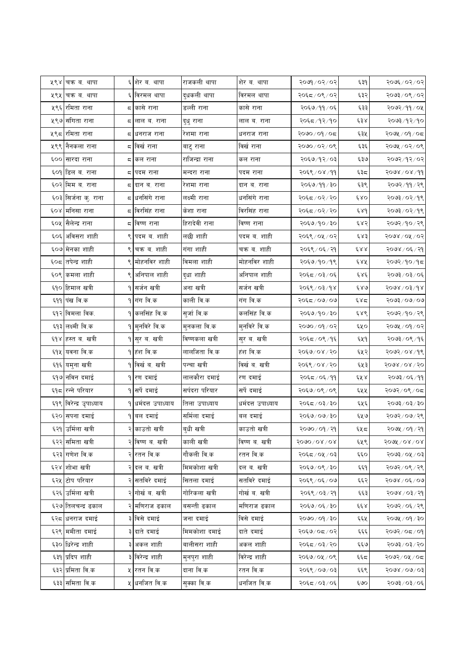|      | ५९४ चक्र ब. थापा        |   | ६ शेर ब. थापा          | राजकली थापा     | शेर ब. थापा       | २०७१ / ०२ / ०२             | ६३१  | २०७६/०२/०२                                          |
|------|-------------------------|---|------------------------|-----------------|-------------------|----------------------------|------|-----------------------------------------------------|
| ५९५। | चक्र ब. थापा            |   | ६ विरमल थापा           | द्धकली थापा     | विरमल थापा        | २०६८/०९/०२                 | ६३२  | २०७३/०९/०२                                          |
|      | ५९६ रमिता राना          |   | ८ कासे राना            | डल्ली राना      | कासे राना         | २०६७/११/०६                 | ६३३  | २०७२/११/०५                                          |
|      | ५९७ संगिता राना         |   | द  लाल ब. राना         | दुधु राना       | लाल ब. राना       | २०६८/१२/१०                 | ६३४  | २०७३/१२/१०                                          |
| ५९८  | रमिता राना              |   | ८ धनराज राना           | रेशमा राना      | धनराज राना        | २०७०/०१/०८                 | ६३५  | २०७५ / ०१ / ०८                                      |
|      | ५९९ नैनकला राना         | ς | विर्ख राना             | बाटु राना       | विर्ख राना        | २०७०/०२/०९                 | ६३६  | २०७५ / ०२ / ०९                                      |
|      | ६०० सारदा राना          |   | द किल राना             | राजिन्द्रा राना | कल राना           | २०६७/१२/०३                 | ६३७  | २०७२/१२/०२                                          |
|      | ६०१ डिल व. राना         | ς | पदम राना               | मन्दरा राना     | पदम राना          | २०६९ / ०४ / ११             | ६३८  | $99 \times 10$                                      |
|      | ६०२ मिम ब. राना         |   | ८ दान ब. राना          | रेशमा राना      | दान ब. राना       | २०६७/११/३०                 | ६३९  | २०७२ / ११ / २९                                      |
|      | ६०३ सिर्जना कु. राना    |   | ८ धनसिंगे राना         | लक्ष्मी राना    | धनसिंगे राना      | २०६८/०२/२०                 | 680  | २०७३/०२/१९                                          |
|      | ६०४ मनिसा राना          |   | ८ विरसिंह राना         | केशा राना       | विरसिंह राना      | २०६८/०२/२०                 | و ۶۶ | २०७३ / ०२ / १९                                      |
|      | ६०५ सैलेन्द्र राना      | ς | विष्ण राना             | हिरादेवी राना   | विष्ण राना        | २०६७/१०/३०                 | ६४२  | २०७२/१०/२९                                          |
| ६०६। | अविसरा शाही             |   | ९ पदम ब. शाही          | लछी शाही        | पदम ब. शाही       | २०६९ / ०५ / ०२             | ६४३  | २०७४ / ०५ / ०२                                      |
|      | ६०७ मेनका शाही          | ९ | चक्र ब. शाही           | गंगा शाही       | चक्र ब. शाही      | २०६९ / ०६ / २१             | 688  | २०७४ / ०६ / २१                                      |
|      | ६०८ तपेन्द्र शाही       |   | मोहनविर शाही           | विमला शाही      | मोहनविर शाही      | २०६७/१०/१९                 | ६४५  | २०७२/१०/१८                                          |
|      | ६०९ कमला शाही           |   | ९ अनिपाल शाही          | दुधा शाही       | अनिपाल शाही       | २०६८/०३/०६                 | څې د | $30/80/\sqrt{20}$                                   |
|      | ६१० हिमाल खत्री         |   | १∣सर्जन खत्री          | अना खत्री       | सर्जन खत्री       | २०६९ / ०३ / १४             | 680  | 5098\03\dg                                          |
|      | ६११ पंख वि.क            |   | <b>१ गंग वि.क</b>      | काली वि.क       | गंग वि.क          | २०६८/०७/०७                 | ६४८  | २०७३ ⁄ ०७ ⁄ ०७                                      |
|      | ६१२ विमला विक.          |   | १ कलसिंह वि.क          | सुर्जा वि.क     | कलसिंह वि.क       | २०६७/१०/३०                 | ६४९  | २०७२/१०/२९                                          |
|      | ६१३ लक्ष्मी वि.क        |   | १∣मुनविरे वि.क         | मुनकला वि.क     | मुनविरे वि.क      | २०७० / ०१ / ०२             | ६५०  | २०७५ / ०१ / ०२                                      |
|      | ६१४ हस्त ब. खत्री       |   | १ सुर ब. खत्री         | विष्णकला खत्री  | सुर ब. खत्री      | २०६८/०९/१६                 | ६५१  | २०७३/०९/१६                                          |
|      | ६१५ यवना वि.क           |   | १ हंश वि.क             | लालजिता वि.क    | हंश वि.क          | २०६७/०४/२०                 | ६५२  | २०७२/०४/१९                                          |
|      | ६१६ यमुना खत्री         |   | <b>१</b> विर्खव. खत्री | पन्चा खत्री     | विर्खत्र खत्री    | २०६९ / ०४ / २०             | ६५३  | २०७४ / ०४ / २०                                      |
|      | ६१७ नविन दमाई           | ۹ | रण दमाई                | लालकौरा दमाई    | रण दमाई           | २०६८/०६/११                 | ६५४  | २०७३ ⁄ ०६ ⁄ ११                                      |
|      | ६१८ रन्ने परियार        |   | १ सर्पे दमाई           | सर्पदरा परियार  | सर्पे दमाई        | २०६७/०९/०९                 | ६५५  | २०७२/०९/०८                                          |
|      | ६१९ विरेन्द्र उृपाध्याय |   | १ धर्मदत्त उपाध्याय    | तिला उपाध्याय   | धर्मदत्त उपाध्याय | २०६८/०३/३०                 | ६५६  | $\text{OS} \setminus \text{SO} \setminus \text{SO}$ |
| ६२०। | सपना दमाई               |   | १∣बल दमाई              | सर्मिला दमाई    | बल दमाई           | २०६७/०७/३०                 | ६५७  | २०७२/०७/२९                                          |
|      | ६२१ उर्मिला खत्री       |   | २ काउतो खत्री          | बुधी खत्री      | काउतो खत्री       | २०७० / ०१ / २१             | ६५८  | २०७५ / ०१ / २१                                      |
|      | ६२२ समिता खत्री         |   | २किष्ण व. खत्री        | काली खत्री      | विष्ण ब. खत्री    | $5000 \times 00 \times 00$ | ६५९  | २०७५ / ०४ / ०४                                      |
|      | ६२३ गणेश वि.क           |   | २ रतन वि.क             | गौकली वि.क      | रतन वि.क          | २०६८/०५/०३                 | ६६०  | २०७३/०५/०३                                          |
|      | ६२४ शोभा खत्री          |   | २ दल ब. खत्री          | मिमकोशा खत्री   | दल ब. खत्री       | २०६७/०९/३०                 | ६६१  | २०७२/०९/२९                                          |
|      | ६२५ टोप परियार          |   | २ सतविरे दमाई          | सितला दमाई      | सतविरे दमाई       | २०६९ / ०६ / ०७             | ६६२  | २०७४ / ०६ / ०७                                      |
|      | ६२६ उर्मिला खत्री       |   | २ गोर्खव. खत्री        | गोरिकला खत्री   | गोर्खव. खत्री     | २०६९/०३/२१                 | ६६३  | $99 \times 50 \times 800$                           |
|      | ६२७ तिलचन्द्र ढकाल      |   | मणिराज ढकाल            | बसन्ती ढकाल     | मणिराज ढकाल       | २०६७/०६/३०                 | ६६४  | २०७२/०६/२९                                          |
|      | ६२८ धनराज दमाई          |   | ३ विसे दमाई            | जना दमाई        | विसे दमाई         | २०७० / ०१ / ३०             | ६६५  | २०७५ / ०१ / ३०                                      |
|      | ६२९ ममीता दमाई          |   | ३ दाते दमाई            | मिमकोशा दमाई    | दाते दमाई         | २०६७/०८/०२                 | ६६६  | १०७२/०८/०१                                          |
|      | ६३० धिरेन्द्र शाही      |   | अकल शाही               | बालीसरा शाही    | अकल शाही          | २०६८/०३/२०                 | ६६७  | २०७३/०३/२०                                          |
|      | ६३१ प्रदिप शाही         |   | ३ विरेन्द्र शाही       | मुनपुरा शाही    | विरेन्द्र शाही    | २०६७/०५/०९                 | ६६८  | २०७२/०५/०८                                          |
|      | ६३२ प्रमिता वि.क        |   | ५ रतन वि.क             | दाना वि.क       | रतन वि.क          | २०६९ / ०७ / ०३             | ६६९  | $50/60 \times 100$                                  |
|      | ६३३ समिता वि.क          |   | ५ धनजित वि.क           | सुक्का वि.क     | धर्नाजत वि.क      | २०६८/०३/०६                 | ६७०  | २०७३/०३/०६                                          |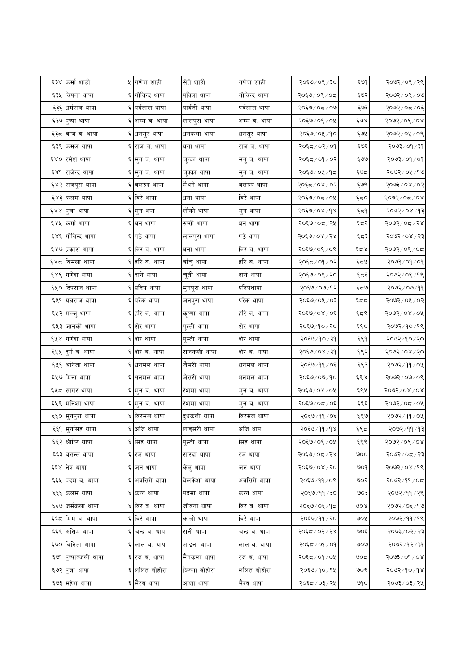|     | ६३४ कर्मा शाही                |    | ५ गणेश शाही    | सेते शाही     | गणेश शाही      | २०६७/०९/३०     | ६७१      | २०७२/०९/२९                |
|-----|-------------------------------|----|----------------|---------------|----------------|----------------|----------|---------------------------|
|     | ६३५ विपना थापा                | ६  | गोविन्द थापा   | पवित्रा थापा  | गोविन्द थापा   | २०६७/०९/०८     | ६७२      | २०७२ / ०९ / ०७            |
|     | ६३६ धर्मराज थापा              | ६  | पर्वलाल थापा   | पार्वती थापा  | पर्वलाल थापा   | २०६७/०८/०७     | ६७३      | २०७२/०८/०६                |
|     | ६३७ पुष्पा थापा               |    | अम्म ब. थापा   | लालपुरा थापा  | अम्म ब. थापा   | २०६७/०९/०५     | ६७४      | २०७२/०९/०४                |
| ६३८ | बाज ब. थापा                   |    | ६ धनसुर थापा   | धनकला थापा    | धनसुर थापा     | २०६७/०५/१०     | ६७५      | २०७२ ⁄ ०५ ⁄ ०९            |
|     | ६३९  कमल थापा                 |    | राज ब. थापा    | धना थापा      | राज ब. थापा    | २०६८/०२/०१     | ६७६      | २०७३ / ०१ / ३१            |
|     | ६४० रमेश थापा                 |    | ६ मुन ब. थापा  | चुन्का थापा   | मनु ब. थापा    | २०६८/०१/०२     | ६७७      | $\gamma$ o $\gamma$ şeloş |
|     | ६४१ राजेन्द्र थापा            |    | मुन ब. थापा    | चुक्का थापा   | मुन ब. थापा    | २०६७/०५/१८     | ६७द      | २०७२ ⁄ ०५ ⁄ १७            |
|     | ६४२ <mark>राजपुरा थापा</mark> |    | बलरुप थापा     | मैथने थापा    | बलरुप थापा     | २०६८/०४/०२     | ६७९      | २०७३/०४/०२                |
|     | ६४३ कलम थापा                  |    | ६ विरे थापा    | धना थापा      | विरे थापा      | २०६७/०८/०५     | ६द०      | २०७२/०८/०४                |
|     | ६४४ पुजा थापा                 | ६  | मुन थपा        | लौकी थापा     | मुन थापा       | २०६७/०४/१४     | ६८१      | २०७२/०४/१३                |
|     | ६४५ किमी थापा                 |    | धन थापा        | रुप्सी थापा   | धन थापा        | २०६७/०८/२५     | ६८२      | २०७२/०८/२४                |
|     | ६४६ गोविन्द थापा              |    | ६ पठे थापा     | लालपुरा थापा  | पठे थापा       | २०६७/०४/२४     | ६८३      | २०७२/०४/२३                |
|     | ६४७ प्रकाश थापा               |    | ६ विर ब. थापा  | धना थापा      | विर ब. थापा    | २०६७/०९/०९     | با کا کا | २०७२/०९/०८                |
|     | ६४८  विमला थापा               |    | ६ हरि ब. थापा  | बाँचु थापा    | हरि ब. थापा    | २०६८/०१/०२     | ६८५      | $\gamma$ o $\gamma$ gelog |
|     | ६४९ गणेश थापा                 |    | ६ दाने थापा    | चुती थापा     | दाने थापा      | २०६७/०९/२०     | ६८६      | २०७२/०९/१९                |
|     | ६५० दिपराज थापा               |    | ६ प्रदिप थापा  | मुनपुरा थापा  | प्रदिपथापा     | २०६७/०७/१२     | ६८७      | २०७२ / ०७ / ११            |
|     | ६५१  यज्ञराज थापा             |    | परेक थापा      | जनपुरा थापा   | परेक थापा      | २०६७/०५/०३     | ६८८      | २०७२/०५/०२                |
|     | ६५२ मञ्जु थापा                |    | ६ हरि ब. थापा  | कृष्णा थापा   | हरि ब. थापा    | २०६७/०४/०६     | ६८९      | $5005$ े ०,४              |
|     | ६५३ जानकी थापा                |    | ६ शेर थापा     | पुल्ती थापा   | शेर थापा       | २०६७/१०/२०     | ६९०      | २०७२/१०/१९                |
|     | ६५४ गणेश थापा                 |    | शेर थापा       | पुल्ती थापा   | शेर थापा       | २०६७/१०/२१     | ६९१      | २०७२/१०/२०                |
|     | ६५५ दुर्ग ब. थापा             |    | ६ शेर ब. थापा  | राजकली थापा   | शेर ब. थापा    | २०६७/०४/२१     | ६९२      | २०७२/०४/२०                |
|     | ६५६ अनिता थापा                |    | ६ धनमल थापा    | जैसरी थापा    | धनमल थापा      | २०६७/११/०६     | ६९३      | २०७२/११/०५                |
|     | ६५७ मिना थापा                 |    | धनमल थापा      | जैसरी थापा    | धनमल थापा      | २०६७/०७/१०     | ६९४      | २०७२ ⁄ ०७ ⁄ ०९            |
|     | ६५८ सागर थापा                 |    | ६ मुन ब. थापा  | रेशमा थापा    | मुन ब. थापा    | २०६७/०४/०५     | ६९५      | 5005/08/08                |
|     | ६५९ मनिशा थापा                |    | ६ मुन ब. थापा  | रेशमा थापा    | मुन ब. थापा    | २०६७/०८/०६     | ६९६      | २०७२/०८/०५                |
|     | ६६० मुनपुरा थापा              | ६  | विरमल थापा     | दुधकली थापा   | विरमल थापा     | २०६७/११/०६     | ६९७      | २०७२ ⁄ ११ ⁄ ०५            |
|     | ६६१  मृनसिंह थापा             |    | ६ अजि थापा     | लाइसरी थापा   | अजि थाप        | २०६७/११/१४     | ६९८      | २०७२/११/१३                |
|     | ६६२ श्रीष्टि थापा             |    | ६ सिंह थापा    | पुल्ती थापा   | सिंह थापा      | २०६७/०९/०५     | ६९९      | २०७२/०९/०४                |
|     | ६६३ बसन्त थापा                | ६  | रज थापा        | सारदा थापा    | रज थापा        | २०६७/०८/२४     | ७००      | २०७२/०८/२३                |
|     | ६६४  नेत्र थापा               | Ę. | जन थापा        | केलु थापा     | जन थापा        | २०६७/०४/२०     | ७०१      | २०७२/०४/१९                |
|     | ६६५ पदम ब. थापा               | ६  | अवसिंगे थापा   | बेलकेशा थापा  | अवसिंगे थापा   | २०६७/११/०९     | ७०२      | २०७२/११/०८                |
|     | ६६६ कलम थापा                  | ६  | कन्न थापा      | पदमा थापा     | कन्न थापा      | २०६७/११/३०     | ७०३      | २०७२ ⁄ ११ ⁄ २९            |
|     | ६६७ जर्मकला थापा              | ६  | विर ब. थापा    | जोवना थापा    | विर ब. थापा    | २०६७/०६/१८     | 908      | २०७२ ⁄ ०६ ⁄ १७            |
|     | ६६८ मिम ब. थापा               |    | ६ विरे थापा    | काली थापा     | विरे थापा      | २०६७/११/२०     | ७०५      | २०७२ / ११ / १९            |
|     | ६६९ असिम थापा                 | ६  | चन्द्र ब. थापा | रानी थापा     | चन्द्र ब. थापा | २०६८/०२/२४     | ७०६      | २०७३ / ०२ / २३            |
|     | ६७० विनिता थापा               |    | लाल ब. थापा    | आइना थापा     | लाल ब. थापा    | २०६द ∕ ०१ ∕ ०१ | ७०७      | २०७२ ⁄ १२ ⁄ ३१            |
|     | ६७१  पुष्पाञ्जली थापा         |    | ६ रज ब. थापा   | मैनकला थापा   | रज ब. थापा     | २०६८/०१/०५     | ७०८      | २०७३/०१/०४                |
|     | ६७२ पुजा थापा                 |    | ललित बोहोरा    | किष्णा बोहोरा | ललित बोहोरा    | २०६७/१०/१५     | ७०९      | २०७२/१०/१४                |
|     | ६७३ महेश थापा                 |    | भैरब थापा      | आशा थापा      | भैरव थापा      | २०६८/०३/२५     | ७१०      | २०७३ ⁄ ०३ ⁄ २५            |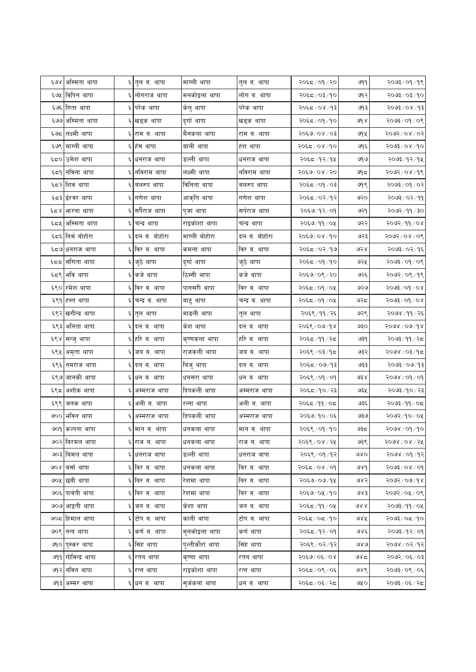|      | ६७४ अस्मिता थापा   |    | ६ तुल ब. थापा  | माग्ली थापा     | तुल ब. थापा    | २०६८/०१/२०     | ७११  | २०७३/०१/१९          |
|------|--------------------|----|----------------|-----------------|----------------|----------------|------|---------------------|
|      | ६७५ विपिन थापा     | ६  | लोगराज थापा    | मनकोइला थापा    | लोग ब. थापा    | २०६८/०३/१०     | ७१२  | २०७३ ⁄ ०३ ⁄ १०      |
|      | ६७६ गिता थापा      | ६  | परेक थापा      | केलु थापा       | परेक थापा      | २०६८/०४/१३     | ও৭ ३ | २०७३ ⁄ ०४ ⁄ १३      |
|      | ६७७ अस्मिता थापा   | ६  | खड्क थापा      | दुर्गा थापा     | खड्क थापा      | २०६८/०१/१०     | ad & | २०७३/०९/०९          |
|      | ६७८ लक्ष्मी थापा   | ६  | राम ब. थापा    | मैनकला थापा     | राम ब. थापा    | २०६७/०४/०३     | ७१५  | २०७२/०४/०२          |
|      | ६७९ माग्ली थापा    | ६  | हंस थापा       | बाली थापा       | हश थापा        | २०६८/०४/१०     | ७१६  | २०७३/०४/१०          |
|      | ६८० उिमेश थापा     | ६  | धनराज थापा     | डल्ली थापा      | धनराज थापा     | २०६८/१२/१५     | ७१७  | २०७३ ⁄ १२ ⁄ १४      |
|      | ६८९  र्नावना थापा  | ६  | नविराम थापा    | लक्ष्मी थापा    | नविराम थापा    | २०६७/०४/२०     | ७१८  | २०७२/०४/१९          |
|      | ६८२ शिव थापा       |    | बलरुप थापा     | विनिता थापा     | बलरुप थापा     | २०६८/०१/०३     | ७१९  | २०७३ ⁄ ०१ ⁄ ०२      |
|      | ६८३ ईश्वर थापा     | ६  | गणेश थापा      | आकृति थापा      | गणेश थापा      | २०६८/०२/१२     | ७२०  | २०७३ / ०२ / ११      |
|      | ६८४ भारना थापा     | ٤  | सपैराज थापा    | पुजा थापा       | सर्पराज थापा   | २०६७/१२/०१     | ७२१  | २०७२ ⁄ ११ ⁄ ३०      |
| ६८५  | अस्मिता थापा       |    | चन्द्र थापा    | राइकोशा थापा    | चन्द्र थापा    | २०६७/११/०५     | ७२२  | २०७२/११/०४          |
|      | ६८६ निर्म बोहोरा   | ६  | दल ब. बोहोरा   | माग्ली बोहोरा   | दल ब. बोहोरा   | २०६७/०४/१०     | ७२३  | $50/80/\sqrt{5605}$ |
|      | ६द७ धनराज थापा     | Ę  | विर ब. थापा    | कमला थापा       | विर ब. थापा    | २०६८/०२/१७     | ७२४  | २०७३/०२/१६          |
| ६दद। | संगिता थापा        |    | जुठे थापा      | दुर्गा थापा     | जुठे थापा      | २०६८/०१/१०     | ७२५  | २०७३/०९/०९          |
|      | ६८९ भवि थापा       | ६  | कजे थापा       | ठिम्सी थापा     | कजे थापा       | २०६७/०९/२०     | ७२६  | २०७२/०९/१९          |
|      | ६९० रिमेश थापा     |    | ६ विर ब. थापा  | पानसरी थापा     | विर ब. थापा    | २०६८/०१/०५     | ৩২৩  | $80/60/860$ र       |
|      | ६९१ हस्त थापा      | ६  | चन्द्र ब. थापा | बाटु थापा       | चन्द्र ब. थापा | २०६८/०१/०५     | ७२८  | $500$ $/$ $00$      |
|      | ६९२ खगीन्द्र थापा  | Ę  | तुल थापा       | माङली थापा      | तुल थापा       | २०६९ ⁄ ११ ⁄ २६ | ७२९  | २०७४ ⁄ ११ ⁄ २६      |
|      | ६९३ अनिता थापा     | ६  | दल ब. थापा     | केश थापा        | दल ब. थापा     | २०६९ / ०७/१४   | ७३०  | 5098\00\dx          |
| ६९४  | सन्जु थापा         | ६  | हरि ब. थापा    | कृष्णकला थापा   | हरि ब. थापा    | २०६द ⁄ ११ ⁄ २द | ७३१  | २०७३ ⁄ ११ ⁄ २८      |
|      | ६९५ अमृता थापा     | Ę. | जय ब. थापा     | राजकली थापा     | जय ब. थापा     | २०६९ ⁄ ०३ ⁄ १८ | ७३२  | २०७४ ⁄ ०३ ⁄ १८      |
|      | ६९६ नमराज थापा     | ६  | दल ब. थापा     | बिजु थापा       | दल ब. थापा     | २०६८/०७/१३     | ७३३  | २०७३ ⁄ ०७ ⁄ १३      |
|      | ६९७ जानकी थापा     | ६  | धन ब. थापा     | धनसरा थापा      | धन ब. थापा     | २०६९ / ०१ / ०१ | ও३४  | $600$ / $60\%$      |
|      | ६९८  अशोक थापा     | ६  | अम्मराज थापा   | दिपकली थापा     | अम्मराज थापा   | २०६८/१०/२३     | ७३५  | २०७३ ⁄ १० ⁄ २३      |
|      | ६९९ जनक थापा       | ६  | अली ब. थापा    | रन्ना थापा      | अली ब. थापा    | २०६द ⁄ ११ ⁄ ०द | ७३६  | २०७३/११/०८          |
|      | ७०० भविन थापा      |    | अम्मराज थापा   | दिपकली थापा     | अम्मराज थापा   | २०६७/१०/०६     | ৩३७  | २०७२/१०/०५          |
|      | ७०१ कल्पना थापा    |    | ६ मान ब. थापा  | धनकला थापा      | मान ब. थापा    | २०६९ / ०१ / १० | ಅಕಿಲ | २०७४ / ०१ / १०      |
|      | ७०२।बिरमल थापा     | ६  | राज ब. थापा    | धनकला थापा      | राज ब. थापा    | २०६९ ⁄ ०४ ⁄ २५ | ७३९  | २०७४ / ०४ / २५      |
|      | ७०३ बिमल थापा      | Ę  | धनराज थापा     | डल्ली थापा      | धनराज थापा     | २०६९ / ०१ / १२ | ७४०  | २०७४ ⁄ ०१ ⁄ १२      |
|      | ७०४ विसो थापा      | ६  | बिर ब. थापा    | धनकला थापा      | बिर ब. थापा    | २०६८/०४/०१     | ७४१  | २०७३ ⁄ ०४ ⁄ ०१      |
|      | ७०५ छिबी थापा      |    | ६ बिर ब. थापा  | रेशमा थापा      | बिर ब. थापा    | २०६७/०७/१५     | ७४२  | २०७२ ⁄ ०७ ⁄ १४      |
|      | ७०६ पार्वती थापा   | Ę  | बिर ब. थापा    | रेशमा थापा      | बिर ब. थापा    | २०६७/०५/१०     | ७४३  | २०७२ ⁄ ०५ ⁄ ०९      |
|      | ७०७ आइती थापा      | ६  | जन ब. थापा     | केशा थापा       | जन ब. थापा     | २०६८ /११ / ०५  | 1988 | २०७३/११/०५          |
|      | ७०८ हिमाल थापा     |    | ६ टोप ब. थापा  | काली थापा       | टोप ब. थापा    | २०६८/०८/१०     | १४४  | २०७३ ⁄ ०८ ⁄ १०      |
|      | ७०९  नन्द थापा     | ६  | कर्ण ब. थापा   | म्नकोइला थापा   | कर्ण थापा      | २०६८/१२/०१     | ७४६  | २०७३ ⁄ १२ ⁄ ०१      |
|      | ७१० पुस्कर थापा    | ६  | सिंह थापा      | पुल्तीकौरा थापा | सिंह थापा      | २०६९ ⁄ ०२ ⁄ १२ | ७४७  | २०७४ ⁄ ०२ ⁄ १२∣     |
|      | ७११ गोविन्द्र थापा | ६  | रतन थापा       | कृष्णा थापा     | रतन थापा       | २०६७/०६/०४     | ও४८  | २०७२ ⁄ ०६ ⁄ ०३      |
|      | ७१२ नोवन थापा      | ६  | रत्न थापा      | राइकोशा थापा    | रत्न थापा      | २०६८/०९/०६     | ७४९  | २०७३/०९/०६          |
|      | ७१३ अम्मर थापा     | ६  | धन ब. थापा     | सुर्जकला थापा   | धन ब. थापा     | २०६द / ०६ / २द | ७५०  | २०७३/०६/२८          |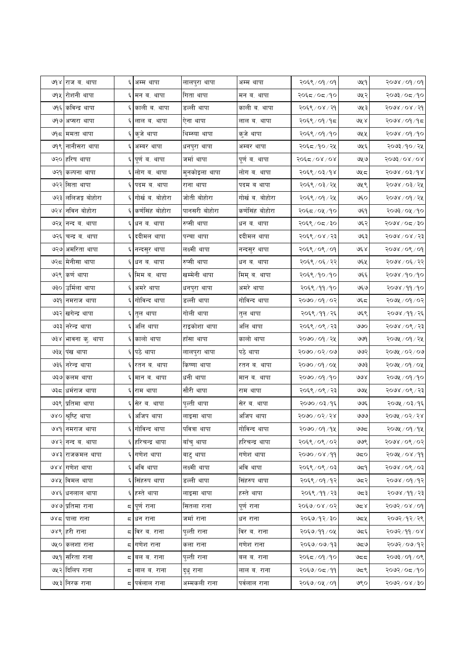|                      | ७१४ राज ब. थापा    |            | ६ अम्म थापा       | लालपुरा थापा  | अम्म थापा       | $\gamma$ ०६९ $\gamma$ ०१८२ | ७५१    | २०७४ / ०१ / ०१     |
|----------------------|--------------------|------------|-------------------|---------------|-----------------|----------------------------|--------|--------------------|
|                      | ७१५ रोशनी थापा     |            | ६ मन ब. थापा      | गिता थापा     | मन ब. थापा      | २०६द ⁄ ०द ⁄ १०             | ७५२    | २०७३/०८/१०         |
|                      | ७१६ कविन्द्र थापा  |            | काली ब. थापा      | डल्ली थापा    | काली ब. थापा    | २०६९ / ०४ / २१             | ७५३    | २०७४ / ०४ / २१     |
| ७१७                  | अप्सरा थापा        |            | ६ लाल ब. थापा     | ऐना थापा      | लाल ब. थापा     | २०६९ / ०१ / १८             | এর্ ৪  | २०७४ / ०१ / १८     |
|                      | ७१८  ममता थापा     |            | ६ कुजे थापा       | थिम्स्या थापा | कुजे थापा       | २०६९ / ०१ / १०             | ७५५    | २०७४ / ०१ / १०     |
| ७१९।                 | नानीसरा थापा       |            | अम्बर थापा        | धनपुरा थापा   | अम्बर थापा      | २०६८ /१० / २५              | ७५६    | २०७३ / १० / २५     |
| ७२०।                 | हरिष थापा          |            | ६ पूर्ण ब. थापा   | जर्मा थापा    | पूर्ण ब. थापा   | २०६८/०४/०४                 | ७५७    | $5003$ \ 0.8 \ 0.8 |
|                      | ७२१  कल्पना थापा   | $\epsilon$ | लोग ब. थापा       | मुनकोइला थापा | लोग ब. थापा     | २०६९ / ०३/१४               | ৩५८    | २०७४ ⁄ ०३ ⁄ १४     |
|                      | ७२२ सिता थापा      |            | ६ पदम ब. थापा     | राना थापा     | पदम ब थापा      | २०६९ / ०३ / २५             | ७५९    | २०७४ / ०३ / २५     |
|                      | ७२३ ललिजङ्ग बोहोरा |            | ६ गोर्ख ब. बोहोरा | जोती बोहोरा   | गोर्ख ब. बोहोरा | २०६९ / ०१ / २५             | ७६०    | २०७४ ⁄ ०१ ⁄ २५     |
| ७२४।                 | नविन बोहोरा        |            | ६ कर्णसिंह बोहोरा | पानसरी बोहोरा | कर्णसिंह बोहोरा | २०६८/०५/१०                 | ७६१    | २०७३/०५/१०         |
| ७२५                  | नन्द ब. थापा       |            | ६ धन ब. थापा      | रुप्सी थापा   | धन ब. थापा      | २०६९ / ०८ / ३०             | ७६२    | २०७४ / ०८ / ३०     |
| ७२६।                 | चन्द्र ब. थापा     |            | ६ ददीमल थापा      | पन्चा थापा    | ददीमल थापा      | २०६९ / ०४ / २३             | ७६३    | २०७४ / ०४ / २३     |
| ও২৩                  | अमरिता थापा        |            | ६ नन्दसुर थापा    | लक्ष्मी थापा  | नन्दसुर थापा    | २०६९/०९/०१                 | ७६४    | २०७४ / ०९ / ०१     |
| ७२८                  | मेनीसा थापा        |            | ६ धन ब. थापा      | रुप्सी थापा   | धन ब. थापा      | २०६९ / ०६ / २२             | ७६५    | २०७४ / ०६ / २२     |
| ७२९।                 | कर्ण थापा          |            | ६ मिम ब. थापा     | खम्मेनी थापा  | मिम् ब. थापा    | २०६९ /१० /१०               | ७६६    | २०७४ ⁄ १० ⁄ १०     |
| ७३०।                 | उर्मिला थापा       |            | ६ अमरे थापा       | धनपुरा थापा   | अमरे थापा       | २०६९ ⁄ ११ ⁄ १०             | ও६७    | २०७४ ⁄ ११ ⁄ १०     |
| ७३१।                 | नमराज थापा         | ६          | गोविन्द थापा      | डल्ली थापा    | गोविन्द थापा    | २०७० ⁄ ०१ ⁄ ०२             | ওৎন    | २०७५ / ०१ / ०२     |
|                      | ७३२ खगेन्द्र थापा  |            | ६ तुल थापा        | गोली थापा     | तुल थापा        | २०६९ / ११ / २६             | ७६९    | २०७४ ⁄ ११ ⁄ २६     |
|                      | ७३३ नरेन्द्र थापा  |            | ६ अलि थापा        | राइकोशा थापा  | अलि थापा        | २०६९ / ०९ / २३             | ৩৩০    | २०७४ / ०९ / २३     |
| ও३४                  | भावना कु. थापा     |            | ६ कालो थापा       | हॉसा थापा     | कालो थापा       | २०७० / ०१ / २५             | ७७९    | २०७५ / ०१ / २५     |
|                      | ७३५  पख थापा       |            | ६ पठे थापा        | लालपुरा थापा  | पठे थापा        | २०७०/०२/०७                 | ७७२    | २०७५ / ०२ / ०७     |
| ७३६।                 | नरेन्द्र थापा      |            | ६ रतन ब. थापा     | किष्णा थापा   | रतन ब. थापा     | २०७०/०१/०५                 | ওওর্   | २०७५ / ०१ / ०५     |
| ওঃও                  | कलम थापा           |            | ६ मान ब. थापा     | धनी थापा      | मान ब. थापा     | २०७० / ०१ / १०             | ७७४    | २०७५ / ०१ /१०      |
|                      | ७३८ धर्मराज थापा   |            | ६ राम थापा        | सौरी थापा     | राम थापा        | २०६९ / ०९ / २३             | ওওঁই   | २०७४ / ०९ / २३     |
| ७३९                  | प्रतिमा थापा       |            | ६ सेर ब. थापा     | पुल्ती थापा   | सेर ब. थापा     | २०७०/०३/१६                 | ৩७६    | २०७५ / ०३/१६       |
| $\partial \lambda$ O | श्रृष्टि थापा      |            | ६ अजिप थापा       | लाइसा थापा    | अजिप थापा       | २०७०/०२/२४                 | ७७७    | २०७५ / ०२ / २४     |
|                      | ७४१  नमराज थापा    |            | ६ गोविन्द थापा    | पवित्रा थापा  | गोविन्द थापा    | २०७० ⁄ ०१ ⁄ १५             | ಅಅಧ    | २०७५ / ०१ / १५     |
|                      | ७४२ नन्द ब. थापा   |            | ६ हरिचन्द्र थापा  | बॉच् थापा     | हरिचन्द्र थापा  | २०६९ / ०९ / ०२             | ७७९    | २०७४ / ०९ / ०२     |
|                      | ७४३ राजकमल थापा    |            | ६ गणेश थापा       | बाटु थापा     | गणेश थापा       | २०७० ⁄ ०४ ⁄ ११             | ಅದ೦    | २०७५ / ०४ /११      |
| QXX                  | गणेश थापा          |            | ६ भवि थापा        | लक्ष्मी थापा  | भवि थापा        | २०६९ / ०९ / ०३             | ಅದ9    | २०७४ / ०९ / ०३।    |
|                      | ७४५ विमल थापा      |            | ६ सिंहरुप थापा    | डल्ली थापा    | सिंहरुप थापा    | २०६९ / ०१ / १२             | ७द२    | २०७४ / ०१ / १२     |
|                      | ७४६ धनलाल थापा     |            | ६ हस्ते थापा      | लाइसा थापा    | हस्ते थापा      | २०६९ / ११ / २३             | ಅದ३    | २०७४ ⁄ ११ ⁄ २३     |
|                      | ७४७ प्रतिमा राना   |            | ८ पूर्ण राना      | सितला राना    | पूर्ण राना      | २०६७/०४/०२                 | 9⊄ న   | २०७२ ⁄ ०४ ⁄ ०१     |
|                      | ७४८ पाला राना      |            | द धन राना         | जर्मा राना    | धन राना         | २०६७/१२/३०                 | ওন্ন্য | २०७२ / १२ / २९     |
|                      | ७४९ हरी राना       |            | द ∣विर ब. राना    | पल्ती राना    | विर ब. राना     | २०६७/११/०५                 | ಅದ್    | २०७२/११/०४         |
|                      | ७५० कलशा राना      |            | द गणेश राना       | कला राना      | गणेश राना       | २०६७/०७/१३                 | ಅಧಅ    | २०७२ ⁄ ०७ ⁄ १२∣    |
|                      | ७५१ सरिता राना     |            | द ∣बल ब. राना     | पुल्ती राना   | बल ब. राना      | २०६८ / ०१ / १०             | ಅದದ    | २०७३ ⁄ ०१ ⁄ ०९     |
|                      | ७५२ दिलिप राना     |            | द∣लाल ब. राना     | दुधु राना     | लाल ब. राना     | २०६७ ⁄ ०८ ⁄ ११             | ಅದ९    | २०७२ ⁄ ०८ ⁄ १०     |
|                      | ७५३ निरक राना      |            | ८∣पर्वलाल राना    | अम्मकली राना  | पर्वलाल राना    | २०६७/०५/०१                 | ७९०    | २०७२ ⁄ ०४ ⁄ ३०     |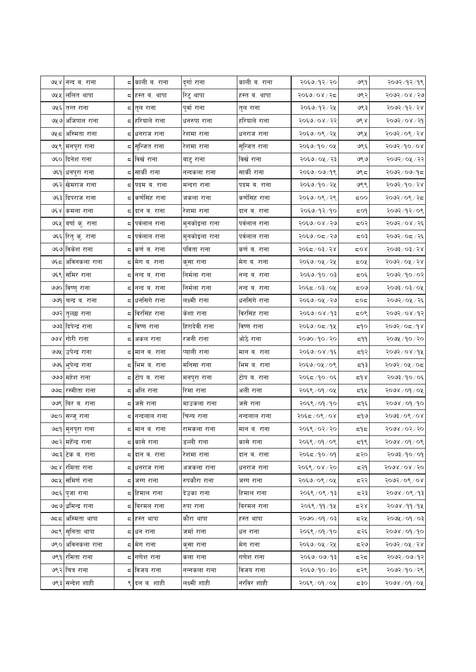|     | ७५४ नन्द ब. राना    |    | द काली ब. राना               | दुर्गा राना   | काली ब. राना   | २०६७/१२/२०     | ७९१   | २०७२/१२/१९     |
|-----|---------------------|----|------------------------------|---------------|----------------|----------------|-------|----------------|
|     | ७५५  ललित थापा      |    | द∣हस्त ब. थापा               | रिटु थापा     | हस्त ब. थापा   | २०६७/०४/२८     | ७९२   | २०७२ / ०४ / २७ |
|     | ७५६ तन्त राना       |    | ८∣तुल राना                   | पुर्वा राना   | तुल राना       | २०६७/१२/२५     | ७९३   | २०७२ / १२ / २४ |
|     | ७५७ अजिपाल राना     |    | द <mark>∤हरियाले राना</mark> | धनरुपा राना   | हरियाले राना   | २०६७/०४/२२     | ७९४   | २०७२/०४/२१     |
| ৩५८ | अस्मिता राना        | ς. | धनराज राना                   | रेशमा राना    | धनराज राना     | २०६७/०९/२५     | ७९५   | २०७२ / ०९ / २४ |
|     | ७५९ मनपुरा राना     | ς  | सुन्जित राना                 | रेशमा राना    | सुन्जित राना   | २०६७/१०/०५     | ७९६   | २०७२/१०/०४     |
|     | ७६० दिनेश राना      |    | ८ विर्ख राना                 | बाटु राना     | विर्ख राना     | २०६७/०५/२३     | ७९७   | २०७२/०५/२२     |
|     | ७६१ धनपुरा राना     | Ξ, | साकी राना                    | नन्दकला राना  | सार्की राना    | २०६७/०७/१९     | ಅ९८   | २०७२/०७/१८     |
|     | ७६२ खेमराज राना     | Ξ, | पदम ब. राना                  | मन्दरा राना   | पदम ब. राना    | २०६७/१०/२५     | ७९९   | २०७२/१०/२४     |
|     | ७६३ दिपराज राना     | Ξ, | कर्णसिंह राना                | जकला राना     | कर्णसिंह राना  | २०६७/०९/२९     | ಧ೦೦   | २०७२/०९/२८     |
|     | ७६४ कमला राना       | ς  | दान ब. राना                  | रेशमा राना    | दान ब. राना    | २०६७/१२/१०     | ದ೦१   | २०७२/१२/०९     |
| ७६५ | बर्षा कु. राना      | ς  | पर्वलाल राना                 | मुनकोइला राना | पर्वलाल राना   | २०६७/०४/२७     | द्रा  | २०७२/०४/२६     |
|     | ७६६ रितु कृ. राना   | Ξ, | पर्वलाल राना                 | मुनकोइला राना | पर्वलाल राना   | २०६७/०८/२७     | ८०३   | २०७२/०८/२६     |
|     | ७६७ विकेश राना      | ς  | कर्ण ब. राना                 | र्पावता राना  | कर्ण ब. राना   | २०६८/०३/२४     | ದ೦४   | २०७३/०३/२४     |
| ঙ্ঘ | अविनकला राना        |    | ८  मेग ब. राना               | कुसा राना     | मेग ब. राना    | २०६७/०५/२५     | ८०५   | २०७२/०५/२४     |
|     | ७६९ समिर राना       |    | द ∣नन्द ब. राना              | निर्मला राना  | नन्द ब. राना   | २०६७/१०/०३     | द्र0६ | २०७२/१०/०२     |
|     | ७७० विष्णु राना     | ς  | नन्द ब. राना                 | निर्मला राना  | नन्द ब. राना   | २०६८/०३/०५     | ಧ೦ಅ   | २०७३/०३/०५     |
|     | ७७१ चन्द्र ब. राना  | Ξ, | धनसिगे राना                  | लक्ष्मी राना  | धर्नासंगे राना | २०६७/०५/२७     | ದ೦ದ   | २०७२/०५/२६     |
|     | ७७२ तुल्छा राना     |    | ८ विरसिंह राना               | केशा राना     | विरसिंह राना   | २०६७/०४/१३     | ८०९   | २०७२/०४/१२     |
|     | ७७३ दिपेन्द्रं राना |    | द विष्ण राना                 | हिरादेवी राना | विष्ण राना     | २०६७/०८/१५     | ధిం   | २०७२ ⁄ ०८ ⁄ १४ |
| ७७४ | ं गोरी राना         | ς  | अकल राना                     | रजनी राना     | ओठे राना       | २०७० / १० / २० | 599   | २०७५ ⁄ १० ⁄ २० |
|     | ७७५ उपेन्द्रं राना  |    | द ∣मान ब. राना               | प्याली राना   | मान ब. राना    | २०६७/०४/१६     | द१२   | २०७२/०४/१५     |
|     | ७७६ भुपेन्द्र राना  |    | ८ भिम ब. राना                | मनिसा राना    | भिम ब. राना    | २०६७/०५/०९     | द१३   | २०७२/०५/०८     |
|     | ७७७ महेश राना       |    | ८ टोप ब. राना                | मनपुरा राना   | टोप ब. राना    | २०६८/१०/०६     | لا ه  | २०७३/१०/०६     |
|     | ७७८  रस्मीता राना   | ς  | र्आल राना                    | रिमा राना     | अली राना       | २०६९ / ०१ / ०५ | द१५   | २०७४ / ०१ / ०५ |
|     | ७७९ बिर ब. राना     | Ξ, | जसे राना                     | माउकला राना   | जसे राना       | २०६९ / ०१ / १० | द१६   | २०७४ / ०१ / १० |
|     | ७८० सन्जु राना      | ς  | नन्दलाल राना                 | चिन्य राना    | नन्दलाल राना   | २०६८/०९/०४     | द१७   | २०७३ / ०९ / ०४ |
|     | ७द्र9  मुनपुरा राना |    | द  मान ब. राना               | रामकला राना   | मान ब. राना    | २०६९ / ०२ / २० | دا د  | २०७४ / ०२ / २० |
|     | ७८२ महॅन्द्र राना   |    | ८∣कासे राना                  | डल्ली राना    | कासे राना      | २०६९/०१/०९     | द१९   | २०७४ / ०१ / ०९ |
|     | ७८३ टेक व. राना     |    | ८∣दान ब. राना                | रेशमा राना    | दान ब. राना    | २०६८/१०/०१     | द२०   | २०७३/१०/०१     |
|     | ७८४  रोमता राना     | Ξ, | धनराज राना                   | अजकला राना    | धनराज राना     | २०६९ ⁄ ०४ ⁄ २० | द२१   | २०७४ / ०४ / २० |
|     | ७८५ सिमिर्ण राना    |    | द जग्ग राना                  | रुपकौरा राना  | जग्ग राना      | २०६७/०९/०५     | द२२   | २०७२/०९/०४     |
|     | ७द६ पुजा राना       |    | ८∣हिमाल राना                 | देउका राना    | हिमाल राना     | २०६९ / ०९ / १३ | द२३   | २०७४ / ०९ / १३ |
|     | ७८७ धमिन्द्र राना   |    | ८∥बरमल राना                  | रुपा राना     | बिरमल राना     | २०६९ / ११ / १५ | द२४   | २०७४ ⁄ ११ ⁄ १५ |
|     | ७८८ अस्मिता थापा    |    | ८∣हस्त थापा                  | कौरा थापा     | हस्त थापा      | २०७० / ०१ / ०३ | द२५   | २०७५ / ०१ / ०३ |
| ಅದ९ | सुनिता थापा         | Ξ, | धन राना                      | जर्मा राना    | धन राना        | २०६९ / ०१ / १० | द२६   | २०७४ / ०१ / १० |
| ७९० | अविनकला राना        |    | द ∣मेग राना                  | क्सा राना     | मेग राना       | २०६७/०५/२५     | द२७   | २०७२ ⁄ ०५ ⁄ २४ |
|     | ७९१ रमिता राना      |    | ८∣गणेश राना                  | कला राना      | गणेश राना      | २०६७/०७/१३     | द२द   | २०७२/०७/१२     |
|     | ७९२ चित्र राना      |    | ८ विजय राना                  | नन्नकला राना  | विजय राना      | २०६७/१०/३०     | द२९   | २०७२ / १० / २९ |
|     | ७९३ सन्देश शाही     |    | ९ दल ब. शाही                 | लक्ष्मी शाही  | नरविर शाही     | २०६९ / ०१ / ०५ | ಧ३೦   | २०७४ / ०१ / ०५ |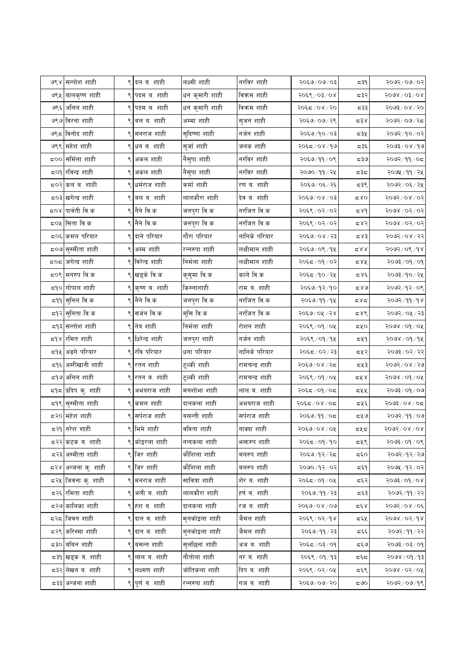|        | ७९४ सन्तोश शाही                  |   | ९ दल ब. शाही     | लक्ष्मी शाही   | नरविर शाही     | १०६७/०७/०३     | ⊊३१     | २०७२/०७/०२                             |
|--------|----------------------------------|---|------------------|----------------|----------------|----------------|---------|----------------------------------------|
| ७९५    | बालकृष्ण शाही                    | ९ | पदम ब. शाही      | धन कुमारी शाही | विकम शाही      | २०६९ / ०३/ ०४  | द३२     | $5008\backslash$ 0 $\frac{5008}{5000}$ |
|        | ७९६ अनिल शाही                    |   | पदम ब. शाही      | धन कुमारी शाही | विक्रम शाही    | २०६८/०४/२०     | द३३     | २०७३/०४/२०                             |
|        | ७९७ विरना शाही                   |   | ९ बल ब. शाही     | अम्मा शाही     | सुजन शाही      | २०६७/०७/२९     | ⊄ ځ بر  | २०७२/०७/२८                             |
| ७९८    | विनोद शाही                       | ९ | मनराज शाही       | सुदिष्णा शाही  | नर्जन शाही     | २०६७/१०/०३     | ದ३⊻     | २०७२/१०/०२                             |
|        | ७९९ महेश शाही                    |   | ९ धन ब. शाही     | सुर्जा शाही    | जनक शाही       | २०६८/०४/१७     | द३६     | २०७३/०४/१७                             |
| ದ೦೦    | सर्मिला शाही                     |   | ९ अकल शाही       | नैसुपा शाही    | नरविर शाही     | २०६७/११/०९     | ಧ३७     | २०७२ / ११ / ०८                         |
|        | ८०१ रविन्द्र शाही                | ९ | अकल शाही         | नैसुपा शाही    | नरविर शाही     | २०७०/११/२५     | ಧ३ಧ     | २०७५ /११ / २५                          |
|        | ८०२ कल ब. शाही                   |   | धर्मराज शाही     | कर्मा शाही     | रण ब. शाही     | २०६७/०६/२६     | द३९     | २०७२/०६/२५                             |
|        | द्र0३ खगेन्द्र शाही              |   | ९ बल ब. शाही     | लालकौरा शाही   | देव ब. शाही    | २०६७/०४/०३     | 580     | २०७२/०४/०२                             |
| ⊄೦४    | पार्वती वि.क                     |   | ९ नैने वि.क      | जनपुरा वि.क    | नरजित वि.क     | २०६९ / ०२ / ०२ | 5,84    | २०७४ / ०२ / ०२                         |
|        | ८०५ सिता वि.क                    |   | ९ नैने वि.क      | जनपुरा वि.क    | नरजित वि.क     | २०६९ / ०२ / ०२ | 587     | २०७४ / ०२ / ०२                         |
|        | ८०६ कमल परियार                   |   | ९ दाने परियार    | गौरा परियार    | नानिके परियार  | २०६७/०४/२३     | 587     | २०७२/०४/२२                             |
|        | ८०७ <mark>सुस्मीता शाही</mark>   | ९ | अम्म शाही        | रन्नरुपा शाही  | लक्षीमान शाही  | २०६७/०९/१५     | 28 ک    | २०७२/०९/१४                             |
|        | द <b>्</b> द जगेन्द्र शाही       |   | ९ विरेन्द्र शाही | निर्मला शाही   | लक्षीमान शाही  | २०६८/०१/०२     | ८४५     | २०७३ / ०१ / ०१                         |
|        | ८०९ मनरुप वि.क                   |   | ९ खड्के वि.क     | कुसुमा वि.क    | काले वि.क      | २०६८/१०/२५     | 585     | २०७३/१०/२५                             |
|        | द9 <b>ं</b> गोपाल शाही           |   | ९ कृष्ण व. शाही  | किस्नाशाही     | राम ब. शाही    | २०६७/१२/१०     | 58ھ     | २०७२/१२/०९                             |
| ا 19∜ء | सुनिल वि.क                       |   | ९ नैने वि.क      | जनपुरा वि.क    | नरजित वि.क     | २०६७/११/१५     | ದ४ದ     | २०७२ ⁄ ११ ⁄ १४                         |
|        | द9२ <mark>सुनिता वि.क</mark>     | ९ | सर्जन वि.क       | मुसि वि.क      | नरजित वि.क     | २०६७/०५/२४     | 587     | २०७२ ⁄ ०५ ⁄ २३                         |
|        | द9३ सन्तोश शाही                  |   | ९ नेत्र शाही     | निर्मला शाही   | रोशन शाही      | २०६९ / ०१ / ०५ | σχο     | २०७४ / ०१ / ०५                         |
| 598    | रमित शाही                        |   | ९ धिरेन्द्र शाही | जनपुरा शाही    | नर्जन शाही     | २०६९ / ०१ / १५ | 549     | २०७४ / ०१ / १५                         |
| 59x    | अङगे परियार                      |   | ९ रवि परियार     | धना परियार     | नानिके परियार  | २०६८/०२/२३     | द्रप्र२ | २०७३ / ०२ / २२                         |
|        | द9६ अम्रीखानी शाही               |   | ९ रतन शाही       | टुल्की शाही    | रामचन्द्र शाही | २०६७/०४/२८     | द्रप्र३ | $89 \times 80 \times 90$               |
| ದ9ಅ    | अनिल शाही                        |   | ९ रतन ब. शाही    | टुल्की शाही    | रामचन्द्र शाही | २०६९ / ०१ / ०५ | 588     | $300$ / $60/\sqrt{200}$                |
|        | द9द <mark>प्रदिप कु. शाही</mark> |   | अभयराज शाही      | मनशोभा शाही    | लाल ब. शाही    | २०६८/०१/०८     | ८५५     | २०७३ / ०१ / ०७                         |
|        | द9९ सुस्मीता शाही                |   | ९ कमल शाही       | दानकला शाही    | अभयराज शाही    | २०६८/०४/०८     | द्रप्र६ | २०७३/०४/०८                             |
| द२०    | महेश शाही                        |   | सर्पराज शाही     | बसन्ती शाही    | सर्पराज शाही   | २०६७/११/०८     | द्रप्र७ | २०७२ / ११ / ०७                         |
|        | द२१ <mark>नरेश शाही</mark>       |   | ९ भिमे शाही      | वविता शाही     | नाक्या शाही    | २०६७/०४/०५     | ದ⊻ದ     | २०७२/०४/०४                             |
|        | द२२ कटक ब. शाही                  |   | ९ कोइरला शाही    | नन्दकला शाही   | भक्तरुप शाही   | २०६८/०१/१०     | द्रपू९  | २०७३ ⁄ ०९ ⁄ ०९                         |
|        | द२३ अस्मीता शाही                 |   | ९ जिर शाही       | कौशिला शाही    | बलरुप शाही     | २०६७/१२/२८     | ಧ್ಳರ    | २०७२ / १२ / २७                         |
|        | द२४ <mark>अन्जना कु. शाही</mark> |   | ९ जिर शाही       | कौशिला शाही    | बलरुप शाही     | २०७०/१२/०२     | द६१     | २०७५ /१२/०२                            |
|        | द२ <b>५ जिवना कु. शाही</b>       |   | ९ मनराज शाही     | सावित्रा शाही  | शेर ब. शाही    | २०६८/०१/०५     | द६२     | $80/60/\sqrt{2}$                       |
|        | द२६ रमिता शाही                   | ৎ | अली ब. शाही      | लालकौरा शाही   | हर्ष ब. शाही   | २०६७/११/२३     | द६३     | २०७२/११/२२                             |
|        | द२७ कालिका शाही                  |   | ९ हंश ब. शाही    | दानकला शाही    | रज ब. शाही     | २०६७/०४/०७     | کے وج ج | २०७२/०४/०६                             |
|        | द२द जिवन शाही                    |   | ९ दान ब. शाही    | मुनकोइला शाही  | जैमल शाही      | २०६९ / ०२ / १४ | द६५     | 5008/05/68                             |
| ८२९।   | करिस्मा शाही                     |   | ९ दान ब. शाही    | मुनकोइला शाही  | जैमल शाही      | २०६७/११/२३     | द६६     | २०७२ ⁄ ११ ⁄ २२                         |
|        | ८३० बबिन शाही                    |   | ९ वसन्त शाही     | सुलछिना शाही   | अज ब. शाही     | २०६८/०३/०१     | द६७     | २०७३ / ०३ / ०१                         |
|        | दृश खड्क व. शाही                 |   | ९ लाल ब. शाही    | नौतोला शाही    | नर ब. शाही     | २०६९ / ०१ / १३ | ದ್ದರ    | २०७४ / ०१ / १३                         |
|        | द३२ लेखन ब. शाही                 |   | ९ लक्ष्मण शाही   | जोतिकला शाही   | दिप ब. शाही    | २०६९ / ०२ / ०५ | द६९     | २०७४ / ०२ / ०५                         |
|        | द३३ अन्जना शाही                  |   | ९ पूर्णव. शाही   | रन्नरुपा शाही  | गज ब. शाही     | २०६७/०७/२०     | ಧಅಂ     | २०७२/०७/१९                             |
|        |                                  |   |                  |                |                |                |         |                                        |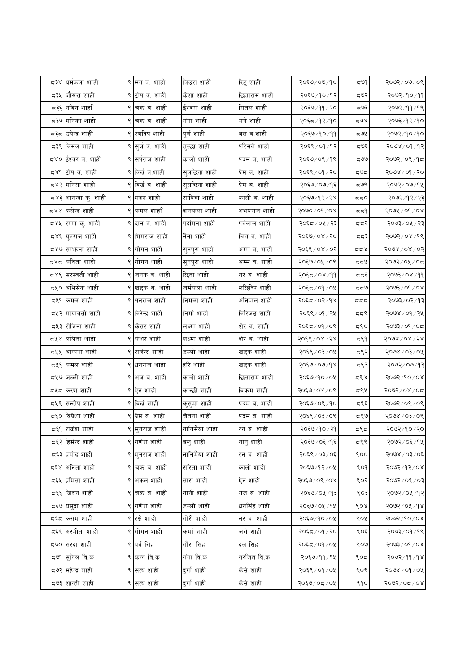|       | ८३४ धर्मकला शाही                 |   | ९ मन ब. शाही     | विउरा शाही    | रिटु शाही     | २०६७/०७/१०        | ದ ಇ  | २०७२/०७/०९          |
|-------|----------------------------------|---|------------------|---------------|---------------|-------------------|------|---------------------|
| द३५   | जौसरा शाही                       | ९ | टोप ब. शाही      | केशा शाही     | छिताराम शाही  | २०६७/१०/१२        | द७२  | १०७२/१०/११          |
|       | द३६ <mark> </mark> नविन शार्हा   |   | चक्र ब. शाही     | ईश्वरा शाही   | सितल शाही     | २०६७/११/२०        | ದಅ३  | २०७२/११/१९          |
|       | द३७ <mark>मनिका शाही</mark>      |   | ९ चक्र ब. शाही   | गंगा शाही     | मने शाही      | २०६८/१२/१०        | ದ9४  | २०७३ ⁄ १२ ⁄ १०      |
|       | द३द उपेन्द्र शाही                | ९ | रणदिप शाही       | पूर्ण शाही    | बल ब.शाही     | २०६७/१०/११        | ದ೮೩  | २०७२/१०/१०          |
|       | ८३९ बिमल शाही                    |   | ९ सुर्ज ब. शाही  | तुल्छा शाही   | परिमले शाही   | २०६९ / ०१ / १२    | द ७६ | २०७४ / ०१ / १२      |
|       | द४० <mark>ईश्वर ब. शाही</mark>   |   | ९ सर्पराज शाही   | काली शाही     | पदम ब. शाही   | २०६७/०९/१९        | ದ೮ಲ  | २०७२/०९/१८          |
|       | द४९  टोप ब. शाही                 | ९ | विर्खव .शाही     | सुलछिना शाही  | प्रेम ब. शाही | २०६९ / ०१ / २०    | ದರಿದ | २०७४ / ०१ / २०      |
|       | ८४२∣मनिसा शाही                   |   | विर्खव. शाही     | सुलछिना शाही  | प्रेम ब. शाही | २०६७/०७/१६        | द७९  | २०७२/०७/१५          |
|       | द४३ <mark>आनन्दा क्. शाही</mark> |   | ९ मदन शाही       | सावित्रा शाही | काली ब. शाही  | २०६७/१२/२४        | ಧಧ೦  | २०७२/१२/२३          |
|       | द४४ कलेन्द्र शाही                |   | ९ कमल शार्हा     | दानकला शाही   | अभयराज शाही   | <u>२०७०/०१/०४</u> | 559  | २०७५ / ०१ / ०४      |
| ८४५।  | रम्मा कु. शाही                   |   | दान ब. शाही      | पदमिना शाही   | पर्वलाल शाही  | २०६८/०५/२३        | दद२  | २०७३ ⁄ ०५ ⁄ २३      |
|       | द४६ <mark>युवराज शाही</mark>     |   | ९ भिमराज शाही    | नैना शाही     | चित्र ब. शाही | २०६७/०४/२०        | ಧದ3  | २०७२/०४/१९          |
|       | द४७ सम्भन्ना शाही                |   | ९ गोगन शाही      | सुनपुरा शाही  | अम्म ब. शाही  | २०६९ / ०४ / ०२    | ಧಧ४  | $5008\sqrt{0}$ / 05 |
| ದ ४ ದ | कविता शाही                       | ९ | गोगन शाही        | सुनपुरा शाही  | अम्म ब. शाही  | २०६७/०५/०९        | ದದ೪  | २०७२/०५/०८          |
|       | द४९ सरस्वती शाही                 |   | ९ जनक ब. शाही    | छिता शाही     | नर ब. शाही    | २०६८/०४/११        | दद६  | २०७३/०४/११          |
|       | ८५० अभिसेक शाही                  |   | ९ खड्क ब. शाही   | जर्मकला शाही  | लछिविर शाही   | २०६८/०१/०५        | ಧಧ9  | २०७३ / ०१ / ०४      |
|       | ८५१ कमल शाही                     |   | ९ धनराज शाही     | निर्मला शाही  | अनिपाल शाही   | २०६८/०२/१४        | ಧಧಧ  | २०७३ ⁄ ०२ ⁄ १३      |
|       | द्र्षर <mark>मायावती शाही</mark> |   | ९ विरेन्द्र शाही | निर्मा शाही   | विरिजङ शाही   | २०६९ / ०१ / २५    | ದದ९  | २०७४ ⁄ ०१ ⁄ २५      |
|       | ८५३ रोजिना शाही                  | ९ | किसर शाही        | लक्ष्मा शाही  | शेर ब. शाही   | २०६८/०१/०९        | ಽ९೦  | २०७३/०९/०८          |
| 588   | ललिता शाही                       | ९ | केशर शाही        | लक्ष्मा शाही  | शेर ब. शाही   | २०६९ / ०४ / २४    | द९१  | $5008\$             |
|       | द्रप्र आकाश शाही                 |   | राजेन्द्र शाही   | डल्ली शाही    | खड्क शाही     | २०६९ / ०३ / ०५    | द९२  | २०७४ / ०३ / ०५      |
|       | द्रप्र६ कमल शाही                 |   | ९ धनराज शाही     | हरि शाही      | खड्क शाही     | २०६७/०७/१४        | द९३  | २०७२ / ०७ / १३      |
|       | द्र५७ जल्ली शाही                 | ९ | अज ब. शाही       | काली शाही     | छिताराम शाही  | २०६७/१०/०५        | द९४  | २०७२/१०/०४          |
|       | ८५८ करण शाही                     |   | ९ ऐन शाही        | कान्छी शाही   | विक्रम शाही   | २०६७/०४/०९        | द९५  | २०७२/०४/०८          |
|       | द्रप्र <b>{सन्दीप</b> शाही       |   | ९ विर्खशाही      | कुसुमा शाही   | पदम ब. शाही   | २०६७/०९/१०        | द९६  | २०७२/०९/०९          |
|       | द६० विप्रेशा शाही                |   | ९ प्रेम ब. शाही  | चेतना शाही    | पदम ब. शाही   | २०६९ / ०३/ ०९     | द९७  | २०७४ / ०३ / ०९      |
|       | द६१ राकेश शाही                   |   | ९ मनराज शाही     | नानिमैया शाही | रन ब. शाही    | २०६७/१०/२१        | 597  | २०७२/१०/२०          |
|       | द६२ हिमेन्द्र शाही               |   | ९ गणेश शाही      | बलु शाही      | नानु शाही     | २०६७/०६/१६        | द९९  | २०७२/०६/१५          |
|       | द६३ प्रमोद शाही                  |   | ९ मुनराज शाही    | नानिमैया शाही | रन ब. शाही    | २०६९ / ०३ / ०६    | ९००  | २०७४ / ०३/ ०६       |
| द६४।  | अनिता शाही                       |   | चक्र ब. शाही     | सरिता शाही    | कालो शाही     | २०६७/१२/०५        | ९०१  | २०७२/१२/०४          |
|       | द६५ प्रमिता शाही                 |   | ९ अकल शाही       | तारा शाही     | ऐन शाही       | २०६७/०९/०४        | ९०२  | २०७२/०९/०३          |
|       | दर्६ जिवन शाही                   |   | ९ चक्र ब. शाही   | नानी शाही     | गज ब. शाही    | २०६७/०५/१३        | ९०३  | २०७२/०५/१२          |
|       | द६७ यसदा शाही                    | ९ | गणेश शाही        | डल्ली शाही    | धनसिंह शाही   | २०६७/०५/१५        | ९०४  | २०७२/०५/१४          |
|       | द६द किसम शाही                    |   | ९ रक्षे शाही     | गोरी शाही     | नर ब. शाही    | २०६७/१०/०५        | ९०५  | 80/06/2002          |
|       | द६९ अस्मीता शाही                 |   | ९ गोगन शाही      | कर्मा शाही    | जसे शाही      | २०६८/०१/२०        | ९०६  | २०७३/०१/१९          |
|       | ८७० सरदा शाही                    | ९ | पर्व सिंह        | गौरा सिंह     | दल सिह        | २०६८/०१/०५        | ९०७  | १०७३/०१/०४          |
|       | द७१ सुनिल वि.क                   |   | ९ कन्न वि.क      | गंगा वि.क     | नरजित वि.क    | २०६७/११/१५        | ९०८  | २०७२/११/१४          |
|       | ८७२ महेन्द्र शाही                |   | ९ सत्य शाही      | दुर्गाशाही    | केसे शाही     | २०६९/०१/०५        | ९०९  | २०७४ / ०१ / ०५      |
|       | द७३ शान्ती शाही                  |   | ९ सत्य शाही      | दुर्गा शाही   | केसे शाही     | २०६७/०८/०५        | ९१०  | 80/20 < 500         |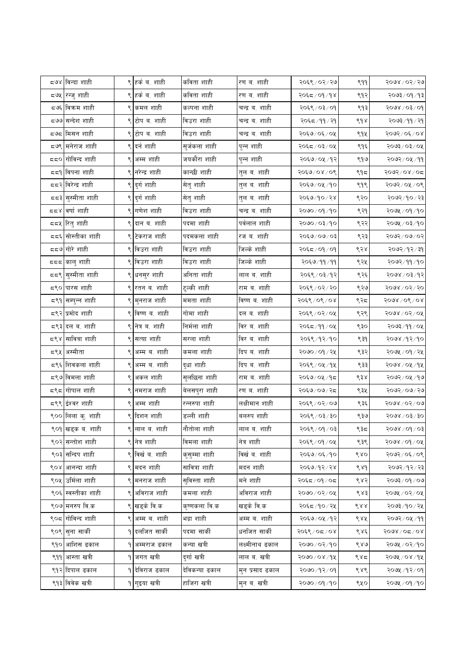|      | ८७४ विन्दा शाही                |   | ९ हर्क ब. शाही             | कविता शाही     | रण ब. शाही      | २०६९ / ०२ / २७ | 999 | २०७४ / ०२ / २७                |
|------|--------------------------------|---|----------------------------|----------------|-----------------|----------------|-----|-------------------------------|
| द७५  | रन्जु शाही                     |   | ९ हर्क ब. शाही             | कविता शाही     | रण ब. शाही      | २०६८/०१/१४     | ९१२ | १०७३/०१/१३                    |
|      | द७६ विकम शाही                  |   | ९ कमल शाही                 | कल्पना शाही    | चन्द्र ब. शाही  | २०६९ / ०३/ ०१  | ९१३ | $60/80/\sqrt{90}$             |
|      | ८७७ सन्देश शाही                |   | ९ टोप ब. शाही              | विउरा शाही     | चन्द्र ब. शाही  | २०६८/११/२१     | ९१४ | २०७३ ⁄ ११ ⁄ २१                |
|      | द७द ∣मिसन शाही                 |   | ९ टोप ब. शाही              | विउरा शाही     | चन्द्र ब. शाही  | २०६७/०६/०५     | ९१५ | २०७२ / ०६ / ०४                |
|      | द७९ मनेराज शाही                |   | ९ दर्न शाही                | सुर्जकला शाही  | पुन्न शाही      | २०६८/०३/०५     | ९१६ | २०७३/०३/०५                    |
|      | दद <b>्र</b>  गोविन्द शाही     |   | ९ अम्म शाही                | जयकौरा शाही    | पुन्न शाही      | २०६७/०५/१२     | ९१७ | २०७२ / ०५ / ११                |
|      | दद9 विपना शाही                 |   | ९ नरेन्द्र शाही            | कान्छी शाही    | तुल ब. शाही     | २०६७/०४/०९     | ९१८ | २०७२/०४/०८                    |
|      | दद२ विरेन्द्र शाही             |   | ९ दुर्ग शाही               | सेतु शाही      | तुल ब. शाही     | २०६७/०५/१०     | ९१९ | २०७२/०५/०९                    |
|      | दद३ <mark>सुस्मीता शाही</mark> |   | ९ दुर्ग शाही               | सेतु शाही      | तुल ब. शाही     | २०६७/१०/२४     | ९२० | २०७२ / १० / २३                |
|      | दद४ वर्षा शाही                 |   | ९ <mark>  गणेश शाही</mark> | विउरा शाही     | चन्द्र ब. शाही  | २०७० / ०१ / १० | ९२१ | २०७५ / ०१ /१०                 |
|      | द्रद्र ∣रितु शाही              |   | ९ दान ब. शाही              | पदमा शाही      | पर्वलाल शाही    | २०७० / ०३ / १० | ९२२ | २०७५ / ०३/१०                  |
|      | दद६ सोस्तीका शाही              |   | ९ टेकराज शाही              | पदमकला शाही    | रज ब. शाही      | २०६७/०७/०३     | ९२३ | 50/600                        |
|      | दद७ गोरे शाही                  |   | ९ विउरा शाही               | विउरा शाही     | जिल्के शाही     | २०६८ / ०१ / ०१ | ९२४ | २०७२ / १२ / ३१                |
|      | ददद ∣कालु शाही                 |   | ९ विउरा शाही               | विउरा शाही     | जिल्के शाही     | २०६७/११/११     | ९२५ | २०७२/११/१०                    |
| दद९∣ | सुस्मीता शाही                  |   | ९ <mark>धनसुर शाही</mark>  | अनिता शाही     | लाल ब. शाही     | २०६९ / ०३/१२   | ९२६ | २०७४ / ०३/१२                  |
|      | <b>८९० पारस शाही</b>           |   | ९ रतन ब. शाही              | टुल्की शाही    | राम ब. शाही     | २०६९ / ०२ / २० | ९२७ | २०७४ / ०२ / २०                |
|      | द९१ सम्पुन्न शाही              |   | ९ मुनराज शाही              | ममता शाही      | विष्ण ब. शाही   | २०६९ / ०९ / ०४ | ९२८ | $5008\sqrt{06}\sqrt{08}$      |
|      | ८९२ प्रमोद शाही                |   | ९ विष्ण ब. शाही            | गोमा शाही      | दल ब. शाही      | २०६९ / ०२ / ०५ | ९२९ | $5000$ $\times$ 0500 $\times$ |
|      | ८९३ दल व. शाही                 |   | ९ नेत्र ब. शाही            | निर्मला शाही   | विर ब. शाही     | २०६८/११/०५     | ९३० | २०७३ / ११ / ०५                |
| 587  | सावित्रा शाही                  |   | ९ सत्या शाही               | सरला शाही      | विर ब. शाही     | २०६९ /१२ /१०   | ९३१ | २०७४ ⁄ १२⁄ १०                 |
|      | ८९५ अस्मीता                    |   | ९ अम्म ब. शाही             | कमला शाही      | दिप ब. शाही     | २०७० / ०१ / २५ | ९३२ | २०७५ / ०१ / २५                |
|      | द९६ शिवकला शाही                |   | ९ अम्म ब. शाही             | दुधा शाही      | दिप ब. शाही     | २०६९ ⁄ ०५ ⁄ १५ | ९३३ | २०७४ / ०५ / १५                |
|      | द९७ विमला शाही                 |   | ९ अकल शाही                 | सुलछिना शाही   | राम ब. शाही     | २०६७/०५/१८     | ९३४ | २०७२/०५/१७                    |
|      | द९द गोपाल शाही                 |   | ९ नमराज शाही               | बेलसपुरा शाही  | रण ब. शाही      | २०६७/०७/२८     | ९३५ | २०७२/०७/२७                    |
|      | द९९ ईश्वर शाही                 |   | ९ अम्म शाही                | रन्नरुपा शाही  | लक्षीमान शाही   | २०६९ / ०२ / ०७ | ९३६ | $5000$ / 05/06                |
|      | ९०० लिला कु. शाही              |   | ९ दिशन शाही                | डल्ली शाही     | बलरुप शाही      | २०६९ / ०३ / ३० | ९३७ | $0\xi/\xi$ 0/8005             |
|      | ९०१ खड्क ब. शाही               |   | ९ लाल ब. शाही              | नौतोला शाही    | लाल ब. शाही     | २०६९ / ०१ / ०३ | ९३८ | २०७४ / ०१ / ०३                |
|      | ९०२ सन्तोश शाही                |   | ९ नेत्र शाही               | विमला शाही     | नेत्र शाही      | २०६९ / ०१ / ०५ | ९३९ | $3000$ $\times$ $600$         |
|      | ९०३ सन्दिप शाही                |   | ९ विर्खव. शाही             | कुसुम्मा शाही  | विर्खव. शाही    | २०६७/०६/१०     | 680 | २०७२/०६/०९                    |
|      | ९०४ आनन्दा शाही                |   | ९ मदन शाही                 | सावित्रा शाही  | मदन शाही        | २०६७/१२/२४     | ९४१ | २०७२/१२/२३                    |
|      | ९०५ उर्मिला शाही               |   | ९ मनराज शाही               | सुविस्ता शाही  | मने शाही        | २०६द / ०१ / ०द | ९४२ | २०७३ / ०१ / ०७                |
| ९०६। | स्वस्तीका शाही                 |   | ९ अविराज शाही              | कमला शाही      | अविराज शाही     | २०७०/०२/०५     | ९४३ | २०७५ / ०२ / ०५                |
|      | ९०७ मनरुप वि.क                 |   | ९ खड्के वि.क               | कृष्णकला वि.क  | खड्के वि.क      | २०६८/१०/२५     | ९४४ | २०७३ ⁄ १० / २५                |
|      | ९०८ गोविन्द शाही               |   | ९ अम्म ब. शाही             | भद्रा शाही     | अम्म ब. शाही    | २०६७/०५/१२     | ९४५ | २०७२ / ०५ / ११                |
|      | ९०९ सुना सार्की                |   | १ दलजित सार्की             | पदमा सार्की    | धर्नाजत सार्की  | २०६९ / ०८ / ०४ | ९४६ | २०७४ / ०८ / ०४                |
|      | ९१० आशिस ढकाल                  | ۹ | अम्मराज ढकाल               | कन्या खत्री    | लक्ष्मीनाथ ढकाल | २०७०/०२/१०     | 680 | २०७५ / ०२/१०                  |
|      | ९११ आस्ता खत्री                |   | <b>9</b> जगत खत्री         | दुर्गाखत्री    | लाल ब. खत्री    | २०७०/०४/१५     | ९४८ | २०७५ / ०४ / १५                |
|      | ९१२ दिपाल ढकाल                 |   | <b>१ देविराज ढका</b> ल     | देविकन्या ढकाल | मुन प्रसाद ढकाल | २०७० / १२ / ०१ | ९४९ | २०७५ ⁄ १२ ⁄ ०१                |
|      | ९१३ विवेक खत्री                |   | १ गुइया खत्री              | हाजिरा खत्री   | मुन ब. खत्री    | २०७० / ०१ / १० | ९५० | २०७५ / ०१ / १०                |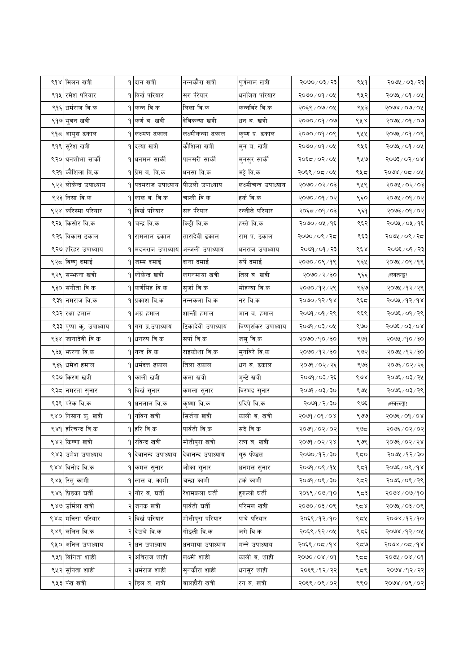|      | ९१४ मिलन खत्री               | १ दान खत्री                  | नन्नकौरा खत्री    | पूर्णलाल खत्री       | २०७० / ०३ / २३                | ९५१ | २०७५ / ०३ / २३     |
|------|------------------------------|------------------------------|-------------------|----------------------|-------------------------------|-----|--------------------|
|      | ९१५ रमेश परियार              | १ विर्ख परियार               | सरु परियार        | धनजित परियार         | २०७० / ०१ / ०५                | ९५२ | २०७५ / ०१ / ०५     |
|      | ९१६ धर्मराज वि.क             | ९ कन्न वि.क                  | लिला वि.क         | कन्नविरे वि.क        | २०६९/०७/०५                    | ९५३ | २०७४ / ०७ / ०५     |
|      | ९१७ भुवन खत्री               | ९ कर्ण ब. खत्री              | देविकन्या खत्री   | धन ब. खत्री          | २०७०/०१/०७                    | ९५४ | २०७५ / ०१ / ०७     |
|      | ९१८ आयुस ढकाल                | १ लक्ष्मण ढकाल               | लक्ष्मीकन्या ढकाल | कृष्ण प्र. ढकाल      | २०७०/०९/०९                    | ९५५ | २०७५ / ०१ / ०९     |
|      | ९१९ <mark>सुरेश खत्री</mark> | <b>१ दत्या खत्री</b>         | कौशिला खत्री      | मुन ब. खत्री         | २०७०/०१/०५                    | ९५६ | २०७५ / ०१ / ०५     |
|      | ९२० धनशोभा सार्की            | १ धनमल सार्की                | पानसरी सार्की     | मुनसुर सार्की        | २०६८/०२/०५                    | ९५७ | 80/80/8608         |
|      | ९२१ कौशिला वि.क              | १ प्रेम ब. वि.क              | धनसा वि.क         | भट्टे वि.क           | २०६९ / ०८ / ०५                | ९५८ | २०७४ / ०८ / ०५     |
|      | ९२२ लोकेन्द्र उपाध्याय       | १ पदमराज उपाध्याय            | पीउली उपाध्याय    | लक्ष्मीचन्द उपाध्याय | ३०७०/०२/०३                    | ९५९ | २०७५ / ०२/ ०३      |
|      | ९२३ निसा वि.क                | ९ लाल ब. वि.क                | चल्ली वि.क        | हर्क वि.क            | २०७० / ०१ / ०२                | ९६० | २०७५ / ०१ / ०२     |
|      | ९२४ करिस्मा परियार           | १ विर्ख परियार               | सरु पीयार         | रन्जीते परियार       | २०६८/०१/०३                    | ९६१ | २०७३ ⁄ ०१ ⁄ ०२     |
| ९२५  | किसोर वि.क                   | <b>१ चन्द्र वि.क</b>         | किट्टी वि.क       | हस्ते वि.क           | २०७० ⁄ ०५ ⁄ १६                | ९६२ | २०७५ / ०५ / १६     |
|      | ९२६ विकास ढकाल               | १ रामलाल ढकाल                | तारादेवी ढकाल     | राम प. ढकाल          | २०७०/०९/२८                    | ९६३ | २०७५ / ०९ / २८     |
|      | ९२७ हरिहर उपाध्याय           | १ मदनराज उपाध्याय            | अन्जली उपाध्याय   | धनराज उपाध्याय       | २०७१ / ०१ / २३                | ९६४ | २०७६ / ०१ / २३     |
| ९२८। | विष्णु दमाई                  | १ जम्म दमाई                  | दाना दमाई         | सर्पे दमाई           | २०७०/०९/१९                    | ९६५ | २०७५ / ०९ /१९      |
| ९२९। | सम्भन्ना खत्री               | १ लोकेन्द्र खत्री            | लगनमाया खत्री     | तिल ब. खत्री         | $0\xi/\xi/\delta$ oeo $\zeta$ | ९६६ | #स्क्त्ल्ङ्क!      |
|      | ९३० संगीता वि.क              | १ कर्णसिंह वि.क              | सुर्जा वि.क       | मोहन्या वि.क         | २०७०/१२/२९                    | ९६७ | २०७५ /१२/२९        |
|      | ९३१ नमराज वि.क               | १ प्रकाश वि.क                | नन्नकला वि.क      | नर वि.क              | २०७० /१२/१४                   | ९६८ | २०७५ /१२/१४        |
|      | ९३२ रक्षा हमाल               | १ अग्र हमाल                  | शान्ती हमाल       | भान ब. हमाल          | २०७१ / ०१ / २९                | ९६९ | २०७६ / ०१ / २९     |
|      | ९३३ पुष्पा कु. उपाध्याय      | १ गंग प्र.उपाध्याय           | टिकादेवी उपाध्याय | विष्णुशंकर उपाध्याय  | २०७१ / ०३ / ०५                | ९७० | २०७६ / ०३/ ०४      |
| ९३४  | जानादेवी वि.क                | ९ धनरुप वि.क                 | सर्पा वि.क        | जसु वि.क             | २०७० ⁄ १० ⁄ ३०                | ९७१ | २०७५ /१० / ३०      |
|      | ९३५ किरना वि.क               | १ नन्द वि.क                  | राइकोशा वि.क      | मुनविरे वि.क         | २०७० ⁄ १२ ⁄ ३०                | ९७२ | २०७५ ⁄ १२⁄ ३०      |
|      | ९३६ धमेश हमाल                | १ धर्मदत्त ढकाल              | तिला ढकाल         | धन ब. ढकाल           | २०७१ / ०२ / २६                | ९७३ | २०७६ / ०२ / २६     |
|      | ९३७ किरण खत्री               | १ काली खत्री                 | कला खत्री         | भुन्टे खत्री         | २०७१ / ०३ / २६                | ९७४ | २०७६ ⁄ ०३ ⁄ २५     |
|      | ९३८ नमरता सुनार              | १ विर्ख सुनार                | कमला सुनार        | विरभद्र सुनार        | २०७१ / ०३ / ३०                | ९७५ | २०७६ / ०३ / २९     |
|      | ९३९ परेक वि.क                | १ धनलाल वि.क                 | कृष्णा वि.क       | प्रदिपे वि.क         | २०७१ / २ / ३०                 | ९७६ | #स्क्त्ल्ङ्क!      |
|      | ९४० निसान कु. खत्री          | १ नविन खत्री                 | सिर्जना खत्री     | काली ब. खत्री        | $80 \times 100 \times 100$    | ९७७ | २०७६ / ०१ / ०४     |
|      | ९४१  हरिचन्द्र वि.क          | ९ हरि वि.क                   | पार्वती वि.क      | सदे वि.क             | २०७१ / ०२ / ०२                | ೪೪  | २०७६ / ०२ / ०२     |
|      | ९४२ किष्णा खत्री             | <b>१ रविन्द्र खत्री</b>      | मोतीपुरा खत्री    | रत्न ब. खत्री        | २०७१ / ०२ / २४                | ९७९ | २०७६ / ०२ / २४     |
|      | ९४३ उमेश उपाध्याय            | १ देवानन्द उपाध्याय          | देवानन्द उपाध्याय | गुरु पीडत            | २०७०/१२/३०                    | ९८० | २०७५ /१२/३०        |
|      | ९४४ विनोद वि.क               | १ कमल सुनार                  | जौका सुनार        | धनमल सुनार           | २०७१ / ०९ / १५                | ९८१ | २०७६ / ०९ / १४     |
|      | ९४५ रितु कामी                | १ लाल ब. कामी                | चन्द्रा कामी      | हर्क कामी            | २०७१ / ०९ / ३०                | ९८२ | २०७६ / ०९ / २९     |
|      | ९४६ प्रिडका घर्ती            | २∣गोर ब. घर्ती               | रेशमकला घर्ती     | हुरुल्लो घर्ती       | २०६९ / ०७/१०                  | ९८३ | २०७४/०७/१०         |
|      | ९४७ उर्मिला खत्री            | २ जनक खत्री                  | पार्वती घर्ती     | परिमल खत्री          | २०७०/०३/०९                    | ९८४ | २०७५ / ०३/ ०९      |
|      | ९४८ मनिसा परियार             | २क्खिं परियार                | मोतीपुरा परियार   | पाथे परियार          | २०६९/१२/१०                    | ९८५ | २०७४ /१२/१०        |
|      | ९४९ ललित वि.क                | २ देउचे वि.क                 | गोइली वि.क        | जगे वि.क             | २०६९ /१२ / ०५                 | ९द६ | २०७४ ⁄ १२ ⁄ ०५     |
|      | ९५० अनिल उपाध्याय            | २ धन उपाध्याय                | धनमाया उपाध्याय   | मन्ने उपाध्याय       | २०६९ ⁄ ०८ ⁄ १४                | ९८७ | २०७४ / ०८ /१४      |
|      | ९५१ बिनिता शाही              | २ <mark> अविराज शाही</mark>  | लक्ष्मी शाही      | काली ब. शाही         | १०७०/०४/०१                    | ९८८ | $80/80/\sqrt{600}$ |
|      | ९५२ सुनिता शाही              | २ <mark>।धर्मराज शाही</mark> | सुनकौरा शाही      | धनसुर शाही           | २०६९ / १२ / २२                | ९८९ | २०७४ /१२/ २२       |
|      | ९५३ पंख खत्री                | २ डिल ब. खत्री               | बालहौरी खत्री     | रन ब. खत्री          | २०६९ / ०९ / ०२                | ९९० | २०७४ / ०९ / ०२     |
|      |                              |                              |                   |                      |                               |     |                    |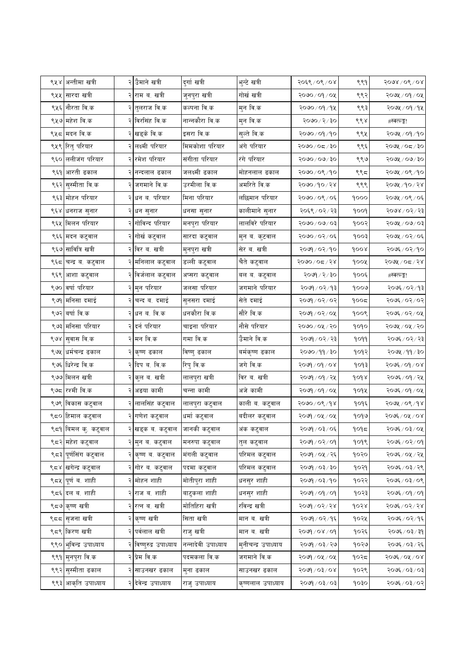|      | ९५४ अन्तीमा खत्री              | २ उैमाने खत्री                 | दुर्गा खत्री       | भुन्टे खत्री        | २०६९/०९/०४                     | ९९१  | $5008\sqrt{06}\sqrt{08}$ |
|------|--------------------------------|--------------------------------|--------------------|---------------------|--------------------------------|------|--------------------------|
|      | ९५५ सारदा खत्री                | २ राम ब. खत्री                 | जुनपुरा खत्री      | गोर्ख खत्री         | २०७० / ०१ / ०५                 | ९९२  | २०७५ / ०१ / ०५           |
|      | ९५६  नौरता वि.क                | २ तुलराज वि.क                  | कल्पना वि.क        | मुन वि.क            | २०७० ⁄ ०१ ⁄ १४                 | ९९३  | २०७५ / ०१ / १५           |
|      | ९५७ महेश वि.क                  | २ विरसिंह वि.क                 | नान्नकौरा वि.क     | मुन वि.क            | २०७० / २ / ३०                  | ९९४  | #स्क्त्ल्ङ्क!            |
| ९५८  | मदन वि.क                       | २ खड्के वि.क                   | इसरा वि.क          | सुल्ते वि.क         | २०७० / ०१ / १०                 | ९९५  | २०७५ / ०१ /१०            |
|      | ९५९ रितु परियार                | २ लक्ष्मी परियार               | मिमकोशा परियार     | अंगे परियार         | २०७०/०८/३०                     | ९९६  | २०७५ / ०८ / ३०           |
|      | ९६० ललीजंग परियार              | २ रमेश परियार                  | संगीता परियार      | रंगे परियार         | २०७०/०७/३०                     | ९९७  | $5000$ ४/ २०७/ २०        |
|      | ९६१ आरती ढकाल                  | २ नन्दलाल ढकाल                 | जलक्ष्मी ढकाल      | मोहनलाल ढकाल        | २०७०/०९/१०                     | ९९८  | २०७५ / ०९ /१०            |
|      | ९६२ सुस्मीता वि.क              | २ जगमाने वि.क                  | उरमीला वि.क        | अमरिते वि.क         | २०७०/१०/२४                     | ९९९  | २०७५ /१० / २४            |
|      | ९६३ मोहन परियार                | २ <mark> धन ब. परियार</mark>   | मिना परियार        | लछिमान परियार       | २०७०/०९/०६                     | 9000 | २०७५ / ०९ / ०६           |
|      | ९६४ धनराज सुनार                | २ <mark>धन सुनार</mark>        | धनसा सुनार         | कालीमाने सुनार      | २०६९ / ०२ / २३                 | १००१ | २०७४ / ०२ / २३           |
|      | ९६५ मिलन परियार                | २ <mark> गोविन्द परियार</mark> | मनपुरा परियार      | लालविरे परियार      | २०७०/०७/०३                     | १००२ | $50/60 \times 100$       |
| ९६६  | मदन कटुवाल                     | २ गोर्ख कटुवाल                 | सारदा कटुवाल       | मुन ब. कुटवाल       | २०७०/०२/०६                     | 800  | २०७५ / ०२/ ०६            |
|      | ९६७ सावित्रि खत्री             | २ विर ब. खत्री                 | मुनपुरा खत्री      | सेर ब. खत्री        | २०७१ / ०२ / १०                 | १००४ | २०७६ ⁄ ०२ ⁄ १०           |
| ९६८। | चन्द्र ब. कटुवाल               | २ मनिलाल कटुवाल                | डल्ली कटुवाल       | चैते कटुवाल         | २०७०/०८/२४                     | १००५ | २०७५ / ०८ / २४           |
| ९६९  | आशा कटुवाल                     | २ विर्जलाल कटुवाल              | अप्सरा कटुवाल      | बल ब. कटुवाल        | २०७१ / २ / ३०                  | १००६ | #स्क्त्ल्ङ्क!            |
|      | ९७० वर्षा परियार               | २ मुन परियार                   | जलसा परियार        | जगमाने परियार       | २०७१ / ०२ / १३                 | १००७ | २०७६ / ०२ / १३           |
| ९७१। | मनिसा दमाई                     | २ चन्द ब. दमाई                 | सुनसरा दमाई        | सेते दमाई           | २०७१ / ०२ / ०२                 | १००८ | २०७६ ⁄ ०२ ⁄ ०२           |
|      | ९७२ वर्षा वि.क                 | २ धन ब. वि.क                   | धनकौरा वि.क        | सौरे वि.क           | २०७१ / ०२ / ०५                 | १००९ | २०७६ / ०२ / ०५           |
|      | ९७३ मनिसा परियार               | २ दर्न परियार                  | चाइना परियार       | नौसे परियार         | २०७० / ०५ / २०                 | १०१० | २०७५ / ०५ / २०           |
|      | ९७४ <mark>सुवास वि.क</mark>    | २ मन वि.क                      | गमा वि.क           | उैमाने वि.क         | २०७१ / ०२ / २३                 | 9099 | २०७६ / ०२ / २३           |
|      | ९७५ धर्मचन्द्र ढकाल            | २ कृष्ण ढकाल                   | विष्णु ढकाल        | बर्मकृष्ण ढकाल      | २०७० ⁄ ११ ⁄ ३०                 | १०१२ | २०७५ /११ / ३०            |
|      | ९७६ धिरेन्द्र वि.क             | २ दिप ब. वि.क                  | रिपु वि.क          | जगे वि.क            | २०७१ / ०१ / ०४                 | १०१३ | २०७६ / ०१ / ०४           |
|      | ९७७ मिलन खत्री                 | २ कुल ब. खत्री                 | लालपुरा खत्री      | विर ब. खत्री        | २०७१ / ०१ / २५                 | 9098 | २०७६ / ०१ / २५           |
|      | ९७८ रश्मी वि.क                 | २ अङया कामी                    | चन्ना कामी         | अजे कामी            | २०७१ / ०१ / ०५                 | १०१५ | २०७६ ⁄ ०१ ⁄ ०५           |
| ९७९। | विकास कटुवाल                   | २ लालसिंह कटुवाल               | लालपुरा कटुवाल     | काली ब. कटुवाल      | २०७०/०९/१४                     | १०१६ | २०७५ / ०९ / १४           |
|      | ९८० हिमाल कटुवाल               | २ गणेश कटुवाल                  | धर्मा कटुवाल       | बदीलर कटुवाल        | २०७१ / ०५ / ०५                 | १०१७ | २०७६ / ०५ / ०४           |
|      | ९८१ बिमल कु. कटुवाल            | २ खड्क ब. कटुवाल               | जानकी कटुवाल       | अंक कटुवाल          | २०७१ / ०३ / ०६                 | १०१८ | २०७६ ⁄ ०३/ ०५            |
|      | ९८२ <mark> </mark> महेश कटुवाल | २ मुन ब. कटुवाल                | मनरुपा कटुवाल      | तुल कटुवाल          | $PO \setminus CO \setminus PO$ | १०१९ | २०७६ / ०२ / ०१           |
|      | ९८३ पूर्णसिंग कटुवाल           | २ कृष्ण ब. कटुवाल              | मंगली कटुवाल       | परिमल कटुवाल        | २०७१ / ०५ / २६                 | १०२० | २०७६ / ०५ / २५           |
|      | ९८४ खगेन्द्र कटुवाल            | २ <mark> गोर ब. कटुवाल</mark>  | पदमा कटुवाल        | परिमल कटुवाल        | २०७१ / ०३ / ३०                 | १०२१ | २०७६ / ०३/ २९            |
|      | ९८५ पूर्ण व. शाही              | २ मोहन शाही                    | मोतीपुरा शाही      | धनसुर शाही          | २०७१ / ०३ / १०                 | १०२२ | २०७६ / ०३/ ०९            |
|      | ९८६ दल व. शाही                 | २ <mark> राज ब. शाही</mark>    | बाटुकला शाही       | धनसुर शाही          | २०७९ / ०९ / ०१                 | १०२३ | २०७६ / ०१ / ०१           |
|      | ९८७ कृष्ण खत्री                | २ <mark> रत्न ब. ख</mark> त्री | मोतिहिरा खत्री     | रविन्द्र खत्री      | २०७१ / ०२ / २४                 | १०२४ | २०७६ ⁄ ०२ ⁄ २४           |
|      | ९८८ <mark>सृजना खत्री</mark>   | २ कृष्ण खत्री                  | सिता खत्री         | मान ब. खत्री        | २०७१ / ०२ / १६                 | १०२५ | २०७६ / ०२ / १६           |
|      | ९८९ किरण खत्री                 | २ पर्वलाल खत्री                | राजु खत्री         | मान ब. खत्री        | $90 \times 80 \times 900$      | १०२६ | २०७६ / ०३ / ३१           |
|      | ९९० भुविन्द्र उपाध्याय         | २ विष्णुरुद्र उपाध्याय         | नन्नादेवी उपाध्याय | मुनीचन्द्र उपाध्याय | २०७१ / ०३ / २७                 | १०२७ | २०७६ / ०३ / २६           |
|      | ९९१ मुनपुरा वि.क               | २ प्रेम वि.क                   | पदमकला वि.क        | जगमाने वि.क         | २०७१ / ०५ / ०५                 | १०२८ | २०७६ ⁄ ०५ ⁄ ०४           |
|      | ९९२ सुस्मीता ढकाल              | २ <mark> साउनखर ढकाल</mark>    | मुना ढकाल          | साउनखर ढकाल         | २०७१ / ०३ / ०४                 | १०२९ | २०७६ / ०३/ ०३            |
|      | ९९३ आकृति उपाध्याय             | २ देवेन्द्र उपाध्याय           | राजु उपाध्याय      | कृष्णलाल उपाध्याय   | २०७१ / ०३ / ०३                 | १०३० | २०७६ / ०३/ ०२            |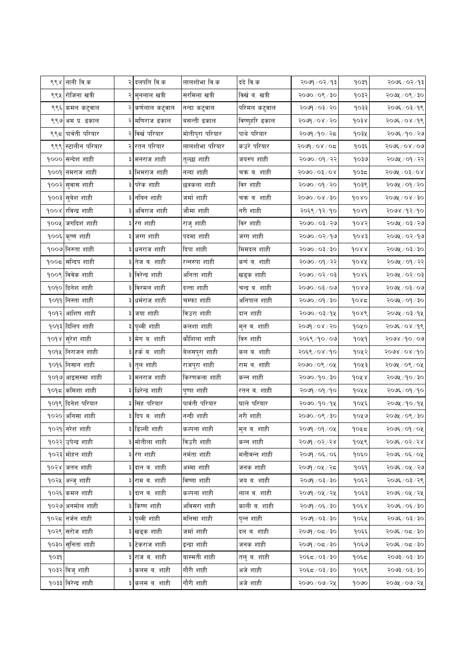|      | ९९४ नानी वि.क                | २ दलपति वि.क                  | लालशोभा वि.क    | ददे वि.क       | १०७१ / ०२ / १३     | १०३१ | २०७६ / ०२ / १३   |
|------|------------------------------|-------------------------------|-----------------|----------------|--------------------|------|------------------|
|      | ९९५  रोजिना खत्री            | २ <mark> </mark> मुनलाल खत्री | सरमिला खत्री    | विर्खव. खत्री  | २०७०/०९/३०         | १०३२ | २०७५ / ०९ / ३०   |
|      | ९९६ कमल कटुवाल               | कर्णलाल कटुवाल                | नन्दा कटुवाल    | परिमल कटुवाल   | २०७१ / ०३ / २०     | १०३३ | २०७६ ⁄ ०३ ⁄ १९   |
|      | ९९७ अम प्र. ढकाल             | २ मणिराज ढकाल                 | बसन्ती ढकाल     | विष्णुहरि ढकाल | २०७१ / ०४ / २०     | 9038 | २०७६ / ०४ /१९    |
|      | ९९८  पार्वती परियार          | २ विर्ख परियार                | मोतीपुरा परियार | पाथे परियार    | २०७१ /१० / २८      | १०३५ | २०७६ ⁄ १० ⁄ २७   |
|      | ९९९ स्टालीन परियार           | २ <mark> रतन परियार</mark>    | लालशोभा परियार  | कउरे परियार    | २०७१ / ०४ / ०८     | १०३६ | २०७६ / ०४ / ०७   |
|      | १००० सन्देश शाही             | ३ मनराज शाही                  | तुल्छा शाही     | जयरुप शाही     | २०७० / ०१ / २२     | १०३७ | २०७५ / ०१ / २२   |
|      | १००१ नमराज शाही              | ३ भिमराज शाही                 | नन्दा शाही      | चक्र ब. शाही   | <u> १०७०/०३/०४</u> | १०३८ | २०७५ / ०३ / ०४   |
|      | १००२ <mark>सुवास शाही</mark> | ३ परेक शाही                   | छत्रकला शाही    | विर शाही       | २०७० ⁄ ०१ ⁄ २०     | १०३९ | २०७५ / ०१ / २०   |
|      | १००३ सुबेश शाही              | ३ नविन शाही                   | जर्मा शाही      | चक्र ब. शाही   | २०७०/०४/३०         | goxo | $5000$ ४/३०      |
|      | १००४ रविन्द्र शाही           | ३ अविराज शाही                 | जौमा शाही       | नरी शाही       | २०६९/१२/१०         | 9089 | २०७४ /१२/१०      |
|      | १००५ जगदिश शाही              | ३ रंग शाही                    | राजु शाही       | विर शाही       | २०७० / ०३ / २७     | १०४२ | २०७५ / ०३/ २७    |
|      | १००६ कृष्ण शाही              | ३ जग्ग शाही                   | पदमा शाही       | जग्ग शाही      | २०७० / ०२ / १७     | 60x  | २०७५ / ०२/१७     |
|      | १००७ निरुता शाही             | ३ धनराज शाही                  | दिपा शाही       | मिमदल शाही     | २०७० / ०३ / ३०     | 9088 | २०७५ / ०३ / ३०   |
|      | १००८ सन्दिप शाही             | ३ तेज व. शाही                 | रन्नरुपा शाही   | कर्ण ब. शाही   | २०७० / ०१ / २२     | १०४५ | २०७५ / ०१ / २२   |
|      | १००९ विवेक शाही              | ३ विरेन्द्र शाही              | अनिता शाही      | खड्क शाही      | १०७०/०२/०३         | १०४६ | २०७५ / ०२/ ०३    |
|      | <u> १०१० दिनेश शाही</u>      | ३ विरमल शाही                  | दन्ता शाही      | चन्द्र ब. शाही | २०७०/०३/०७         | govo | २०७५ / ०३/ ०७    |
|      | <u> १०११ निस्ता शाही</u>     | धर्मराज शाही                  | चम्फा शाही      | अनिपाल शाही    | २०७० / ०१ / ३०     | १०४८ | $\log \log \log$ |
|      | १०१२ आशिष शाही               | ३ जया शाही                    | विउरा शाही      | दान शाही       | २०७० / ०३ / १५     | १०४९ | २०७५ / ०३/१५     |
|      | १०१३ दिलिप शाही              | ३ पृथ्वी शाही                 | कलशा शाही       | मुन ब. शाही    | २०७१ / ०४ / २०     | १०५० | २०७६ / ०४ /१९    |
|      | <mark>१०१४ सुरेश शाही</mark> | ३ मेग ब. शाही                 | कौशिला शाही     | विरु शाही      | २०६९/१०/०७         | १०५१ | २०७४ /१० / ०७    |
|      | <u> १०१५ निराजन शाही</u>     | ३ हर्क ब. शाही                | बेलसपुरा शाही   | कल ब. शाही     | २०६९/०४/१०         | १०५२ | २०७४ / ०४ / १०   |
|      | <u> १</u> ०१६ निसान शाही     | ३ तुल शाही                    | राजपुरा शाही    | राम ब. शाही    | २०७०/०९/०५         | १०५३ | २०७५ / ०९ / ०५   |
|      | १०१७ आइसस्मा शाही            | ३ मनराज शाही                  | किरणकला शाही    | कन्न शाही      | २०७० / १० / ३०     | १०५४ | २०७५ /१० / ३०    |
|      | १०१८  कमिशा शाही             | ३ धिरेन्द्र शाही              | पुष्पा शाही     | रतन ब. शाही    | २०७१ / ०१ / १०     | १०५५ | २०७६ / ०१ / १०   |
|      | <u> १०१९ दिनेश परियार</u>    | ३ सिंह परियार                 | पार्वती परियार  | घाले परियार    | २०७० ⁄ १० ⁄ १५     | १०५६ | २०७५ ⁄ १० ⁄ १५   |
|      | १०२० अनिसा शाही              | ३ दिप ब. शाही                 | नन्दी शाही      | नरी शाही       | २०७०/०९/३०         | १०५७ | २०७५ / ०९ / ३०   |
|      | <u> १०२१ नरेश शाही</u>       | ३ डिल्ली शाही                 | कल्पना शाही     | मुन ब. शाही    | २०७१ / ०१ / ०५     | १०५८ | २०७६ / ०१ / ०५   |
|      | १०२२ उपेन्द्र शाही           | ३ मोतीला शाही                 | विउरी शाही      | कन्न शाही      | २०७१ / ०२ / २४     | १०५९ | २०७६ / ०२ / २४   |
|      | १०२३ मोहन शाही               | ३ रंग शाही                    | नर्मता शाही     | मलीवन्न शाही   | २०७१ / ०६ / ०६     | १०६० | २०७६ / ०६ / ०५   |
|      | १०२४ जतन शाही                | दान ब. शाही                   | अम्मा शाही      | जनक शाही       | २०७१ / ०५ / २८     | १०६१ | २०७६ / ०५ / २७   |
|      | १०२५ अन्जु शाही              | ३ राम ब. शाही                 | विष्णा शाही     | जय ब. शाही     | २०७१ / ०३ / ३०     | १०६२ | २०७६ / ०३ / २९   |
|      | १०२६ कमल शाही                | ३ दान ब. शाही                 | कल्पना शाही     | लाल ब. शाही    | २०७१ / ०५ / २५     | १०६३ | २०७६ / ०५ / २५   |
|      | १०२७ अनमोल शाही              | ३ किष्ण शाही                  | अविसरा शाही     | काली ब. शाही   | २०७१ / ०६ / ३०     | १०६४ | २०७६ / ०६ / ३०   |
|      | १०२८ नर्जन शाही              | ३ पृथ्वी शाही                 | मनिसा शाही      | पुन्न शाही     | २०७१ / ०३ / ३०     | १०६५ | २०७६ / ०३/३०     |
|      | १०२९ सरोज शाही               | ३ खड्क शाही                   | जर्मा शाही      | दल ब. शाही     | २०७१ / ०८ / ३०     | १०६६ | २०७६ / ०८ / ३०   |
|      | १०३० सुनिता शाही             | टेकराज शाही                   | इन्द्रा शाही    | जनक शाही       | २०७१ / ०८ / ३०     | १०६७ | २०७६ / ०८ / ३०   |
| १०३१ |                              | ३ राज ब. शाही                 | बास्मती शाही    | तलु ब. शाही    | २०६८/०३/३०         | १०६८ | २०७३ / ०३ / ३०   |
|      | <u> १</u> ०३२ विजु शाही      | ३ कलम व. शाही                 | गौरी शाही       | अजे शाही       | २०६८/०३/३०         | १०६९ | २०७३ ⁄ ०३ ⁄ ३०   |
|      | १०३३ विरेन्द्र शाही          | कलम ब. शाही                   | गौरी शाही       | अजे शाही       | २०७०/०७/२५         | gouo | २०७५ / ०७/ २५    |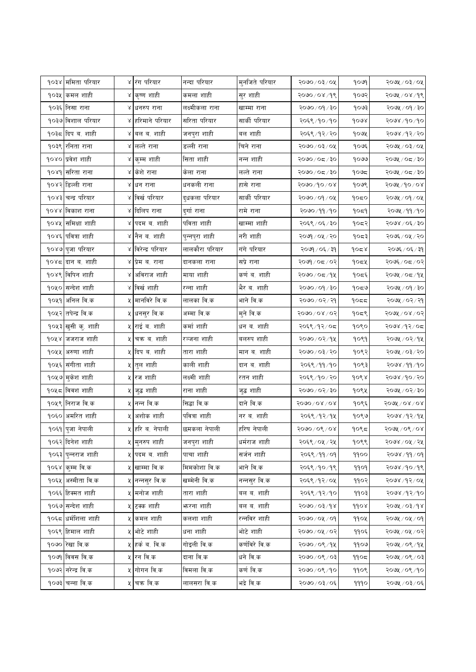|      | <b>१</b> ०३४ ममिता परियार  | ४ रंग परियार                | नन्दा परियार    | मुनजिते परियार | २०७०/०३/०५                      | peop | २०७५ / ०३/ ०५                     |
|------|----------------------------|-----------------------------|-----------------|----------------|---------------------------------|------|-----------------------------------|
|      | १०३५ कमल शाही              | ४ कृष्ण शाही                | कमला शाही       | सुर शाही       | २०७०/०४/१९                      | १०७२ | २०७५ / ०४ /१९                     |
|      | १०३६ निसा राना             | ४ धनरुप राना                | लक्ष्मीकला राना | खाम्मा राना    | २०७० / ०१ / ३०                  | १०७३ | २०७५ / ०१ / ३०                    |
|      | १ <b>०३७ विशाल परियार</b>  | ४ हरिमाने परियार            | सरिता परियार    | सार्की परियार  | २०६९ /१० /१०                    | gour | २०७४ ⁄ १० ⁄ १०                    |
|      | १०३८  दिप ब. शाही          | ४ वल व. शाही                | जनपुरा शाही     | बल शाही        | २०६९/१२/२०                      | १०७५ | २०७४ ⁄ १२ ⁄ २०                    |
|      | १०३९  रनिता राना           | ४ लल्ते राना                | डल्ली राना      | चिने राना      | २०७०/०३/०५                      | १०७६ | २०७५ / ०३/ ०५                     |
|      | १०४० प्रवेश शाही           | ४ कुम्म शाही                | सिता शाही       | नन्न शाही      | २०७०/०८/३०                      | १०७७ | २०७५ / ०८ / ३०                    |
|      | १०४१ सरिता राना            | ४ केशे राना                 | केला राना       | लल्ते राना     | २०७०/०८/३०                      | १०७८ | २०७५ / ०८ / ३०                    |
|      | १०४२ डिल्ली राना           | ४ धन राना                   | धनकली राना      | हासे राना      | २०७०/१०/०४                      | १०७९ | २०७५ / १० / ०४                    |
|      | १०४३ चन्द्र परियार         | ४ विर्ख परियार              | दुधकला परियार   | सार्की परियार  | २०७०/०१/०५                      | 9050 | २०७५ / ०१ / ०५                    |
|      | १०४४ विकाश राना            | ४ दिलिप राना                | दुर्गा राना     | रामे राना      | २०७० ⁄ ११ ⁄ १०                  | १०द१ | २०७५ /११ /१०                      |
|      | १०४५ समिक्षा शाही          | ४ पदम ब. शाही               | पविता शाही      | खाम्मा शाही    | २०६९ / ०६ / ३०                  | १०द२ | २०७४ / ०६ / ३०                    |
|      | १०४६ पवित्रा शाही          | ४  नैन ब. शाही              | पुन्नपुरा शाही  | नरी शाही       | २०७१ / ०५ / २०                  | १०८३ | २०७६ / ०५ / २०                    |
|      | १०४७ पुजा परियार           | ४ विरेन्द्र परियार          | लालकौरा परियार  | गंगे परियार    | २०७१ / ०६ / ३१                  | १०८४ | २०७६ / ०६ / ३१                    |
|      | १०४८ दान व. शाही           | ४ प्रेम ब. राना             | दानकला राना     | सप्रे राना     | २०७१ / ०८ / ०२                  | १०८५ | २०७६ / ०८ / ०२                    |
|      | १०४९ विपिन शाही            | ४ अविराज शाही               | माया शाही       | कर्ण ब. शाही   | २०७०/०८/१५                      | १०द६ | २०७५ / ०८ /१५                     |
|      | <u> १</u> ०५० सन्देश शाही  | ४ विर्खशाही                 | रन्ना शाही      | भैर ब. शाही    | २०७० / ०१ / ३०                  | १०८७ | २०७५ / ०१ / ३०                    |
|      | १०५१ अनिल वि.क             | ५ मानविरे वि.क              | लालका वि.क      | भाने वि.क      | २०७० / ०२ / २१                  | 9055 | २०७५ / ०२ / २१                    |
|      | <u>१</u> ०५२ तपेन्द्र वि.क | ५ धनसुर वि.क                | अम्मा वि.क      | मुने वि.क      | २०७०/०४/०२                      | १०८९ | २०७५ / ०४ / ०२                    |
|      | १०५३ खुसी कु. शाही         | ५ राई ब. शाही               | कर्मा शाही      | धन ब. शाही     | २०६९ /१२ / ०८                   | १०९० | २०७४ /१२/०८                       |
| १०५४ | जजराज शाही                 | ५ <mark>चक्र ब. शाही</mark> | रञ्जना शाही     | बलरुप शाही     | २०७० / ०२ / १५                  | १०९१ | २०७५ / ०२/१५                      |
|      | १०५५  अरुणा शाही           | ५ दिप ब. शाही               | तारा शाही       | मान ब. शाही    | २०७० / ०३ / २०                  | १०९२ | २०७५ / ०३/ २०                     |
|      | <u> १</u> ०५६ संगीता शाही  | ५  तुल शाही                 | काली शाही       | दान ब. शाही    | २०६९ ⁄ ११ ⁄ १०                  | १०९३ | २०७४ /११ /१०                      |
|      | १०५७ मुकेश शाही            | ५ रज शाही                   | लक्ष्मी शाही    | रतन शाही       | २०६९ ⁄ १० ⁄ २०                  | १०९४ | २०७४ ⁄ १० ⁄ २०                    |
|      | १०५८ विवश शाही             | ५  जुद्ध शाही               | राना शाही       | जुद्ध शाही     | २०७०/०२/३०                      | १०९५ | २०७५ / ०२/३०                      |
|      | १०५९ निराज वि.क            | ५ नन्न वि.क                 | सिद्धा वि.क     | दाने वि.क      | $5000\backslash$ 08 $\times$ 08 | १०९६ | <u> १०७५ / ०४ / ०४</u>            |
|      | १०६० अमरित शाही            | ५ अशोक शाही                 | पवित्रा शाही    | नर ब. शाही     | २०६९ ⁄ १२ ⁄ १५                  | १०९७ | २०७४ /१२/१५                       |
|      | <u> १</u> ०६१ पुजा नेपाली  | ५ हरि ब. नेपाली             | छमकला नेपाली    | हरिष नेपाली    | २०७०/०९/०४                      | १०९८ | २०७५ / ०९ / ०४                    |
|      | <u> १</u> ०६२ दिनेश शाही   | ५ मुनरुप शाही               | जनपुरा शाही     | धर्मराज शाही   | २०६९ / ०५ / २५                  | १०९९ | २०७४ / ०५ / २५                    |
|      | १०६३ पुन्नराज शाही         | ५ पदम ब. शाही               | पाचा शाही       | सर्जन शाही     | २०६९/११/०१                      | 9900 | $ 90 \rangle$ $ 99 \rangle$ $ 80$ |
|      | १०६४ कुम्म वि.क            | ५ खाम्मा वि.क               | मिमकोशा वि.क    | भाने वि.क      | २०६९/१०/१९                      | 9909 | २०७४ ⁄ १० ⁄ १९                    |
|      | १०६५ अस्मीता वि.क          | ५ नन्नसुर वि.क              | खम्मेनी वि.क    | नन्नसुर वि.क   | २०६९ /१२ / ०५                   | ११०२ | २०७४/१२/०५                        |
|      | १०६६ हिक्मत शाही           | ५ मनोज शाही                 | तारा शाही       | बल ब. शाही     | २०६९/१२/१०                      | ११०३ | २०७४ /१२/१०                       |
|      | १०६७ सन्देश शाही           | ५ टक्क शाही                 | भनरना शाही      | बल ब. शाही     | $80,60 \times 100$              | 9908 | २०७५ / ०३/१४                      |
|      | <b>१०६८ धर्मशिला शाही</b>  | ५ कमल शाही                  | कलशा शाही       | रन्नविर शाही   | २०७०/०५/०१                      | ११०५ | २०७५ / ०५ / ०१                    |
|      | १०६९ हिमाल शाही            | ५ भोटे शाही                 | धना शाही        | भोटे शाही      | २०७०/०५/०२                      | ११०६ | २०७५ / ०५ / ०२                    |
|      | १०७० रिखा वि.क             | ५ हर्क ब. वि.क              | गोइली वि.क      | कर्णविरे वि.क  | २०७०/०९/१५                      | ११०७ | २०७५ / ०९ / १५                    |
|      | १०७१ विवस वि.क             | ५ रन वि.क                   | दाना वि.क       | धने वि.क       | १०७०/०९/०३                      | 9905 | २०७५ / ०९ / ०३                    |
|      | १०७२ नरेन्द्र वि.क         | ५ गोगन वि.क                 | विमला वि.क      | कर्ण वि.क      | २०७०/०९/१०                      | ११०९ | २०७५ / ०९ / १०                    |
|      | १०७३ चन्ना वि.क            | ५ चक्र वि.क                 | लालसरा वि.क     | भद्रे वि.क     | २०७०/०३/०६                      | 9990 | २०७५ / ०३ / ०६                    |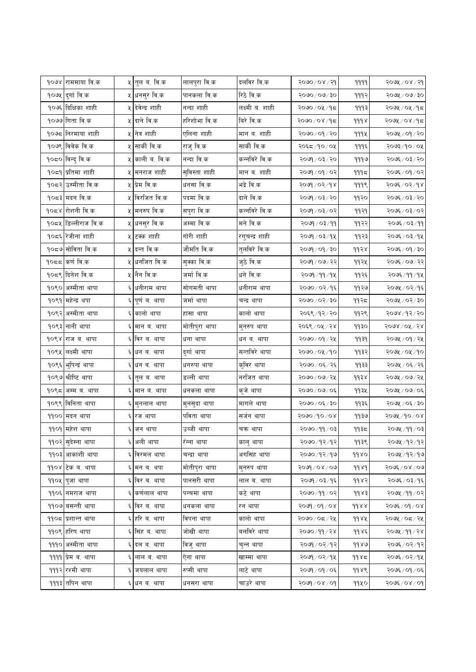| १०७४ राममाया वि.क         |    | <b>५ तुल ब. वि.क</b>      | लालपुरा वि.क  | दलविर वि.क      | $990 \times 100$                   | 9999  | २०७५ / ०४ / २१     |
|---------------------------|----|---------------------------|---------------|-----------------|------------------------------------|-------|--------------------|
| १०७५ दुर्गा वि.क          |    | ५ <mark>धनसुर वि.क</mark> | पानकला वि.क   | रिठे वि.क       | $\delta \xi \backslash \ell$ ०७/२० | 999२  | २०७५ / ०७/३०       |
| १०७६ दिक्षिका शाही        |    | ५ देवेन्द्र शाही          | नन्दा शाही    | लक्ष्मी ब. शाही | २०७० ⁄ ०५ ⁄ १८                     | १११३  | २०७५ / ०५ / १८     |
| १०७७ गिता वि.क            |    | ५ दाने वि.क               | हरिशोभा वि.क  | बिरे वि.क       | २०७०/०४/१८                         | 999x  | २०७५ / ०४ /१८      |
| १०७८ निरमाया शाही         |    | ५ नित्र शाही              | एलिना शाही    | मान ब. शाही     | २०७० / ०१ / २०                     | 9994  | २०७५ / ०१ / २०     |
| १०७९ विवेक वि.क           | ५। | सार्की वि.क               | राजु वि.क     | सार्की वि.क     | २०६८/१०/०५                         | १११६  | $20/90/\sqrt{200}$ |
| १०८० विन्दु वि.क          |    | ५ काली ब. वि.क            | नन्दा वि.क    | कन्नविरे वि.क   | २०७१ / ०३ / २०                     | १११७  | २०७६ / ०३/ २०      |
| १०८१ प्रतिमा शाही         |    | ५ मनराज शाही              | सुविस्ता शाही | मान ब. शाही     | २०७१ / ०१ / ०२                     | ۹۹۹≂  | २०७६ / ०१ / ०२     |
| १०८२ उस्मीता वि.क         |    | ५ प्रेम वि.क              | धनसा वि.क     | भद्रे वि.क      | २०७१ / ०२ / १४                     | 999९  | २०७६ / ०२ / १४     |
| १०८३ मदन वि.क             |    | ५ विरजित वि.क             | पदमा वि.क     | दाने वि.क       | २०७१ / ०३ / २०                     | ११२०  | २०७६ / ०३ / २०     |
| १०८४ रोशनी वि.क           |    | ५ मनरुप वि.क              | सपुरा वि.क    | कन्नविरे वि.क   | २०७१ / ०३ / ०२                     | ११२१  | २०७६ / ०३/ ०२      |
| १०८५ डिल्लीराज वि.क       |    | ५ <mark>धनसुर वि.क</mark> | अम्मा वि.क    | मने वि.क        | २०७१ / ०३ / ११                     | ११२२  | २०७६ / ०३ / ११     |
| १०८६ रेजीना शाही          |    | ५ टक्क शाही               | गोरी शाही     | रगुचन्द्र शाही  | २०७१ / ०३ / १५                     | ११२३  | २०७६ / ०३/१५       |
| १०८७ सोविता वि.क          |    | ५ दन्त वि.क               | जौमति वि.क    | तुलविरे वि.क    | २०७१ / ०१ / ३०                     | ११२४  | २०७६ / ०१ / ३०     |
| १०८८ कर्ण वि.क            | χ  | धर्नाजत वि.क              | सुक्का वि.क   | जुठे वि.क       | २०७१ / ०७ / २२                     | ११२५  | २०७६ / ०७ / २२     |
| १०८९ दिनेश वि.क           |    | ५ नैन वि.क                | जर्मा वि.क    | धने वि.क        | २०७१/११/१५                         | ११२६  | २०७६ ⁄ ११ ⁄ १५     |
| १०९० अस्मीता थापा         |    | धनीराम थापा               | सोगमती थापा   | धनीराम थापा     | २०७० ⁄ ०२ ⁄ १६                     | ११२७  | २०७५ / ०२/१६       |
| १०९१ महेन्द्र थपा         |    | पूर्ण ब. थापा             | जर्मा थापा    | चन्द्र थापा     | २०७० / ०२ / ३०                     | ११२८  | २०७५ / ०२ / ३०     |
| १०९२ अस्मीता थापा         |    | ६ कालो थापा               | हांसा थापा    | कालो थापा       | २०६९ / १२ / २०                     | ११२९  | २०७४ /१२/ २०       |
| १०९३ नानी थापा            |    | ६ मान ब. थापा             | मोतीपुरा थापा | मुनरुप थापा     | २०६९ / ०५ / २४                     | ११३०  | २०७४ / ०५ / २४     |
| १०९४ राज ब. थापा          |    | ६ विर ब. थापा             | धना थापा      | धन ब. थापा      | २०७० / ०१ / २५                     | ११३१  | २०७५ / ०१ / २५     |
| १०९५ लक्ष्मी थापा         |    | ६ धन ब. थापा              | दुर्गा थापा   | सन्तविरे थापा   | २०७०/०५/१०                         | ११३२  | २०७५ / ०५ /१०      |
| १०९६  भुषिन्द्रं थापा     |    | ६ धन ब. थापा              | धनरुपा थापा   | कुविर थापा      | २०७० / ०६ / २६                     | ११३३  | २०७५ / ०६ / २६     |
| १०९७ श्रीष्टि थापा        | ६। | तुल ब. थापा               | डल्ली थापा    | नरजित थापा      | २०७०/०७/२५                         | ११३४  | २०७५ / ०७/ २५      |
| १०९८ अम्म ब. थापा         |    | ६ मान ब. थापा             | धनकला थापा    | कुजे थापा       | २०७०/०७/०६                         | ११३५  | २०७५ / ०७/ ०६      |
| १०९९ विनिता थापा          | Ę  | मुनलाल थापा               | मुनसुदा थापा  | मागले थापा      | २०७० / ०६ / ३०                     | ११३६  | २०७५ / ०६ / ३०     |
| ११०० मदन थापा             | Ę  | रज थापा                   | पविता थापा    | सर्जन थापा      | १०७०/१०/०४                         | 9930  | २०७५ ⁄ १० ⁄ ०४     |
| ११०१ महेश थापा            |    | ६ जन थापा                 | उब्जी थापा    | चक्र थापा       | २०७० ⁄ ११ ⁄ ०३                     | ११३८  | २०७५ /११ /०३       |
| ११०२ सुदेस्ना थापा        |    | ६ अली थापा                | रॅन्ना थापा   | कालु थापा       | २०७० ⁄ १२ ⁄ १२                     | ११३९  | २०७५ ⁄ १२ ⁄ १२     |
| ११०३ आकाशी थापा           |    | ६ विरमल थापा              | चन्द्रा थापा  | अगसिंह थापा     | २०७० ⁄ १२ ⁄ १७                     | 9980  | २०७५ /१२/१७        |
| ११०४ टिक ब. थापा          |    | ६ मन ब. थपा               | मोतीपुरा थापा | मुनरुप थापा     | २०७१ / ०४ / ०७                     | 9989  | २०७६ / ०४ / ०७     |
| ११०५ पुजा थापा            |    | ६ विर ब. थापा             | पानसरी थापा   | लाल ब. थापा     | २०७१ / ०३ / १६                     | ११४२  | २०७६ ⁄ ०३ ⁄ १६     |
| ११०६ नमराज थापा           | Ę. | कर्णलाल थापा              | पन्चमा थापा   | कटे थापा        | २०७० / ११ / ०२                     | dds   | २०७५ ⁄ ११ ⁄ ०२     |
| ११०७ बसन्ती थापा          |    | ६ विर ब. थापा             | धनकला थापा    | रन थापा         | $5000$ / 00/ 2008                  | d d x | २०७६ ⁄ ०१ ⁄ ०४     |
| ११०८ प्रशान्त थापा        |    | ६ हरि ब. थापा             | विपना थापा    | कालो थापा       | २०७०/०८/२५                         | 9982  | २०७५ / ०८ / २५     |
| ११०९ हरिष थापा            |    | ६ सिंह ब. थापा            | जोखी थापा     | बलविरे थापा     | २०७० ⁄ ११ ⁄ २४                     | ११४६  | २०७५ ⁄ ११ ⁄ २४     |
| १११० अस्मीता थापा         |    | दल ब. थापा                | विजु थापा     | चुन्न थापा      | २०७१ / ०२ / १२                     | 9980  | २०७६ ⁄ ०२ ⁄ १२     |
| ११११  प्रेम ब. थापा       |    | ६ लाल ब. थापा             | ऐना थापा      | खाम्मा थापा     | २०७१ / ०२ / १५                     | 9985  | २०७६ ⁄ ०२ ⁄ १५     |
| <u> १११२  </u> रश्मी थापा |    | ६ जयलाल थापा              | रुप्सी थापा   | लाटे थापा       | २०७१ / ०१ / ०६                     | ११४९  | २०७६ / ०१ / ०६     |
| <u> १११३ तपिन थापा</u>    |    | धन ब. थापा                | धनसरा थापा    | चाउरे थापा      | $80/80/\sqrt{600}$                 | ११५०  | २०७६ / ०४ / ०१     |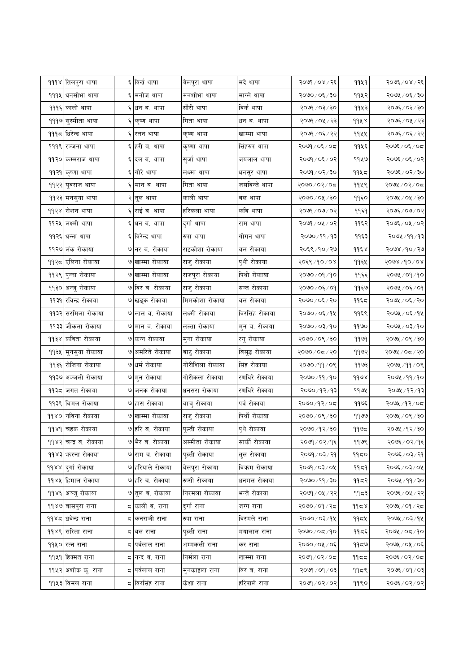| <mark>१११४ तिलपुरा थापा</mark><br><u> १११५ धनसोभा थापा</u><br>१११६ कालो थापा<br>१११७ सुस्मीता थापा | ६ विर्ख थापा<br>६ मनोज थापा<br>धन ब. थापा<br>कृष्ण थापा | बेलपुरा थापा<br>मनशोभा थापा<br>सौरी थापा | मदे थापा<br>माग्ले थापा | २०७१ / ०४ / २६<br>२०७० / ०६ / ३० | 9949<br>११५२ | २०७६ / ०४ / २६<br>२०७५ / ०६ / ३० |
|----------------------------------------------------------------------------------------------------|---------------------------------------------------------|------------------------------------------|-------------------------|----------------------------------|--------------|----------------------------------|
|                                                                                                    |                                                         |                                          |                         |                                  |              |                                  |
|                                                                                                    |                                                         |                                          |                         |                                  |              |                                  |
|                                                                                                    |                                                         |                                          | विकं थापा               | २०७१ / ०३ / ३०                   | ११५३         | २०७६ / ०३/ ३०                    |
|                                                                                                    |                                                         | गिता थापा                                | धन ब. थापा              | २०७१ / ०५ / २३                   | 99 4 8       | २०७६ / ०५ / २३                   |
| १११८  धिरेन्द्र थापा<br>६                                                                          | रतन थापा                                                | कृष्ण थापा                               | खाम्मा थापा             | २०७१ / ०६ / २२                   | 9922         | २०७६ ⁄ ०६ ⁄ २२                   |
| १११९  रञ्जना थापा                                                                                  | ६ हरी ब. थापा                                           | कृष्णा थापा                              | सिंहरुप थापा            | २०७१ / ०६ / ०८                   | ११५६         | २०७६ / ०६ / ०८                   |
| ११२० कम्मराज थापा                                                                                  | ६ दल ब. थापा                                            | सुर्जा थापा                              | जयलाल थापा              | २०७१ / ०६ / ०२                   | ११५७         | २०७६/०६/०२                       |
| ११२१ कृष्णा थापा                                                                                   | ६ गोरे थापा                                             | लक्ष्मा थापा                             | धनसुर थापा              | २०७१ / ०२ / ३०                   | ११५८         | २०७६ / ०२ / ३०                   |
| ११२२ <mark>युवराज थापा</mark>                                                                      | मान ब. थापा                                             | गिता थापा                                | जसविन्ते थापा           | २०७०/०२/०८                       | ११५९         | २०७५ / ०२ / ०८                   |
| ११२३ मनसुया थापा                                                                                   | २ तुल थापा                                              | काली थापा                                | बल थापा                 | २०७०/०५/३०                       | ११६०         | २०७५ / ०५ / ३०                   |
| ११२४ रोशन थापा<br>६                                                                                | राई ब. थापा                                             | हरिकला थापा                              | कवि थापा                | २०७१ / ०७/ ०२                    | ११६१         | २०७६ / ०७ / ०२                   |
| ११२५ लक्ष्मी थापा                                                                                  | धन ब. थापा                                              | दुर्गा थापा                              | राम थापा                | २०७१ / ०५ / ०२                   | ११६२         | २०७६ ⁄ ०५ ⁄ ०२                   |
| ११२६ धन्ना थापा                                                                                    | ६ विरेन्द्र थापा                                        | रुपा थापा                                | गोगन थापा               | २०७० ⁄ ११ ⁄ १३                   | ११६३         | २०७५ / ११ / १३                   |
| ११२७ लंक रोकाया                                                                                    | ७ नर ब. रोकाया                                          | राइकोशा रोकाया                           | बल रोकाया               | २०६९ /१० / २७                    | ११६४         | २०७४ /१० / २७                    |
| ११२८ एलिना रोकाया                                                                                  | ७ खाम्मा रोकाया                                         | राजु रोकाया                              | पृथी रोकाया             | २०६९/१०/०४                       | ११६५         | $5008\backslash do$ / 0.8        |
| ११२९ पुन्ना रोकाया                                                                                 | ७ खाम्मा रोकाया                                         | राजपुरा रोकाया                           | पिथी रोकाया             | २०७० / ०१ / १०                   | ११६६         | २०७५ / ०१ /१०                    |
| ११३० अन्जु रोकाया                                                                                  | ७ विर ब. रोकाया                                         | राजु रोकाया                              | सन्त रोकाया             | २०७० / ०६ / ०१                   | ११६७         | २०७५ / ०६ / ०१                   |
| ११३१ रविन्द्र रोकाया                                                                               | ७ खड्क रोकाया                                           | मिमकोशा रोकाया                           | बल रोकाया               | २०७०/०६/२०                       | ११६८         | २०७५ / ०६ / २०                   |
| ११३२ सरमिला रोकाया                                                                                 | ७ लाल ब. रोकाया                                         | लक्ष्मी रोकाया                           | विरसिंह रोकाया          | २०७० / ०६ / १५                   | ११६९         | २०७५ / ०६ / १५                   |
| ११३३ जौकला रोकाया                                                                                  | ७ मान ब. रोकाया                                         | लल्ता रोकाया                             | मुन ब. रोकाया           | २०७० / ०३ / १०                   | 99७०         | २०७५ / ०३/१०                     |
| ११३४ <mark>कविता रोकाया</mark>                                                                     | ७ कन्न रोकाया                                           | मुना रोकाया                              | रगु रोकाया              | २०७०/०९/३०                       | 9999         | २०७५ / ०९ / ३०                   |
| ११३५ मुनसुया रोकाया                                                                                | ७ अमरिते रोकाया                                         | बाटु रोकाया                              | बिसुद्ध रोकाया          | २०७०/०८/२०                       | ११७२         | २०७५ / ०८ / २०                   |
| ११३६ रोजिना रोकाया                                                                                 | ७ धर्म रोकाया                                           | गोरीशिला रोकाया                          | सिंह रोकाया             | २०७० / ११ / ०९                   | ११७३।        | २०७५ / ११ / ०९                   |
| ११३७ अञ्जली रोकाया                                                                                 | ७ मुन रोकाया                                            | गोरीकला रोकाया                           | रणविरे रोकाया           | २०७०/११/१०                       | 9998         | २०७५ ⁄ ११ ⁄ १०                   |
| ११३८ जगत रोकाया                                                                                    | ७ जनक रोकाया                                            | धनसरा रोकाया                             | रणविरे रोकाया           | २०७० ⁄ १२ ⁄ १३                   | ११७५         | २०७५ / १२ / १३                   |
| ११३९ बिमल रोकाया                                                                                   | ७ हास रोकाया                                            | बाचु रोकाया                              | पर्व रोकाया             | २०७०/१२/०८                       | ११७६         | २०७५ ⁄ १२ ⁄ ०८                   |
| ११४० नविना रोकाया                                                                                  | ७ खाम्मा रोकाया                                         | राजु रोकाया                              | पिर्थी रोकाया           | २०७०/०९/३०                       | 9900         | २०७५ / ०९ / ३०                   |
| ११४१ चिहक रोकाया                                                                                   | ७ हरि ब. रोकाया                                         | पल्ती रोकाया                             | पृथे रोकाया             | २०७० / १२ / ३०                   | ११७८         | २०७५ ⁄ १२ ⁄ ३०                   |
| ११४२ चन्द्र ब. रोकाया                                                                              | ७ भैर ब. रोकाया                                         | अस्मीता रोकाया                           | सार्की रोकाया           | २०७१ / ०२ / १६                   | 9968         | २०७६ / ०२ / १६                   |
| ११४३ करना रोकाया                                                                                   | ७ राम ब. रोकाया                                         | पुल्ती रोकाया                            | तुल रोकाया              | १०७१ / ०३ / २१                   | 9950         | २०७६ / ०३ / २१                   |
| ११४४ दुर्गा रोकाया                                                                                 | ७ हरियाले रोकाया                                        | बेलपुरा रोकाया                           | विक्रम रोकाया           | २०७१ / ०३ / ०५                   | 9959         | २०७६ ⁄ ०३/ ०५                    |
| ११४५ हिमाल रोकाया                                                                                  | ७ हरि ब. रोकाया                                         | रुप्सी रोकाया                            | धनमल रोकाया             | २०७०/११/३०                       | 9952         | २०७५ /११ / ३०                    |
| ११४६ अञ्जु रोकाया                                                                                  | ७ तुल ब. रोकाया                                         | निरमला रोकाया                            | भन्ते रोकाया            | २०७१ / ०५ / २२                   | ११८३         | २०७६ ⁄ ०५ ⁄ २२                   |
| ११४७ <mark>वासपुरा राना</mark><br>Ξ,                                                               | काली ब. राना                                            | दुर्गा राना                              | जग्ग राना               | २०७०/०१/२८                       | 9958         | २०७५ / ०१ / २८                   |
| ११४८ धवेन्द्र राना                                                                                 | द <mark> </mark> कनराजी राना                            | रुपा राना                                | विरमले राना             | २०७० / ०३ / १५                   | 9954         | २०७५ / ०३/१५                     |
| <u> १</u> ९४९ सिरिता राना<br>ς                                                                     | बल राना                                                 | पुल्ती राना                              | मयालाल राना             | २०७०/०८/१०                       | ११८६         | २०७५ / ०८ /१०                    |
| ११५० रत्न राना                                                                                     | ८ पर्वलाल राना                                          | अम्मकली राना                             | कर राना                 | २०७०/०५/०६                       | 9959         | २०७५ / ०५ / ०६                   |
| ११५१ हिक्मत राना                                                                                   | ८ नन्द ब. राना                                          | निर्मला राना                             | खाम्मा राना             | २०७१/०२/०८                       | 9955         | २०७६ / ०२ / ०८                   |
| ११५२ अशोक कु. राना<br>ς                                                                            | पर्वलाल राना                                            | मुनकाइला राना                            | विर ब. राना             | ३०७१ / ०१ / ०३                   | ११८९         | २०७६ / ०१ / ०३                   |
| ११५३ विमल राना                                                                                     | ८ विरसिंह राना                                          | केशा राना                                | हरिपाले राना            | २०७९ / ०२ / ०२                   | 9990         | २०७६ / ०२ / ०२                   |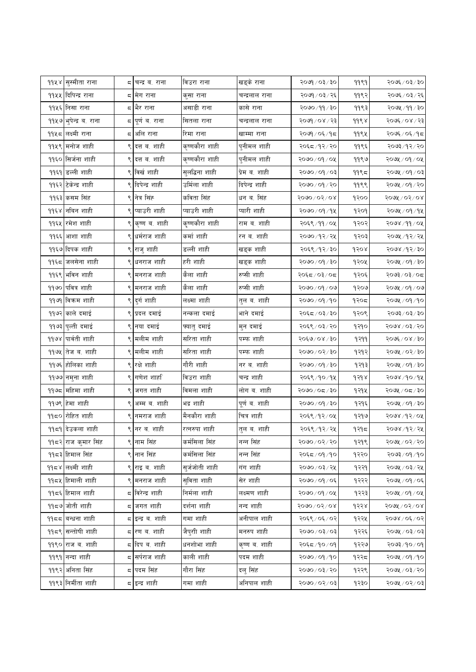| ११४४ सुस्मीता राना            |    | द∣चन्द्र ब. राना | विउरा राना     | खड्के राना     | २०७१ / ०३ / ३०            | 9999    | २०७६ / ०३/३०     |
|-------------------------------|----|------------------|----------------|----------------|---------------------------|---------|------------------|
| ११५५ दिपिन्द्र राना           |    | ८ मेग राना       | कुसा राना      | चन्द्रलाल राना | २०७१ / ०३ / २६            | ११९२    | २०७६ / ०३ / २६   |
| ११५६ निसा राना                |    | द भैर राना       | असाडी राना     | कासे राना      | २०७० ⁄ ११ ⁄ ३०            | ११९३    | २०७५ ⁄ ११ ⁄ ३०   |
| ११५७ भुपेन्द्र ब. राना        |    | ८  पूर्ण ब. राना | सितला राना     | चन्द्रलाल राना | २०७१ / ०४ / २३            | ११९४    | २०७६ / ०४ / २३   |
| ११५८ लक्ष्मी राना             | Ξ, | अलि राना         | रिमा राना      | खाम्मा राना    | २०७१ / ०६ / १८            | 9994    | २०७६ ⁄ ०६ ⁄ १८   |
| ११५९ मनोज शाही                |    | दत्त ब. शाही     | कृष्णकौरा शाही | पुनीमल शाही    | २०६८/१२/२०                | ११९६    | २०७३ ⁄ १२ ⁄ २०   |
| ११६० सिर्जना शाही             |    | ९ दत्त ब. शाही   | कृष्णकौरा शाही | पुनीमल शाही    | २०७०/०१/०५                | ११९७    | २०७५ / ०१ / ०५   |
| ११६१ डल्ली शाही               |    | ९ विर्खशाही      | सुलद्धिना शाही | प्रेम ब. शाही  | १०७० / ०१ / ०३            | $99$ ९८ | १०७५ / ०१ / ०३   |
| ११६२ टेकेन्द्र शाही           |    | ९ दिपेन्द्र शाही | उर्मिला शाही   | दिपेन्द्र शाही | २०७० / ०१ / २०            | ११९९    | २०७५ / ०१ / २०   |
| ११६३ कसम सिंह                 |    | ९ नित्र सिंह     | कविता सिंह     | धन ब. सिंह     | २०७०/०२/०४                | १२००    | २०७५ / ०२ / ०४   |
| ११६४ नबिन शाही                | ९  | प्याउरी शाही     | प्याउरी शाही   | प्यारी शाही    | २०७० / ०१ / १५            | १२०१    | २०७५ / ०१ / १५   |
| ११६५ रमेश शाही                |    | कृष्ण ब. शाही    | कृष्णकौरा शाही | राम ब. शाही    | २०६९ ⁄ ११ ⁄ ०५            | १२०२    | २०७४ ⁄ ११ ⁄ ०५   |
| ११६६ आशा शाही                 |    | ९ धर्मराज शाही   | कर्मा शाही     | रन ब. शाही     | २०७० /१२ / २५             | १२०३    | २०७५ /१२/ २५     |
| ११६७ दिपक शाही                |    | ९  राजु शाही     | डल्ली शाही     | खड्क शाही      | २०६९/१२/३०                | १२०४    | २०७४ /१२/३०      |
| ११६८ जलसेना शाही              |    | धनराज शाही       | हरी शाही       | खड्क शाही      | २०७० / ०१ / ३०            | १२०५    | $\log \log \log$ |
| ११६९ भविन शाही                |    | ९ मनराज शाही     | कैला शाही      | रुप्सी शाही    | २०६द ⁄ ०३/ ०द             | १२०६    | २०७३/०३/०८       |
| ११७० पवित्र शाही              |    | ९ मनराज शाही     | कैला शाही      | रुप्सी शाही    | २०७० / ०१ / ०७            | १२०७    | २०७५ / ०१ / ०७   |
| ११७१ विक्रम शाही              |    | ९ दुर्ग शाही     | लक्ष्मा शाही   | तुल ब. शाही    | २०७० / ०१ / १०            | १२०८    | २०७५ / ०१ /१०    |
| ११७२ काले दमाई                |    | प्रदल दमाई       | नन्कला दमाई    | भाने दमाई      | २०६८/०३/३०                | १२०९    | २०७३ / ०३ / ३०   |
| ११७३ पुल्ती दमाई              |    | ९ नया दमाई       | फ्यातु दमाई    | मुन दमाई       | २०६९ / ०३ / २०            | १२१०    | २०७४ / ०३/ २०    |
| <b>११७४ पार्वती शाही</b>      |    | मलीम शाही        | सरिता शाही     | पम्फ शाही      | २०६७/०४/३०                | 9399    | २०७६ / ०४ / ३०   |
| <mark>११७५ तेज व. शाही</mark> |    | ९ मलीम शाही      | सरिता शाही     | पम्फ शाही      | २०७० / ०२ / ३०            | १२१२    | २०७५ / ०२/३०     |
| ११७६ होलिका शाही              |    | ९ रक्षे शाही     | गौरी शाही      | नर ब. शाही     | २०७० / ०१ / ३०            | १२१३    | २०७५ / ०१ / ३०   |
| ११७७ नमुना शाही               | ९  | गणेश शार्हा      | विउरा शाही     | चन्द्र शाही    | २०६९ ⁄ १० ⁄ १५            | १२१४    | २०७४ /१० /१५     |
| ११७८ महिमा शाही               |    | जगत शाही         | विमला शाही     | लोग ब. शाही    | २०७०/०८/३०                | १२१५    | २०७५ / ०८ / ३०   |
| ११७९ हेमा शाही                | ९  | अम्म ब. शाही     | भद्र शाही      | पूर्ण ब. शाही  | २०७० / ०१ / ३०            | १२१६    | २०७५ / ०१ / ३०   |
| <b>११८० रोहित शाही</b>        | ९  | नमराज शाही       | मैनकौरा शाही   | चित्र शाही     | २०६९ /१२ / ०५             | १२१७    | २०७४ ⁄ १२ ⁄ ०५   |
| ११८१ देउकला शाही              |    | ९ नर ब. शाही     | रत्नरुपा शाही  | तुल ब. शाही    | २०६९ ⁄ १२ ⁄ २५            | १२१८    | २०७४ ⁄ १२ ⁄ २५   |
| ११८२ राज कुमार सिंह           |    | ९ नाम सिंह       | कर्मसिला सिंह  | नन्न सिंह      | २०७०/०२/२०                | १२१९    | २०७५ / ०२/२०     |
| ११८३ हिमाल सिंह               | ९  | नान सिंह         | कर्मसिला सिंह  | नन्न सिंह      | २०६८/०१/१०                | १२२०    | २०७३/०१/१०       |
| ११८४ लक्ष्मी शाही             |    | राइ व. शाही      | सुर्जजोती शाही | गंग शाही       | २०७० / ०३ / २५            | १२२१    | २०७५ / ०३ / २५   |
| ११८५ हिमाली शाही              |    | ९ मनराज शाही     | सुविता शाही    | सेर शाही       | २०७० / ०१ / ०६            | १२२२    | २०७५ / ०१ / ०६   |
| ११८६ हिमाल शाही               |    | द विरेन्द्र शाही | निर्मला शाही   | लक्ष्मण शाही   | २०७०/०१/०५                | १२२३    | २०७५ / ०१ / ०५   |
| ११८७ जोती शाही                |    | द जगत शाही       | दर्शना शाही    | नन्द शाही      | २०७०/०२/०४                | १२२४    | २०७५ / ०२ / ०४   |
| ११८८ बन्धना शाही              |    | द इन्द्र ब. शाही | गमा शाही       | अनीपाल शाही    | २०६९ / ०६ / ०२            | १२२५    | २०७४ / ०६ / ०२   |
| ११८९ सन्तोषी शाही             |    | ८ रण ब. शाही     | जैपुरीी शाही   | मनरुप शाही     | $50 \times 50 \times 000$ | १२२६    | २०७५ / ०३/ ०३    |
| ११९० राज ब. शाही              |    | द दिप ब. शाही    | धनशोभा शाही    | कृष्ण ब. शाही  | २०६८/१०/०१                | १२२७    | २०७३ ⁄ १० ⁄ ०१   |
| ११९१ नन्दा शाही               |    | द सर्पराज शाही   | काली शाही      | पदम शाही       | २०७०/०१/१०                | १२२८    | २०७५ / ०१ / १०   |
| ११९२ अनिता सिंह               |    | द पदम सिंह       | गौरा सिंह      | दलु सिंह       | २०७०/०३/२०                | १२२९    | २०७५ / ०३/ २०    |
| ११९३ निर्मीता शाही            |    | द इन्द्र शाही    | गमा शाही       | अनिपाल शाही    | 50/20/060                 | १२३०    | २०७५ / ०२/ ०३    |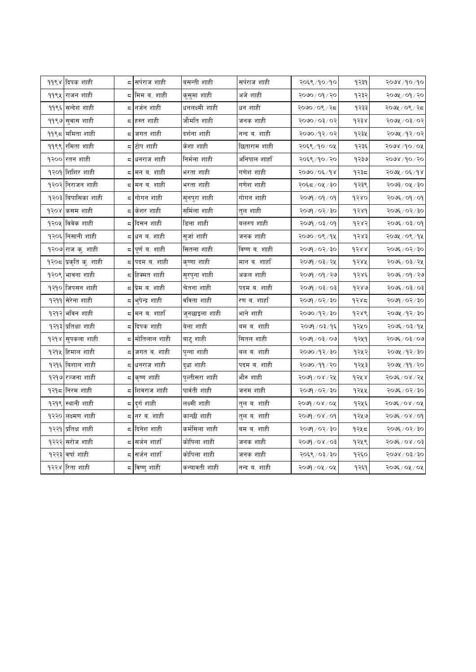|      | ११९४ दिपक शाही           |    | द सर्पराज शाही              | बसन्ती शाही    | सर्पराज शाही   | २०६९/१०/१०                         | १२३१ | २०७४ /१० /१०   |
|------|--------------------------|----|-----------------------------|----------------|----------------|------------------------------------|------|----------------|
|      | <u> ११९५ राजन शाही</u>   |    | ८ मिम ब. शाही               | कुसुमा शाही    | अजे शाही       | २०७० / ०१ / २०                     | १२३२ | २०७५ / ०१ / २० |
|      | <u> ११९६ सन्देश शाही</u> |    | द <mark>नर्जन शाही</mark>   | धनलक्ष्मी शाही | धन शाही        | २०७० ⁄ ०९ ⁄ २द                     | १२३३ | २०७५ / ०९ / २८ |
|      | <u> ११९७ सु</u> वास शाही |    | ८ हस्त शाही                 | जौमति शाही     | जनक शाही       | २०७० ⁄ ०३ ⁄ ०२                     | १२३४ | २०७५ ⁄ ०३ ⁄ ०२ |
|      | ११९८ ममिता शाही          |    | द जगत शाही                  | दर्शना शाही    | नन्द ब. शाही   | २०७० ⁄ १२ ⁄ ०२                     | १२३५ | २०७५ /१२/०२    |
| 9999 | रमिता शाही               |    | द टोप शाही                  | केशा शाही      | छिताराम शाही   | २०६९/१०/०५                         | १२३६ | २०७४ /१० / ०५  |
|      | १२०० रतन शाही            |    | ८ धनराज शाही                | निर्मला शाही   | अनिपाल शार्हा` | २०६९/१०/२०                         | १२३७ | २०७४ ⁄ १० ⁄ २० |
|      | १२०१ शिशिर शाही          | Ξ, | मन ब. शाही                  | भरता शाही      | गणेश शाही      | २०७० ⁄ ०६ ⁄ १४                     | १२३८ | २०७५ ⁄ ०६ ⁄ १४ |
|      | १२०२ निराजन शाही         |    | ८   मन ब. शाही              | भरता शाही      | गणेश शाही      | २०६८/०५/३०                         | १२३९ | २०७३ ⁄ ०५ ⁄ ३० |
|      | १२०३ बिपासिका शाही       |    | ८ गोगन शाही                 | सुनपुरा शाही   | गोगन शाही      | २०७१ / ०१ / ०१                     | १२४० | २०७६ ⁄ ०१ ⁄ ०१ |
|      | १२०४  कसम शाही           |    | द केशर शाही                 | सर्मिला शाही   | तुल शाही       | २०७१ / ०२ / ३०                     | d3d  | २०७६ / ०२ / ३० |
|      | १२०५ विवेक शाही          |    | ८ दिसन शाही                 | डिला शाही      | बलरुप शाही     | २०७१ / ०३ / ०१                     | १२४२ | २०७६ / ०३/ ०१  |
|      | १२०६ निसानी शाही         |    | ८ धन ब. शाही                | सुजां शाही     | जनक शाही       | २०७० ⁄ ०९ ⁄ १५                     | १२४३ | २०७५ ⁄ ०९ ⁄ १५ |
|      | १२०७ राज कु. शाही        |    | ८  पूर्णं व. शाही           | सितला शाही     | विष्ण ब. शाही  | २०७१ / ०२ / ३०                     | १२४४ | २०७६ ⁄ ०२⁄ ३०  |
|      | १२०८ प्रकृति कु. शाही    |    | द पदम ब. शाही               | कृष्णा शाही    | मान ब. शार्हा  | २०७१ / ०३ / २५                     | १२४५ | २०७६ / ०३ / २५ |
|      | १२०९ भावना शाही          |    | ८ हिक्मत शाही               | सुरपुना शाही   | अकल शाही       | २०७१ / ०१ / २७                     | १२४६ | २०७६ / ०१ / २७ |
|      | १२१० जिपसन शाही          |    | ८ प्रेम ब. शाही             | चेतना शाही     | पदम ब. शाही    | २०७१ / ०३ / ०३                     | १२४७ | २०७६ ⁄ ०३/ ०३  |
| १२११ | सेरेना शाही              | ς  | भुपेन्द्र शाही              | वविता शाही     | रण ब. शार्हा`  | $\delta \xi \setminus \xi$ ०/ २०७२ | १२४८ | २०७१ / ०२ / ३० |
|      | १२१२ भविन शाही           |    | द मन ब. शार्हा              | जुनछाइला शाही  | भाने शाही      | २०७० ⁄ १२ ⁄ ३०                     | १२४९ | २०७५ /१२/३०    |
| १२१३ | प्रतिक्षा शाही           |    | ८ दिपक शाही                 | बेला शाही      | बम ब. शाही     | २०७१ ⁄ ०३ ⁄ १६                     | १२५० | २०७६ ⁄ ०३ ⁄ १५ |
| १२१४ | सुपकला शाही              |    | द <mark>मोतिलाल शाही</mark> | बाटु शाही      | सितल शाही      | २०७१ / ०३ / ०७                     | १२५१ | २०७६ ⁄ ०३⁄ ०७  |
|      | १२१५ हिमाल शाही          |    | ८  जगत ब. शाही              | पुन्ना शाही    | बल ब. शाही     | २०७० / १२ / ३०                     | १२५२ | २०७५ ⁄ १२⁄ ३०  |
| १२१६ | विशाल शाही               |    | ८ धनराज शाही                | दुधा शाही      | पदम ब. शाही    | २०७० ⁄ ११ ⁄ २०                     | १२५३ | २०७५ ⁄ ११ ⁄ २० |
|      | १२१७∣रञ्जना शाही         |    | ८   कृष्ण शाही              | पुल्तीसरा शाही | भौरु शाही      | २०७१ / ०४ / २५                     | १२५४ | २०७६ / ०४ / २५ |
|      | १२१८ निरम शाही           |    | ८ शिवराज शाही               | पार्वती शाही   | जनम शाही       | २०७१ / ०२ / ३०                     | १२५५ | २०७६ / ०२ / ३० |
| १२१९ | स्थानी शाही              |    | द <mark>दुर्ग शाही</mark>   | लक्ष्मी शाही   | तुल ब. शाही    | २०७१ / ०४ / ०५                     | १२५६ | २०७६/०४/०५     |
|      | १२२० लक्ष्मण शाही        |    | ८ ∣नर ब. शाही               | कान्छी शाही    | तुल ब. शाही    | २०७१ / ०४ / ०१                     | १२५७ | २०७६ / ०४ / ०१ |
| १२२१ | प्रतिक्ष शाही            |    | ८ दिनेश शाही                | कर्मसिला शाही  | बम ब. शाही     | २०७१ / ०२ / ३०                     | १२५८ | २०७६ / ०२ / ३० |
|      | १२२२ सरोज शाही           |    | ८  सर्जन शार्हा`            | कोपिला शाही    | जनक शाही       | २०७१ / ०४ / ०३                     | १२५९ | २०७६ ⁄ ०४ ⁄ ०३ |
|      | १२२३ वर्षा शाही          |    | ८ सर्जन शार्हा              | कोपिला शाही    | जनक शाही       | २०६९ / ०३ / ३०                     | १२६० | २०७४ / ०३ / ३० |
|      | १२२४ रिता शाही           |    | ८ विष्णु शाही               | कन्यावती शाही  | नन्द ब. शाही   | २०७१ / ०५ / ०५                     | १२६१ | २०७६ ⁄ ०५ ⁄ ०५ |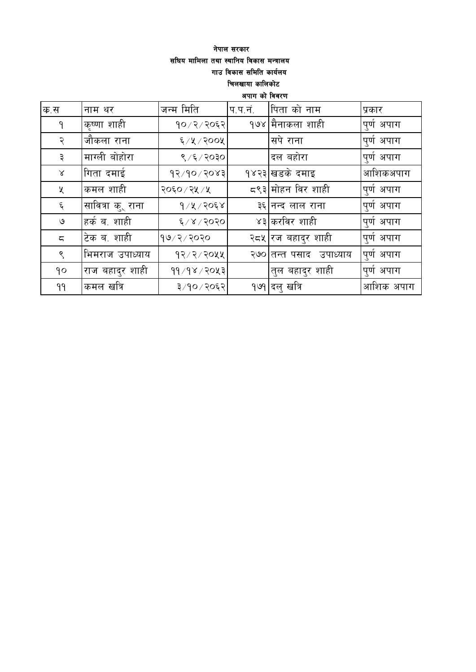### नेपाल सरकार सघिय मामिला तथा स्थानिय विकास मन्त्रालय गाउ विकास समिति कार्यलय चिलखाया कालिकोट

अपाग को विवरण

| क.स                    | नाम थर                    | जन्म मिति     | प.प.नं. | पिता को नाम             | प्रकार     |
|------------------------|---------------------------|---------------|---------|-------------------------|------------|
| ۹                      | कृष्णा शाही               | १०/२/२०६२     |         | १७४ मैनाकला शाही        | पुर्ण अपाग |
| २                      | जौकला राना                | 6/8/300       |         | ।सपे राना               | पुर्ण अपाग |
| ३                      | माग्ली बोहोरा             | ९ /६ / २०३०   |         | दल बहोरा                | पुर्ण अपाग |
| $\propto$              | गिता दमाई                 | 93/90/3083    |         | १४२३ खडके दमाइ          | आशिकअपाग   |
| Κ                      | कमल शाही                  | २०६० / २५ / ५ |         | द९३ मोहन विर शाही       | पुर्ण अपाग |
| ६                      | सावित्रा कु् राना         | $9/8/20$ ६४   |         | ३६ नन्द लाल राना        | पुर्ण अपाग |
| ও                      | <sub>।</sub> हर्क ब. शाही | $\S/8/3030$   |         | ४३ करविर शाही           | पुर्ण अपाग |
| $\overline{\varsigma}$ | टेक ब. शाही               | १७/२/२०२०     |         | २द्रश्र् रज बहादुर शाही | पुर्ण अपाग |
| $\mathcal{S}$          | भिमराज उपाध्याय           | 92/2/2044     |         | २७० तन्त पसाद उपाध्याय  | पुर्ण अपाग |
| 90                     | 'राज बहादुर शाही          | 99/98/2083    |         | तुल बहादुर शाही         | पूर्ण अपाग |
| 99                     | कमल खत्रि                 | ३/१०/२०६२     |         | <u> १७१ दलु</u> खत्रि   | आशिक अपाग  |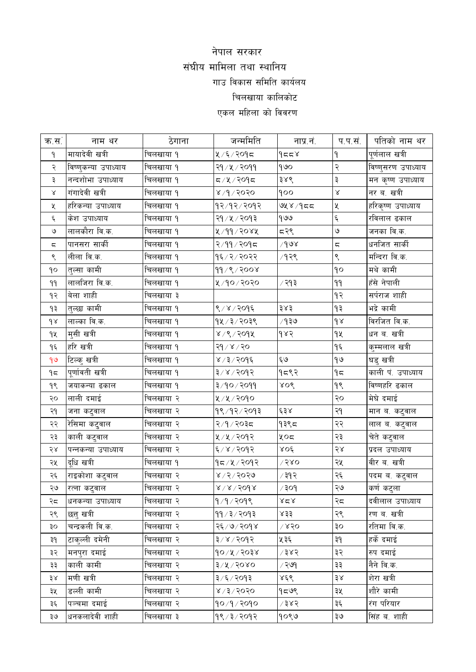# नेपाल सरकार संघीय मामिला तथा स्थानिय गाउ विकास समिति कार्यलय चिलखाया कालिकोट एकल महिला को विवरण

| क्र.स.ं                 | नाम थर               | ठेगाना    | जन्ममिति                  | नाप्र.नं.             | प.प.सं.                | पतिको नाम थर       |
|-------------------------|----------------------|-----------|---------------------------|-----------------------|------------------------|--------------------|
| ۹                       | मायादेवी खत्री       | चिलखाया १ | ५/६/२०१८                  | 9559                  | ٩                      | पूर्णलाल खत्री     |
| २                       | विष्णुकन्या उपाध्याय | चिलखाया १ | २१ ⁄ ५ ⁄ २०११             | 900                   | २                      | विष्णुसरण उपाध्याय |
| ३                       | नन्दशोभा उपाध्याय    | चिलखाया १ | $5909 \times 10$          | ३४९                   | ३                      | मन कृष्ण उपाध्याय  |
| Χ                       | गंगादेवी खत्री       | चिलखाया १ | ४ ⁄ ९ ⁄ २०२०              | 900                   | $\propto$              | नर ब. खत्री        |
| Κ                       | हरिकन्या उपाध्याय    | चिलखाया १ | १२/१२/२०१२                | ७५४/१८८               | $\mathbf{\mathsf{X}}$  | हरिकृष्ण उपाध्याय  |
| $\epsilon$              | केश उपाध्याय         | चिलखाया १ | २१ ⁄ ५ ⁄ २०१३             | 900                   | Ę                      | रविलाल ढकाल        |
| ৩                       | लालकौरा वि.क.        | चिलखाया १ | ४/११/२०४५                 | 597                   | $\mathsf{G}$           | जनका वि.क.         |
| $\overline{\mathbb{C}}$ | पानसरा सार्की        | चिलखाया १ | २/११/२०१८                 | $\sqrt{9}$ 8          | $\overline{a}$         | धनजित सार्की       |
| ९                       | लीला वि.क.           | चिलखाया १ | १६/२/२०२२                 | ∕१२९                  | ९                      | मन्दिरा वि.क.      |
| ٩o                      | तुल्सा कामी          | चिलखाया १ | 99/9/2008                 |                       | $\mathsf{q}\mathsf{o}$ | मथे कामी           |
| 99                      | लालजिरा वि.क.        | चिलखाया १ | ५/१०/२०२०                 | ∕ २१३                 | 99                     | हँसे नेपाली        |
| १२                      | बेला शाही            | चिलखाया ३ |                           |                       | 93                     | सर्पराज शाही       |
| ۹₹                      | तुल्छा कामी          | चिलखाया १ | ९/४/२०१६                  | ३४३                   | ۹₹                     | भद्रे कामी         |
| $d \lambda$             | लाल्का वि.क.         | चिलखाया १ | $94/3/203$ ९              | ⁄ १३७                 | $\delta$               | विरजित वि.क.       |
| qų                      | मुसी खत्री           | चिलखाया १ | 8/8/209                   | 985                   | qy                     | धन ब. खत्री        |
| ۹६                      | हरि खत्री            | चिलखाया १ | २१ / ४ / २०               |                       | ۹६                     | कुम्मलाल खत्री     |
| 99                      | टिल्कु खत्री         | चिलखाया १ | ४ ⁄ ३ ⁄ २०१६              | ६७                    | $\theta$               | घडु खत्री          |
| $9\pi$                  | पूर्णावती खत्री      | चिलखाया १ | 3 x x 2005                | 9597                  | 95                     | काली पं. उपाध्याय  |
| ٩९                      | जयाकन्या ढकाल        | चिलखाया १ | ३/१०/२०११                 | ४०९                   | $\gamma$               | विष्णहरि ढकाल      |
| २०                      | लाली दमाई            | चिलखाया २ | ५/५/२०१०                  |                       | २०                     | मेघे दमाई          |
| २१                      | जना कटुवाल           | चिलखाया २ | १९/१२/२०१३                | 638                   | २१                     | मान ब. कटुवाल      |
| २२                      | रेसिमा कटुवाल        | चिलखाया २ | २/१/२०३८                  | १३९८                  | २२                     | लाल ब. कटुवाल      |
| २३                      | काली कटुवाल          | चिलखाया २ | ५/५/२०१२                  | ५०८                   | २३                     | चेते कटुवाल        |
| २४                      | पन्नकन्या उपाध्याय   | चिलखाया २ | ६/४/२०१२                  | $XO\xi$               | $58$                   | प्रदल उपाध्याय     |
| २५                      | दूधि खत्री           | चिलखाया १ | १८/४/२०१२                 | $\sqrt{580}$          | २५                     | वीर ब. खत्री       |
| २६                      | राइकोशा कटुवाल       | चिलखाया २ | ४/२/२०२७                  | ∕ ३१२                 | २६                     | पदम ब. कटुवाल      |
| २७                      | रत्ना कट्वाल         | चिलखाया २ | $8 \times 8 \times 500$ ४ | $\rho$ ०६ $\setminus$ | २७                     | कर्ण कट्ला         |
| २द                      | धनकन्या उपाध्याय     | चिलखाया २ | 9/9/209                   | xzx                   | २८                     | दवीलाल उपाध्याय    |
| २९                      | छत्त खत्री           | चिलखाया २ | 99/3/2093                 | ४३३                   | २९                     | रण ब. खत्री        |
| ३०                      | चन्द्रकली वि.क.      | चिलखाया २ | २६ / ७ / २०१४             | $\sqrt{880}$          | OĘ                     | रतिमा वि.क.        |
| ३१                      | टाकुल्ली दमेनी       | चिलखाया २ | $3/x$ / $3045$            | ५३६                   | ΡĘ                     | हर्के दमाई         |
| ३२                      | मनपुरा दमाई          | चिलखाया २ | $90/x$ / २०३४             | ∕ ३४२                 | ३२                     | रुप दमाई           |
| ३३                      | काली कामी            | चिलखाया २ | $3 \times 20$ ४०          | ∕ २७९                 | ३३                     | नैने वि.क.         |
| ३४                      | मणी खत्री            | चिलखाया २ | ३/६/२०१३                  | ४६९                   | 38                     | शेरा खत्री         |
| ३५                      | डल्ली कामी           | चिलखाया २ | ४ ⁄ ३ ⁄ २०२०              | १८७९                  | ३५                     | शौरे कामी          |
| ३६                      | पञ्चमा दमाई          | चिलखाया २ | १०/१/२०१०                 | 7385                  | ३६                     | रंग परियार         |
| ३७                      | धनकलादेवी शाही       | चिलखाया ३ | १९ ⁄ ३ ⁄ २०१२             | १०९७                  | २७                     | सिंह ब. शाही       |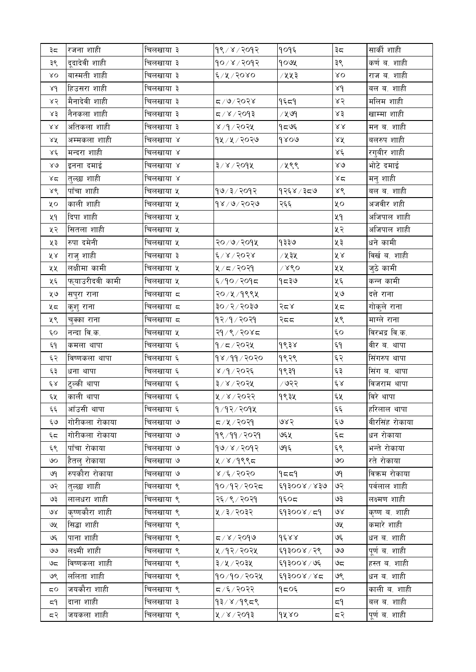| ३८                      | रजना शाही       | चिलखाया ३ | १९/४/२०१२     | १०१६             | ३८                      | सार्की शाही    |
|-------------------------|-----------------|-----------|---------------|------------------|-------------------------|----------------|
| ३९                      | दूदादेवी शाही   | चिलखाया ३ | १०/४/२०१२     | gouy             | ३९                      | कर्ण ब. शाही   |
| $\lambda$ O             | बास्मती शाही    | चिलखाया ३ | $6/8/50$ x 0  | ∕ ५५३            | $\lambda$ O             | राज ब. शाही    |
| $\lambda d$             | हिउसरा शाही     | चिलखाया ३ |               |                  | $\lambda d$             | बल ब. शाही     |
| ४२                      | मैनादेवी शाही   | चिलखाया ३ | द ∕ ७ ⁄ २०२४  | १६८१             | ४२                      | मलिम शाही      |
| ४३                      | नैनकला शाही     | चिलखाया ३ | द ⁄ ४ ⁄ २०१३  | ∕ ५७९            | x3                      | खाम्मा शाही    |
| $\lambda\lambda$        | अतिकला शाही     | चिलखाया ३ | ४ ⁄ १ ⁄ २०२५  | १८७६             | $\lambda\lambda$        | मन ब. शाही     |
| ४४                      | अम्मकला शाही    | चिलखाया ४ | १५ ⁄ ५ ⁄ २०२७ | 9800             | ४४                      | बलरुप शाही     |
| $\lambda \xi$           | मन्दरा शाही     | चिलखाया ४ |               |                  | Χέ                      | रगुबीर शाही    |
| $80^{\circ}$            | इनना दमाई       | चिलखाया ४ | ३/४/२०१५      | /५९९             | $80^{\circ}$            | भोटे दमाई      |
| ४द                      | तुल्छा शाही     | चिलखाया ४ |               |                  | $x \in$                 | मनु शाही       |
| $\lambda\acute{\delta}$ | पाँचा शाही      | चिलखाया ५ | १७/३/२०१२     | १२६४ ∕ ३८७       | ४९                      | बल ब. शाही     |
| XО                      | काली शाही       | चिलखाया ५ | १४ / ७ / २०२७ | २६६              | ४०                      | अजवीर शही      |
| ५१                      | दिपा शाही       | चिलखाया ५ |               |                  | ५१                      | अजिपाल शाही    |
| ५२                      | सितला शाही      | चिलखाया ५ |               |                  | ५२                      | अजिपाल शाही    |
| ५३                      | रुपा दमेनी      | चिलखाया ५ | २०/७/२०१५     | १३३७             | ५३                      | धने कामी       |
| ४४                      | राजु शाही       | चिलखाया ३ | ६/४/२०२४      | ∕ ५३५            | ४४                      | विर्ख ब. शाही  |
| ५५                      | लक्षीमा कामी    | चिलखाया ५ | ५/८/२०२१      | x <sub>80</sub>  | ५५                      | जुठे कामी      |
| ५६                      | फ्याउरीदवी कामी | चिलखाया ५ | ६/१०/२०१८     | १८३७             | ५६                      | कन्न कामी      |
| ५७                      | सपुरा राना      | चिलखाया द | २० ⁄ ५ ⁄ १९९५ |                  | ५७                      | दत्ते राना     |
| ५८                      | कुशु राना       | चिलखाया ८ | ३०/२/२०३७     | $\sqrt{5}$ र     | ५८                      | गोकुले राना    |
| ५९                      | चुक्का राना     | चिलखाया ८ | १२/१/२०२१     | २दद              | ५९                      | माग्ले राना    |
| ć٥                      | नन्दा वि.क.     | चिलखाया ५ | २१ / ९ / २०४८ |                  | $\epsilon$ o            | विरभद्र वि.क.  |
| ξ٩                      | कमला थापा       | चिलखाया ६ | १/८/२०२५      | १९३४             | ξ٩                      | वीर ब. थापा    |
| ६२                      | विष्णकला थापा   | चिलखाया ६ | 98/99/2020    | १९२९             | $\xi$ $\xi$             | सिंगरुप थापा   |
| ६३                      | धना थापा        | चिलखाया ६ | ४ ⁄ १ ⁄ २०२६  | 9939             | ६३                      | सिंग ब. थापा   |
| $\xi \, \lambda$        | टुल्की थापा     | चिलखाया ६ | ३/४/२०२५      | ∕ ७२२            | $\xi \, \lambda$        | विजराम थापा    |
| ६५                      | काली थापा       | चिलखाया ६ | ५/४/२०२२      | १९३५             | ६५                      | विरे थापा      |
| نې<br>تړنې              | आँउसी थापा      | चिलखाया ६ | १/१२/२०१५     |                  | $\xi \xi$               | हरिलाल थापा    |
| ६७                      | गोरीकला रोकाया  | चिलखाया ७ | ८/५/२०२१      | ७४२              | ६७                      | वीरसिंह रोकाया |
| ६द                      | गोरीकला रोकाया  | चिलखाया ७ | १९/११/२०२१    | ७६५              | $\xi$                   | धन रोकाया      |
| ६९                      | पाँचा रोकाया    | चिलखाया ७ | १७/४/२०१२     | ७१६              | ६९                      | भन्ते रोकाया   |
| ७०                      | हैतलु रोकाया    | चिलखाया ७ | ५/४/१९९८      |                  | ७०                      | रते रोकाया     |
| ওণ                      | रुपकौरा रोकाया  | चिलखाया ७ | $8/2$ २०२०    | 9559             | ७१                      | विक्रम रोकाया  |
| ও২                      | त्त्व्छा शाही   | चिलखाया ९ | १०/१२/२०२८    | $88 \times 1008$ | ७२                      | पर्वलाल शाही   |
| ও३                      | लालधरा शाही     | चिलखाया ९ | २६ / ९ / २०२१ | १६०८             | ७३                      | लक्ष्मण शाही   |
| $\partial \mathcal{R}$  | कृष्णकौरा शाही  | चिलखाया ९ | ५/३/२०३२      | ६१३००४/८१        | १९                      | कृष्ण ब. शाही  |
| ७५                      | सिद्धा शाही     | चिलखाया ९ |               |                  | ७५                      | कमारे शाही     |
| ও६                      | पाना शाही       | चिलखाया ९ | ८/४/२०१७      | $d$ ٤, ٩, ٩      | ७६                      | धन ब. शाही     |
| واقا                    | लक्ष्मी शाही    | चिलखाया ९ | ५/१२/२०२५     | ६१३००४/२९        | 99                      | पूर्ण ब. शाही  |
| ಅದ                      | विष्णकला शाही   | चिलखाया ९ | ३/५/२०३५      | ६१३००४ / ७६      | ಅದ                      | हस्त ब. शाही   |
| ७९                      | ललिता शाही      | चिलखाया ९ | १०/१०/२०२५    | ६१३००४/४८        | ७९                      | धन ब. शाही     |
| $\overline{\mathsf{c}}$ | जयकौरा शाही     | चिलखाया ९ | द ∕६ ⁄ २०२२   | १८०६             | $\overline{\mathsf{c}}$ | काली ब. शाही   |
| ≂۹                      | दाना शाही       | चिलखाया ३ | $93/8/9$ ९८९  |                  | ≂۹                      | बल ब. शाही     |
| द२                      | जयकला शाही      | चिलखाया ९ | ५/४/२०१३      | gxxo             | ८२                      | पूर्ण ब. शाही  |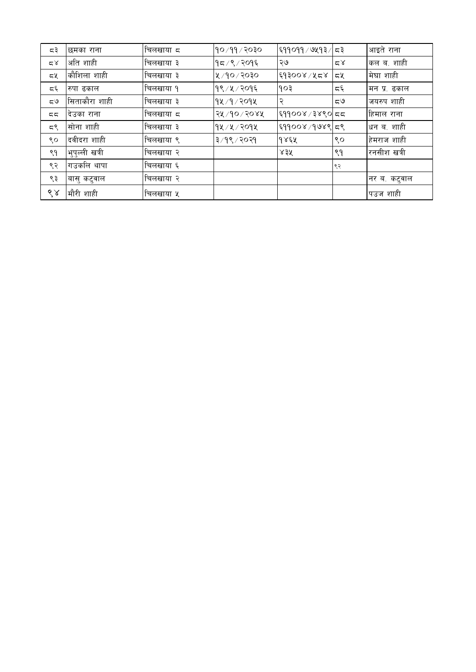| ಧ३ | छमका राना      | चिलखाया द | १०७११७२०३०         | $\frac{1}{2}$ ६११०११ / ७५१३ | ∣ ८३                     | आइते राना    |
|----|----------------|-----------|--------------------|-----------------------------|--------------------------|--------------|
| 58 | अति शाही       | चिलखाया ३ | १८∕९ ∕ २०१६        | ২७                          | 28                       | कल ब. शाही   |
| ದ⊻ | कौशिला शाही    | चिलखाया ३ | $\lambda$ /১০/১০ / | ६१३००४ / ५८४                | নুখ                      | मेघा शाही    |
| Σ٤ | रुपा ढकाल      | चिलखाया १ | १९ ⁄ ५ ⁄ २०१६      | १०३                         | $\overline{\mathcal{L}}$ | मन प्र. ढकाल |
| ಧ७ | सिताकौरा शाही  | चिलखाया ३ | १५ ⁄ १ ⁄ २०१५      | २                           | ಧ७                       | जयरुप शाही   |
| 55 | देउका राना     | चिलखाया ८ | २५ /१० / २०४५      | ६११००४ / ३४९०   ८८          |                          | हिमाल राना   |
| ದ९ | सोना शाही      | चिलखाया ३ | १५ ⁄ ५ ⁄ २०१५      | ६११००४ /१७४९ ८९             |                          | धन ब. शाही   |
| ९० | दवीदरा शाही    | चिलखाया ९ | ३/१९/२०२१          | १४६५                        | ९०                       | हेमराज शाही  |
| ९१ | भुपुल्ली खत्री | चिलखाया २ |                    | $83\%$                      | ९१                       | रनसीश खत्री  |
| ९२ | गउकलि थापा     | चिलखाया ६ |                    |                             | ९२                       |              |
| ९३ | बासु कटुवाल    | चिलखाया २ |                    |                             |                          | नर ब. कटुवाल |
| ९४ | मौरी शाही      | चिलखाया ५ |                    |                             |                          | पउज शाही     |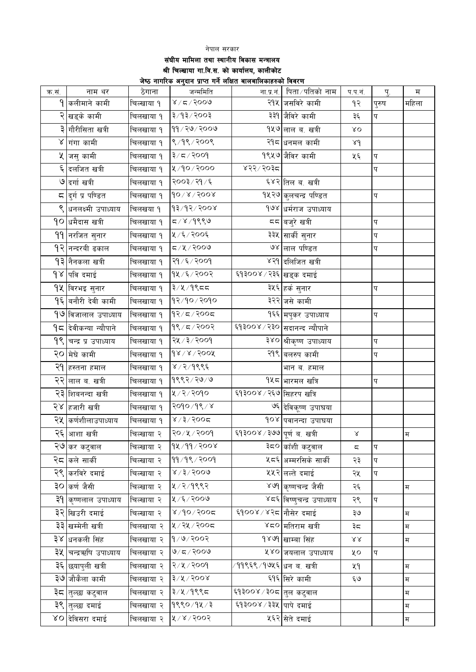#### नेपाल सरकार संघीय मामिला तथा स्थानीय विकास मन्त्रालय श्री चिल्खाया गा.वि.स. को कार्यालय, कालीकोट .<br>जेष्ठ नागरिक अनुदान प्राप्त गर्ने लक्षित बालबालिकाहरुको विवरण

| क.सं. | नाम थर                       | ठेगाना     | जन्ममिति                                               | ना.प्र.नं.                            | पिता ⁄ पतिको नाम              | प.प.नं.                  | प्.                       | $\mathbf{\overline{H}}$ |
|-------|------------------------------|------------|--------------------------------------------------------|---------------------------------------|-------------------------------|--------------------------|---------------------------|-------------------------|
|       | 9 कलीमाने कामी               | चिल्खाया १ | ४ ⁄ द ⁄ २००७                                           |                                       | २१५ जसविरे कामी               | १२                       | पुरुष                     | महिला                   |
|       | २ खड्के कामी                 | चिलखाया १  | ३/१३/२००३                                              |                                       | ३३१ जैविरे कामी               | ३६                       | प                         |                         |
|       | ३ गौरीसिता खत्री             | चिलखाया १  | 99 / 20 / 2009                                         |                                       | १५७ लाल ब. खत्री              | $\lambda$ O              |                           |                         |
|       | ४ गंगा कामी                  | चिलखाया १  | 8/98/2008                                              |                                       | २१८ धनमल कामी                 | 8d                       |                           |                         |
|       | <mark>५ जस</mark> ु कामी     | चिलखाया १  | $3/z$ २००१                                             |                                       | १९५७ जैविर कामी               | ५६                       | प                         |                         |
|       | ६ दलजित खत्री                | चिलखाया १  | 8/90/2000                                              | ४२२/२०३८                              |                               |                          | प                         |                         |
|       | ७ दर्गा खत्री                | चिलखाया १  | २००३/२१/६                                              |                                       | ६४२ तिल ब. खत्री              |                          |                           |                         |
|       | <b>⊂ दु</b> र्ग प्र पण्डित   | चिलखाया १  | $\delta\sigma\lambda\lambda\lambda\delta\sigma\lambda$ |                                       | १५२७ कुलचन्द्र पण्डित         |                          | प                         |                         |
|       | ९ धनलक्ष्मी उपाध्याय         | चिलखया १   | $\sqrt{8}$ ००९ $\sqrt{8}$ १/६१                         |                                       | १७४ धर्मराज उपाध्याय          |                          |                           |                         |
|       | <b>१</b> ० धमैदास खत्री      | चिलखाया १  | 5/8/9889                                               |                                       | दद बजुरे खत्री                |                          | प                         |                         |
|       | 99 नरजित सुनार               | चिलखाया १  | 2005/7                                                 |                                       | ३३५ सार्की सुनार              |                          | प                         |                         |
|       | 9२ नन्दरबी ढकाल              | चिलखाया १  | 5/4/3000                                               |                                       | ७४ लाल पण्डित                 |                          | प                         |                         |
|       | 9३∣नैनकला खत्री              | चिलखाया १  | २१ / ६ / २००१                                          |                                       | ४२१ दलिजित खत्री              |                          |                           |                         |
|       | १४ पवि दमाई                  | चिलखाया १  | १५/६/२००२                                              | <sup>ट्</sup> ष३००४ ⁄ २३६ खड्क दमाई   |                               |                          |                           |                         |
|       | १५  विरभइ सुनार              | चिलखाया १  | ३/५/१९८८                                               |                                       | ३५६ <sub>हर्क</sub> सुनार     |                          | प                         |                         |
|       | 9६  बनौरी देवी कामी          | चिलखाया १  | १२/१०/२०१०                                             |                                       | ३२२ जसे कामी                  |                          |                           |                         |
|       | १७ विजालाल उपाध्याय          | चिलखाया १  | १२/८/२००८                                              |                                       | १६६ मपुकर उपाध्याय            |                          | प                         |                         |
|       | <b>१८ दिवीकन्या न्यौपाने</b> | चिलखाया १  | 98 / 5 / 200                                           |                                       | ६१३००४ / २३० सदानन्द न्यौपाने |                          |                           |                         |
|       | १९ चन्द्र प्र उपाध्याय       | चिलखाया १  | २५ / ३ / २००१                                          |                                       | ३४० श्रीकृष्ण उपाध्याय        |                          | प                         |                         |
| २०    | मेघे कामी                    | चिलखाया १  | $d_8 \times 8 \times 600$                              |                                       | २१९ बलरुप कामी                |                          | प                         |                         |
|       | २१ हस्तना हमाल               | चिलखाया १  | ४ / २ / १९९६                                           |                                       | भान ब. हमाल                   |                          |                           |                         |
|       | २२ लाल ब. खत्री              | चिलखाया १  | 9882/20/9                                              |                                       | १५८ भारमल खत्रि               |                          | प                         |                         |
|       | २३ शिबनन्दा खत्री            | चिलखाया १  | ५/२/२०१०                                               | ६१३००४ / २६७ सिहरप खत्रि              |                               |                          |                           |                         |
|       | २४ <mark>हजारी खत्री</mark>  | चिलखाया १  | २०१०/१९/४                                              |                                       | ७६ देविकूष्ण उपाघया           |                          |                           |                         |
|       | २५  कर्णशीलाउपाध्याय         | चिलखाया १  | 2005/5/8                                               |                                       | १०४ पवानन्दा उपाघया           |                          |                           |                         |
|       | २६ आशा खत्री                 | चिल्खाया २ | २०/५/२००१                                              | ६१३००४ ⁄ ३७७ पूर्णब. खत्री            |                               | $\propto$                |                           | म                       |
|       | २७ कर कटुवाल                 | चिल्खाया २ | १४/११/२००४                                             |                                       | ३८० काँशी कटुवाल              | $\overline{\mathsf{c}},$ | $\boldsymbol{\mathrm{p}}$ |                         |
|       | २८  कले सार्की               | चिल्खाया २ | 99/98/2009                                             |                                       | ५८६ अम्मरसिके सार्की          | २३                       | प                         |                         |
|       | २९ करविरे दमाई               | चिल्खाया २ | $8 \times 15000$                                       |                                       | ५५२ लल्ते दमाई                | २५                       | प                         |                         |
|       | ३० कर्ण जैसी                 | चिल्खाया २ | ५/२/१९९२                                               |                                       | ४७१ कृष्णचन्द्र जैसी          | २६                       |                           | म                       |
|       | ३१ कृष्णलाल उपाध्याय         | चिल्खाया २ | ५ / ६ / २००७                                           |                                       | ४८६ विष्णुचन्द्र उपाध्याय     | २९                       | $\boldsymbol{\mathrm{p}}$ |                         |
|       | ३२ खिउरी दमाई                | चिल्खाया २ | $8/90$ /२००८                                           | ६१००४ / ४२८ नौसेर दमाई                |                               | २७                       |                           | म                       |
|       | ३३ खम्मेनी खत्री             | चिलखाया २  | ५/२५/२००८                                              |                                       | ४८० मतिराम खत्री              | ३८                       |                           | म                       |
|       | ३४ धनकली सिंह                | चिलखाया २  | 9/9/2002                                               |                                       | १४७१ खाम्बा सिंह              | $\lambda\lambda$         |                           | म                       |
|       | ३५ चन्द्रऋषि उपाध्याय        | चिलखाया २  | 9/5/2009                                               |                                       | ५४० जयलाल उपाध्याय            | ४०                       | प                         |                         |
|       | ३६ छयापुली खत्री             | चिलखाया २  | 8/8/3004                                               | ∕११९६९ ⁄ १७५६ ∣धन ब. खत्री            |                               | ५१                       |                           | म                       |
|       | ३७ जौकैला कामी               | चिलखाया २  | $3 \times 200$ ४                                       |                                       | ६१६ सिरे कामी                 | ६७                       |                           | म                       |
|       | ३८  तुल्छा कटुवाल            | चिलखाया २  | ३/५/१९९८                                               | <sup>ट्</sup> १३००४ ⁄ ३०८ ∣तुल कटुवाल |                               |                          |                           | म                       |
|       | ३९ तुल्छा दमाई               | चिलखाया २  | 9880/94/3                                              | ६१३००४/३३५ पापे दमाई                  |                               |                          |                           | म                       |
|       | ४ <b>०</b> देविसरा दमाई      | चिलखाया २  | 8005/8                                                 |                                       | ५६२ सेते दमाई                 |                          |                           | म                       |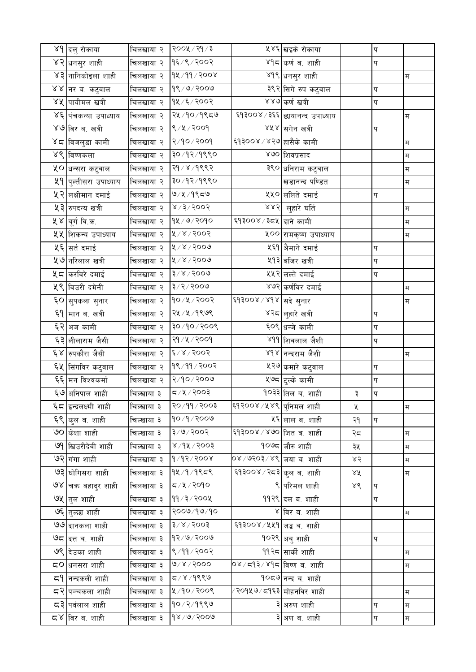|               | ४१ दलु रोकाया                | चिलखाया २  | २००५ / २१ / ३            |                               | ५४६ खइके रोकाया                  |    | प |                           |
|---------------|------------------------------|------------|--------------------------|-------------------------------|----------------------------------|----|---|---------------------------|
|               | ४२ <mark>धनसुर शाही</mark>   | चिलखाया २  | १६/९/२००२                |                               | ४१८ कर्ण व. शाही                 |    | प |                           |
|               | ४३ नानिकोइला शाही            | चिलखाया २  | १४/११/२००४               |                               | ४१९ <sub>धि</sub> नसुर शाही      |    |   | म                         |
|               | ४४  नर ब. कटुवाल             | चिलखाया २  | 98/9/2009                |                               | ३९२ सिगे रुप कटुवाल              |    | प |                           |
|               | ४५ पायीमल खत्री              | चिलखाया २  | 94/5/2002                |                               | ४४७ कर्ण खत्री                   |    | प |                           |
|               | ४६ पंचकन्या उपाध्याय         | चिलखाया २  | २५ ⁄ १० ⁄ १९८७           |                               | ६१३००४ / ३६६   छायानन्द उपाध्याय |    |   | म                         |
|               | ४७ विर ब. खत्री              | चिलखाया २  | ९/५/२००१                 |                               | ४५४ सगेन खत्री                   |    | प |                           |
|               | ४८  विजलुडा कामी             | चिलखाया २  | २/१०/२००१                | ६१३००४ ⁄ ४२७ हासैके कामी      |                                  |    |   | म                         |
|               | ४९ विष्णकला                  | चिलखाया २  | ३०/१२/१९९०               |                               | ४७० शिवप्रसाद                    |    |   | म                         |
|               | ५० धन्सरा कटुवाल             | चिलखाया २  | २१ / ४ / १९९२            |                               | ३९० धनिराम कटुवाल                |    |   | $\overline{\mathfrak{H}}$ |
|               | <b>५१ पुल्तीसरा उपाध्याय</b> | चिलखाया २  | ३०/१२/१९९०               |                               | खडानन्द पण्डित                   |    |   | म                         |
|               | ५२ लक्षीमान दमाई             | चिलखाया २  | ७৴५৴ঀ९≂७                 |                               | ५५० ललिते दमाई                   |    | प |                           |
|               | ५३ रुपदन्य खत्री             | चिलखाया २  | 5005/5/8                 | 885                           | लुहारे घर्ति                     |    |   | म                         |
|               | ५४  बूर्ग वि.क.              | चिलखाया २  | १५ / ७ / २०१०            | ६१३००४ / ३८५ दाने कामी        |                                  |    |   | म                         |
|               | ५५ शिकन्य उपाध्याय           | चिलखाया २  | ४/४/२००२                 |                               | ५०० रामकृष्ण उपाध्याय            |    |   | $\mathbb H$               |
|               | ५६ सर्त दमाई                 | चिलखाया २  | $8006 \times 10$         |                               | ४६१  अैमाने दमाई                 |    | प |                           |
|               | <b>५७</b> नरिलाल खत्री       | चिलखाया २  | $8006 \times 10$         |                               | ५१३ बजिर खत्री                   |    | प |                           |
|               | <b>५८ करविरे दमाई</b>        | चिलखाया २  | $3 \times 3000$          |                               | ५५२ लल्ते दमाई                   |    | प |                           |
|               | <b>५९ विउरी दमेनी</b>        | चिलखाया २  | 8005/2/8                 |                               | ४७२ कर्णविर दमाई                 |    |   | म                         |
|               | ६० सुपकला सुनार              | चिलखाया २  | १०/५/२००२                | ६१३००४ / ४१४ सदे सुनार        |                                  |    |   | म                         |
|               | ६9 मान ब. खत्री              | चिलखाया २  | २५ ⁄ ५ ⁄ १९७९            |                               | ४२८ <mark>लुहारे खत्री</mark>    |    | प |                           |
|               | ६२ अज कामी                   | चिलखाया २  | १००९ $\lor$ ०९ $\lor$ ०६ |                               | ६०९ धन्जे कामी                   |    | प |                           |
|               | ६३ <mark>लीलाराम जैसी</mark> | चिलखाया २  | २१ / ५ / २००१            |                               | ४११ शिवलाल जैशी                  |    | प |                           |
| $\mathcal{E}$ | रुपकौरा जैसी                 | चिलखाया २  | 2005/2                   |                               | ४१४ नन्दराम जैशी                 |    |   | म                         |
|               | ६५ सिंगविर कटुवाल            | चिलखाया २  | १९/११/२००२               |                               | ५२७ कमारे कटुवाल                 |    | प |                           |
|               | ६६ मन विश्वकर्मा             | चिलखाया २  | 8008/90                  |                               | ५७८ <mark>टुल्के कामी</mark>     |    | प |                           |
|               | ६७ अनिपाल शाही               | चिल्खाया ३ | द ∕ ५ ∕ २००३             |                               | <b>१</b> ०३३ तिल ब. शाही         | ३  | प |                           |
|               | ६८ इन्द्रलक्ष्मी शाही        | चिल्खाया ३ | २० ⁄ ११ ⁄ २००३           | ६१२००४ ⁄ ४४९ पुनिमल शाही      |                                  | X  |   | म                         |
|               | ६९ कुल ब. शाही               | चिल्खाया ३ | 90/9/2009                |                               | ५६ लाल ब. शाही                   | २१ | प |                           |
|               | ७० किशा शाही                 | चिल्खाया ३ | ३∕७⁄२००२                 | ६१३००४ ⁄ ४७० कित ब. शाही      |                                  | २८ |   | म                         |
|               | ७९ खिउरीदेवी शाही            | चिल्खाया ३ | $8005 \sqrt{9}$          |                               | १०७८ जौरु शाही                   | ३५ |   | म                         |
|               | ७२ गंगा शाही                 | चिलखाया ३  | 9/93/3008                | ०४ ⁄ ७२०३ ⁄ ४९ ∣जया ब. शाही   |                                  | ४२ |   | म                         |
|               | ७३  घोगिसरा शाही             | चिलखाया ३  | 94/9/955                 | ६१३००४ ⁄ २८३ कुल ब. शाही      |                                  | ४४ |   | म                         |
|               | ७४ चक बहादुर शाही            | चिलखाया ३  | $\sigma$ /४/२०१०         |                               | ९ परिमल शाही                     | ४९ | प |                           |
|               | ७५ तुल शाही                  | चिलखाया ३  | 99/3/200                 |                               | ११२९ दल ब. शाही                  |    | प |                           |
|               | ७६ तुल्छा शाही               | चिलखाया ३  | २००७/१७/१०               |                               | ४  विर ब. शाही                   |    |   | म                         |
|               | ७७ दानकला शाही               | चिलखाया ३  | $5005 \times 15$         | ६१३००४ / ५५१ जद्ध व. शाही     |                                  |    |   |                           |
|               | ७८ दत्त ब. शाही              | चिलखाया ३  | 93/9/3009                |                               | १०२९  अबु शाही                   |    | प |                           |
|               | ७९ दिउका शाही                | चिलखाया ३  | 8/99/2002                |                               | 99२८ सार्की शाही                 |    |   | म                         |
| 5Ο            | धनसरा शाही                   | चिलखाया ३  | 0005/8                   | ०४ ⁄ द9३ ⁄ ४9द ∣विष्ण ब. शाही |                                  |    |   | म                         |
| ≂۹            | नन्दकली शाही                 | चिलखाया ३  | ८/४/१९९७                 |                               | १०८७ नन्द ब. शाही                |    |   |                           |
|               | द२∣पञ्चकला शाही              | चिलखाया ३  | ४/१०/२००९                | ∕ २०१५७ ⁄ द्र१६३ मोहनविर शाही |                                  |    |   | म                         |
|               | <b>द्र३ पर्वलाल शाही</b>     | चिलखाया ३  | १०/२/१९९७                |                               | ३ अरुण शाही                      |    | प | म                         |
|               | द्र४  विर ब. शाही            | चिलखाया ३  | 98/9/3009                |                               | ३ अण ब. शाही                     |    | प | $\overline{\mathbf{H}}$   |
|               |                              |            |                          |                               |                                  |    |   |                           |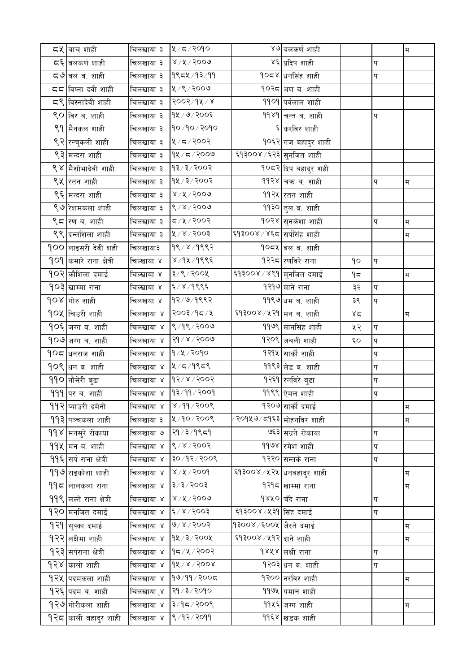| <b>८५</b> ∣बाचु शाही           | चिलखाया ३  | 4/5/3090                                |                                         | ४७ बलकर्ण शाही                |       |                | म |
|--------------------------------|------------|-----------------------------------------|-----------------------------------------|-------------------------------|-------|----------------|---|
| <b>द</b> ६ बलकर्ण शाही         | चिलखाया ३  | $8\lambda$ ४ $\lambda$ ४ $\lambda$ २००७ |                                         | ४६ प्रदिप शाही                |       | प              |   |
| द७ बल ब. शाही                  | चिलखाया ३  | १९८५/१३/११                              |                                         | <b>१०८४ धनसिंह शाही</b>       |       | प              |   |
| दद विष्ना दवी शाही             | चिलखाया ३  | ५/९/२००७                                |                                         | १०२८ अण ब. शाही               |       |                |   |
| ८९ विस्नादेवी शाही             | चिलखाया ३  | $8005\sqrt{d}x/x$                       |                                         | <b>9909</b> पर्वलाल शाही      |       |                |   |
| ९० विर ब. शाही                 | चिलखाया ३  | १५/७/२००६                               |                                         | ११४१ चन्त ब. शाही             |       | प              |   |
| ९१ मैनकल शाही                  | चिलखाया ३  | 90/90/2090                              |                                         | ६ करविर शाही                  |       |                |   |
| ९२ रन्चुकली शाही               | चिलखाया ३  | ५/८/२००२                                |                                         | १०६२ गज बहादुर शाही           |       |                |   |
| ९३ मन्दरा शाही                 | चिलखाया ३  | $9$ ४/८/२००७                            | <sup>ृ्द्</sup> १३००४ ∕ ६२३ सुनजित शाही |                               |       |                |   |
| ९४ मैशोभादेवी शाही             | चिलखाया ३  | 93/3/3003                               |                                         | <b>१०८२ दिप बहादुर शही</b>    |       |                |   |
| ९५ रतन शाही                    | चिलखाया ३  | १५ ⁄ ३ ⁄ २००२                           |                                         | 99२४ चक्र ब. शाही             |       | प              | म |
| ९६ मन्दरा शाही                 | चिलखाया ३  | $8\lambda$ ४ $\lambda$ ४ $\lambda$ २००७ |                                         | 99२४ रतन शाही                 |       |                |   |
| ९७ रेशमकला शाही                | चिलखाया ३  | 8/8/3000                                |                                         | ११३० तुल ब. शाही              |       |                |   |
| ९८ रण ब. शाही                  | चिलखाया ३  | 5005/12                                 |                                         | १०२४ सुनकेशा शाही             |       | प              | म |
| ९९ दन्तशिला शाही               | चिलखाया ३  | ४/४/२००३                                | ६१३००४ ⁄ ४६८ सिर्पसिंह शाही             |                               |       |                | म |
| <b>900 लाइसरी देवी शही</b>     | चिलखाया३   | १९/४/१९९२                               |                                         | <b>१०८५ बल ब. शाही</b>        |       |                |   |
| <b>909 कमारे राना क्षेत्री</b> | चिल्खाया ४ | ४/१५/१९९६                               |                                         | १२२८ रणविरे राना              | ٩o    | प              |   |
| 90२ कौशिला दमाई                | चिल्खाया ४ | $3/8/300$ ४                             | ६१३००४ / ४९१ मुनजित दमाई                |                               | ۹≂    |                | म |
| <b>१०३ खाम्मा राना</b>         | चिल्खाया ४ | ६/४/१९९६                                |                                         | १२१७ माने राना                | ३२    | $\overline{q}$ |   |
| 90४ गोरु शाही                  | चिलखया ४   | १२/७/१९९२                               |                                         | ११९७ धम ब. शाही               | ३९    | प              |   |
| १०५ चिउरी शाही                 | चिलखाया ४  | २००३/१८/४                               | ६्व३००४ ⁄ ५२१ ∣मन ब. शाही               |                               | $x^2$ |                | म |
| <b>१०६ जग्ग ब. शाही</b>        | चिलखाया ४  | 8/98/2009                               |                                         | ११७९ मानसिंह शाही             | ५२    | प              |   |
| <b>१०७</b> जग्ग ब. शाही        | चिलखाया ४  | २१ / ४ / २००७                           |                                         | १२०९ जबली शाही                | Ę٥    | प              |   |
| <b>१०८  </b> धनराज शाही        | चिलखाया ४  | १/५/२०१०                                |                                         | १२१५ सार्की शाही              |       | प              |   |
| <b>१०९ धन ब. शाही</b>          | चिलखाया ४  | 27/5                                    |                                         | 99९३ लेड ब. शाही              |       | प              |   |
| 990 नौसेरी बुढा                | चिलखाया ४  | १२/४/२००२                               |                                         | <mark>१२६१</mark> रनविरे बुढा |       | प              |   |
| 999 पर ब. शाही                 | चिलखाया ४  | 93/99/2009                              |                                         | ११९९ ऐमल शाही                 |       | प              |   |
| <b>99२ खाउरी दमेनी</b>         | चिलखाया ४  | ४ /११ / २००९                            |                                         | १२०७ सार्की दमाई              |       |                | म |
| 99३ पञ्चकला शाही               | चिलखाया ३  | $2005/90$ /                             | ′२०१४७ ⁄ द१६३ मोहनविर शाही              |                               |       |                | म |
| 99४ मनसुरे रोकाया              | चिलखाया ७  | २१ / ३ / १९ द१                          |                                         | ७६३ सग्रने रोकाया             |       | प              |   |
| <b>99 k मन</b> ब. शाही         | चिलखाया ४  | 8/8/8005                                |                                         | ११७४ रमेश शाही                |       | प              |   |
| 99६ सर्प राना क्षेत्री         | चिलखाया ४  | 8005/8606                               |                                         | १२२० सन्तके राना              |       | प              |   |
| 999 राइकोशा शाही               | चिलखाया ४  | 8/4/3004                                |                                         | ६१३००४ ⁄ ५२५  धनबहादुर शाही   |       |                | म |
| $99$ द $ $ लालकला राना         | चिलखाया ४  | $3 \times 3 \times 5003$                |                                         | १२१८ खाम्मा राना              |       |                | म |
| <b>99९ लल्ते राना क्षेत्री</b> | चिलखाया ४  | $8\sqrt{3}\sqrt{500}$                   |                                         | १४५० चँदे राना                |       | प              |   |
| 9२० मनजित दमाई                 | चिलखाया ४  | 28/8                                    | ६१३००४/५३१ सिंह दमाई                    |                               |       | प              |   |
| 9२१ सुक्का दमाई                | चिलखाया ४  | 9/8/3003                                | १३००४ ∕ ६००४  जैरते दमाई                |                               |       |                | म |
| <b>१२२</b> लक्षिमा शाही        | चिलखाया ४  | १५/३/२००५                               | ६१३००४ / ५१२ दाने शाही                  |                               |       |                | म |
| <b>१२३ स</b> र्पराना क्षेत्री  | चिलखाया ४  | 95/12                                   |                                         | १४५४ लक्षी राना               |       | प              |   |
| 9२४ कालो शाही                  | चिलखाया ४  | $dX \setminus R \setminus S$ 00 x       |                                         | १२०३ धन ब. शाही               |       | प              |   |
| 9२५ पदमकला शाही                | चिलखाया ४  | १७/११/२००८                              |                                         | १२०० नरविर शाही               |       |                | म |
| <b>१२६ पदम</b> ब. शाही         | चिलखाया ्४ | २१ / ३ / २०१०                           |                                         | ११७५ यमान शाही                |       |                |   |
| १२७ गोरीकला शाही               | चिलखाया ४  | 2005/76                                 |                                         | ११५६ जग्ग शाही                |       |                | म |
| <b>१२८ काली बहादुर शाही</b>    | चिलखाया ४  | 8/92/2099                               |                                         | ११६४ खडक शाही                 |       |                |   |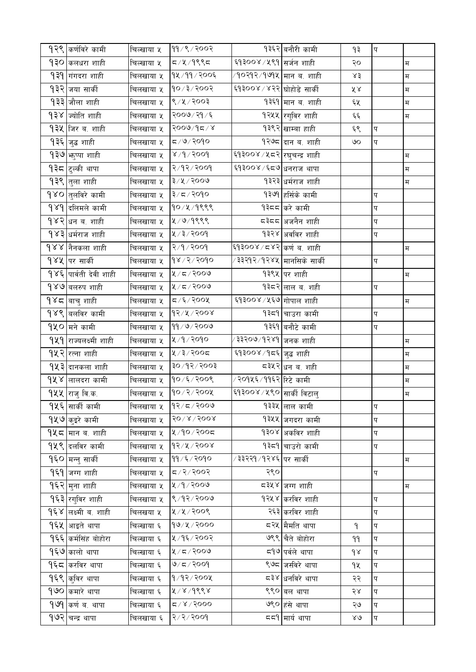|     | 9२९ कर्णविरे कामी                  | चिल्खाया ५ | ११/९/२००२                  |                                          | १३६२ बनौरी कामी             | ۹₹           | प                       |                           |
|-----|------------------------------------|------------|----------------------------|------------------------------------------|-----------------------------|--------------|-------------------------|---------------------------|
|     | 9३० कलधरा शाही                     | चिल्खाया ५ | $529$ / $\frac{1}{2}$      | ६१३००४ ⁄ ४९१ सर्जन शाही                  |                             | २०           |                         | म                         |
|     | <b>9३9 गंगदरा शाही</b>             | चिलखाया ५  | १५/११/२००६                 | ⁄ १०२१२ ⁄ १७१५ ∣मान ब. शाही              |                             | ४३           |                         | $\overline{\mathfrak{H}}$ |
|     | १३२ जया सार्की                     | चिलखाया ५  | १०/३/२००२                  | ६१३००४ / ४२२ घोहोडे सार्की               |                             | ४४           |                         | $\overline{\mathbf{H}}$   |
|     | <b>१३३ जौला</b> शाही               | चिलखाया ५  | ९/५/२००३                   |                                          | १३६१ मान ब. शाही            | ६५           |                         | म                         |
|     | 9३४ ज्योति शाही                    | चिलखाया ५  | २००७/२१/६                  |                                          | १२५५ रगुविर शाही            | $\xi \xi$    |                         | म                         |
|     | <b>9३५ जिर ब. शाही</b>             | चिलखाया ५  | २००७/१८/४                  |                                          | १३९२ खाम्बा हाही            | ६९           | $\overline{\mathbf{q}}$ |                           |
| १३६ | जुद्ध शाही                         | चिलखाया ५  | $\sigma$ /७/२०१०           |                                          | १२७८ दान ब. शाही            | ७०           | प                       |                           |
|     | <b>१३७ <sub>भरुप्पा शाही</sub></b> | चिलखाया ५  | 8005/6/x                   | <sup>ट्</sup> ष३००४ ⁄ ५८२ रघुचन्द्र शाही |                             |              |                         | म                         |
|     | १३८ टुल्की थापा                    | चिलखाया ५  | २/१२/२००१                  | ६१३००४ ⁄ ६८७ धनराज थापा                  |                             |              |                         | म                         |
|     | <b>१३९ तुला शाही</b>               | चिलखाया ५  | ३/५/२००७                   |                                          | १३२३ धर्मराज शाही           |              |                         | म                         |
|     | <b>१४०</b> तुलविरे कामी            | चिलखाया ५  | ३/८/२०१०                   |                                          | १३७१ हर्सिके कामी           |              | प                       |                           |
|     | 9 ४9 दिलिमले कामी                  | चिलखाया ५  | १०/५/१९९९                  |                                          | १३८८ करे कामी               |              | प                       |                           |
|     | <b>१४२∣धन ब. शाही</b>              | चिलखाया ५  | ५/७/१९९९                   |                                          | ⊂३८८  अजनैन शाही            |              | प                       |                           |
|     | 9४३ धर्मराज शाही                   | चिलखाया ५  | $8009 \times 10$           |                                          | १३२४ अवविर शाही             |              | प                       |                           |
|     | <b>१४४  नैनकला शाही</b>            | चिलखाया ५  | २/१/२००१                   | ६१३००४ ⁄ ८४२ कर्ण ब. शाही                |                             |              |                         | म                         |
|     | १४५  पर सार्की                     | चिलखाया ५  | १४/२/२०१०                  | ∕ ३३२१२ ∕ १२४४ ∣मानसिके सार्की           |                             |              | प                       |                           |
|     | 9४६ पार्वती देवी शाही              | चिलखाया ५  | 2/5/2009                   |                                          | १३९५ पर शाही                |              |                         | म                         |
|     | <b>१४७ बलरुप</b> शाही              | चिलखाया ५  | ५/८/२००७                   |                                          | १३८२ लाल ब. शही             |              | प                       |                           |
|     | १४८  बाचु शाही                     | चिलखाया ५  | $\sigma/\xi/\sqrt{2}$ ार   | ६१३००४ ⁄ ५६७ गोपाल शाही                  |                             |              |                         | म                         |
|     | <b>१४९ बलविर कामी</b>              | चिलखाया ५  | १२/५/२००४                  |                                          | १३८१ चाउरा कामी             |              | प                       |                           |
|     | १५० मने कामी                       | चिलखाया ५  | ११/७/२००७                  |                                          | १३६१ बनौटे कामी             |              | प                       |                           |
|     | 9४१ राज्यलक्ष्मी शाही              | चिलखाया ५  | ५/१/२०१०                   | ∕ ३३२०७ ⁄ १२४१ ॑ जनक शाही                |                             |              |                         | $\mathbb H$               |
|     | <b>१५२ </b> रत्ना शाही             | चिलखाया ५  | ५/३/२००८                   | ६१३००४ ⁄ १८६  जुद्ध शाही                 |                             |              |                         | म                         |
|     | <b>१५३ दानकला शाही</b>             | चिलखाया ५  | $20 \times 10$             |                                          | ८३५२ धन ब. शही              |              |                         | $\overline{\mathbf{H}}$   |
|     | <b>१५४ लालदरा कामी</b>             | चिलखाया ५  | १०/६/२००९                  | ∕ २०१५६ ∕ ११६२ रिटे कामी                 |                             |              |                         | म                         |
|     | १५५ राजु वि.क.                     | चिलखाया ५  | $90 \times 2 \times 200$   | ६१३००४ / ५९० सार्की विटालु               |                             |              |                         | म                         |
|     | 9५६ सार्की कामी                    | चिलखाया ५  | $92/z$ /२००७               |                                          | १३३५ लाल कामी               |              | $\overline{\mathbf{p}}$ |                           |
|     | <b>१५७ कुइरे</b> कामी              | चिलखाया ५  | $50 \times 1500$           |                                          | १३५५ जगदरा कामी             |              | प                       |                           |
|     | <b>१५८ मान ब. शाही</b>             | चिलखाया ५  | ५/१०/२००८                  |                                          | १३०४ अकविर शाही             |              | प                       |                           |
|     | <b>१५९ दलविर कामी</b>              | चिलखाया ५  | १२/५/२००४                  |                                          | १३८१ चाउरो कामी             |              | प                       |                           |
|     | १६० मन्नु सार्की                   | चिलखाया ५  | ११/६/२०१०                  | ∕ ३३२२१ ∕ १२४६ ∣पर सार्की                |                             |              |                         | म                         |
|     | 9६9 जग्ग शाही                      | चिलखाया ५  | 5005/27                    | २९०                                      |                             |              | प                       |                           |
|     | 9६२ मुना शाही                      | चिलखाया ५  | 8005/9/8                   |                                          | ⊂३५४ जग्ग शाही              |              |                         | म                         |
|     | 9६३ रगुविर शाही                    | चिलखाया ५  | 8/92/2009                  |                                          | १२५४ करविर शाही             |              | प                       |                           |
|     | <b>१६४ लक्ष्मी ब. शाही</b>         | चिलखया ५   | ५/५/२००९                   |                                          | २६३ करविर शाही              |              | प                       |                           |
|     | <b>१६५ आइते</b> थापा               | चिल्खाया ६ | १७/५/२०००                  |                                          |                             | ۹            | प                       |                           |
|     | <b>१६६ कर्मसिंह बोहोरा</b>         | चिल्खाया ६ | ५/१६/२००२                  |                                          | ७९९ चैते बोहोरा             | 99           | प                       |                           |
|     | 9६७ कालो थापा                      | चिल्खाया ६ | $2009 \times 12$           |                                          | द9 <sup>७</sup> पर्वले थापा | $d \lambda$  | प                       |                           |
|     | 9६८ करविर थापा                     | चिल्खाया ६ | 9/5/2009                   |                                          | ९७८ जसीवरे थापा             | 9X           | प                       |                           |
|     | <b>१६९ कुविर</b> थापा              | चिल्खाया ६ | १/१२/२००५                  |                                          | द३४  धनविरे थापा            | २२           | प                       |                           |
|     | 9७० कमारे थापा                     | चिल्खाया ६ | 8/8/966                    |                                          | ९९० बल थापा                 | २४           | प                       |                           |
|     | 9 ७१ कर्ण ब. थापा                  | चिल्खाया ६ | $\sigma$ / $\chi$ / $\chi$ |                                          | ७९० हंसे थापा               | ২७           | प                       |                           |
|     | <b>१७२ चन्द्र थापा</b>             | चिलखाया ६  | 8005/2/5                   |                                          | ८८९ मार्य थापा              | $80^{\circ}$ | प                       |                           |
|     |                                    |            |                            |                                          |                             |              |                         |                           |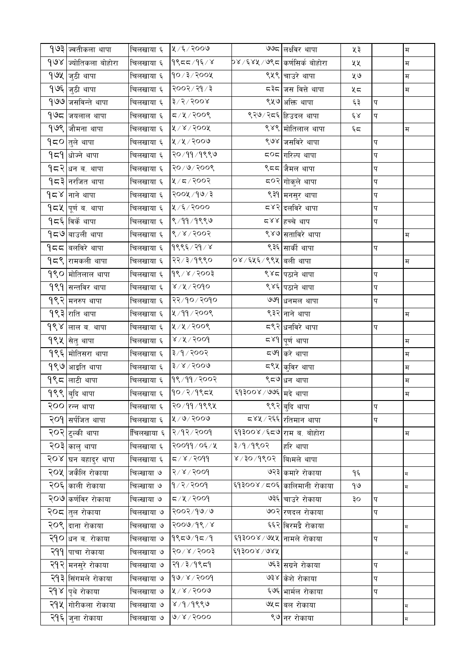| 9७३ ज्वतीकला थापा         | चिलखाया ६   | ५/६/२००७            |                                        | ७७८ लक्ष्विर थापा            | ५३                  |               | म           |
|---------------------------|-------------|---------------------|----------------------------------------|------------------------------|---------------------|---------------|-------------|
| 9७४ ज्योतिकला बोहोरा      | चिलखाया ६   | $9$ ९८८/१६/४        | <b>p४</b> ∕६४५ ⁄ ७९८ ∣कर्णसिर्क बोहोरा |                              | ५५                  |               | म           |
| १७५ जुठी थापा             | चिलखाया ६   | 90/3/300            |                                        | ९५९ चाउरे थापा               | ५७                  |               | म           |
| १७६ जुठी थापा             | चिलखाया ६   | २००२/२१/३           |                                        | ८३८ जस वित्ते थापा           | ५८                  |               | म           |
| १७७ जसविन्ते थापा         | चिलखाया ६   | $3\sqrt{5\sqrt{5}}$ |                                        | ९५७ अक्ति थापा               | ६३                  | प             |             |
| 9७८ जयलाल थापा            | चिलखाया ६   | 5005/17             |                                        | ९२७⁄ २८६ हिउदल थापा          | $\epsilon$ $\alpha$ | $\bm{\nabla}$ |             |
| 9७९ जौमना थापा            | चिलखाया ६   | $800$ ४ / १         |                                        | ९४९ मोतिलाल थापा             | $\xi$               |               | म           |
| 9द्र0∣तुले थापा           | चिलखाया ६   | ५/५/२००७            |                                        | ९७४ जसविरे थापा              |                     | प             |             |
| <b>१८१</b> धोज्ने थापा    | चिलखाया ६   | २०/११/१९९७          |                                        | द <b>्</b> द गरिल्प थापा     |                     | प             |             |
| <b>१८२∣</b> धन ब. थापा    | चिलखाया ६   | २०/७/२००९           |                                        | ९८८ जैमल थापा                |                     | प             |             |
| <b>१८३ नरजित थापा</b>     | चिलखाया ६   | ५/८/२००२            |                                        | ८०२ <mark>गोकुले थापा</mark> |                     | प             |             |
| <b>१८४</b>  नाने थापा     | चिलखाया ६   | २००५ /१७/३          |                                        | ९३१ मनसुर थापा               |                     | प             |             |
| <b>१८५  पूर्ण ब. थापा</b> | चिलखाया ६   | ५/६/२०००            |                                        | द४२∣दलविरे थापा              |                     | प             |             |
| <b>१८६</b> विर्के थापा    | चिलखाया ६   | 8/99/9889           |                                        | द४४  हच्चे थाप               |                     | प             |             |
| <b>१८७</b> बाउली थापा     | चिलखाया ६   | 8005/8              |                                        | ९४७ सताविरे थापा             |                     |               | म           |
| <b>१८८ बलविरे</b> थापा    | चिलखाया ६   | 9885/89/8           |                                        | ९३६ सार्की थापा              |                     | प             |             |
| <b>१८९ रामकली</b> थापा    | चिलखाया ६   | २२/३/१९९०           | ०४ ⁄ ६५६ ⁄ ९९५ वली थापा                |                              |                     |               | म           |
| <b>१९० मोतिलाल</b> थापा   | चिलखाया ६   | $98 \times 15003$   |                                        | ९४८ पठाने थापा               |                     | प             |             |
| <b>9९१ सन्तविर</b> थापा   | चिलखाया ६   | ४७५७२०१०            |                                        | ९४६ पठाने थापा               |                     | प             |             |
| <b>१९२</b> मनरुप थापा     | चिलखाया ६   | २२/१०/२०१०          |                                        | ७७१ धनमल थापा                |                     | प             |             |
| 9९३ राति थापा             | चिलखाया ६   | ४/११/२००९           |                                        | ९३२ नाने थापा                |                     |               | म           |
| १९४ लाल ब. थापा           | चिलखाया ६   | ५/५/२००९            |                                        | <b>८९२</b> धनविरे थापा       |                     | प             |             |
| १९५ सितु थापा             | चिलखाया ६   | ४/५/२००१            |                                        | द४९ ∣पूर्ण थापा              |                     |               | म           |
| <b>१९६ मोतिसरा</b> थापा   | चिलखाया ६   | 3/9/2002            |                                        | द७१ करे थापा                 |                     |               | म           |
| <b>१९७</b> आइति थापा      | चिलखाया ६   | $3 \times 2000$     |                                        | <b>८९</b> ४ कुविर थापा       |                     |               | म           |
| 9९८ लाटी थापा             | चिलखाया ६   | 98/99/2002          |                                        | ९८७ धन थापा                  |                     |               | म           |
| १९९ बुदि थापा             | चिलखाया ६   | $90/2/9$ ९८५        | ६१३००४ / ७७६ मदे थापा                  |                              |                     |               | म           |
| २०० रिन्न थापा            | चिलखाया ६   | २० ⁄ ११ ⁄ १९९५      |                                        | ९९२ <mark>बुदि थापा</mark>   |                     | प             |             |
| २०१ सर्पजित थापा          | चिलखाया ६   | ४/७/२००७            |                                        | ८४५ ⁄ २६६ रतिमान थापा        |                     | प             |             |
| २०२ टुल्की थापा           | ींचिलखाया ६ | २/१२/२००१           | ६१३००४ ⁄ ६८७ राम ब. बोहोरा             |                              |                     |               | म           |
| २०३ कालु थापा             | चिलखाया ६   | २००११ / ०६ / ५      | ३/१/१९०२                               | हरि थापा                     |                     |               |             |
| २०४  घन बहादुर थापा       | चिलखाया ६   | 5/8/3099            | ४ ∕ ३० ⁄ १९०२  ∣िबामले थापा            |                              |                     |               |             |
| २०५ जकैलि रोकाया          | चिल्खाया ७  | 8006/x/5            |                                        | ७२३ कमारे रोकाया             | ۹६                  |               | $\mathbb H$ |
| २०६ काली रोकाया           | चिल्खाया ७  | $9$ /२ $/$ २००१     |                                        | ६१३००४/८०६ कालिमानी रोकाया   | १७                  |               | म           |
| २०७ कर्णीवर रोकाया        | चिल्खाया ७  | 5/4/3009            |                                        | ७३६ चाउरे रोकाया             | ३०                  | प             |             |
| २ <b>०८</b>  तुल रोकाया   | चिलखाया ७   | २००२/१७/७           |                                        | ७०२ रणदल रोकाया              |                     | प             |             |
| २०९ दाना रोकाया           | चिलखाया ७   | $5000\sqrt{d}$      |                                        | ६६२ विरमद्रै रोकाया          |                     |               | $\mathbb H$ |
| २१० धन ब. रोकाया          | चिलखाया ७   | $9$ ९८७/१८/१        | ६१३००४/७५५ नामले रोकाया                |                              |                     | प             |             |
| २११ पाचा रोकाया           | चिलखाया ७   | $5002$ / $8003$     | ६१३००४/७४५                             |                              |                     |               | म           |
| २१२ मनसुरे रोकाया         | चिलखाया ७   | २१ / ३ / १९ द१      |                                        | ७६३ सग्रने रोकाया            |                     | प             |             |
| २१३ सिंगमले रोकाया        | चिलखाया ७   | $900 \times 1000$   |                                        | ७३४ केशे रोकाया              |                     | प             |             |
| २१४  पृथे रोकाया          | चिलखाया ७   | 8006/81             |                                        | ६७६ भार्मल रोकाया            |                     | प             |             |
| २१५ गोरीकला रोकाया        | चिलखाया ७   | $8/9/9$ ९९७         |                                        | ७५८ बल रोकाया                |                     |               | म           |
| २१६ जुना रोकाया           | चिलखाया ७   | 000< 100            |                                        | ९७ नर रोकाया                 |                     |               | म           |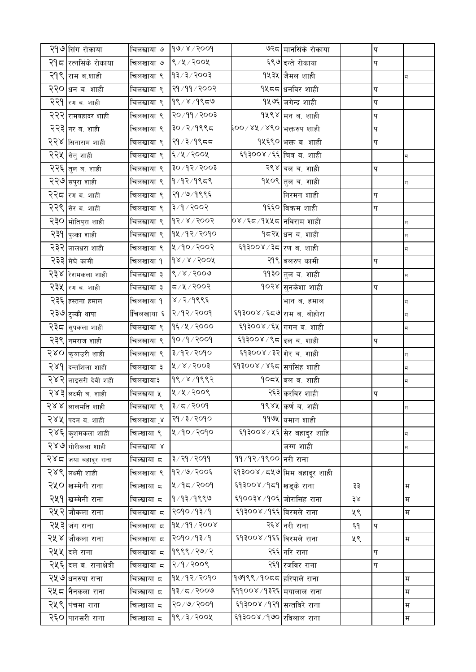|     | २१७ सिंग रोकाया                | चिलखाया ७   | 90/8/3009                          |                              | ७२८ मानसिके रोकाया           |    | प |                         |
|-----|--------------------------------|-------------|------------------------------------|------------------------------|------------------------------|----|---|-------------------------|
|     | २ <b>१८  </b> रत्नसिके रोकाया  | चिलखाया ७   | 8/4/2004                           |                              | ६९७ दन्ते रोकाया             |    | प |                         |
| २१९ | ∣राम ब.शाही                    | चिलखाया ९   | 93/3/2003                          |                              | १५३५ जैमल शाही               |    |   | म                       |
|     | २२० धन ब. शाही                 | चिलखाया ९   | २१/११/२००२                         |                              | १५८८  धनविर शाही             |    | प |                         |
|     | २२१ रण ब. शाही                 | चिलखाया ९   | $9$ ९ $/$ ४ $/9$ ९८७               |                              | १५७६ जगेन्द्र शाही           |    | प |                         |
|     | २२२ <mark>रामबहादर शाही</mark> | चिलखाया ९   | २०/११/२००३                         |                              | १५९४ मन ब. शाही              |    | प |                         |
|     | २२३ नर ब. शाही                 | चिलखाया ९   | ३० ⁄ २ ⁄ १९९८                      | ६०० ⁄ ४५ ⁄ ४९०  भक्तरुप शाही |                              |    | प |                         |
|     | २२४ सिताराम शाही               | चिलखाया ९   | २१ / ३ / १९ ८ द                    |                              | १५६९० भक्त ब. शाही           |    | प |                         |
|     | २२५ सेतु शाही                  | चिलखाया ९   | ६/५/२००५                           | ६१३००४ ⁄ ६६ चित्र ब. शाही    |                              |    |   | $\overline{\mathbf{H}}$ |
|     | २२६ तुल ब. शाही                | चिलखाया ९   | $5005 \sqrt{9}$                    |                              | २९४ बल ब. शाही               |    | प |                         |
|     | २२७ सपुरा शाही                 | चिलखाया ९   | $9/92/9$ ९८९                       |                              | १५०९ तुल ब. शाही             |    |   | $\mathbb H$             |
|     | २२८ <mark>रण व. शाही</mark>    | चिलखाया ९   | २१ / ७ / १९९६                      |                              | निरमन शाही                   |    | प |                         |
|     | २२९ सेर ब. शाही                | चिलखाया ९   | ३/१/२००२                           |                              | १६६० विक्रम शाही             |    | प |                         |
|     | २३० मोतिपुरा शाही              | चिलखाया ९   | 93/8/3005                          | o४ ∕ ६द ⁄ १४४द ∣नविराम शाही  |                              |    |   | म                       |
|     | २३१ पुल्का शाही                | चिलखाया ९   | १५/१२/२०१०                         |                              | १८२५ <sub>धन ब. शाही</sub>   |    |   | म                       |
|     | २३२ <mark>लालधरा शाही</mark>   | चिलखाया ९   | ५/१०/२००२                          | ६१३००४ ⁄ ३८ रण ब. शाही       |                              |    |   | $\overline{\mathbf{H}}$ |
|     | २३३ मेघे कामी                  | चिलखाया १   | $d \lambda \lambda \lambda$ / sook |                              | २१९ बलरुप कामी               |    | प |                         |
|     | २३४ रेशमकला शाही               | चिलखाया ३   | $8 \times 15000$                   |                              | <b>११३०</b> तुल ब. शाही      |    |   | $\overline{\mathbf{H}}$ |
| २३५ | रण ब. शाही                     | चिलखाया ३   | $500$ २/ पू                        |                              | १०२४ सुनकेशा शाही            |    | प |                         |
|     | २३६ हस्तना हमाल                | चिलखाया १   | ४ / २ / १९९६                       |                              | भान ब. हमाल                  |    |   | $\overline{\mathbf{H}}$ |
|     | २३७ टुल्की थापा                | ींचिलखाया ६ | २/१२/२००१                          | ६१३००४ ⁄ ६८७ राम ब. बोहोरा   |                              |    |   | $\mathbb H$             |
|     | २३८ <mark>सुपकला शाही</mark>   | चिलखाया ९   | १६/५/२०००                          |                              | ६१३००४ ⁄ ६४ गगन ब. शाही      |    |   | $\overline{H}$          |
| २३९ | नमराज शाही                     | चिलखाया ९   | 90/9/909                           | ६१३००४ /९८ दल ब. शाही        |                              |    | प |                         |
|     | २४० <mark>फ्याउरी शाही</mark>  | चिलखाया ९   | ३/१२/२०१०                          | ६१३००४ ⁄ ३२ शेर ब. शाही      |                              |    |   | $\overline{\mathbf{H}}$ |
|     | २४१ दन्तशिला शाही              | चिलखाया ३   | 8005/8                             | ६१३००४ ⁄ ४६८ सर्पसिंह शाही   |                              |    |   | $\overline{\mathbf{H}}$ |
|     | २४२ लाइसरी देवी शही            | चिलखाया३    | 9९/४/9९९२                          |                              | १०८५ बल ब. शाही              |    |   | $\overline{\mathbf{H}}$ |
|     | २४३ लक्ष्मी ब. शाही            | चिलखया ५    | ५/५/२००९                           |                              | २६३ करविर शाही               |    | प |                         |
|     | २४४  लालमति शाही               | चिलखाया ९   | ३/८/२००१                           |                              | १९४५ कर्ण ब. शही             |    |   | म                       |
|     | <b>२४५  </b> पदम ब. शाही       |             | चिलखाया ्४  २१ ∕ ३ ∕ २०१०          |                              | ११७५ यमान शाही               |    |   |                         |
|     | २४६ कुशमकला शाही               | चिल्खाया ९  | ४/१०/२०१०                          |                              | ६१३००४ ⁄ ५६ सेर बहादुर शाहि  |    |   | म                       |
|     | २४७ गोरीकला शाही               | चिलखाया ४   |                                    |                              | जग्ग शाही                    |    |   | म                       |
|     | २४८  जया बहादूर राना           | चिल्खाया ८  | ३/२१/२०११                          | ११/१२/१९०० नरी राना          |                              |    |   |                         |
|     | २४९ लक्ष्मी शाही               | चिलखाया ९   | १२/७/२००६                          |                              | ६१३००४ ⁄ ८४७ मिम बहादूर शाही |    |   |                         |
|     | २५० खम्मेनी राना               | चिल्खाया ८  | ५/१८/२००१                          | ६१३००४ ⁄ १८१ खड्के राना      |                              | ३३ |   | म                       |
|     | २५१ खम्मेनी राना               | चिल्खाया ८  | १/१३/१९९७                          | ६१००३४ ⁄ १०६ जोरासिंह राना   |                              | ३४ |   | म                       |
|     | २५२ जौकला राना                 | चिलखाया ८   | २०१०/१३/१                          | ६१३००४ ⁄ १६६ विरमले राना     |                              | ५९ |   | म                       |
|     | २५३ जंग राना                   | चिलखाया ८   | १४/११/२००४                         |                              | २६४ नरी राना                 | ξ٩ | प |                         |
|     | २५४ जौकला राना                 | चिलखाया ८   | २०१० / १३ / १                      | ६१३००४ /१६६ विरमले राना      |                              | ५९ |   | म                       |
|     | <b>२५५ दिले</b> राना           | चिलखाया ८   | १९९९/२७/२                          |                              | २६६ नरि राना                 |    | प |                         |
|     | २५६ दल ब. रानाक्षेत्री         | चिलखाया ८   | २/१/२००९                           |                              | २६१ रजविर राना               |    | प |                         |
|     | २५७ धनरुपा राना                | चिल्खाया ८  | १५/१२/२०१०                         | १७१९९ ∕ १०८८ हरिपाले राना    |                              |    |   | म                       |
|     | २ <b>५</b> द  नैनकला राना      | चिल्खाया ८  | $93/z$ २००७                        | ६११००४ ∕१३२६∣मयालाल राना     |                              |    |   | म                       |
|     | २ <b>५९</b> पंचमा राना         | चिल्खाया ८  | २०/७/२००१                          | ६१३००४/१२१ सन्तविरे राना     |                              |    |   | म                       |
|     | २६० <mark> पानसरी राना</mark>  | चिल्खाया ८  | 98/3/300                           | ६१३००४ ⁄ १७० रविलाल राना     |                              |    |   | म                       |